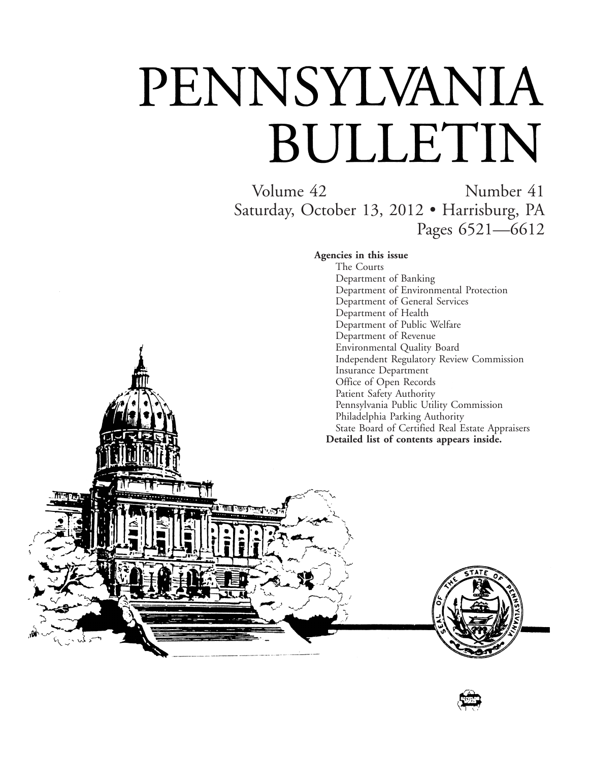# PENNSYLVANIA BULLETIN

Volume 42 Number 41 Saturday, October 13, 2012 • Harrisburg, PA Pages 6521—6612

**Agencies in this issue**

The Courts Department of Banking Department of Environmental Protection Department of General Services Department of Health Department of Public Welfare Department of Revenue Environmental Quality Board Independent Regulatory Review Commission Insurance Department Office of Open Records Patient Safety Authority Pennsylvania Public Utility Commission Philadelphia Parking Authority State Board of Certified Real Estate Appraisers **Detailed list of contents appears inside.**



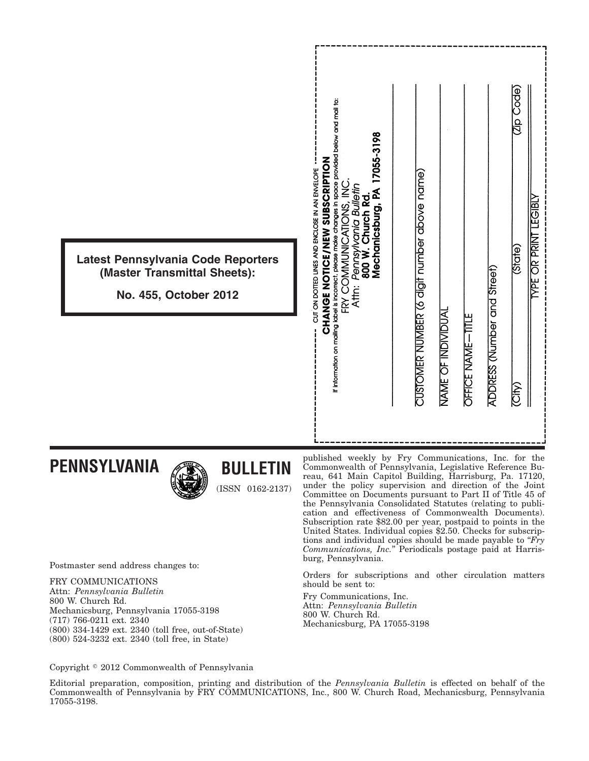| Latest Pennsylvania Code Reporters<br>(Master Transmittal Sheets):<br>No. 455, October 2012 | If information on mailing label is incorrect, please make changes in space provided below and mail to:<br>17055-3198<br><b>ZOILLI&amp;USSINS NAINULON AONGLAMED</b><br>CUT ON DOTTED LINES AND ENCLOSE IN AN ENVELOPE<br>Pennsylvania Bulletin<br>Ž<br>Mechanicsburg, PA<br>Church Rd<br>CATIONS.<br>FRY COMMUNI<br><b>W 008</b><br>Attn: | CUSTOMER NUMBER (6 digit number above name) | NAME OF INDIVIDUAI | OFFICE NAME-TITLE | ADDRESS (Number and Street) | (Zip Code)<br>Gtate)<br><b>City</b> | <b>LEGIBLY</b><br><b>YPE OR PRINT</b> |
|---------------------------------------------------------------------------------------------|-------------------------------------------------------------------------------------------------------------------------------------------------------------------------------------------------------------------------------------------------------------------------------------------------------------------------------------------|---------------------------------------------|--------------------|-------------------|-----------------------------|-------------------------------------|---------------------------------------|
| <b>PENNSYLVANIA</b><br><b>BULLETIN</b><br><b>ALL</b>                                        | published weekly by Fry Communications, Inc. for the<br>Commonwealth of Pennsylvania, Legislative Reference Bu-<br>reau 641 Main Capital Building Harrisburg Pa 17120                                                                                                                                                                     |                                             |                    |                   |                             |                                     |                                       |

Postmaster send address changes to:

FRY COMMUNICATIONS Attn: *Pennsylvania Bulletin* 800 W. Church Rd. Mechanicsburg, Pennsylvania 17055-3198 (717) 766-0211 ext. 2340 (800) 334-1429 ext. 2340 (toll free, out-of-State) (800) 524-3232 ext. 2340 (toll free, in State)

reau, 641 Main Capitol Building, Harrisburg, I under the policy supervision and direction of the Joint Committee on Documents pursuant to Part II of Title 45 of the Pennsylvania Consolidated Statutes (relating to publication and effectiveness of Commonwealth Documents). Subscription rate \$82.00 per year, postpaid to points in the United States. Individual copies \$2.50. Checks for subscriptions and individual copies should be made payable to "*Fry Communications, Inc.*'' Periodicals postage paid at Harrisburg, Pennsylvania.

Orders for subscriptions and other circulation matters should be sent to:

Fry Communications, Inc. Attn: *Pennsylvania Bulletin* 800 W. Church Rd. Mechanicsburg, PA 17055-3198

Copyright © 2012 Commonwealth of Pennsylvania

Editorial preparation, composition, printing and distribution of the *Pennsylvania Bulletin* is effected on behalf of the Commonwealth of Pennsylvania by FRY COMMUNICATIONS, Inc., 800 W. Church Road, Mechanicsburg, Pennsylvania 17055-3198.

(ISSN 0162-2137)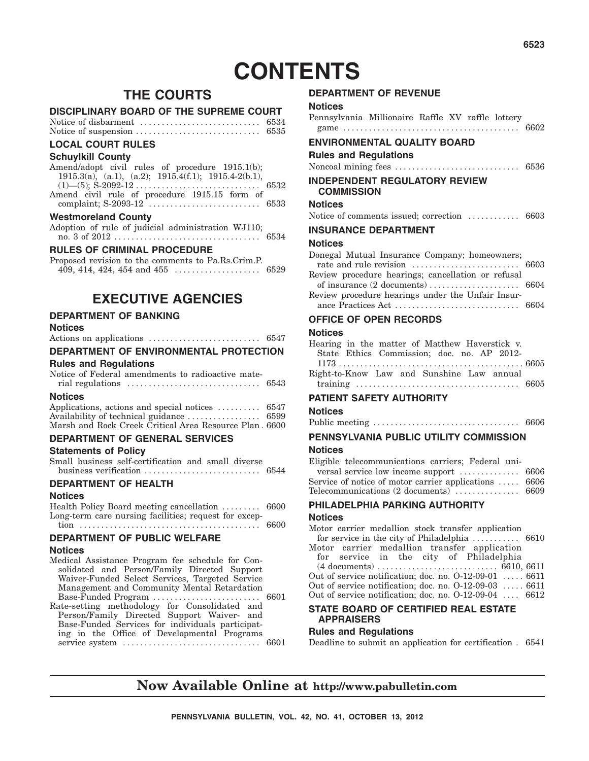# **CONTENTS**

### **THE COURTS**

#### **DISCIPLINARY BOARD OF THE SUPREME COURT**

| Notice of disbarment | 6534 |
|----------------------|------|
| Notice of suspension | 6535 |

#### **LOCAL COURT RULES**

#### **Schuylkill County**

| Amend/adopt civil rules of procedure 1915.1(b);            |  |
|------------------------------------------------------------|--|
| 1915.3(a), (a.1), (a.2); $1915.4(f.1)$ ; $1915.4-2(b.1)$ , |  |
|                                                            |  |
| Amend civil rule of procedure 1915.15 form of              |  |
|                                                            |  |
|                                                            |  |

#### **Westmoreland County**

|  | Adoption of rule of judicial administration WJ110; |      |
|--|----------------------------------------------------|------|
|  |                                                    | 6534 |

#### **RULES OF CRIMINAL PROCEDURE**

| Proposed revision to the comments to Pa.Rs.Crim.P. |  |
|----------------------------------------------------|--|
|                                                    |  |

### **EXECUTIVE AGENCIES**

#### **DEPARTMENT OF BANKING**

#### **Notices**

| DEPARTMENT OF ENVIRONMENTAL PROTECTION                                                                                                         |  |
|------------------------------------------------------------------------------------------------------------------------------------------------|--|
| <b>Rules and Regulations</b>                                                                                                                   |  |
| Notice of Federal amendments to radioactive mate-<br>rial regulations $\ldots \ldots \ldots \ldots \ldots \ldots \ldots \ldots \ldots$ 6543    |  |
| <b>Notices</b><br>Applications, actions and special notices $\dots \dots \dots$ 6547<br>Marsh and Rock Creek Critical Area Resource Plan, 6600 |  |
| <b>DEPARTMENT OF GENERAL SERVICES</b>                                                                                                          |  |

#### **Statements of Policy**

|  | Small business self-certification and small diverse |  |      |
|--|-----------------------------------------------------|--|------|
|  | business verification                               |  | 6544 |

#### **DEPARTMENT OF HEALTH**

#### **Notices**

Health Policy Board meeting cancellation ......... 6600 Long-term care nursing facilities; request for exception .......................................... 6600

### **DEPARTMENT OF PUBLIC WELFARE**

#### **Notices**

| Medical Assistance Program fee schedule for Con- |  |
|--------------------------------------------------|--|
| solidated and Person/Family Directed Support     |  |
| Waiver-Funded Select Services, Targeted Service  |  |
| Management and Community Mental Retardation      |  |
| Base-Funded Program  6601                        |  |
| Rate-setting methodology for Consolidated and    |  |
| Person/Family Directed Support Waiver- and       |  |
| Base-Funded Services for individuals participat- |  |
| ing in the Office of Developmental Programs      |  |
|                                                  |  |
|                                                  |  |

#### **DEPARTMENT OF REVENUE**

| <b>Notices</b>                                    |  |  |  |
|---------------------------------------------------|--|--|--|
| Pennsylvania Millionaire Raffle XV raffle lottery |  |  |  |

| ENVIRONMENTAL QUALITY BOARD                               |  |
|-----------------------------------------------------------|--|
| <b>Rules and Regulations</b>                              |  |
|                                                           |  |
| <b>INDEPENDENT REGULATORY REVIEW</b><br><b>COMMISSION</b> |  |
| Notices                                                   |  |
| Notice of comments issued; correction  6603               |  |
| <b>INSURANCE DEPARTMENT</b>                               |  |
| Notices                                                   |  |
| Donegal Mutual Insurance Company; homeowners;             |  |
|                                                           |  |
| Review procedure hearings; cancellation or refusal        |  |
|                                                           |  |
| Review procedure hearings under the Unfair Insur-         |  |

#### ance Practices Act ............................. 6604

#### **OFFICE OF OPEN RECORDS**

#### **Notices**

| Hearing in the matter of Matthew Haverstick v. |  |
|------------------------------------------------|--|
| State Ethics Commission; doc. no. AP 2012-     |  |
|                                                |  |
| Right-to-Know Law and Sunshine Law annual      |  |
|                                                |  |
|                                                |  |

#### **PATIENT SAFETY AUTHORITY**

#### **Notices**

#### Public meeting .................................. 6606

#### **PENNSYLVANIA PUBLIC UTILITY COMMISSION**

#### **Notices**

| Eligible telecommunications carriers; Federal uni-    |  |
|-------------------------------------------------------|--|
|                                                       |  |
| Service of notice of motor carrier applications  6606 |  |
| Telecommunications (2 documents)  6609                |  |
|                                                       |  |

### **PHILADELPHIA PARKING AUTHORITY**

#### **Notices**

Motor carrier medallion stock transfer application for service in the city of Philadelphia ........... 6610 Motor carrier medallion transfer application for service in the city of Philadelphia (4 documents) ............................ 6610, 6611 Out of service notification; doc. no. O-12-09-01 ..... 6611 Out of service notification; doc. no. O-12-09-03 . . . . . 6611 Out of service notification; doc. no. O-12-09-04 .... 6612

#### **STATE BOARD OF CERTIFIED REAL ESTATE APPRAISERS**

#### **Rules and Regulations**

Deadline to submit an application for certification . 6541

### **Now Available Online at http://www.pabulletin.com**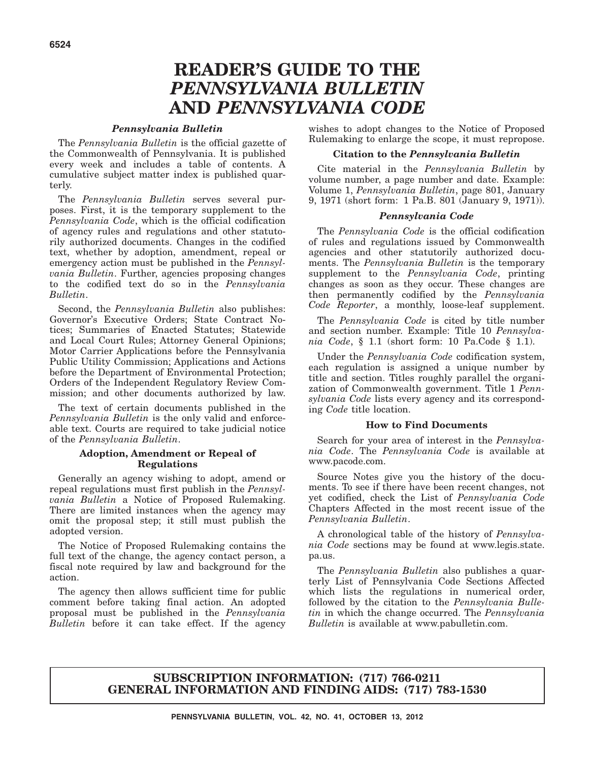# **READER'S GUIDE TO THE** *PENNSYLVANIA BULLETIN* **AND** *PENNSYLVANIA CODE*

#### *Pennsylvania Bulletin*

The *Pennsylvania Bulletin* is the official gazette of the Commonwealth of Pennsylvania. It is published every week and includes a table of contents. A cumulative subject matter index is published quarterly.

The *Pennsylvania Bulletin* serves several purposes. First, it is the temporary supplement to the *Pennsylvania Code*, which is the official codification of agency rules and regulations and other statutorily authorized documents. Changes in the codified text, whether by adoption, amendment, repeal or emergency action must be published in the *Pennsylvania Bulletin*. Further, agencies proposing changes to the codified text do so in the *Pennsylvania Bulletin*.

Second, the *Pennsylvania Bulletin* also publishes: Governor's Executive Orders; State Contract Notices; Summaries of Enacted Statutes; Statewide and Local Court Rules; Attorney General Opinions; Motor Carrier Applications before the Pennsylvania Public Utility Commission; Applications and Actions before the Department of Environmental Protection; Orders of the Independent Regulatory Review Commission; and other documents authorized by law.

The text of certain documents published in the *Pennsylvania Bulletin* is the only valid and enforceable text. Courts are required to take judicial notice of the *Pennsylvania Bulletin*.

#### **Adoption, Amendment or Repeal of Regulations**

Generally an agency wishing to adopt, amend or repeal regulations must first publish in the *Pennsylvania Bulletin* a Notice of Proposed Rulemaking. There are limited instances when the agency may omit the proposal step; it still must publish the adopted version.

The Notice of Proposed Rulemaking contains the full text of the change, the agency contact person, a fiscal note required by law and background for the action.

The agency then allows sufficient time for public comment before taking final action. An adopted proposal must be published in the *Pennsylvania Bulletin* before it can take effect. If the agency

wishes to adopt changes to the Notice of Proposed Rulemaking to enlarge the scope, it must repropose.

#### **Citation to the** *Pennsylvania Bulletin*

Cite material in the *Pennsylvania Bulletin* by volume number, a page number and date. Example: Volume 1, *Pennsylvania Bulletin*, page 801, January 9, 1971 (short form: 1 Pa.B. 801 (January 9, 1971)).

#### *Pennsylvania Code*

The *Pennsylvania Code* is the official codification of rules and regulations issued by Commonwealth agencies and other statutorily authorized documents. The *Pennsylvania Bulletin* is the temporary supplement to the *Pennsylvania Code*, printing changes as soon as they occur. These changes are then permanently codified by the *Pennsylvania Code Reporter*, a monthly, loose-leaf supplement.

The *Pennsylvania Code* is cited by title number and section number. Example: Title 10 *Pennsylvania Code*, § 1.1 (short form: 10 Pa.Code § 1.1).

Under the *Pennsylvania Code* codification system, each regulation is assigned a unique number by title and section. Titles roughly parallel the organization of Commonwealth government. Title 1 *Pennsylvania Code* lists every agency and its corresponding *Code* title location.

#### **How to Find Documents**

Search for your area of interest in the *Pennsylvania Code*. The *Pennsylvania Code* is available at www.pacode.com.

Source Notes give you the history of the documents. To see if there have been recent changes, not yet codified, check the List of *Pennsylvania Code* Chapters Affected in the most recent issue of the *Pennsylvania Bulletin*.

A chronological table of the history of *Pennsylvania Code* sections may be found at www.legis.state. pa.us.

The *Pennsylvania Bulletin* also publishes a quarterly List of Pennsylvania Code Sections Affected which lists the regulations in numerical order, followed by the citation to the *Pennsylvania Bulletin* in which the change occurred. The *Pennsylvania Bulletin* is available at www.pabulletin.com.

#### **SUBSCRIPTION INFORMATION: (717) 766-0211 GENERAL INFORMATION AND FINDING AIDS: (717) 783-1530**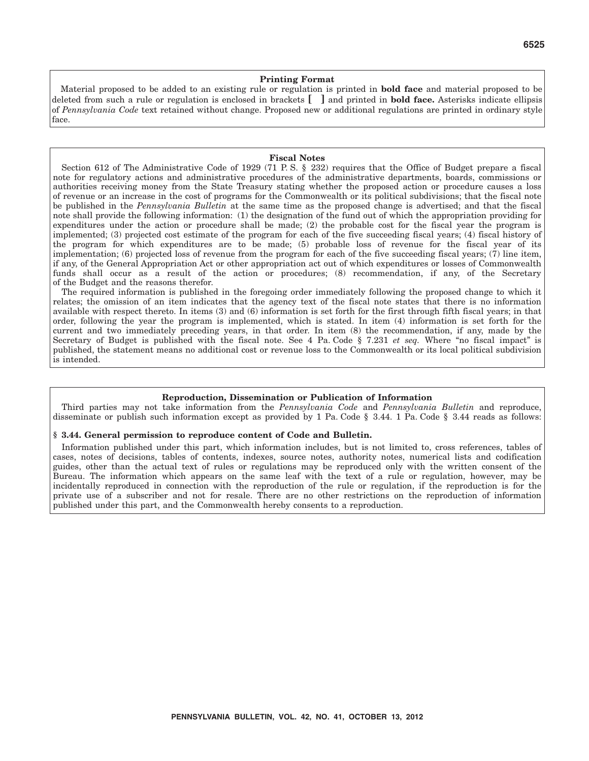#### **Printing Format**

Material proposed to be added to an existing rule or regulation is printed in **bold face** and material proposed to be deleted from such a rule or regulation is enclosed in brackets **[ ]** and printed in **bold face.** Asterisks indicate ellipsis of *Pennsylvania Code* text retained without change. Proposed new or additional regulations are printed in ordinary style face.

#### **Fiscal Notes**

Section 612 of The Administrative Code of 1929 (71 P.S. § 232) requires that the Office of Budget prepare a fiscal note for regulatory actions and administrative procedures of the administrative departments, boards, commissions or authorities receiving money from the State Treasury stating whether the proposed action or procedure causes a loss of revenue or an increase in the cost of programs for the Commonwealth or its political subdivisions; that the fiscal note be published in the *Pennsylvania Bulletin* at the same time as the proposed change is advertised; and that the fiscal note shall provide the following information: (1) the designation of the fund out of which the appropriation providing for expenditures under the action or procedure shall be made; (2) the probable cost for the fiscal year the program is implemented; (3) projected cost estimate of the program for each of the five succeeding fiscal years; (4) fiscal history of the program for which expenditures are to be made; (5) probable loss of revenue for the fiscal year of its implementation; (6) projected loss of revenue from the program for each of the five succeeding fiscal years; (7) line item, if any, of the General Appropriation Act or other appropriation act out of which expenditures or losses of Commonwealth funds shall occur as a result of the action or procedures; (8) recommendation, if any, of the Secretary of the Budget and the reasons therefor.

The required information is published in the foregoing order immediately following the proposed change to which it relates; the omission of an item indicates that the agency text of the fiscal note states that there is no information available with respect thereto. In items (3) and (6) information is set forth for the first through fifth fiscal years; in that order, following the year the program is implemented, which is stated. In item (4) information is set forth for the current and two immediately preceding years, in that order. In item (8) the recommendation, if any, made by the Secretary of Budget is published with the fiscal note. See 4 Pa. Code § 7.231 *et seq.* Where "no fiscal impact" is published, the statement means no additional cost or revenue loss to the Commonwealth or its local political subdivision is intended.

#### **Reproduction, Dissemination or Publication of Information**

Third parties may not take information from the *Pennsylvania Code* and *Pennsylvania Bulletin* and reproduce, disseminate or publish such information except as provided by 1 Pa. Code § 3.44. 1 Pa. Code § 3.44 reads as follows:

#### **§ 3.44. General permission to reproduce content of Code and Bulletin.**

Information published under this part, which information includes, but is not limited to, cross references, tables of cases, notes of decisions, tables of contents, indexes, source notes, authority notes, numerical lists and codification guides, other than the actual text of rules or regulations may be reproduced only with the written consent of the Bureau. The information which appears on the same leaf with the text of a rule or regulation, however, may be incidentally reproduced in connection with the reproduction of the rule or regulation, if the reproduction is for the private use of a subscriber and not for resale. There are no other restrictions on the reproduction of information published under this part, and the Commonwealth hereby consents to a reproduction.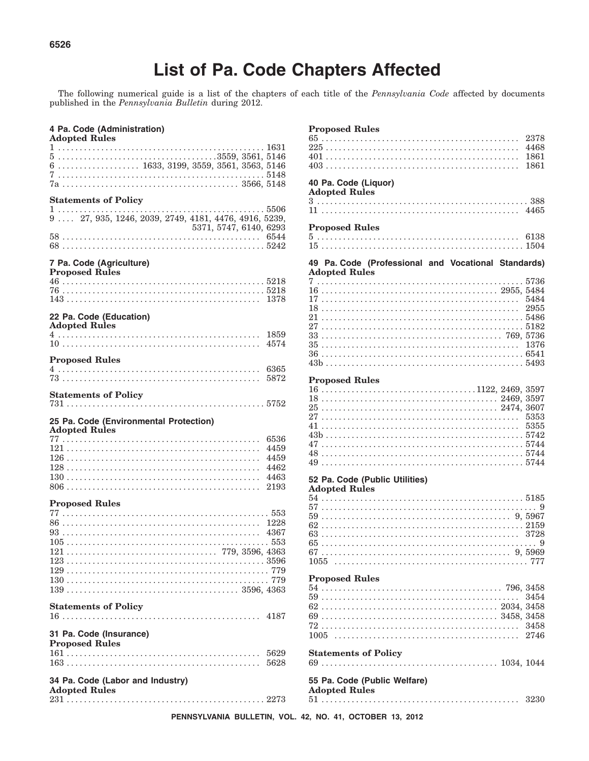# **List of Pa. Code Chapters Affected**

The following numerical guide is a list of the chapters of each title of the Pennsylvania Code affected by documents published in the Pennsylvania Bulletin during 2012.

#### 4 Pa. Code (Administration)

#### **Adopted Rules**  $6 \ldots \ldots \ldots \ldots \ldots \ldots 1633, 3199, 3559, 3561, 3563, 5146$ **Statements of Policy**  $\ldots$  5506  $1 \ldots \ldots \ldots$  $9 \ldots 27, 935, 1246, 2039, 2749, 4181, 4476, 4916, 5239,$ 5371, 5747, 6140, 6293 7 Pa. Code (Agriculture) **Proposed Rules** 22 Pa. Code (Education) **Adopted Rules Proposed Rules Statements of Policy** 25 Pa. Code (Environmental Protection) **Adopted Rules Proposed Rules Statements of Policy** 31 Pa. Code (Insurance) **Proposed Rules** 34 Pa. Code (Labor and Industry) **Adopted Rules**

#### **Proposed Rules**

#### 40 Pa. Code (Liquor) **Adopted Rules**

| Auvpleu Ruies |  |  |  |  |  |  |  |  |  |  |  |  |  |  |  |  |  |  |  |  |  |  |  |  |      |  |
|---------------|--|--|--|--|--|--|--|--|--|--|--|--|--|--|--|--|--|--|--|--|--|--|--|--|------|--|
|               |  |  |  |  |  |  |  |  |  |  |  |  |  |  |  |  |  |  |  |  |  |  |  |  |      |  |
|               |  |  |  |  |  |  |  |  |  |  |  |  |  |  |  |  |  |  |  |  |  |  |  |  | 4465 |  |

#### **Proposed Rules**

|  |  |  |  |  |  |  |  |  |  |  |  |  |  |  |  |  |  |  |  |  |  |  |  |  | 6138 |  |
|--|--|--|--|--|--|--|--|--|--|--|--|--|--|--|--|--|--|--|--|--|--|--|--|--|------|--|
|  |  |  |  |  |  |  |  |  |  |  |  |  |  |  |  |  |  |  |  |  |  |  |  |  |      |  |

49 Pa. Code (Professional and Vocational Standards) **Adopted Rules**  $5500$ 

#### **Proposed Rules**

| $16 \ldots \ldots \ldots \ldots \ldots \ldots \ldots \ldots \ldots \ldots \ldots \ldots 1122, 2469, 3597$ |  |  |  |  |  |  |  |  |  |  |  |  |  |  |  |  |  |  |  |  |  |  |  |  |  |
|-----------------------------------------------------------------------------------------------------------|--|--|--|--|--|--|--|--|--|--|--|--|--|--|--|--|--|--|--|--|--|--|--|--|--|
|                                                                                                           |  |  |  |  |  |  |  |  |  |  |  |  |  |  |  |  |  |  |  |  |  |  |  |  |  |
|                                                                                                           |  |  |  |  |  |  |  |  |  |  |  |  |  |  |  |  |  |  |  |  |  |  |  |  |  |
|                                                                                                           |  |  |  |  |  |  |  |  |  |  |  |  |  |  |  |  |  |  |  |  |  |  |  |  |  |
|                                                                                                           |  |  |  |  |  |  |  |  |  |  |  |  |  |  |  |  |  |  |  |  |  |  |  |  |  |
|                                                                                                           |  |  |  |  |  |  |  |  |  |  |  |  |  |  |  |  |  |  |  |  |  |  |  |  |  |
|                                                                                                           |  |  |  |  |  |  |  |  |  |  |  |  |  |  |  |  |  |  |  |  |  |  |  |  |  |
|                                                                                                           |  |  |  |  |  |  |  |  |  |  |  |  |  |  |  |  |  |  |  |  |  |  |  |  |  |
|                                                                                                           |  |  |  |  |  |  |  |  |  |  |  |  |  |  |  |  |  |  |  |  |  |  |  |  |  |

#### 52 Pa. Code (Public Utilities)

**Adopted Rules** 

#### **Proposed Rules**

| 1 TOPOSCU TURICS                                     |  |
|------------------------------------------------------|--|
|                                                      |  |
|                                                      |  |
|                                                      |  |
|                                                      |  |
|                                                      |  |
|                                                      |  |
| <b>Statements of Policy</b>                          |  |
|                                                      |  |
| 55 Pa. Code (Public Welfare)<br><b>Adopted Rules</b> |  |
|                                                      |  |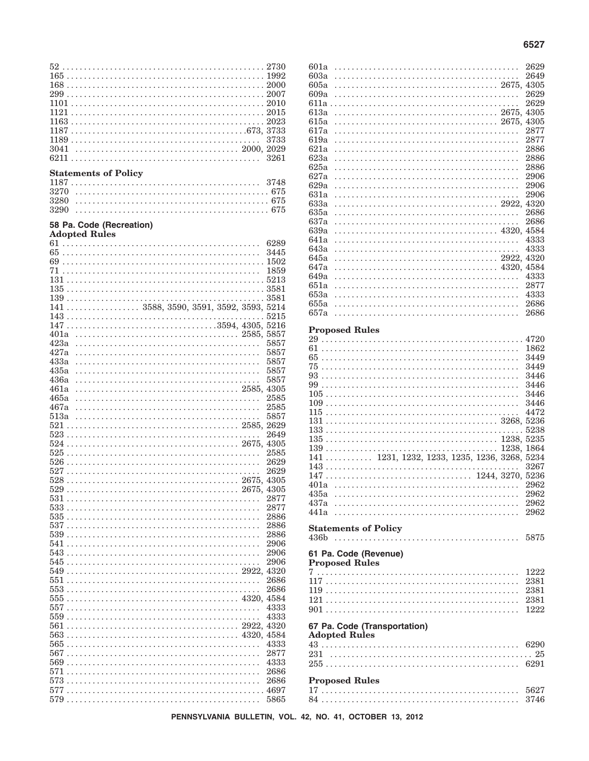| 1163                        |              |
|-----------------------------|--------------|
|                             |              |
|                             | 3733         |
| 3041                        | 3261         |
|                             |              |
| <b>Statements of Policy</b> |              |
|                             |              |
| 3270                        |              |
| 3280<br>3290                |              |
|                             |              |
| 58 Pa. Code (Recreation)    |              |
| <b>Adopted Rules</b>        |              |
|                             | 6289<br>3445 |
|                             |              |
|                             | 1859         |
|                             |              |
|                             |              |
|                             |              |
|                             |              |
|                             | 5215         |
| 401a                        |              |
| 423a                        | 5857         |
| 427a                        | 5857         |
| 433a                        | 5857         |
| 435a                        | 5857         |
| 436a                        | 5857         |
| 461a                        |              |
|                             | 4305         |
| 465a                        | 2585         |
| 467a<br>513a                | 2585<br>5857 |
|                             |              |
|                             | 2649         |
|                             |              |
|                             | 2585         |
|                             | 2629         |
|                             | 2629         |
| 529                         | 4305         |
| 531                         | 2877         |
| 533                         | 2877         |
| 535                         | 2886         |
| 537                         | 2886         |
|                             | 2886         |
| 541<br>543                  | 2906<br>2906 |
| 545                         | 2906         |
| 549                         | 4320         |
| 551                         | 2686         |
|                             | 2686         |
|                             | 4584         |
| 557                         | 4333<br>4333 |
| 559<br>561                  |              |
| 563                         |              |
| 565                         | 4333         |
|                             | 2877         |
|                             | 4333         |
|                             | 2686         |
| 573<br>577                  | 2686         |
|                             | 5865         |

| 601a                        |  |  |  |  |  |  |  |  |  |  |  |  |       | 2629                                     |
|-----------------------------|--|--|--|--|--|--|--|--|--|--|--|--|-------|------------------------------------------|
| 603a                        |  |  |  |  |  |  |  |  |  |  |  |  |       | 2649                                     |
| 605a                        |  |  |  |  |  |  |  |  |  |  |  |  |       | 4305                                     |
| 609a                        |  |  |  |  |  |  |  |  |  |  |  |  |       | 2629                                     |
|                             |  |  |  |  |  |  |  |  |  |  |  |  |       | 2629                                     |
| 613a                        |  |  |  |  |  |  |  |  |  |  |  |  |       | 4305                                     |
| 615a                        |  |  |  |  |  |  |  |  |  |  |  |  |       | 4305                                     |
|                             |  |  |  |  |  |  |  |  |  |  |  |  |       |                                          |
| 617a                        |  |  |  |  |  |  |  |  |  |  |  |  |       | 2877                                     |
| 619a                        |  |  |  |  |  |  |  |  |  |  |  |  |       | 2877                                     |
| 621a                        |  |  |  |  |  |  |  |  |  |  |  |  |       | 2886                                     |
| 623a                        |  |  |  |  |  |  |  |  |  |  |  |  |       | 2886                                     |
| 625a                        |  |  |  |  |  |  |  |  |  |  |  |  |       | 2886                                     |
| 627a                        |  |  |  |  |  |  |  |  |  |  |  |  |       | 2906                                     |
| 629a                        |  |  |  |  |  |  |  |  |  |  |  |  |       | 2906                                     |
| 631a                        |  |  |  |  |  |  |  |  |  |  |  |  |       | 2906                                     |
| 633a                        |  |  |  |  |  |  |  |  |  |  |  |  |       | 4320                                     |
| 635a                        |  |  |  |  |  |  |  |  |  |  |  |  |       | 2686                                     |
| 637a                        |  |  |  |  |  |  |  |  |  |  |  |  |       | 2686                                     |
|                             |  |  |  |  |  |  |  |  |  |  |  |  |       |                                          |
| 639a                        |  |  |  |  |  |  |  |  |  |  |  |  |       | 4584                                     |
| 641a                        |  |  |  |  |  |  |  |  |  |  |  |  |       | 4333                                     |
| 643a                        |  |  |  |  |  |  |  |  |  |  |  |  |       | 4333                                     |
| 645a                        |  |  |  |  |  |  |  |  |  |  |  |  |       | 4320                                     |
| 647a                        |  |  |  |  |  |  |  |  |  |  |  |  |       | 4584                                     |
| 649a                        |  |  |  |  |  |  |  |  |  |  |  |  |       | 4333                                     |
| 651a                        |  |  |  |  |  |  |  |  |  |  |  |  |       | 2877                                     |
| 653a                        |  |  |  |  |  |  |  |  |  |  |  |  |       | 4333                                     |
| 655a                        |  |  |  |  |  |  |  |  |  |  |  |  |       | 2686                                     |
| 657a                        |  |  |  |  |  |  |  |  |  |  |  |  |       | 2686                                     |
|                             |  |  |  |  |  |  |  |  |  |  |  |  |       |                                          |
| <b>Proposed Rules</b>       |  |  |  |  |  |  |  |  |  |  |  |  |       |                                          |
|                             |  |  |  |  |  |  |  |  |  |  |  |  |       | 4720                                     |
| 61                          |  |  |  |  |  |  |  |  |  |  |  |  |       | 1862                                     |
|                             |  |  |  |  |  |  |  |  |  |  |  |  |       |                                          |
| 65                          |  |  |  |  |  |  |  |  |  |  |  |  |       | 3449                                     |
| 75                          |  |  |  |  |  |  |  |  |  |  |  |  |       | 3449                                     |
| 93                          |  |  |  |  |  |  |  |  |  |  |  |  |       | 3446                                     |
| 99                          |  |  |  |  |  |  |  |  |  |  |  |  |       | 3446                                     |
|                             |  |  |  |  |  |  |  |  |  |  |  |  |       | 3446                                     |
|                             |  |  |  |  |  |  |  |  |  |  |  |  |       | 3446                                     |
| 115                         |  |  |  |  |  |  |  |  |  |  |  |  |       | 4472                                     |
|                             |  |  |  |  |  |  |  |  |  |  |  |  |       |                                          |
| 133                         |  |  |  |  |  |  |  |  |  |  |  |  |       | 5238                                     |
|                             |  |  |  |  |  |  |  |  |  |  |  |  | 1238. | 5235                                     |
|                             |  |  |  |  |  |  |  |  |  |  |  |  |       | 1864                                     |
|                             |  |  |  |  |  |  |  |  |  |  |  |  |       | 1231, 1232, 1233, 1235, 1236, 3268, 5234 |
| $141 \ldots \ldots \ldots$  |  |  |  |  |  |  |  |  |  |  |  |  |       |                                          |
|                             |  |  |  |  |  |  |  |  |  |  |  |  |       | 3267                                     |
| 147                         |  |  |  |  |  |  |  |  |  |  |  |  |       | 3270, 5236                               |
| 401a                        |  |  |  |  |  |  |  |  |  |  |  |  |       | 2962                                     |
| 435a                        |  |  |  |  |  |  |  |  |  |  |  |  |       | 2962                                     |
| 437a                        |  |  |  |  |  |  |  |  |  |  |  |  |       | 2962                                     |
| 441a                        |  |  |  |  |  |  |  |  |  |  |  |  |       | 2962                                     |
|                             |  |  |  |  |  |  |  |  |  |  |  |  |       |                                          |
| <b>Statements of Policy</b> |  |  |  |  |  |  |  |  |  |  |  |  |       |                                          |
| 436b                        |  |  |  |  |  |  |  |  |  |  |  |  |       | 5875                                     |
|                             |  |  |  |  |  |  |  |  |  |  |  |  |       |                                          |
| 61 Pa. Code (Revenue)       |  |  |  |  |  |  |  |  |  |  |  |  |       |                                          |
| <b>Proposed Rules</b>       |  |  |  |  |  |  |  |  |  |  |  |  |       |                                          |
|                             |  |  |  |  |  |  |  |  |  |  |  |  |       | 1222                                     |
|                             |  |  |  |  |  |  |  |  |  |  |  |  |       | 2381                                     |
|                             |  |  |  |  |  |  |  |  |  |  |  |  |       | 2381                                     |
| 121                         |  |  |  |  |  |  |  |  |  |  |  |  |       | 2381                                     |
|                             |  |  |  |  |  |  |  |  |  |  |  |  |       |                                          |

# 67 Pa. Code (Transportation)<br>Adopted Rules

| <i>Example reales</i> |  |
|-----------------------|--|
|                       |  |
|                       |  |
|                       |  |
| <b>Proposed Rules</b> |  |
|                       |  |
|                       |  |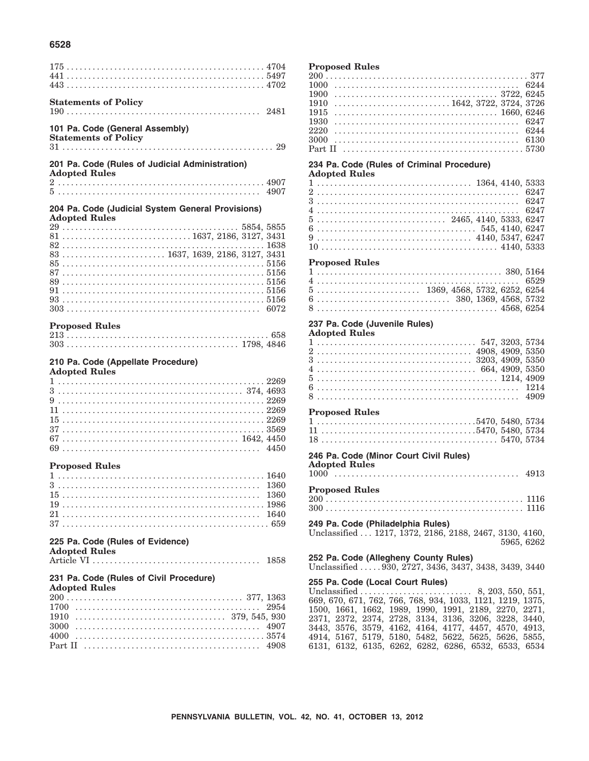#### **6528**

| <b>Statements of Policy</b>                                                                                                         |      |
|-------------------------------------------------------------------------------------------------------------------------------------|------|
|                                                                                                                                     |      |
|                                                                                                                                     |      |
| 101 Pa. Code (General Assembly)                                                                                                     |      |
| <b>Statements of Policy</b>                                                                                                         |      |
|                                                                                                                                     |      |
|                                                                                                                                     |      |
| 201 Pa. Code (Rules of Judicial Administration)                                                                                     |      |
| <b>Adopted Rules</b>                                                                                                                |      |
|                                                                                                                                     |      |
|                                                                                                                                     |      |
| 204 Pa. Code (Judicial System General Provisions)                                                                                   |      |
| <b>Adopted Rules</b>                                                                                                                |      |
|                                                                                                                                     |      |
|                                                                                                                                     |      |
|                                                                                                                                     |      |
| 83  1637, 1639, 2186, 3127, 3431                                                                                                    |      |
|                                                                                                                                     |      |
|                                                                                                                                     |      |
|                                                                                                                                     |      |
|                                                                                                                                     |      |
|                                                                                                                                     |      |
|                                                                                                                                     |      |
| <b>Proposed Rules</b>                                                                                                               |      |
|                                                                                                                                     |      |
|                                                                                                                                     |      |
|                                                                                                                                     |      |
| 210 Pa. Code (Appellate Procedure)                                                                                                  |      |
| <b>Adopted Rules</b>                                                                                                                |      |
|                                                                                                                                     |      |
|                                                                                                                                     |      |
|                                                                                                                                     |      |
|                                                                                                                                     |      |
|                                                                                                                                     |      |
|                                                                                                                                     |      |
|                                                                                                                                     |      |
|                                                                                                                                     |      |
|                                                                                                                                     |      |
|                                                                                                                                     |      |
|                                                                                                                                     |      |
| <b>Proposed Rules</b>                                                                                                               |      |
|                                                                                                                                     |      |
|                                                                                                                                     |      |
|                                                                                                                                     |      |
|                                                                                                                                     |      |
|                                                                                                                                     |      |
|                                                                                                                                     |      |
|                                                                                                                                     |      |
|                                                                                                                                     |      |
|                                                                                                                                     |      |
|                                                                                                                                     | 1858 |
|                                                                                                                                     |      |
|                                                                                                                                     |      |
|                                                                                                                                     |      |
|                                                                                                                                     | 2954 |
| 1910                                                                                                                                |      |
| 225 Pa. Code (Rules of Evidence)<br><b>Adopted Rules</b><br>231 Pa. Code (Rules of Civil Procedure)<br><b>Adopted Rules</b><br>3000 | 4907 |
|                                                                                                                                     |      |
| Part II                                                                                                                             |      |
|                                                                                                                                     |      |

#### **Proposed Rules**

#### **234 Pa. Code (Rules of Criminal Procedure)**

#### **Adopted Rules**

|  |  |  |  |  |  |  |  |  |  |  |  |  |  |  |  |  |  |  |  |  |  | $5 \ldots \ldots \ldots \ldots \ldots \ldots \ldots \ldots \ldots \ldots$ 2465, 4140, 5333, 6247              |  |
|--|--|--|--|--|--|--|--|--|--|--|--|--|--|--|--|--|--|--|--|--|--|---------------------------------------------------------------------------------------------------------------|--|
|  |  |  |  |  |  |  |  |  |  |  |  |  |  |  |  |  |  |  |  |  |  | $6 \ldots \ldots \ldots \ldots \ldots \ldots \ldots \ldots \ldots \ldots \ldots \ldots \quad 545, 4140, 6247$ |  |
|  |  |  |  |  |  |  |  |  |  |  |  |  |  |  |  |  |  |  |  |  |  | $9 \ldots \ldots \ldots \ldots \ldots \ldots \ldots \ldots \ldots \ldots \ldots \quad 4140, 5347, 6247$       |  |
|  |  |  |  |  |  |  |  |  |  |  |  |  |  |  |  |  |  |  |  |  |  |                                                                                                               |  |

#### **Proposed Rules**

|  |  |  |  |  |  |  |  |  |  |  |  |  |  |  |  |  |  |  |  |  |  | $5 \ldots \ldots \ldots \ldots \ldots \ldots \ldots \quad 1369, 4568, 5732, 6252, 6254$        |
|--|--|--|--|--|--|--|--|--|--|--|--|--|--|--|--|--|--|--|--|--|--|------------------------------------------------------------------------------------------------|
|  |  |  |  |  |  |  |  |  |  |  |  |  |  |  |  |  |  |  |  |  |  | $6 \ldots \ldots \ldots \ldots \ldots \ldots \ldots \ldots \ldots \quad 380, 1369, 4568, 5732$ |
|  |  |  |  |  |  |  |  |  |  |  |  |  |  |  |  |  |  |  |  |  |  |                                                                                                |

#### **237 Pa. Code (Juvenile Rules)**

#### **Adopted Rules**

| <b>Proposed Rules</b> |  |  |  |  |  |  |  |  |  |  |  |  |  |  |  |  |  |  |  |  |  |  |  | 5470 5480 5734 |  |
|-----------------------|--|--|--|--|--|--|--|--|--|--|--|--|--|--|--|--|--|--|--|--|--|--|--|----------------|--|
| $\mathbf{1}$          |  |  |  |  |  |  |  |  |  |  |  |  |  |  |  |  |  |  |  |  |  |  |  |                |  |

#### 1 .....................................5470, 5480, 5734 11 . . . . . . . . . . . . . . . . . . . . . . . . . . . . . . . . . . . .5470, 5480, 5734 18 . . . . . . . . . . . . . . . . . . . . . . . . . . . . . . . . . . . . . . . . . 5470, 5734

#### **246 Pa. Code (Minor Court Civil Rules)**

**Adopted Rules**

| $\cap$ $\cap$ | <b>Proposed Rules</b> |  |  |  |
|---------------|-----------------------|--|--|--|

200 . . . . . . . . . . . . . . . . . . . . . . . . . . . . . . . . . . . . . . . . . . . . . . 1116 300 . . . . . . . . . . . . . . . . . . . . . . . . . . . . . . . . . . . . . . . . . . . . . . 1116 **249 Pa. Code (Philadelphia Rules)**

Unclassified . . . 1217, 1372, 2186, 2188, 2467, 3130, 4160, 5965, 6262

**252 Pa. Code (Allegheny County Rules)** Unclassified ..... 930, 2727, 3436, 3437, 3438, 3439, 3440

#### **255 Pa. Code (Local Court Rules)** Unclassified . . . . . . . . . . . . . . . . . . . . . . . . . . 8, 203, 550, 551, 669, 670, 671, 762, 766, 768, 934, 1033, 1121, 1219, 1375, 1500, 1661, 1662, 1989, 1990, 1991, 2189, 2270, 2271, 2371, 2372, 2374, 2728, 3134, 3136, 3206, 3228, 3440, 3443, 3576, 3579, 4162, 4164, 4177, 4457, 4570, 4913, 4914, 5167, 5179, 5180, 5482, 5622, 5625, 5626, 5855, 6131, 6132, 6135, 6262, 6282, 6286, 6532, 6533, 6534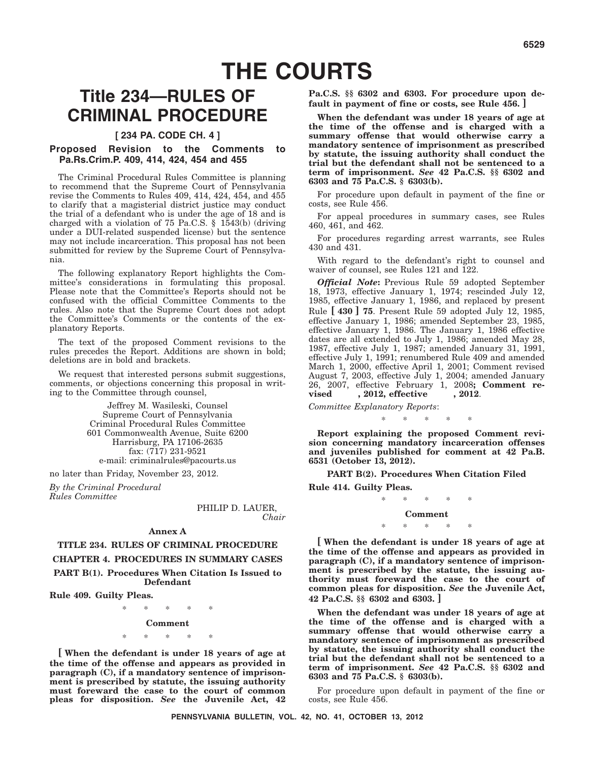# **THE COURTS**

# **Title 234—RULES OF CRIMINAL PROCEDURE**

#### **[ 234 PA. CODE CH. 4 ]**

#### **Proposed Revision to the Comments to Pa.Rs.Crim.P. 409, 414, 424, 454 and 455**

The Criminal Procedural Rules Committee is planning to recommend that the Supreme Court of Pennsylvania revise the Comments to Rules 409, 414, 424, 454, and 455 to clarify that a magisterial district justice may conduct the trial of a defendant who is under the age of 18 and is charged with a violation of 75 Pa.C.S.  $\S$  1543(b) (driving under a DUI-related suspended license) but the sentence may not include incarceration. This proposal has not been submitted for review by the Supreme Court of Pennsylvania.

The following explanatory Report highlights the Committee's considerations in formulating this proposal. Please note that the Committee's Reports should not be confused with the official Committee Comments to the rules. Also note that the Supreme Court does not adopt the Committee's Comments or the contents of the explanatory Reports.

The text of the proposed Comment revisions to the rules precedes the Report. Additions are shown in bold; deletions are in bold and brackets.

We request that interested persons submit suggestions, comments, or objections concerning this proposal in writing to the Committee through counsel,

> Jeffrey M. Wasileski, Counsel Supreme Court of Pennsylvania Criminal Procedural Rules Committee 601 Commonwealth Avenue, Suite 6200 Harrisburg, PA 17106-2635 fax: (717) 231-9521 e-mail: criminalrules@pacourts.us

no later than Friday, November 23, 2012.

*By the Criminal Procedural Rules Committee*

> PHILIP D. LAUER, *Chair*

#### **Annex A**

#### **TITLE 234. RULES OF CRIMINAL PROCEDURE CHAPTER 4. PROCEDURES IN SUMMARY CASES PART B(1). Procedures When Citation Is Issued to Defendant**

**Rule 409. Guilty Pleas.**

\*\*\*\*\*

#### **Comment**

\*\*\*\*\*

**[ When the defendant is under 18 years of age at the time of the offense and appears as provided in paragraph (C), if a mandatory sentence of imprisonment is prescribed by statute, the issuing authority must foreward the case to the court of common pleas for disposition.** *See* **the Juvenile Act, 42**

**Pa.C.S. §§ 6302 and 6303. For procedure upon default in payment of fine or costs, see Rule 456. ]**

**When the defendant was under 18 years of age at the time of the offense and is charged with a summary offense that would otherwise carry a mandatory sentence of imprisonment as prescribed by statute, the issuing authority shall conduct the trial but the defendant shall not be sentenced to a term of imprisonment.** *See* **42 Pa.C.S. §§ 6302 and 6303 and 75 Pa.C.S. § 6303(b).**

For procedure upon default in payment of the fine or costs, see Rule 456.

For appeal procedures in summary cases, see Rules 460, 461, and 462.

For procedures regarding arrest warrants, see Rules 430 and 431.

With regard to the defendant's right to counsel and waiver of counsel, see Rules 121 and 122.

*Official Note***:** Previous Rule 59 adopted September 18, 1973, effective January 1, 1974; rescinded July 12, 1985, effective January 1, 1986, and replaced by present Rule **[ 430 ] 75**. Present Rule 59 adopted July 12, 1985, effective January 1, 1986; amended September 23, 1985, effective January 1, 1986. The January 1, 1986 effective dates are all extended to July 1, 1986; amended May 28, 1987, effective July 1, 1987; amended January 31, 1991, effective July 1, 1991; renumbered Rule 409 and amended March 1, 2000, effective April 1, 2001; Comment revised August 7, 2003, effective July 1, 2004; amended January 26, 2007, effective February 1, 2008**; Comment revised , 2012, effective , 2012**.

*Committee Explanatory Reports*:

**Report explaining the proposed Comment revision concerning mandatory incarceration offenses and juveniles published for comment at 42 Pa.B. 6531 (October 13, 2012).**

\*\*\*\*\*

**PART B(2). Procedures When Citation Filed**

**Rule 414. Guilty Pleas.**

#### \*\*\*\*\* **Comment**

#### \*\*\*\*\*

**[ When the defendant is under 18 years of age at the time of the offense and appears as provided in paragraph (C), if a mandatory sentence of imprisonment is prescribed by the statute, the issuing authority must foreward the case to the court of common pleas for disposition.** *See* **the Juvenile Act, 42 Pa.C.S. §§ 6302 and 6303. ]**

**When the defendant was under 18 years of age at the time of the offense and is charged with a summary offense that would otherwise carry a mandatory sentence of imprisonment as prescribed by statute, the issuing authority shall conduct the trial but the defendant shall not be sentenced to a term of imprisonment.** *See* **42 Pa.C.S. §§ 6302 and 6303 and 75 Pa.C.S. § 6303(b).**

For procedure upon default in payment of the fine or costs, see Rule 456.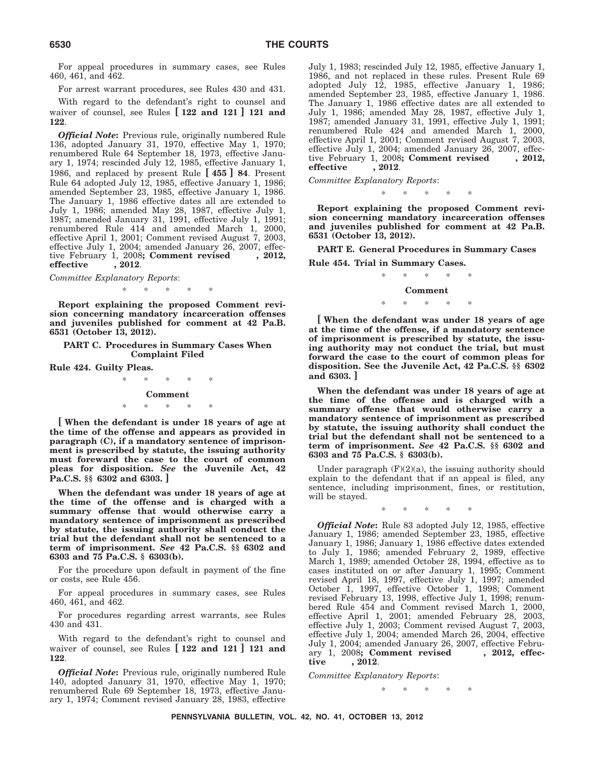For appeal procedures in summary cases, see Rules 460, 461, and 462.

For arrest warrant procedures, see Rules 430 and 431.

With regard to the defendant's right to counsel and waiver of counsel, see Rules **[ 122 and 121 ] 121 and 122**.

*Official Note***:** Previous rule, originally numbered Rule 136, adopted January 31, 1970, effective May 1, 1970; renumbered Rule 64 September 18, 1973, effective January 1, 1974; rescinded July 12, 1985, effective January 1, 1986, and replaced by present Rule **[ 455 ] 84**. Present Rule 64 adopted July 12, 1985, effective January 1, 1986; amended September 23, 1985, effective January 1, 1986. The January 1, 1986 effective dates all are extended to July 1, 1986; amended May 28, 1987, effective July 1, 1987; amended January 31, 1991, effective July 1, 1991; renumbered Rule 414 and amended March 1, 2000, effective April 1, 2001; Comment revised August 7, 2003, effective July 1, 2004; amended January 26, 2007, effective February 1, 2008**; Comment revised , 2012, effective , 2012**.

*Committee Explanatory Reports*:

\*\*\*\*\*

**Report explaining the proposed Comment revision concerning mandatory incarceration offenses and juveniles published for comment at 42 Pa.B. 6531 (October 13, 2012).**

**PART C. Procedures in Summary Cases When Complaint Filed**

**Rule 424. Guilty Pleas.**

\*\*\*\*\* **Comment** \*\*\*\*\*

**[ When the defendant is under 18 years of age at the time of the offense and appears as provided in paragraph (C), if a mandatory sentence of imprisonment is prescribed by statute, the issuing authority must foreward the case to the court of common pleas for disposition.** *See* **the Juvenile Act, 42 Pa.C.S. §§ 6302 and 6303. ]**

**When the defendant was under 18 years of age at the time of the offense and is charged with a summary offense that would otherwise carry a mandatory sentence of imprisonment as prescribed by statute, the issuing authority shall conduct the trial but the defendant shall not be sentenced to a term of imprisonment.** *See* **42 Pa.C.S. §§ 6302 and 6303 and 75 Pa.C.S. § 6303(b).**

For the procedure upon default in payment of the fine or costs, see Rule 456.

For appeal procedures in summary cases, see Rules 460, 461, and 462.

For procedures regarding arrest warrants, see Rules 430 and 431.

With regard to the defendant's right to counsel and waiver of counsel, see Rules **[ 122 and 121 ] 121 and 122**.

*Official Note***:** Previous rule, originally numbered Rule 140, adopted January 31, 1970, effective May 1, 1970; renumbered Rule 69 September 18, 1973, effective January 1, 1974; Comment revised January 28, 1983, effective July 1, 1983; rescinded July 12, 1985, effective January 1, 1986, and not replaced in these rules. Present Rule 69 adopted July 12, 1985, effective January 1, 1986; amended September 23, 1985, effective January 1, 1986. The January 1, 1986 effective dates are all extended to July 1, 1986; amended May 28, 1987, effective July 1, 1987; amended January 31, 1991, effective July 1, 1991; renumbered Rule 424 and amended March 1, 2000, effective April 1, 2001; Comment revised August 7, 2003, effective July 1, 2004; amended January 26, 2007, effective February 1, 2008; Comment revised . 2012. tive February 1, 2008; Comment revised **effective , 2012**.

*Committee Explanatory Reports*:

\*\*\*\*\*

**Report explaining the proposed Comment revision concerning mandatory incarceration offenses and juveniles published for comment at 42 Pa.B. 6531 (October 13, 2012).**

**PART E. General Procedures in Summary Cases**

**Rule 454. Trial in Summary Cases.**

#### \*\*\*\*\* **Comment**

#### \*\*\*\*\*

**[ When the defendant was under 18 years of age at the time of the offense, if a mandatory sentence of imprisonment is prescribed by statute, the issuing authority may not conduct the trial, but must forward the case to the court of common pleas for disposition. See the Juvenile Act, 42 Pa.C.S. §§ 6302 and 6303. ]**

**When the defendant was under 18 years of age at the time of the offense and is charged with a summary offense that would otherwise carry a mandatory sentence of imprisonment as prescribed by statute, the issuing authority shall conduct the trial but the defendant shall not be sentenced to a term of imprisonment.** *See* **42 Pa.C.S. §§ 6302 and 6303 and 75 Pa.C.S. § 6303(b).**

Under paragraph  $(F)(2)(a)$ , the issuing authority should explain to the defendant that if an appeal is filed, any sentence, including imprisonment, fines, or restitution, will be stayed.

\*\*\*\*\*

*Official Note***:** Rule 83 adopted July 12, 1985, effective January 1, 1986; amended September 23, 1985, effective January 1, 1986; January 1, 1986 effective dates extended to July 1, 1986; amended February 2, 1989, effective March 1, 1989; amended October 28, 1994, effective as to cases instituted on or after January 1, 1995; Comment revised April 18, 1997, effective July 1, 1997; amended October 1, 1997, effective October 1, 1998; Comment revised February 13, 1998, effective July 1, 1998; renumbered Rule 454 and Comment revised March 1, 2000, effective April 1, 2001; amended February 28, 2003, effective July 1, 2003; Comment revised August 7, 2003, effective July 1, 2004; amended March 26, 2004, effective July 1, 2004; amended January 26, 2007, effective February 1, 2008; **Comment revised**, 2012, effecary 1, 2008; Comment revised **tive , 2012**.

*Committee Explanatory Reports*:

\*\*\*\*\*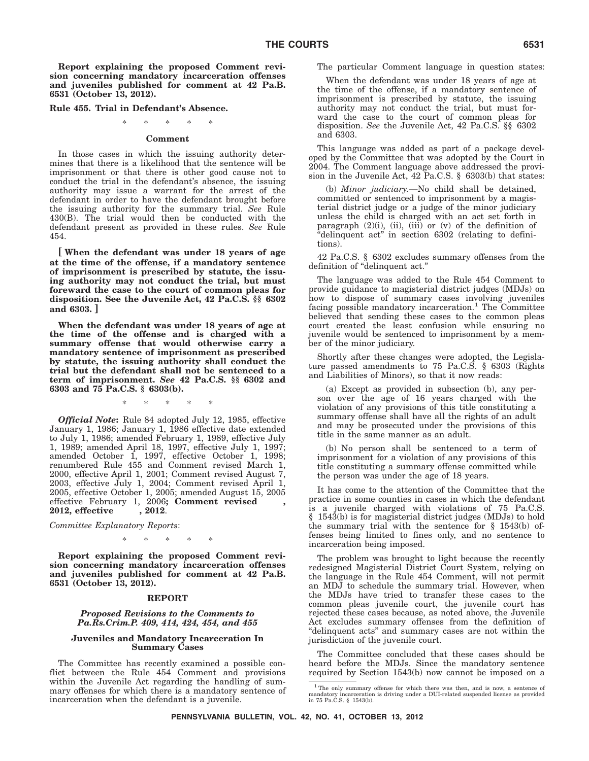**Report explaining the proposed Comment revision concerning mandatory incarceration offenses and juveniles published for comment at 42 Pa.B. 6531 (October 13, 2012).**

**Rule 455. Trial in Defendant's Absence.**

#### \*\*\*\*\*

#### **Comment**

In those cases in which the issuing authority determines that there is a likelihood that the sentence will be imprisonment or that there is other good cause not to conduct the trial in the defendant's absence, the issuing authority may issue a warrant for the arrest of the defendant in order to have the defendant brought before the issuing authority for the summary trial. *See* Rule 430(B). The trial would then be conducted with the defendant present as provided in these rules. *See* Rule 454.

**[ When the defendant was under 18 years of age at the time of the offense, if a mandatory sentence of imprisonment is prescribed by statute, the issuing authority may not conduct the trial, but must foreward the case to the court of common pleas for disposition. See the Juvenile Act, 42 Pa.C.S. §§ 6302 and 6303. ]**

**When the defendant was under 18 years of age at the time of the offense and is charged with a summary offense that would otherwise carry a mandatory sentence of imprisonment as prescribed by statute, the issuing authority shall conduct the trial but the defendant shall not be sentenced to a term of imprisonment.** *See* **42 Pa.C.S. §§ 6302 and 6303 and 75 Pa.C.S. § 6303(b).**

\*\*\*\*\*

*Official Note***:** Rule 84 adopted July 12, 1985, effective January 1, 1986; January 1, 1986 effective date extended to July 1, 1986; amended February 1, 1989, effective July 1, 1989; amended April 18, 1997, effective July 1, 1997; amended October 1, 1997, effective October 1, 1998; renumbered Rule 455 and Comment revised March 1, 2000, effective April 1, 2001; Comment revised August 7, 2003, effective July 1, 2004; Comment revised April 1, 2005, effective October 1, 2005; amended August 15, 2005 effective February 1, 2006**; Comment revised , 2012, effective , 2012**.

*Committee Explanatory Reports*:

\*\*\*\*\*

**Report explaining the proposed Comment revision concerning mandatory incarceration offenses and juveniles published for comment at 42 Pa.B. 6531 (October 13, 2012).**

#### **REPORT**

#### *Proposed Revisions to the Comments to Pa.Rs.Crim.P. 409, 414, 424, 454, and 455*

#### **Juveniles and Mandatory Incarceration In Summary Cases**

The Committee has recently examined a possible conflict between the Rule 454 Comment and provisions within the Juvenile Act regarding the handling of summary offenses for which there is a mandatory sentence of incarceration when the defendant is a juvenile.

The particular Comment language in question states:

When the defendant was under 18 years of age at the time of the offense, if a mandatory sentence of imprisonment is prescribed by statute, the issuing authority may not conduct the trial, but must forward the case to the court of common pleas for disposition. *See* the Juvenile Act, 42 Pa.C.S. §§ 6302 and 6303.

This language was added as part of a package developed by the Committee that was adopted by the Court in 2004. The Comment language above addressed the provision in the Juvenile Act, 42 Pa.C.S. § 6303(b) that states:

(b) *Minor judiciary.*—No child shall be detained, committed or sentenced to imprisonment by a magisterial district judge or a judge of the minor judiciary unless the child is charged with an act set forth in paragraph  $(2)(i)$ ,  $(ii)$ ,  $(iii)$  or  $(v)$  of the definition of "delinquent act" in section 6302 (relating to definitions).

42 Pa.C.S. § 6302 excludes summary offenses from the definition of ''delinquent act.''

The language was added to the Rule 454 Comment to provide guidance to magisterial district judges (MDJs) on how to dispose of summary cases involving juveniles facing possible mandatory incarceration.<sup>1</sup> The Committee believed that sending these cases to the common pleas court created the least confusion while ensuring no juvenile would be sentenced to imprisonment by a member of the minor judiciary.

Shortly after these changes were adopted, the Legislature passed amendments to 75 Pa.C.S. § 6303 (Rights and Liabilities of Minors), so that it now reads:

(a) Except as provided in subsection (b), any person over the age of 16 years charged with the violation of any provisions of this title constituting a summary offense shall have all the rights of an adult and may be prosecuted under the provisions of this title in the same manner as an adult.

(b) No person shall be sentenced to a term of imprisonment for a violation of any provisions of this title constituting a summary offense committed while the person was under the age of 18 years.

It has come to the attention of the Committee that the practice in some counties in cases in which the defendant is a juvenile charged with violations of 75 Pa.C.S. § 1543(b) is for magisterial district judges (MDJs) to hold the summary trial with the sentence for  $\S$  1543(b) offenses being limited to fines only, and no sentence to incarceration being imposed.

The problem was brought to light because the recently redesigned Magisterial District Court System, relying on the language in the Rule 454 Comment, will not permit an MDJ to schedule the summary trial. However, when the MDJs have tried to transfer these cases to the common pleas juvenile court, the juvenile court has rejected these cases because, as noted above, the Juvenile Act excludes summary offenses from the definition of ''delinquent acts'' and summary cases are not within the jurisdiction of the juvenile court.

The Committee concluded that these cases should be heard before the MDJs. Since the mandatory sentence required by Section 1543(b) now cannot be imposed on a

<sup>1</sup> The only summary offense for which there was then, and is now, a sentence of mandatory incarceration is driving under a DUI-related suspended license as provided in 75 Pa.C.S. § 1543(b).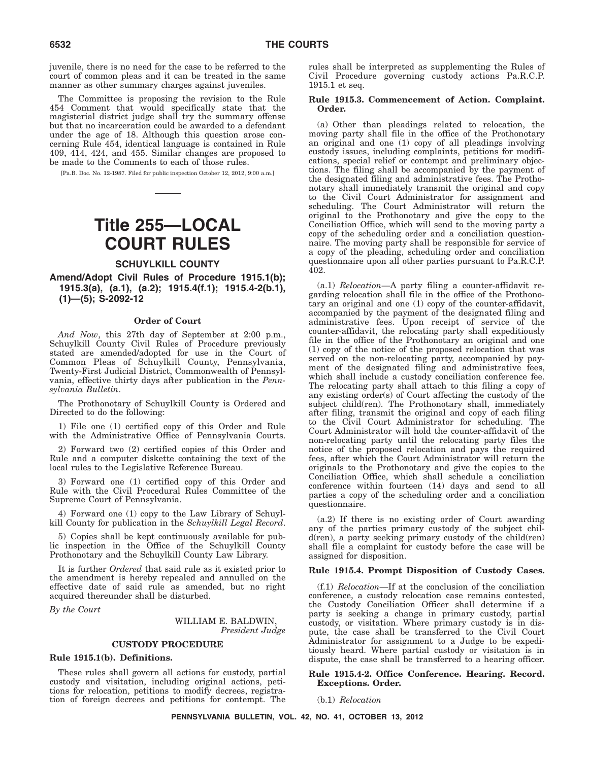juvenile, there is no need for the case to be referred to the court of common pleas and it can be treated in the same manner as other summary charges against juveniles.

The Committee is proposing the revision to the Rule 454 Comment that would specifically state that the magisterial district judge shall try the summary offense but that no incarceration could be awarded to a defendant under the age of 18. Although this question arose concerning Rule 454, identical language is contained in Rule 409, 414, 424, and 455. Similar changes are proposed to be made to the Comments to each of those rules.

[Pa.B. Doc. No. 12-1987. Filed for public inspection October 12, 2012, 9:00 a.m.]

# **Title 255—LOCAL COURT RULES**

#### **SCHUYLKILL COUNTY**

**Amend/Adopt Civil Rules of Procedure 1915.1(b); 1915.3(a), (a.1), (a.2); 1915.4(f.1); 1915.4-2(b.1), (1)—(5); S-2092-12**

#### **Order of Court**

*And Now*, this 27th day of September at 2:00 p.m., Schuylkill County Civil Rules of Procedure previously stated are amended/adopted for use in the Court of Common Pleas of Schuylkill County, Pennsylvania, Twenty-First Judicial District, Commonwealth of Pennsylvania, effective thirty days after publication in the *Pennsylvania Bulletin*.

The Prothonotary of Schuylkill County is Ordered and Directed to do the following:

1) File one (1) certified copy of this Order and Rule with the Administrative Office of Pennsylvania Courts.

2) Forward two (2) certified copies of this Order and Rule and a computer diskette containing the text of the local rules to the Legislative Reference Bureau.

3) Forward one (1) certified copy of this Order and Rule with the Civil Procedural Rules Committee of the Supreme Court of Pennsylvania.

4) Forward one (1) copy to the Law Library of Schuylkill County for publication in the *Schuylkill Legal Record*.

5) Copies shall be kept continuously available for public inspection in the Office of the Schuylkill County Prothonotary and the Schuylkill County Law Library.

It is further *Ordered* that said rule as it existed prior to the amendment is hereby repealed and annulled on the effective date of said rule as amended, but no right acquired thereunder shall be disturbed.

*By the Court*

WILLIAM E. BALDWIN, *President Judge*

#### **CUSTODY PROCEDURE**

#### **Rule 1915.1(b). Definitions.**

These rules shall govern all actions for custody, partial custody and visitation, including original actions, petitions for relocation, petitions to modify decrees, registration of foreign decrees and petitions for contempt. The rules shall be interpreted as supplementing the Rules of Civil Procedure governing custody actions Pa.R.C.P. 1915.1 et seq.

#### **Rule 1915.3. Commencement of Action. Complaint. Order.**

(a) Other than pleadings related to relocation, the moving party shall file in the office of the Prothonotary an original and one (1) copy of all pleadings involving custody issues, including complaints, petitions for modifications, special relief or contempt and preliminary objections. The filing shall be accompanied by the payment of the designated filing and administrative fees. The Prothonotary shall immediately transmit the original and copy to the Civil Court Administrator for assignment and scheduling. The Court Administrator will return the original to the Prothonotary and give the copy to the Conciliation Office, which will send to the moving party a copy of the scheduling order and a conciliation questionnaire. The moving party shall be responsible for service of a copy of the pleading, scheduling order and conciliation questionnaire upon all other parties pursuant to Pa.R.C.P. 402.

(a.1) *Relocation*—A party filing a counter-affidavit regarding relocation shall file in the office of the Prothonotary an original and one (1) copy of the counter-affidavit, accompanied by the payment of the designated filing and administrative fees. Upon receipt of service of the counter-affidavit, the relocating party shall expeditiously file in the office of the Prothonotary an original and one (1) copy of the notice of the proposed relocation that was served on the non-relocating party, accompanied by payment of the designated filing and administrative fees, which shall include a custody conciliation conference fee. The relocating party shall attach to this filing a copy of any existing order(s) of Court affecting the custody of the subject child(ren). The Prothonotary shall, immediately after filing, transmit the original and copy of each filing to the Civil Court Administrator for scheduling. The Court Administrator will hold the counter-affidavit of the non-relocating party until the relocating party files the notice of the proposed relocation and pays the required fees, after which the Court Administrator will return the originals to the Prothonotary and give the copies to the Conciliation Office, which shall schedule a conciliation conference within fourteen (14) days and send to all parties a copy of the scheduling order and a conciliation questionnaire.

(a.2) If there is no existing order of Court awarding any of the parties primary custody of the subject child(ren), a party seeking primary custody of the child(ren) shall file a complaint for custody before the case will be assigned for disposition.

#### **Rule 1915.4. Prompt Disposition of Custody Cases.**

(f.1) *Relocation*—If at the conclusion of the conciliation conference, a custody relocation case remains contested, the Custody Conciliation Officer shall determine if a party is seeking a change in primary custody, partial custody, or visitation. Where primary custody is in dispute, the case shall be transferred to the Civil Court Administrator for assignment to a Judge to be expeditiously heard. Where partial custody or visitation is in dispute, the case shall be transferred to a hearing officer.

#### **Rule 1915.4-2. Office Conference. Hearing. Record. Exceptions. Order.**

(b.1) *Relocation*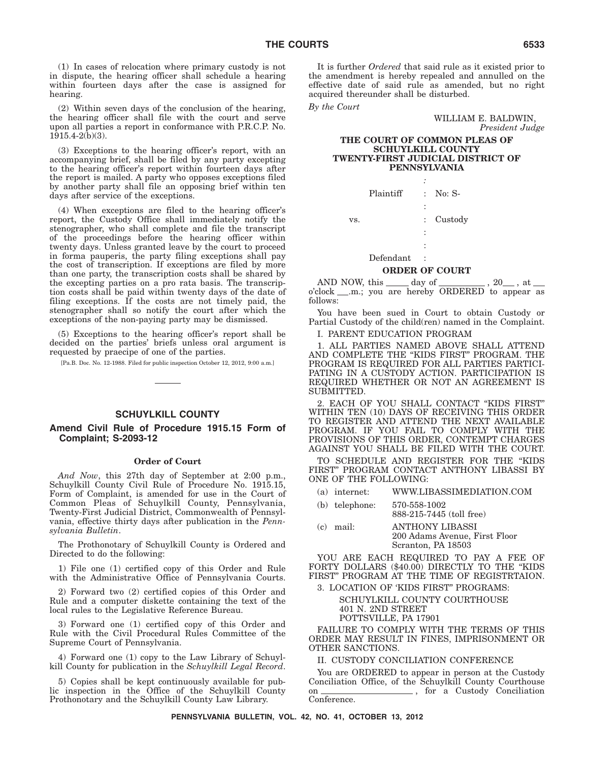(1) In cases of relocation where primary custody is not in dispute, the hearing officer shall schedule a hearing within fourteen days after the case is assigned for hearing.

(2) Within seven days of the conclusion of the hearing, the hearing officer shall file with the court and serve upon all parties a report in conformance with P.R.C.P. No. 1915.4-2(b)(3).

(3) Exceptions to the hearing officer's report, with an accompanying brief, shall be filed by any party excepting to the hearing officer's report within fourteen days after the report is mailed. A party who opposes exceptions filed by another party shall file an opposing brief within ten days after service of the exceptions.

(4) When exceptions are filed to the hearing officer's report, the Custody Office shall immediately notify the stenographer, who shall complete and file the transcript of the proceedings before the hearing officer within twenty days. Unless granted leave by the court to proceed in forma pauperis, the party filing exceptions shall pay the cost of transcription. If exceptions are filed by more than one party, the transcription costs shall be shared by the excepting parties on a pro rata basis. The transcription costs shall be paid within twenty days of the date of filing exceptions. If the costs are not timely paid, the stenographer shall so notify the court after which the exceptions of the non-paying party may be dismissed.

(5) Exceptions to the hearing officer's report shall be decided on the parties' briefs unless oral argument is requested by praecipe of one of the parties.

[Pa.B. Doc. No. 12-1988. Filed for public inspection October 12, 2012, 9:00 a.m.]

#### **SCHUYLKILL COUNTY**

#### **Amend Civil Rule of Procedure 1915.15 Form of Complaint; S-2093-12**

#### **Order of Court**

*And Now*, this 27th day of September at 2:00 p.m., Schuylkill County Civil Rule of Procedure No. 1915.15, Form of Complaint, is amended for use in the Court of Common Pleas of Schuylkill County, Pennsylvania, Twenty-First Judicial District, Commonwealth of Pennsylvania, effective thirty days after publication in the *Pennsylvania Bulletin*.

The Prothonotary of Schuylkill County is Ordered and Directed to do the following:

1) File one (1) certified copy of this Order and Rule with the Administrative Office of Pennsylvania Courts.

2) Forward two (2) certified copies of this Order and Rule and a computer diskette containing the text of the local rules to the Legislative Reference Bureau.

3) Forward one (1) certified copy of this Order and Rule with the Civil Procedural Rules Committee of the Supreme Court of Pennsylvania.

4) Forward one (1) copy to the Law Library of Schuylkill County for publication in the *Schuylkill Legal Record*.

5) Copies shall be kept continuously available for public inspection in the Office of the Schuylkill County Prothonotary and the Schuylkill County Law Library.

It is further *Ordered* that said rule as it existed prior to the amendment is hereby repealed and annulled on the effective date of said rule as amended, but no right acquired thereunder shall be disturbed.

*By the Court*

WILLIAM E. BALDWIN, *President Judge*

#### **THE COURT OF COMMON PLEAS OF SCHUYLKILL COUNTY TWENTY-FIRST JUDICIAL DISTRICT OF PENNSYLVANIA**

|     | Plaintiff |                      | $:$ No: S-            |
|-----|-----------|----------------------|-----------------------|
|     |           | $\ddot{\cdot}$       |                       |
| VS. |           | $\ddot{\phantom{0}}$ | Custody               |
|     |           | $\ddot{\cdot}$       |                       |
|     |           |                      |                       |
|     | Defendant |                      |                       |
|     |           |                      | <b>ORDER OF COURT</b> |

AND NOW, this \_\_\_\_\_ day of \_\_\_\_\_\_\_\_\_, 20\_\_\_, at \_ o'clock .m.; you are hereby ORDERED to appear as follows:

You have been sued in Court to obtain Custody or Partial Custody of the child(ren) named in the Complaint.

I. PARENT EDUCATION PROGRAM

1. ALL PARTIES NAMED ABOVE SHALL ATTEND AND COMPLETE THE ''KIDS FIRST'' PROGRAM. THE PROGRAM IS REQUIRED FOR ALL PARTIES PARTICI-PATING IN A CUSTODY ACTION. PARTICIPATION IS REQUIRED WHETHER OR NOT AN AGREEMENT IS SUBMITTED.

2. EACH OF YOU SHALL CONTACT ''KIDS FIRST'' WITHIN TEN (10) DAYS OF RECEIVING THIS ORDER TO REGISTER AND ATTEND THE NEXT AVAILABLE PROGRAM. IF YOU FAIL TO COMPLY WITH THE PROVISIONS OF THIS ORDER, CONTEMPT CHARGES AGAINST YOU SHALL BE FILED WITH THE COURT.

TO SCHEDULE AND REGISTER FOR THE ''KIDS FIRST'' PROGRAM CONTACT ANTHONY LIBASSI BY ONE OF THE FOLLOWING:

- (a) internet: WWW.LIBASSIMEDIATION.COM
- (b) telephone: 570-558-1002 888-215-7445 (toll free)
- (c) mail: ANTHONY LIBASSI 200 Adams Avenue, First Floor Scranton, PA 18503

YOU ARE EACH REQUIRED TO PAY A FEE OF FORTY DOLLARS (\$40.00) DIRECTLY TO THE "KIDS FIRST'' PROGRAM AT THE TIME OF REGISTRTAION.

3. LOCATION OF 'KIDS FIRST'' PROGRAMS:

SCHUYLKILL COUNTY COURTHOUSE 401 N. 2ND STREET POTTSVILLE, PA 17901

FAILURE TO COMPLY WITH THE TERMS OF THIS ORDER MAY RESULT IN FINES, IMPRISONMENT OR OTHER SANCTIONS.

II. CUSTODY CONCILIATION CONFERENCE

You are ORDERED to appear in person at the Custody Conciliation Office, of the Schuylkill County Courthouse<br>on the Schuylkill County Conciliation <sub>\_\_</sub>, for a Custody Conciliation Conference.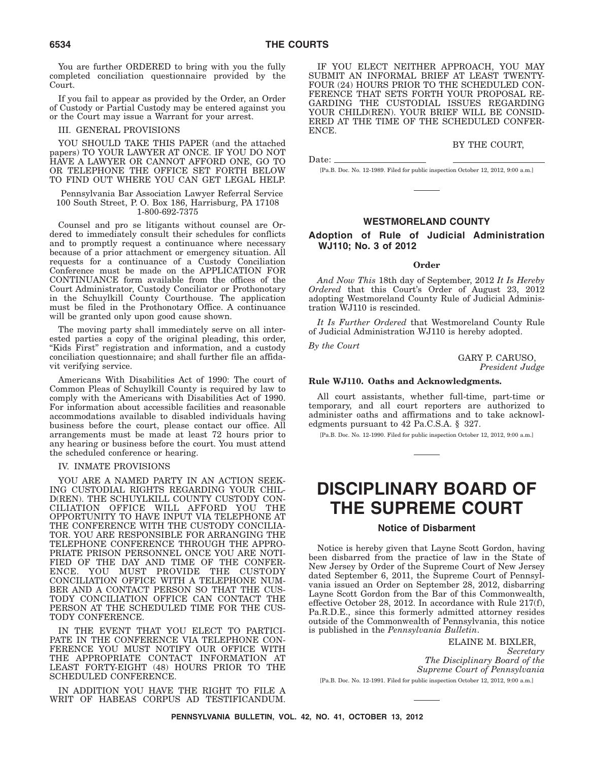You are further ORDERED to bring with you the fully completed conciliation questionnaire provided by the Court.

If you fail to appear as provided by the Order, an Order of Custody or Partial Custody may be entered against you or the Court may issue a Warrant for your arrest.

#### III. GENERAL PROVISIONS

YOU SHOULD TAKE THIS PAPER (and the attached papers) TO YOUR LAWYER AT ONCE. IF YOU DO NOT HAVE A LAWYER OR CANNOT AFFORD ONE, GO TO OR TELEPHONE THE OFFICE SET FORTH BELOW TO FIND OUT WHERE YOU CAN GET LEGAL HELP.

Pennsylvania Bar Association Lawyer Referral Service 100 South Street, P. O. Box 186, Harrisburg, PA 17108 1-800-692-7375

Counsel and pro se litigants without counsel are Ordered to immediately consult their schedules for conflicts and to promptly request a continuance where necessary because of a prior attachment or emergency situation. All requests for a continuance of a Custody Conciliation Conference must be made on the APPLICATION FOR CONTINUANCE form available from the offices of the Court Administrator, Custody Conciliator or Prothonotary in the Schuylkill County Courthouse. The application must be filed in the Prothonotary Office. A continuance will be granted only upon good cause shown.

The moving party shall immediately serve on all interested parties a copy of the original pleading, this order, ''Kids First'' registration and information, and a custody conciliation questionnaire; and shall further file an affidavit verifying service.

Americans With Disabilities Act of 1990: The court of Common Pleas of Schuylkill County is required by law to comply with the Americans with Disabilities Act of 1990. For information about accessible facilities and reasonable accommodations available to disabled individuals having business before the court, please contact our office. All arrangements must be made at least 72 hours prior to any hearing or business before the court. You must attend the scheduled conference or hearing.

#### IV. INMATE PROVISIONS

YOU ARE A NAMED PARTY IN AN ACTION SEEK-ING CUSTODIAL RIGHTS REGARDING YOUR CHIL-D(REN). THE SCHUYLKILL COUNTY CUSTODY CON-CILIATION OFFICE WILL AFFORD YOU THE OPPORTUNITY TO HAVE INPUT VIA TELEPHONE AT THE CONFERENCE WITH THE CUSTODY CONCILIA-TOR. YOU ARE RESPONSIBLE FOR ARRANGING THE TELEPHONE CONFERENCE THROUGH THE APPRO-PRIATE PRISON PERSONNEL ONCE YOU ARE NOTI-FIED OF THE DAY AND TIME OF THE CONFER-ENCE. YOU MUST PROVIDE THE CUSTODY CONCILIATION OFFICE WITH A TELEPHONE NUM-BER AND A CONTACT PERSON SO THAT THE CUS-TODY CONCILIATION OFFICE CAN CONTACT THE PERSON AT THE SCHEDULED TIME FOR THE CUS-TODY CONFERENCE.

IN THE EVENT THAT YOU ELECT TO PARTICI-PATE IN THE CONFERENCE VIA TELEPHONE CON-FERENCE YOU MUST NOTIFY OUR OFFICE WITH THE APPROPRIATE CONTACT INFORMATION AT LEAST FORTY-EIGHT (48) HOURS PRIOR TO THE SCHEDULED CONFERENCE.

IN ADDITION YOU HAVE THE RIGHT TO FILE A WRIT OF HABEAS CORPUS AD TESTIFICANDUM.

IF YOU ELECT NEITHER APPROACH, YOU MAY SUBMIT AN INFORMAL BRIEF AT LEAST TWENTY-FOUR (24) HOURS PRIOR TO THE SCHEDULED CON-FERENCE THAT SETS FORTH YOUR PROPOSAL RE-GARDING THE CUSTODIAL ISSUES REGARDING YOUR CHILD(REN). YOUR BRIEF WILL BE CONSID-ERED AT THE TIME OF THE SCHEDULED CONFER-ENCE.

#### BY THE COURT,

Date:

[Pa.B. Doc. No. 12-1989. Filed for public inspection October 12, 2012, 9:00 a.m.]

#### **WESTMORELAND COUNTY**

#### **Adoption of Rule of Judicial Administration WJ110; No. 3 of 2012**

#### **Order**

*And Now This* 18th day of September, 2012 *It Is Hereby Ordered* that this Court's Order of August 23, 2012 adopting Westmoreland County Rule of Judicial Administration WJ110 is rescinded.

*It Is Further Ordered* that Westmoreland County Rule of Judicial Administration WJ110 is hereby adopted.

*By the Court*

GARY P. CARUSO, *President Judge*

#### **Rule WJ110. Oaths and Acknowledgments.**

All court assistants, whether full-time, part-time or temporary, and all court reporters are authorized to administer oaths and affirmations and to take acknowledgments pursuant to 42 Pa.C.S.A. § 327.

[Pa.B. Doc. No. 12-1990. Filed for public inspection October 12, 2012, 9:00 a.m.]

# **DISCIPLINARY BOARD OF THE SUPREME COURT**

#### **Notice of Disbarment**

Notice is hereby given that Layne Scott Gordon, having been disbarred from the practice of law in the State of New Jersey by Order of the Supreme Court of New Jersey dated September 6, 2011, the Supreme Court of Pennsylvania issued an Order on September 28, 2012, disbarring Layne Scott Gordon from the Bar of this Commonwealth, effective October 28, 2012. In accordance with Rule 217(f), Pa.R.D.E., since this formerly admitted attorney resides outside of the Commonwealth of Pennsylvania, this notice is published in the *Pennsylvania Bulletin*.

ELAINE M. BIXLER, *Secretary The Disciplinary Board of the Supreme Court of Pennsylvania* [Pa.B. Doc. No. 12-1991. Filed for public inspection October 12, 2012, 9:00 a.m.]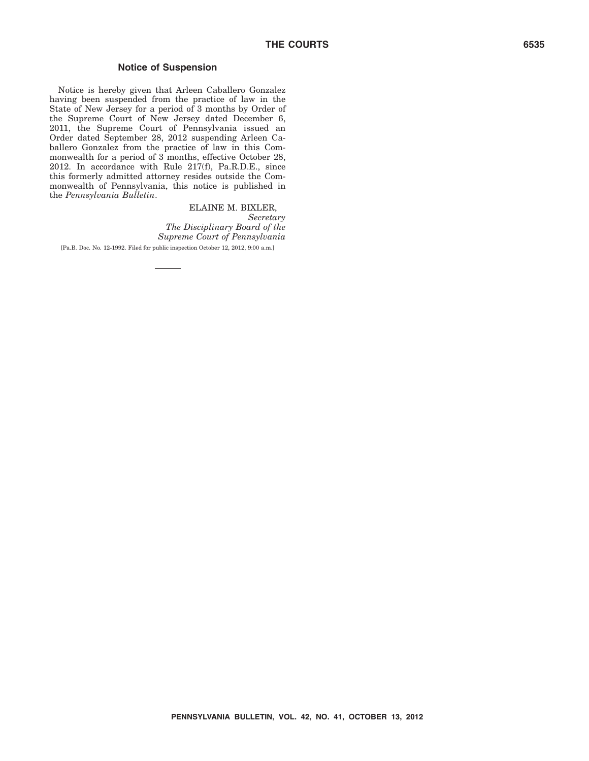#### **Notice of Suspension**

Notice is hereby given that Arleen Caballero Gonzalez having been suspended from the practice of law in the State of New Jersey for a period of 3 months by Order of the Supreme Court of New Jersey dated December 6, 2011, the Supreme Court of Pennsylvania issued an Order dated September 28, 2012 suspending Arleen Caballero Gonzalez from the practice of law in this Commonwealth for a period of 3 months, effective October 28, 2012. In accordance with Rule 217(f), Pa.R.D.E., since this formerly admitted attorney resides outside the Commonwealth of Pennsylvania, this notice is published in the *Pennsylvania Bulletin*.

> ELAINE M. BIXLER, *Secretary The Disciplinary Board of the Supreme Court of Pennsylvania*

[Pa.B. Doc. No. 12-1992. Filed for public inspection October 12, 2012, 9:00 a.m.]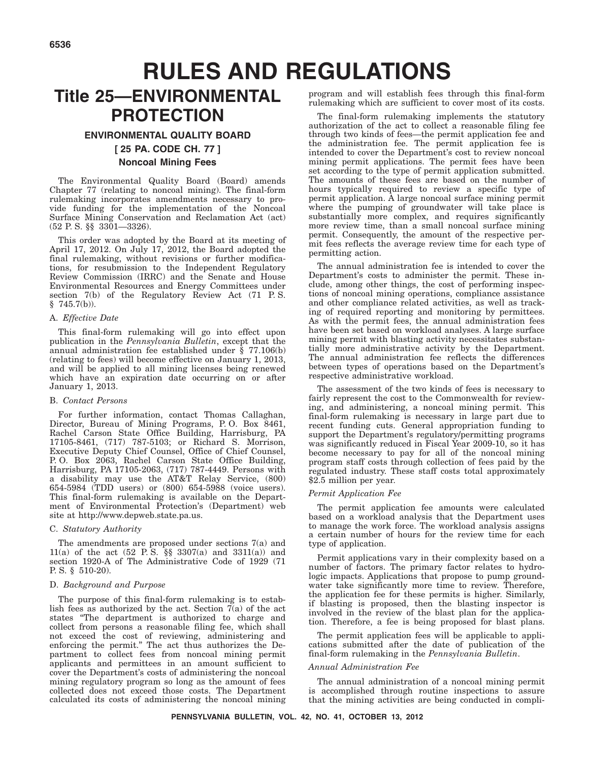# **RULES AND REGULATIONS**

# **Title 25—ENVIRONMENTAL PROTECTION**

#### **ENVIRONMENTAL QUALITY BOARD [ 25 PA. CODE CH. 77 ] Noncoal Mining Fees**

The Environmental Quality Board (Board) amends Chapter 77 (relating to noncoal mining). The final-form rulemaking incorporates amendments necessary to provide funding for the implementation of the Noncoal Surface Mining Conservation and Reclamation Act (act) (52 P. S. §§ 3301—3326).

This order was adopted by the Board at its meeting of April 17, 2012. On July 17, 2012, the Board adopted the final rulemaking, without revisions or further modifications, for resubmission to the Independent Regulatory Review Commission (IRRC) and the Senate and House Environmental Resources and Energy Committees under section 7(b) of the Regulatory Review Act (71 P. S.  $§$  745.7(b)).

#### A. *Effective Date*

This final-form rulemaking will go into effect upon publication in the *Pennsylvania Bulletin*, except that the annual administration fee established under § 77.106(b) (relating to fees) will become effective on January 1, 2013, and will be applied to all mining licenses being renewed which have an expiration date occurring on or after January 1, 2013.

#### B. *Contact Persons*

For further information, contact Thomas Callaghan, Director, Bureau of Mining Programs, P. O. Box 8461, Rachel Carson State Office Building, Harrisburg, PA 17105-8461, (717) 787-5103; or Richard S. Morrison, Executive Deputy Chief Counsel, Office of Chief Counsel, P. O. Box 2063, Rachel Carson State Office Building, Harrisburg, PA 17105-2063, (717) 787-4449. Persons with a disability may use the AT&T Relay Service, (800) 654-5984 (TDD users) or (800) 654-5988 (voice users). This final-form rulemaking is available on the Department of Environmental Protection's (Department) web site at http://www.depweb.state.pa.us.

#### C. *Statutory Authority*

The amendments are proposed under sections 7(a) and 11(a) of the act  $(52 \text{ P.S. } \S \S 3307(a) \text{ and } 3311(a))$  and section 1920-A of The Administrative Code of 1929 (71 P. S. § 510-20).

#### D. *Background and Purpose*

The purpose of this final-form rulemaking is to establish fees as authorized by the act. Section  $7\overline{a}$  of the act states ''The department is authorized to charge and collect from persons a reasonable filing fee, which shall not exceed the cost of reviewing, administering and enforcing the permit.'' The act thus authorizes the Department to collect fees from noncoal mining permit applicants and permittees in an amount sufficient to cover the Department's costs of administering the noncoal mining regulatory program so long as the amount of fees collected does not exceed those costs. The Department calculated its costs of administering the noncoal mining

program and will establish fees through this final-form rulemaking which are sufficient to cover most of its costs.

The final-form rulemaking implements the statutory authorization of the act to collect a reasonable filing fee through two kinds of fees—the permit application fee and the administration fee. The permit application fee is intended to cover the Department's cost to review noncoal mining permit applications. The permit fees have been set according to the type of permit application submitted. The amounts of these fees are based on the number of hours typically required to review a specific type of permit application. A large noncoal surface mining permit where the pumping of groundwater will take place is substantially more complex, and requires significantly more review time, than a small noncoal surface mining permit. Consequently, the amount of the respective permit fees reflects the average review time for each type of permitting action.

The annual administration fee is intended to cover the Department's costs to administer the permit. These include, among other things, the cost of performing inspections of noncoal mining operations, compliance assistance and other compliance related activities, as well as tracking of required reporting and monitoring by permittees. As with the permit fees, the annual administration fees have been set based on workload analyses. A large surface mining permit with blasting activity necessitates substantially more administrative activity by the Department. The annual administration fee reflects the differences between types of operations based on the Department's respective administrative workload.

The assessment of the two kinds of fees is necessary to fairly represent the cost to the Commonwealth for reviewing, and administering, a noncoal mining permit. This final-form rulemaking is necessary in large part due to recent funding cuts. General appropriation funding to support the Department's regulatory/permitting programs was significantly reduced in Fiscal Year 2009-10, so it has become necessary to pay for all of the noncoal mining program staff costs through collection of fees paid by the regulated industry. These staff costs total approximately \$2.5 million per year.

#### *Permit Application Fee*

The permit application fee amounts were calculated based on a workload analysis that the Department uses to manage the work force. The workload analysis assigns a certain number of hours for the review time for each type of application.

Permit applications vary in their complexity based on a number of factors. The primary factor relates to hydrologic impacts. Applications that propose to pump groundwater take significantly more time to review. Therefore, the application fee for these permits is higher. Similarly, if blasting is proposed, then the blasting inspector is involved in the review of the blast plan for the application. Therefore, a fee is being proposed for blast plans.

The permit application fees will be applicable to applications submitted after the date of publication of the final-form rulemaking in the *Pennsylvania Bulletin*.

#### *Annual Administration Fee*

The annual administration of a noncoal mining permit is accomplished through routine inspections to assure that the mining activities are being conducted in compli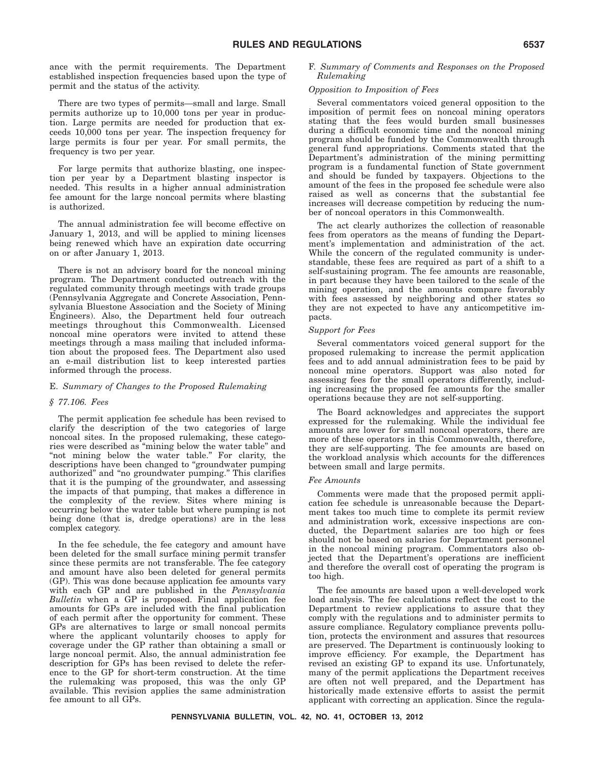ance with the permit requirements. The Department established inspection frequencies based upon the type of permit and the status of the activity.

There are two types of permits—small and large. Small permits authorize up to 10,000 tons per year in production. Large permits are needed for production that exceeds 10,000 tons per year. The inspection frequency for large permits is four per year. For small permits, the frequency is two per year.

For large permits that authorize blasting, one inspection per year by a Department blasting inspector is needed. This results in a higher annual administration fee amount for the large noncoal permits where blasting is authorized.

The annual administration fee will become effective on January 1, 2013, and will be applied to mining licenses being renewed which have an expiration date occurring on or after January 1, 2013.

There is not an advisory board for the noncoal mining program. The Department conducted outreach with the regulated community through meetings with trade groups (Pennsylvania Aggregate and Concrete Association, Pennsylvania Bluestone Association and the Society of Mining Engineers). Also, the Department held four outreach meetings throughout this Commonwealth. Licensed noncoal mine operators were invited to attend these meetings through a mass mailing that included information about the proposed fees. The Department also used an e-mail distribution list to keep interested parties informed through the process.

#### E. *Summary of Changes to the Proposed Rulemaking*

#### *§ 77.106. Fees*

The permit application fee schedule has been revised to clarify the description of the two categories of large noncoal sites. In the proposed rulemaking, these categories were described as ''mining below the water table'' and "not mining below the water table." For clarity, the descriptions have been changed to ''groundwater pumping authorized'' and ''no groundwater pumping.'' This clarifies that it is the pumping of the groundwater, and assessing the impacts of that pumping, that makes a difference in the complexity of the review. Sites where mining is occurring below the water table but where pumping is not being done (that is, dredge operations) are in the less complex category.

In the fee schedule, the fee category and amount have been deleted for the small surface mining permit transfer since these permits are not transferable. The fee category and amount have also been deleted for general permits (GP). This was done because application fee amounts vary with each GP and are published in the *Pennsylvania Bulletin* when a GP is proposed. Final application fee amounts for GPs are included with the final publication of each permit after the opportunity for comment. These GPs are alternatives to large or small noncoal permits where the applicant voluntarily chooses to apply for coverage under the GP rather than obtaining a small or large noncoal permit. Also, the annual administration fee description for GPs has been revised to delete the reference to the GP for short-term construction. At the time the rulemaking was proposed, this was the only GP available. This revision applies the same administration fee amount to all GPs.

#### F. *Summary of Comments and Responses on the Proposed Rulemaking*

#### *Opposition to Imposition of Fees*

Several commentators voiced general opposition to the imposition of permit fees on noncoal mining operators stating that the fees would burden small businesses during a difficult economic time and the noncoal mining program should be funded by the Commonwealth through general fund appropriations. Comments stated that the Department's administration of the mining permitting program is a fundamental function of State government and should be funded by taxpayers. Objections to the amount of the fees in the proposed fee schedule were also raised as well as concerns that the substantial fee increases will decrease competition by reducing the number of noncoal operators in this Commonwealth.

The act clearly authorizes the collection of reasonable fees from operators as the means of funding the Department's implementation and administration of the act. While the concern of the regulated community is understandable, these fees are required as part of a shift to a self-sustaining program. The fee amounts are reasonable, in part because they have been tailored to the scale of the mining operation, and the amounts compare favorably with fees assessed by neighboring and other states so they are not expected to have any anticompetitive impacts.

#### *Support for Fees*

Several commentators voiced general support for the proposed rulemaking to increase the permit application fees and to add annual administration fees to be paid by noncoal mine operators. Support was also noted for assessing fees for the small operators differently, including increasing the proposed fee amounts for the smaller operations because they are not self-supporting.

The Board acknowledges and appreciates the support expressed for the rulemaking. While the individual fee amounts are lower for small noncoal operators, there are more of these operators in this Commonwealth, therefore, they are self-supporting. The fee amounts are based on the workload analysis which accounts for the differences between small and large permits.

#### *Fee Amounts*

Comments were made that the proposed permit application fee schedule is unreasonable because the Department takes too much time to complete its permit review and administration work, excessive inspections are conducted, the Department salaries are too high or fees should not be based on salaries for Department personnel in the noncoal mining program. Commentators also objected that the Department's operations are inefficient and therefore the overall cost of operating the program is too high.

The fee amounts are based upon a well-developed work load analysis. The fee calculations reflect the cost to the Department to review applications to assure that they comply with the regulations and to administer permits to assure compliance. Regulatory compliance prevents pollution, protects the environment and assures that resources are preserved. The Department is continuously looking to improve efficiency. For example, the Department has revised an existing GP to expand its use. Unfortunately, many of the permit applications the Department receives are often not well prepared, and the Department has historically made extensive efforts to assist the permit applicant with correcting an application. Since the regula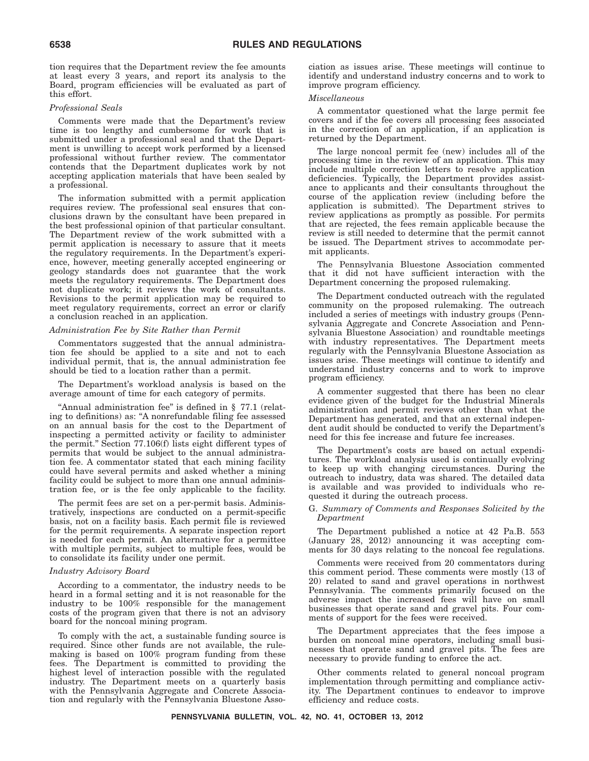tion requires that the Department review the fee amounts at least every 3 years, and report its analysis to the Board, program efficiencies will be evaluated as part of this effort.

#### *Professional Seals*

Comments were made that the Department's review time is too lengthy and cumbersome for work that is submitted under a professional seal and that the Department is unwilling to accept work performed by a licensed professional without further review. The commentator contends that the Department duplicates work by not accepting application materials that have been sealed by a professional.

The information submitted with a permit application requires review. The professional seal ensures that conclusions drawn by the consultant have been prepared in the best professional opinion of that particular consultant. The Department review of the work submitted with a permit application is necessary to assure that it meets the regulatory requirements. In the Department's experience, however, meeting generally accepted engineering or geology standards does not guarantee that the work meets the regulatory requirements. The Department does not duplicate work; it reviews the work of consultants. Revisions to the permit application may be required to meet regulatory requirements, correct an error or clarify a conclusion reached in an application.

#### *Administration Fee by Site Rather than Permit*

Commentators suggested that the annual administration fee should be applied to a site and not to each individual permit, that is, the annual administration fee should be tied to a location rather than a permit.

The Department's workload analysis is based on the average amount of time for each category of permits.

"Annual administration fee" is defined in § 77.1 (relating to definitions) as: ''A nonrefundable filing fee assessed on an annual basis for the cost to the Department of inspecting a permitted activity or facility to administer the permit.'' Section 77.106(f) lists eight different types of permits that would be subject to the annual administration fee. A commentator stated that each mining facility could have several permits and asked whether a mining facility could be subject to more than one annual administration fee, or is the fee only applicable to the facility.

The permit fees are set on a per-permit basis. Administratively, inspections are conducted on a permit-specific basis, not on a facility basis. Each permit file is reviewed for the permit requirements. A separate inspection report is needed for each permit. An alternative for a permittee with multiple permits, subject to multiple fees, would be to consolidate its facility under one permit.

#### *Industry Advisory Board*

According to a commentator, the industry needs to be heard in a formal setting and it is not reasonable for the industry to be 100% responsible for the management costs of the program given that there is not an advisory board for the noncoal mining program.

To comply with the act, a sustainable funding source is required. Since other funds are not available, the rulemaking is based on 100% program funding from these fees. The Department is committed to providing the highest level of interaction possible with the regulated industry. The Department meets on a quarterly basis with the Pennsylvania Aggregate and Concrete Association and regularly with the Pennsylvania Bluestone Association as issues arise. These meetings will continue to identify and understand industry concerns and to work to improve program efficiency.

#### *Miscellaneous*

A commentator questioned what the large permit fee covers and if the fee covers all processing fees associated in the correction of an application, if an application is returned by the Department.

The large noncoal permit fee (new) includes all of the processing time in the review of an application. This may include multiple correction letters to resolve application deficiencies. Typically, the Department provides assistance to applicants and their consultants throughout the course of the application review (including before the application is submitted). The Department strives to review applications as promptly as possible. For permits that are rejected, the fees remain applicable because the review is still needed to determine that the permit cannot be issued. The Department strives to accommodate permit applicants.

The Pennsylvania Bluestone Association commented that it did not have sufficient interaction with the Department concerning the proposed rulemaking.

The Department conducted outreach with the regulated community on the proposed rulemaking. The outreach included a series of meetings with industry groups (Pennsylvania Aggregate and Concrete Association and Pennsylvania Bluestone Association) and roundtable meetings with industry representatives. The Department meets regularly with the Pennsylvania Bluestone Association as issues arise. These meetings will continue to identify and understand industry concerns and to work to improve program efficiency.

A commenter suggested that there has been no clear evidence given of the budget for the Industrial Minerals administration and permit reviews other than what the Department has generated, and that an external independent audit should be conducted to verify the Department's need for this fee increase and future fee increases.

The Department's costs are based on actual expenditures. The workload analysis used is continually evolving to keep up with changing circumstances. During the outreach to industry, data was shared. The detailed data is available and was provided to individuals who requested it during the outreach process.

#### G. *Summary of Comments and Responses Solicited by the Department*

The Department published a notice at 42 Pa.B. 553 (January 28, 2012) announcing it was accepting comments for 30 days relating to the noncoal fee regulations.

Comments were received from 20 commentators during this comment period. These comments were mostly (13 of 20) related to sand and gravel operations in northwest Pennsylvania. The comments primarily focused on the adverse impact the increased fees will have on small businesses that operate sand and gravel pits. Four comments of support for the fees were received.

The Department appreciates that the fees impose a burden on noncoal mine operators, including small businesses that operate sand and gravel pits. The fees are necessary to provide funding to enforce the act.

Other comments related to general noncoal program implementation through permitting and compliance activity. The Department continues to endeavor to improve efficiency and reduce costs.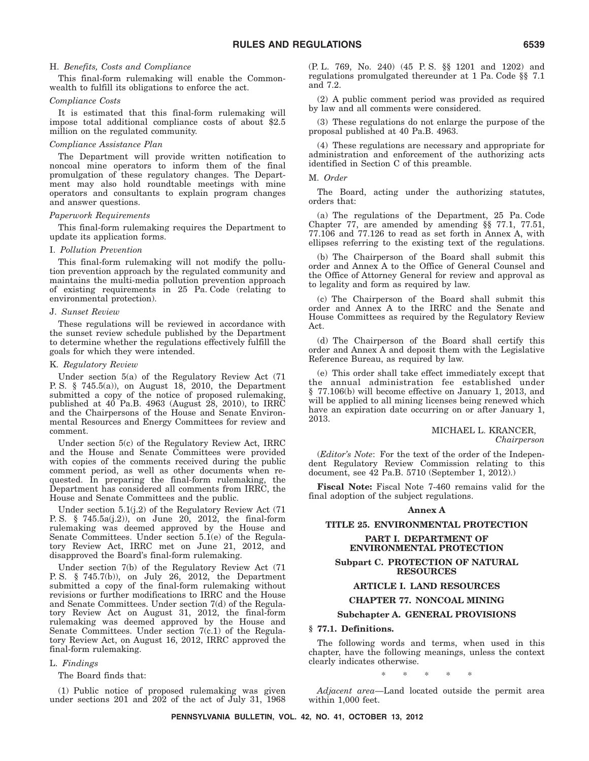#### H. *Benefits, Costs and Compliance*

This final-form rulemaking will enable the Commonwealth to fulfill its obligations to enforce the act.

#### *Compliance Costs*

It is estimated that this final-form rulemaking will impose total additional compliance costs of about \$2.5 million on the regulated community.

#### *Compliance Assistance Plan*

The Department will provide written notification to noncoal mine operators to inform them of the final promulgation of these regulatory changes. The Department may also hold roundtable meetings with mine operators and consultants to explain program changes and answer questions.

#### *Paperwork Requirements*

This final-form rulemaking requires the Department to update its application forms.

#### I. *Pollution Prevention*

This final-form rulemaking will not modify the pollution prevention approach by the regulated community and maintains the multi-media pollution prevention approach of existing requirements in 25 Pa. Code (relating to environmental protection).

#### J. *Sunset Review*

These regulations will be reviewed in accordance with the sunset review schedule published by the Department to determine whether the regulations effectively fulfill the goals for which they were intended.

#### K. *Regulatory Review*

Under section 5(a) of the Regulatory Review Act (71 P. S. § 745.5(a)), on August 18, 2010, the Department submitted a copy of the notice of proposed rulemaking, published at 40 Pa.B. 4963 (August 28, 2010), to IRRC and the Chairpersons of the House and Senate Environmental Resources and Energy Committees for review and comment.

Under section 5(c) of the Regulatory Review Act, IRRC and the House and Senate Committees were provided with copies of the comments received during the public comment period, as well as other documents when requested. In preparing the final-form rulemaking, the Department has considered all comments from IRRC, the House and Senate Committees and the public.

Under section 5.1(j.2) of the Regulatory Review Act (71 P. S. § 745.5a(j.2)), on June 20, 2012, the final-form rulemaking was deemed approved by the House and Senate Committees. Under section 5.1(e) of the Regulatory Review Act, IRRC met on June 21, 2012, and disapproved the Board's final-form rulemaking.

Under section 7(b) of the Regulatory Review Act (71 P. S. § 745.7(b)), on July 26, 2012, the Department submitted a copy of the final-form rulemaking without revisions or further modifications to IRRC and the House and Senate Committees. Under section 7(d) of the Regulatory Review Act on August 31, 2012, the final-form rulemaking was deemed approved by the House and Senate Committees. Under section 7(c.1) of the Regulatory Review Act, on August 16, 2012, IRRC approved the final-form rulemaking.

#### L. *Findings*

The Board finds that:

(1) Public notice of proposed rulemaking was given under sections 201 and 202 of the act of July 31, 1968 (P. L. 769, No. 240) (45 P. S. §§ 1201 and 1202) and regulations promulgated thereunder at 1 Pa. Code §§ 7.1 and 7.2.

(2) A public comment period was provided as required by law and all comments were considered.

(3) These regulations do not enlarge the purpose of the proposal published at 40 Pa.B. 4963.

(4) These regulations are necessary and appropriate for administration and enforcement of the authorizing acts identified in Section C of this preamble.

#### M. *Order*

The Board, acting under the authorizing statutes, orders that:

(a) The regulations of the Department, 25 Pa. Code Chapter 77, are amended by amending §§ 77.1, 77.51, 77.106 and 77.126 to read as set forth in Annex A, with ellipses referring to the existing text of the regulations.

(b) The Chairperson of the Board shall submit this order and Annex A to the Office of General Counsel and the Office of Attorney General for review and approval as to legality and form as required by law.

(c) The Chairperson of the Board shall submit this order and Annex A to the IRRC and the Senate and House Committees as required by the Regulatory Review Act.

(d) The Chairperson of the Board shall certify this order and Annex A and deposit them with the Legislative Reference Bureau, as required by law.

(e) This order shall take effect immediately except that the annual administration fee established under § 77.106(b) will become effective on January 1, 2013, and will be applied to all mining licenses being renewed which have an expiration date occurring on or after January 1, 2013.

#### MICHAEL L. KRANCER, *Chairperson*

(*Editor's Note*: For the text of the order of the Independent Regulatory Review Commission relating to this document, see 42 Pa.B. 5710 (September 1, 2012).)

**Fiscal Note:** Fiscal Note 7-460 remains valid for the final adoption of the subject regulations.

#### **Annex A**

#### **TITLE 25. ENVIRONMENTAL PROTECTION**

#### **PART I. DEPARTMENT OF ENVIRONMENTAL PROTECTION**

**Subpart C. PROTECTION OF NATURAL RESOURCES**

#### **ARTICLE I. LAND RESOURCES**

#### **CHAPTER 77. NONCOAL MINING**

#### **Subchapter A. GENERAL PROVISIONS**

#### **§ 77.1. Definitions.**

The following words and terms, when used in this chapter, have the following meanings, unless the context clearly indicates otherwise.

\*\*\*\*\*

*Adjacent area*—Land located outside the permit area within 1,000 feet.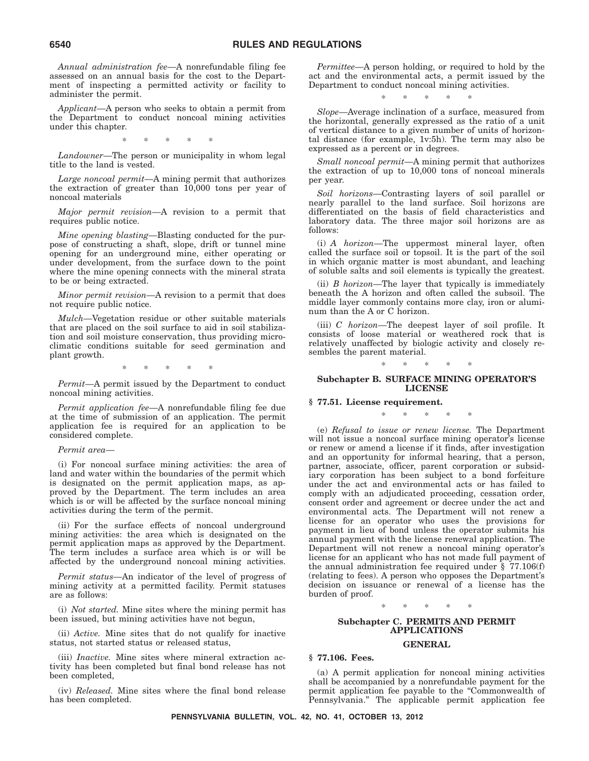*Annual administration fee*—A nonrefundable filing fee assessed on an annual basis for the cost to the Department of inspecting a permitted activity or facility to administer the permit.

*Applicant*—A person who seeks to obtain a permit from the Department to conduct noncoal mining activities under this chapter.

\*\*\*\*\*

*Landowner*—The person or municipality in whom legal title to the land is vested.

*Large noncoal permit*—A mining permit that authorizes the extraction of greater than 10,000 tons per year of noncoal materials

*Major permit revision*—A revision to a permit that requires public notice.

*Mine opening blasting*—Blasting conducted for the purpose of constructing a shaft, slope, drift or tunnel mine opening for an underground mine, either operating or under development, from the surface down to the point where the mine opening connects with the mineral strata to be or being extracted.

*Minor permit revision*—A revision to a permit that does not require public notice.

*Mulch*—Vegetation residue or other suitable materials that are placed on the soil surface to aid in soil stabilization and soil moisture conservation, thus providing microclimatic conditions suitable for seed germination and plant growth.

\*\*\*\*\*

*Permit*—A permit issued by the Department to conduct noncoal mining activities.

*Permit application fee*—A nonrefundable filing fee due at the time of submission of an application. The permit application fee is required for an application to be considered complete.

#### *Permit area*—

(i) For noncoal surface mining activities: the area of land and water within the boundaries of the permit which is designated on the permit application maps, as approved by the Department. The term includes an area which is or will be affected by the surface noncoal mining activities during the term of the permit.

(ii) For the surface effects of noncoal underground mining activities: the area which is designated on the permit application maps as approved by the Department. The term includes a surface area which is or will be affected by the underground noncoal mining activities.

*Permit status*—An indicator of the level of progress of mining activity at a permitted facility. Permit statuses are as follows:

(i) *Not started.* Mine sites where the mining permit has been issued, but mining activities have not begun,

(ii) *Active.* Mine sites that do not qualify for inactive status, not started status or released status,

(iii) *Inactive.* Mine sites where mineral extraction activity has been completed but final bond release has not been completed,

(iv) *Released.* Mine sites where the final bond release has been completed.

*Permittee*—A person holding, or required to hold by the act and the environmental acts, a permit issued by the Department to conduct noncoal mining activities.

\*\*\*\*\*

*Slope*—Average inclination of a surface, measured from the horizontal, generally expressed as the ratio of a unit of vertical distance to a given number of units of horizontal distance (for example, 1v:5h). The term may also be expressed as a percent or in degrees.

*Small noncoal permit*—A mining permit that authorizes the extraction of up to 10,000 tons of noncoal minerals per year.

*Soil horizons*—Contrasting layers of soil parallel or nearly parallel to the land surface. Soil horizons are differentiated on the basis of field characteristics and laboratory data. The three major soil horizons are as follows:

(i) *A horizon*—The uppermost mineral layer, often called the surface soil or topsoil. It is the part of the soil in which organic matter is most abundant, and leaching of soluble salts and soil elements is typically the greatest.

(ii) *B horizon*—The layer that typically is immediately beneath the A horizon and often called the subsoil. The middle layer commonly contains more clay, iron or aluminum than the A or C horizon.

(iii) *C horizon*—The deepest layer of soil profile. It consists of loose material or weathered rock that is relatively unaffected by biologic activity and closely resembles the parent material.

\*\*\*\*\*

#### **Subchapter B. SURFACE MINING OPERATOR'S LICENSE**

**§ 77.51. License requirement.**

\*\*\*\*\*

(e) *Refusal to issue or renew license.* The Department will not issue a noncoal surface mining operator's license or renew or amend a license if it finds, after investigation and an opportunity for informal hearing, that a person, partner, associate, officer, parent corporation or subsidiary corporation has been subject to a bond forfeiture under the act and environmental acts or has failed to comply with an adjudicated proceeding, cessation order, consent order and agreement or decree under the act and environmental acts. The Department will not renew a license for an operator who uses the provisions for payment in lieu of bond unless the operator submits his annual payment with the license renewal application. The Department will not renew a noncoal mining operator's license for an applicant who has not made full payment of the annual administration fee required under § 77.106(f) (relating to fees). A person who opposes the Department's decision on issuance or renewal of a license has the burden of proof.

\*\*\*\*\*

#### **Subchapter C. PERMITS AND PERMIT APPLICATIONS**

#### **GENERAL**

#### **§ 77.106. Fees.**

(a) A permit application for noncoal mining activities shall be accompanied by a nonrefundable payment for the permit application fee payable to the ''Commonwealth of Pennsylvania.'' The applicable permit application fee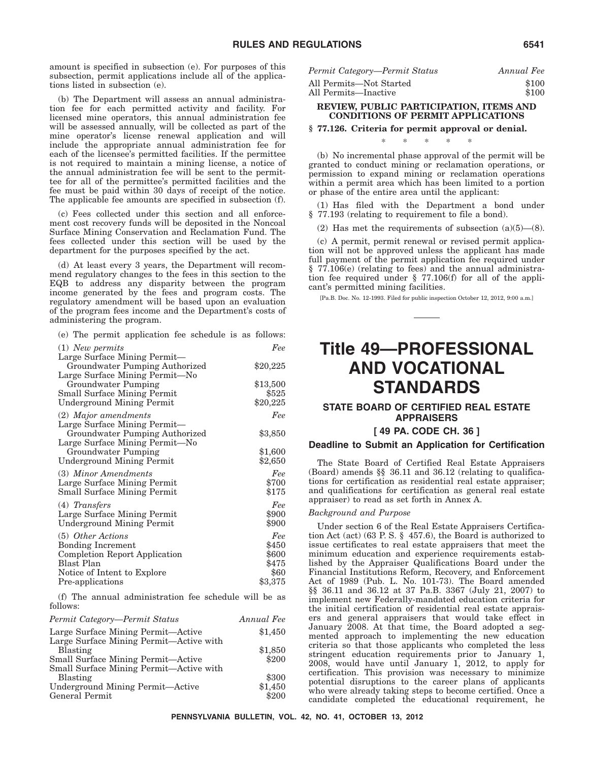amount is specified in subsection (e). For purposes of this subsection, permit applications include all of the applications listed in subsection (e).

(b) The Department will assess an annual administration fee for each permitted activity and facility. For licensed mine operators, this annual administration fee will be assessed annually, will be collected as part of the mine operator's license renewal application and will include the appropriate annual administration fee for each of the licensee's permitted facilities. If the permittee is not required to maintain a mining license, a notice of the annual administration fee will be sent to the permittee for all of the permittee's permitted facilities and the fee must be paid within 30 days of receipt of the notice. The applicable fee amounts are specified in subsection (f).

(c) Fees collected under this section and all enforcement cost recovery funds will be deposited in the Noncoal Surface Mining Conservation and Reclamation Fund. The fees collected under this section will be used by the department for the purposes specified by the act.

(d) At least every 3 years, the Department will recommend regulatory changes to the fees in this section to the EQB to address any disparity between the program income generated by the fees and program costs. The regulatory amendment will be based upon an evaluation of the program fees income and the Department's costs of administering the program.

|  |  |  | (e) The permit application fee schedule is as follows: |  |  |  |  |  |
|--|--|--|--------------------------------------------------------|--|--|--|--|--|
|--|--|--|--------------------------------------------------------|--|--|--|--|--|

| $(1)$ New permits                  | Fee      |
|------------------------------------|----------|
| Large Surface Mining Permit-       |          |
| Groundwater Pumping Authorized     | \$20,225 |
| Large Surface Mining Permit—No     |          |
| Groundwater Pumping                | \$13,500 |
| <b>Small Surface Mining Permit</b> | \$525    |
| Underground Mining Permit          | \$20,225 |
| $(2)$ Major amendments             | Fee      |
| Large Surface Mining Permit-       |          |
| Groundwater Pumping Authorized     | \$3,850  |
| Large Surface Mining Permit-No     |          |
| Groundwater Pumping                | \$1,600  |
| Underground Mining Permit          | \$2,650  |
| (3) Minor Amendments               | Fee      |
| Large Surface Mining Permit        | \$700    |
| <b>Small Surface Mining Permit</b> | \$175    |
| $(4)$ Transfers                    | Fee      |
| Large Surface Mining Permit        | \$900    |
| Underground Mining Permit          | \$900    |
|                                    |          |
| (5) Other Actions                  | Fee      |
| <b>Bonding Increment</b>           | \$450    |
| Completion Report Application      | \$600    |
| Blast Plan                         | \$475    |
| Notice of Intent to Explore        | \$60     |
| Pre-applications                   | \$3,375  |

(f) The annual administration fee schedule will be as follows:

| Permit Category—Permit Status             | Annual Fee |
|-------------------------------------------|------------|
| Large Surface Mining Permit—Active        | \$1,450    |
| Large Surface Mining Permit—Active with   |            |
| Blasting                                  | \$1,850    |
| <b>Small Surface Mining Permit—Active</b> | \$200      |
| Small Surface Mining Permit—Active with   |            |
| <b>Blasting</b>                           | \$300      |
| Underground Mining Permit—Active          | \$1,450    |
| General Permit                            | \$200      |

| Permit Category—Permit Status | Annual Fee |
|-------------------------------|------------|
| All Permits—Not Started       | \$100      |
| All Permits—Inactive          | \$100      |

#### **REVIEW, PUBLIC PARTICIPATION, ITEMS AND CONDITIONS OF PERMIT APPLICATIONS**

#### **§ 77.126. Criteria for permit approval or denial.**

(b) No incremental phase approval of the permit will be granted to conduct mining or reclamation operations, or permission to expand mining or reclamation operations within a permit area which has been limited to a portion or phase of the entire area until the applicant:

\*\*\*\*\*

(1) Has filed with the Department a bond under § 77.193 (relating to requirement to file a bond).

(2) Has met the requirements of subsection  $(a)(5)$ — $(8)$ .

(c) A permit, permit renewal or revised permit application will not be approved unless the applicant has made full payment of the permit application fee required under § 77.106(e) (relating to fees) and the annual administration fee required under § 77.106(f) for all of the applicant's permitted mining facilities.

[Pa.B. Doc. No. 12-1993. Filed for public inspection October 12, 2012, 9:00 a.m.]

# **Title 49—PROFESSIONAL AND VOCATIONAL STANDARDS**

#### **STATE BOARD OF CERTIFIED REAL ESTATE APPRAISERS**

#### **[ 49 PA. CODE CH. 36 ]**

#### **Deadline to Submit an Application for Certification**

The State Board of Certified Real Estate Appraisers (Board) amends §§ 36.11 and 36.12 (relating to qualifications for certification as residential real estate appraiser; and qualifications for certification as general real estate appraiser) to read as set forth in Annex A.

#### *Background and Purpose*

Under section 6 of the Real Estate Appraisers Certification Act (act) (63 P. S. § 457.6), the Board is authorized to issue certificates to real estate appraisers that meet the minimum education and experience requirements established by the Appraiser Qualifications Board under the Financial Institutions Reform, Recovery, and Enforcement Act of 1989 (Pub. L. No. 101-73). The Board amended §§ 36.11 and 36.12 at 37 Pa.B. 3367 (July 21, 2007) to implement new Federally-mandated education criteria for the initial certification of residential real estate appraisers and general appraisers that would take effect in January 2008. At that time, the Board adopted a segmented approach to implementing the new education criteria so that those applicants who completed the less stringent education requirements prior to January 1, 2008, would have until January 1, 2012, to apply for certification. This provision was necessary to minimize potential disruptions to the career plans of applicants who were already taking steps to become certified. Once a candidate completed the educational requirement, he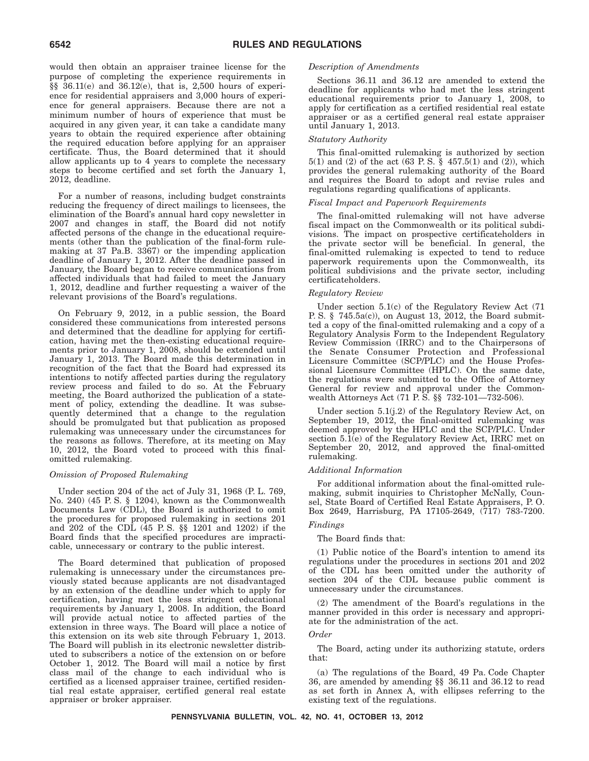would then obtain an appraiser trainee license for the purpose of completing the experience requirements in §§ 36.11(e) and 36.12(e), that is, 2,500 hours of experience for residential appraisers and 3,000 hours of experience for general appraisers. Because there are not a minimum number of hours of experience that must be acquired in any given year, it can take a candidate many years to obtain the required experience after obtaining the required education before applying for an appraiser certificate. Thus, the Board determined that it should allow applicants up to 4 years to complete the necessary steps to become certified and set forth the January 1, 2012, deadline.

For a number of reasons, including budget constraints reducing the frequency of direct mailings to licensees, the elimination of the Board's annual hard copy newsletter in 2007 and changes in staff, the Board did not notify affected persons of the change in the educational requirements (other than the publication of the final-form rulemaking at 37 Pa.B. 3367) or the impending application deadline of January 1, 2012. After the deadline passed in January, the Board began to receive communications from affected individuals that had failed to meet the January 1, 2012, deadline and further requesting a waiver of the relevant provisions of the Board's regulations.

On February 9, 2012, in a public session, the Board considered these communications from interested persons and determined that the deadline for applying for certification, having met the then-existing educational requirements prior to January 1, 2008, should be extended until January 1, 2013. The Board made this determination in recognition of the fact that the Board had expressed its intentions to notify affected parties during the regulatory review process and failed to do so. At the February meeting, the Board authorized the publication of a statement of policy, extending the deadline. It was subsequently determined that a change to the regulation should be promulgated but that publication as proposed rulemaking was unnecessary under the circumstances for the reasons as follows. Therefore, at its meeting on May 10, 2012, the Board voted to proceed with this finalomitted rulemaking.

#### *Omission of Proposed Rulemaking*

Under section 204 of the act of July 31, 1968 (P. L. 769, No. 240) (45 P. S. § 1204), known as the Commonwealth Documents Law (CDL), the Board is authorized to omit the procedures for proposed rulemaking in sections 201 and 202 of the CDL (45 P. S. §§ 1201 and 1202) if the Board finds that the specified procedures are impracticable, unnecessary or contrary to the public interest.

The Board determined that publication of proposed rulemaking is unnecessary under the circumstances previously stated because applicants are not disadvantaged by an extension of the deadline under which to apply for certification, having met the less stringent educational requirements by January 1, 2008. In addition, the Board will provide actual notice to affected parties of the extension in three ways. The Board will place a notice of this extension on its web site through February 1, 2013. The Board will publish in its electronic newsletter distributed to subscribers a notice of the extension on or before October 1, 2012. The Board will mail a notice by first class mail of the change to each individual who is certified as a licensed appraiser trainee, certified residential real estate appraiser, certified general real estate appraiser or broker appraiser.

#### *Description of Amendments*

Sections 36.11 and 36.12 are amended to extend the deadline for applicants who had met the less stringent educational requirements prior to January 1, 2008, to apply for certification as a certified residential real estate appraiser or as a certified general real estate appraiser until January 1, 2013.

#### *Statutory Authority*

This final-omitted rulemaking is authorized by section 5(1) and (2) of the act (63 P. S. § 457.5(1) and (2)), which provides the general rulemaking authority of the Board and requires the Board to adopt and revise rules and regulations regarding qualifications of applicants.

#### *Fiscal Impact and Paperwork Requirements*

The final-omitted rulemaking will not have adverse fiscal impact on the Commonwealth or its political subdivisions. The impact on prospective certificateholders in the private sector will be beneficial. In general, the final-omitted rulemaking is expected to tend to reduce paperwork requirements upon the Commonwealth, its political subdivisions and the private sector, including certificateholders.

#### *Regulatory Review*

Under section 5.1(c) of the Regulatory Review Act (71 P. S. § 745.5a(c)), on August 13, 2012, the Board submitted a copy of the final-omitted rulemaking and a copy of a Regulatory Analysis Form to the Independent Regulatory Review Commission (IRRC) and to the Chairpersons of the Senate Consumer Protection and Professional Licensure Committee (SCP/PLC) and the House Professional Licensure Committee (HPLC). On the same date, the regulations were submitted to the Office of Attorney General for review and approval under the Commonwealth Attorneys Act (71 P. S. §§ 732-101—732-506).

Under section 5.1(j.2) of the Regulatory Review Act, on September 19, 2012, the final-omitted rulemaking was deemed approved by the HPLC and the SCP/PLC. Under section  $5.\overline{1(e)}$  of the Regulatory Review Act, IRRC met on September 20, 2012, and approved the final-omitted rulemaking.

#### *Additional Information*

For additional information about the final-omitted rulemaking, submit inquiries to Christopher McNally, Counsel, State Board of Certified Real Estate Appraisers, P. O. Box 2649, Harrisburg, PA 17105-2649, (717) 783-7200.

#### *Findings*

#### The Board finds that:

(1) Public notice of the Board's intention to amend its regulations under the procedures in sections 201 and 202 of the CDL has been omitted under the authority of section 204 of the CDL because public comment is unnecessary under the circumstances.

(2) The amendment of the Board's regulations in the manner provided in this order is necessary and appropriate for the administration of the act.

#### *Order*

The Board, acting under its authorizing statute, orders that:

(a) The regulations of the Board, 49 Pa. Code Chapter 36, are amended by amending §§ 36.11 and 36.12 to read as set forth in Annex A, with ellipses referring to the existing text of the regulations.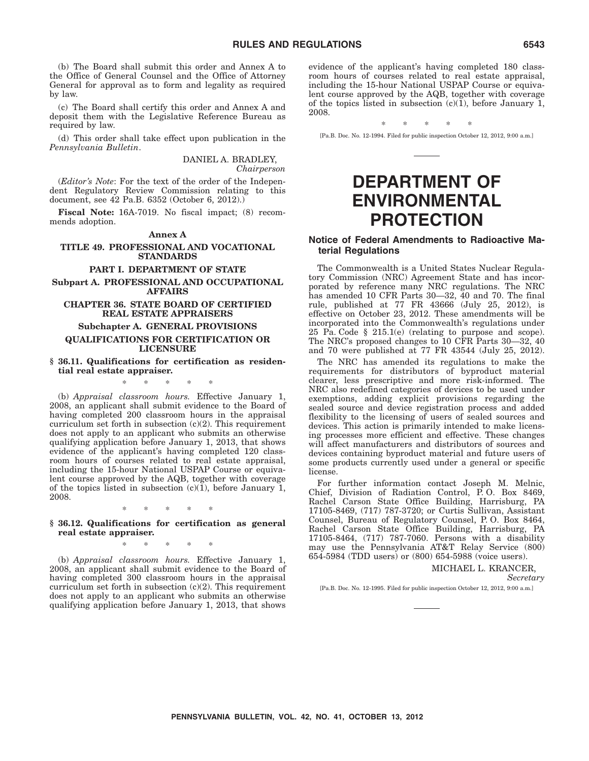(b) The Board shall submit this order and Annex A to the Office of General Counsel and the Office of Attorney General for approval as to form and legality as required by law.

(c) The Board shall certify this order and Annex A and deposit them with the Legislative Reference Bureau as required by law.

(d) This order shall take effect upon publication in the *Pennsylvania Bulletin*.

> DANIEL A. BRADLEY, *Chairperson*

(*Editor's Note*: For the text of the order of the Independent Regulatory Review Commission relating to this document, see 42 Pa.B. 6352 (October 6, 2012).)

**Fiscal Note:** 16A-7019. No fiscal impact; (8) recommends adoption.

#### **Annex A**

#### **TITLE 49. PROFESSIONAL AND VOCATIONAL STANDARDS**

#### **PART I. DEPARTMENT OF STATE**

**Subpart A. PROFESSIONAL AND OCCUPATIONAL AFFAIRS**

#### **CHAPTER 36. STATE BOARD OF CERTIFIED REAL ESTATE APPRAISERS**

#### **Subchapter A. GENERAL PROVISIONS**

#### **QUALIFICATIONS FOR CERTIFICATION OR LICENSURE**

**§ 36.11. Qualifications for certification as residential real estate appraiser.**

\*\*\*\*\*

(b) *Appraisal classroom hours.* Effective January 1, 2008, an applicant shall submit evidence to the Board of having completed 200 classroom hours in the appraisal curriculum set forth in subsection (c)(2). This requirement does not apply to an applicant who submits an otherwise qualifying application before January 1, 2013, that shows evidence of the applicant's having completed 120 classroom hours of courses related to real estate appraisal, including the 15-hour National USPAP Course or equivalent course approved by the AQB, together with coverage of the topics listed in subsection  $(c)(1)$ , before January 1, 2008.

\*\*\*\*\*

**§ 36.12. Qualifications for certification as general real estate appraiser.**

\*\*\*\*\*

(b) *Appraisal classroom hours.* Effective January 1, 2008, an applicant shall submit evidence to the Board of having completed 300 classroom hours in the appraisal curriculum set forth in subsection (c)(2). This requirement does not apply to an applicant who submits an otherwise qualifying application before January 1, 2013, that shows

evidence of the applicant's having completed 180 classroom hours of courses related to real estate appraisal, including the 15-hour National USPAP Course or equivalent course approved by the AQB, together with coverage of the topics listed in subsection  $(c)(1)$ , before January 1, 2008.

\*\*\*\*\*

[Pa.B. Doc. No. 12-1994. Filed for public inspection October 12, 2012, 9:00 a.m.]

# **DEPARTMENT OF ENVIRONMENTAL PROTECTION**

#### **Notice of Federal Amendments to Radioactive Material Regulations**

The Commonwealth is a United States Nuclear Regulatory Commission (NRC) Agreement State and has incorporated by reference many NRC regulations. The NRC has amended 10 CFR Parts 30—32, 40 and 70. The final rule, published at 77 FR 43666 (July 25, 2012), is effective on October 23, 2012. These amendments will be incorporated into the Commonwealth's regulations under 25 Pa. Code § 215.1(e) (relating to purpose and scope). The NRC's proposed changes to 10 CFR Parts 30—32, 40 and 70 were published at 77 FR 43544 (July 25, 2012).

The NRC has amended its regulations to make the requirements for distributors of byproduct material clearer, less prescriptive and more risk-informed. The NRC also redefined categories of devices to be used under exemptions, adding explicit provisions regarding the sealed source and device registration process and added flexibility to the licensing of users of sealed sources and devices. This action is primarily intended to make licensing processes more efficient and effective. These changes will affect manufacturers and distributors of sources and devices containing byproduct material and future users of some products currently used under a general or specific license.

For further information contact Joseph M. Melnic, Chief, Division of Radiation Control, P. O. Box 8469, Rachel Carson State Office Building, Harrisburg, PA 17105-8469, (717) 787-3720; or Curtis Sullivan, Assistant Counsel, Bureau of Regulatory Counsel, P. O. Box 8464, Rachel Carson State Office Building, Harrisburg, PA 17105-8464, (717) 787-7060. Persons with a disability may use the Pennsylvania AT&T Relay Service (800) 654-5984 (TDD users) or (800) 654-5988 (voice users).

MICHAEL L. KRANCER,

*Secretary*

[Pa.B. Doc. No. 12-1995. Filed for public inspection October 12, 2012, 9:00 a.m.]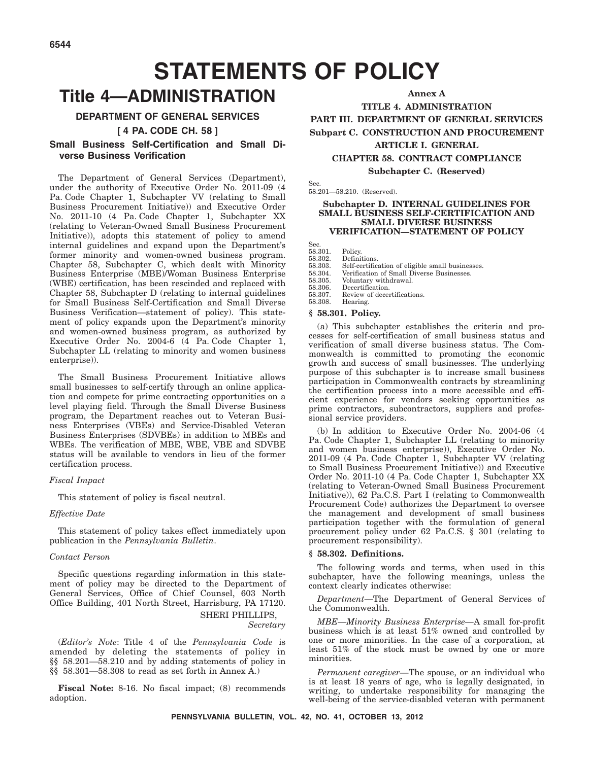# **STATEMENTS OF POLICY**

# **Title 4—ADMINISTRATION**

#### **DEPARTMENT OF GENERAL SERVICES**

**[ 4 PA. CODE CH. 58 ]**

#### **Small Business Self-Certification and Small Diverse Business Verification**

The Department of General Services (Department), under the authority of Executive Order No. 2011-09 (4 Pa. Code Chapter 1, Subchapter VV (relating to Small Business Procurement Initiative)) and Executive Order No. 2011-10 (4 Pa. Code Chapter 1, Subchapter XX (relating to Veteran-Owned Small Business Procurement Initiative)), adopts this statement of policy to amend internal guidelines and expand upon the Department's former minority and women-owned business program. Chapter 58, Subchapter C, which dealt with Minority Business Enterprise (MBE)/Woman Business Enterprise (WBE) certification, has been rescinded and replaced with Chapter 58, Subchapter D (relating to internal guidelines for Small Business Self-Certification and Small Diverse Business Verification—statement of policy). This statement of policy expands upon the Department's minority and women-owned business program, as authorized by Executive Order No. 2004-6 (4 Pa. Code Chapter 1, Subchapter LL (relating to minority and women business enterprise)).

The Small Business Procurement Initiative allows small businesses to self-certify through an online application and compete for prime contracting opportunities on a level playing field. Through the Small Diverse Business program, the Department reaches out to Veteran Business Enterprises (VBEs) and Service-Disabled Veteran Business Enterprises (SDVBEs) in addition to MBEs and WBEs. The verification of MBE, WBE, VBE and SDVBE status will be available to vendors in lieu of the former certification process.

#### *Fiscal Impact*

This statement of policy is fiscal neutral.

#### *Effective Date*

This statement of policy takes effect immediately upon publication in the *Pennsylvania Bulletin*.

#### *Contact Person*

Specific questions regarding information in this statement of policy may be directed to the Department of General Services, Office of Chief Counsel, 603 North Office Building, 401 North Street, Harrisburg, PA 17120. SHERI PHILLIPS,

*Secretary*

(*Editor's Note*: Title 4 of the *Pennsylvania Code* is amended by deleting the statements of policy in §§ 58.201—58.210 and by adding statements of policy in §§ 58.301—58.308 to read as set forth in Annex A.)

**Fiscal Note:** 8-16. No fiscal impact; (8) recommends adoption.

**Annex A**

**TITLE 4. ADMINISTRATION PART III. DEPARTMENT OF GENERAL SERVICES Subpart C. CONSTRUCTION AND PROCUREMENT**

#### **ARTICLE I. GENERAL**

**CHAPTER 58. CONTRACT COMPLIANCE**

**Subchapter C. (Reserved)**

Sec. 58.201—58.210. (Reserved).

#### **Subchapter D. INTERNAL GUIDELINES FOR SMALL BUSINESS SELF-CERTIFICATION AND SMALL DIVERSE BUSINESS VERIFICATION—STATEMENT OF POLICY**

Sec.

58.301. Policy.<br>58.302. Definit 58.302. Definitions.<br>58.303. Self-certifica

58.303. Self-certification of eligible small businesses.<br>58.304 Verification of Small Diverse Businesses

58.304. Verification of Small Diverse Businesses.<br>58.305. Voluntary withdrawal

58.305. Voluntary withdrawal.<br>58.306. Decertification. 58.306. Decertification.<br>58.307. Review of decer

58.307. Review of decertifications.<br>58.308. Hearing. Hearing.

#### **§ 58.301. Policy.**

(a) This subchapter establishes the criteria and processes for self-certification of small business status and verification of small diverse business status. The Commonwealth is committed to promoting the economic growth and success of small businesses. The underlying purpose of this subchapter is to increase small business participation in Commonwealth contracts by streamlining the certification process into a more accessible and efficient experience for vendors seeking opportunities as prime contractors, subcontractors, suppliers and professional service providers.

(b) In addition to Executive Order No. 2004-06 (4 Pa. Code Chapter 1, Subchapter LL (relating to minority and women business enterprise)), Executive Order No. 2011-09 (4 Pa. Code Chapter 1, Subchapter VV (relating to Small Business Procurement Initiative)) and Executive Order No. 2011-10 (4 Pa. Code Chapter 1, Subchapter XX (relating to Veteran-Owned Small Business Procurement Initiative)), 62 Pa.C.S. Part I (relating to Commonwealth Procurement Code) authorizes the Department to oversee the management and development of small business participation together with the formulation of general procurement policy under 62 Pa.C.S. § 301 (relating to procurement responsibility).

#### **§ 58.302. Definitions.**

The following words and terms, when used in this subchapter, have the following meanings, unless the context clearly indicates otherwise:

*Department*—The Department of General Services of the Commonwealth.

*MBE—Minority Business Enterprise—*A small for-profit business which is at least 51% owned and controlled by one or more minorities. In the case of a corporation, at least 51% of the stock must be owned by one or more minorities.

*Permanent caregiver—*The spouse, or an individual who is at least 18 years of age, who is legally designated, in writing, to undertake responsibility for managing the well-being of the service-disabled veteran with permanent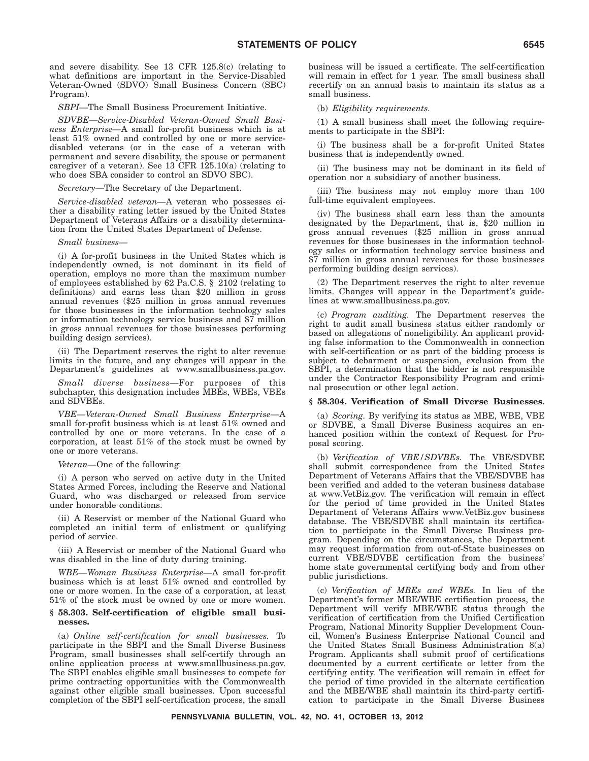and severe disability. See 13 CFR 125.8(c) (relating to what definitions are important in the Service-Disabled Veteran-Owned (SDVO) Small Business Concern (SBC) Program).

*SBPI—*The Small Business Procurement Initiative.

*SDVBE—Service-Disabled Veteran-Owned Small Business Enterprise—*A small for-profit business which is at least 51% owned and controlled by one or more servicedisabled veterans (or in the case of a veteran with permanent and severe disability, the spouse or permanent caregiver of a veteran). See  $13$  CFR  $125.10(a)$  (relating to who does SBA consider to control an SDVO SBC).

*Secretary*—The Secretary of the Department.

*Service-disabled veteran—*A veteran who possesses either a disability rating letter issued by the United States Department of Veterans Affairs or a disability determination from the United States Department of Defense.

*Small business—*

(i) A for-profit business in the United States which is independently owned, is not dominant in its field of operation, employs no more than the maximum number of employees established by 62 Pa.C.S. § 2102 (relating to definitions) and earns less than \$20 million in gross annual revenues (\$25 million in gross annual revenues for those businesses in the information technology sales or information technology service business and \$7 million in gross annual revenues for those businesses performing building design services).

(ii) The Department reserves the right to alter revenue limits in the future, and any changes will appear in the Department's guidelines at www.smallbusiness.pa.gov.

*Small diverse business—*For purposes of this subchapter, this designation includes MBEs, WBEs, VBEs and SDVBEs.

*VBE—Veteran-Owned Small Business Enterprise—*A small for-profit business which is at least 51% owned and controlled by one or more veterans. In the case of a corporation, at least 51% of the stock must be owned by one or more veterans.

*Veteran—*One of the following:

(i) A person who served on active duty in the United States Armed Forces, including the Reserve and National Guard, who was discharged or released from service under honorable conditions.

(ii) A Reservist or member of the National Guard who completed an initial term of enlistment or qualifying period of service.

(iii) A Reservist or member of the National Guard who was disabled in the line of duty during training.

*WBE—Woman Business Enterprise—*A small for-profit business which is at least 51% owned and controlled by one or more women. In the case of a corporation, at least 51% of the stock must be owned by one or more women.

#### **§ 58.303. Self-certification of eligible small businesses.**

(a) *Online self-certification for small businesses.* To participate in the SBPI and the Small Diverse Business Program, small businesses shall self-certify through an online application process at www.smallbusiness.pa.gov. The SBPI enables eligible small businesses to compete for prime contracting opportunities with the Commonwealth against other eligible small businesses. Upon successful completion of the SBPI self-certification process, the small business will be issued a certificate. The self-certification will remain in effect for 1 year. The small business shall recertify on an annual basis to maintain its status as a small business.

(b) *Eligibility requirements.*

(1) A small business shall meet the following requirements to participate in the SBPI:

(i) The business shall be a for-profit United States business that is independently owned.

(ii) The business may not be dominant in its field of operation nor a subsidiary of another business.

(iii) The business may not employ more than 100 full-time equivalent employees.

(iv) The business shall earn less than the amounts designated by the Department, that is, \$20 million in gross annual revenues (\$25 million in gross annual revenues for those businesses in the information technology sales or information technology service business and \$7 million in gross annual revenues for those businesses performing building design services).

(2) The Department reserves the right to alter revenue limits. Changes will appear in the Department's guidelines at www.smallbusiness.pa.gov.

(c) *Program auditing.* The Department reserves the right to audit small business status either randomly or based on allegations of noneligibility. An applicant providing false information to the Commonwealth in connection with self-certification or as part of the bidding process is subject to debarment or suspension, exclusion from the SBPI, a determination that the bidder is not responsible under the Contractor Responsibility Program and criminal prosecution or other legal action.

#### **§ 58.304. Verification of Small Diverse Businesses.**

(a) *Scoring.* By verifying its status as MBE, WBE, VBE or SDVBE, a Small Diverse Business acquires an enhanced position within the context of Request for Proposal scoring.

(b) *Verification of VBE/SDVBEs.* The VBE/SDVBE shall submit correspondence from the United States Department of Veterans Affairs that the VBE/SDVBE has been verified and added to the veteran business database at www.VetBiz.gov. The verification will remain in effect for the period of time provided in the United States Department of Veterans Affairs www.VetBiz.gov business database. The VBE/SDVBE shall maintain its certification to participate in the Small Diverse Business program. Depending on the circumstances, the Department may request information from out-of-State businesses on current VBE/SDVBE certification from the business' home state governmental certifying body and from other public jurisdictions.

(c) *Verification of MBEs and WBEs.* In lieu of the Department's former MBE/WBE certification process, the Department will verify MBE/WBE status through the verification of certification from the Unified Certification Program, National Minority Supplier Development Council, Women's Business Enterprise National Council and the United States Small Business Administration 8(a) Program. Applicants shall submit proof of certifications documented by a current certificate or letter from the certifying entity. The verification will remain in effect for the period of time provided in the alternate certification and the MBE/WBE shall maintain its third-party certification to participate in the Small Diverse Business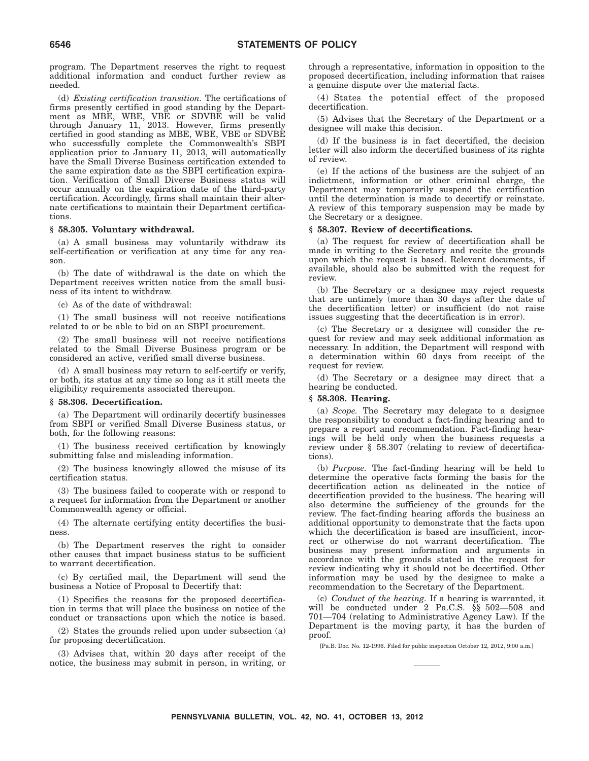program. The Department reserves the right to request additional information and conduct further review as needed.

(d) *Existing certification transition.* The certifications of firms presently certified in good standing by the Department as MBE, WBE, VBE or SDVBE will be valid through January 11, 2013. However, firms presently certified in good standing as MBE, WBE, VBE or SDVBE who successfully complete the Commonwealth's SBPI application prior to January 11, 2013, will automatically have the Small Diverse Business certification extended to the same expiration date as the SBPI certification expiration. Verification of Small Diverse Business status will occur annually on the expiration date of the third-party certification. Accordingly, firms shall maintain their alternate certifications to maintain their Department certifications.

#### **§ 58.305. Voluntary withdrawal.**

(a) A small business may voluntarily withdraw its self-certification or verification at any time for any reason.

(b) The date of withdrawal is the date on which the Department receives written notice from the small business of its intent to withdraw.

(c) As of the date of withdrawal:

(1) The small business will not receive notifications related to or be able to bid on an SBPI procurement.

(2) The small business will not receive notifications related to the Small Diverse Business program or be considered an active, verified small diverse business.

(d) A small business may return to self-certify or verify, or both, its status at any time so long as it still meets the eligibility requirements associated thereupon.

#### **§ 58.306. Decertification.**

(a) The Department will ordinarily decertify businesses from SBPI or verified Small Diverse Business status, or both, for the following reasons:

(1) The business received certification by knowingly submitting false and misleading information.

(2) The business knowingly allowed the misuse of its certification status.

(3) The business failed to cooperate with or respond to a request for information from the Department or another Commonwealth agency or official.

(4) The alternate certifying entity decertifies the business.

(b) The Department reserves the right to consider other causes that impact business status to be sufficient to warrant decertification.

(c) By certified mail, the Department will send the business a Notice of Proposal to Decertify that:

(1) Specifies the reasons for the proposed decertification in terms that will place the business on notice of the conduct or transactions upon which the notice is based.

(2) States the grounds relied upon under subsection (a) for proposing decertification.

(3) Advises that, within 20 days after receipt of the notice, the business may submit in person, in writing, or through a representative, information in opposition to the proposed decertification, including information that raises a genuine dispute over the material facts.

(4) States the potential effect of the proposed decertification.

(5) Advises that the Secretary of the Department or a designee will make this decision.

(d) If the business is in fact decertified, the decision letter will also inform the decertified business of its rights of review.

(e) If the actions of the business are the subject of an indictment, information or other criminal charge, the Department may temporarily suspend the certification until the determination is made to decertify or reinstate. A review of this temporary suspension may be made by the Secretary or a designee.

#### **§ 58.307. Review of decertifications.**

(a) The request for review of decertification shall be made in writing to the Secretary and recite the grounds upon which the request is based. Relevant documents, if available, should also be submitted with the request for review.

(b) The Secretary or a designee may reject requests that are untimely (more than 30 days after the date of the decertification letter) or insufficient (do not raise issues suggesting that the decertification is in error).

(c) The Secretary or a designee will consider the request for review and may seek additional information as necessary. In addition, the Department will respond with a determination within 60 days from receipt of the request for review.

(d) The Secretary or a designee may direct that a hearing be conducted.

#### **§ 58.308. Hearing.**

(a) *Scope.* The Secretary may delegate to a designee the responsibility to conduct a fact-finding hearing and to prepare a report and recommendation. Fact-finding hearings will be held only when the business requests a review under § 58.307 (relating to review of decertifications).

(b) *Purpose.* The fact-finding hearing will be held to determine the operative facts forming the basis for the decertification action as delineated in the notice of decertification provided to the business. The hearing will also determine the sufficiency of the grounds for the review. The fact-finding hearing affords the business an additional opportunity to demonstrate that the facts upon which the decertification is based are insufficient, incorrect or otherwise do not warrant decertification. The business may present information and arguments in accordance with the grounds stated in the request for review indicating why it should not be decertified. Other information may be used by the designee to make a recommendation to the Secretary of the Department.

(c) *Conduct of the hearing.* If a hearing is warranted, it will be conducted under 2 Pa.C.S. §§ 502—508 and 701—704 (relating to Administrative Agency Law). If the Department is the moving party, it has the burden of proof.

[Pa.B. Doc. No. 12-1996. Filed for public inspection October 12, 2012, 9:00 a.m.]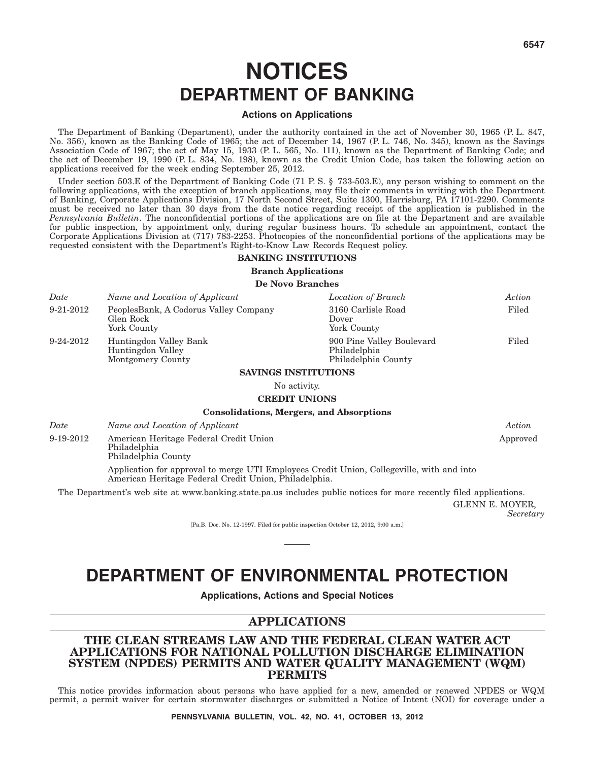# **NOTICES DEPARTMENT OF BANKING**

#### **Actions on Applications**

The Department of Banking (Department), under the authority contained in the act of November 30, 1965 (P. L. 847, No. 356), known as the Banking Code of 1965; the act of December 14, 1967 (P. L. 746, No. 345), known as the Savings Association Code of 1967; the act of May 15, 1933 (P. L. 565, No. 111), known as the Department of Banking Code; and the act of December 19, 1990 (P. L. 834, No. 198), known as the Credit Union Code, has taken the following action on applications received for the week ending September 25, 2012.

Under section 503.E of the Department of Banking Code (71 P.S. § 733-503.E), any person wishing to comment on the following applications, with the exception of branch applications, may file their comments in writing with the Department of Banking, Corporate Applications Division, 17 North Second Street, Suite 1300, Harrisburg, PA 17101-2290. Comments must be received no later than 30 days from the date notice regarding receipt of the application is published in the *Pennsylvania Bulletin*. The nonconfidential portions of the applications are on file at the Department and are available for public inspection, by appointment only, during regular business hours. To schedule an appointment, contact the Corporate Applications Division at (717) 783-2253. Photocopies of the nonconfidential portions of the applications may be requested consistent with the Department's Right-to-Know Law Records Request policy.

#### **BANKING INSTITUTIONS**

**Branch Applications**

#### **De Novo Branches**

| Date            | Name and Location of Applicant                                    | Location of Branch                                               | Action |
|-----------------|-------------------------------------------------------------------|------------------------------------------------------------------|--------|
| 9-21-2012       | PeoplesBank, A Codorus Valley Company<br>Glen Rock<br>York County | 3160 Carlisle Road<br>Dover<br>York County                       | Filed  |
| $9 - 24 - 2012$ | Huntingdon Valley Bank<br>Huntingdon Valley<br>Montgomery County  | 900 Pine Valley Boulevard<br>Philadelphia<br>Philadelphia County | Filed  |
|                 | CALITRICO INICIDITIUI UNICARIO                                    |                                                                  |        |

#### **SAVINGS INSTITUTIONS**

No activity.

#### **CREDIT UNIONS**

#### **Consolidations, Mergers, and Absorptions**

| Date | Name and Location of Applicant | Action |
|------|--------------------------------|--------|
|------|--------------------------------|--------|

9-19-2012 American Heritage Federal Credit Union Philadelphia Philadelphia County Approved Application for approval to merge UTI Employees Credit Union, Collegeville, with and into American Heritage Federal Credit Union, Philadelphia.

The Department's web site at www.banking.state.pa.us includes public notices for more recently filed applications.

GLENN E. MOYER, *Secretary*

[Pa.B. Doc. No. 12-1997. Filed for public inspection October 12, 2012, 9:00 a.m.]

# **DEPARTMENT OF ENVIRONMENTAL PROTECTION**

**Applications, Actions and Special Notices**

#### **APPLICATIONS**

#### **THE CLEAN STREAMS LAW AND THE FEDERAL CLEAN WATER ACT APPLICATIONS FOR NATIONAL POLLUTION DISCHARGE ELIMINATION SYSTEM (NPDES) PERMITS AND WATER QUALITY MANAGEMENT (WQM) PERMITS**

This notice provides information about persons who have applied for a new, amended or renewed NPDES or WQM permit, a permit waiver for certain stormwater discharges or submitted a Notice of Intent (NOI) for coverage under a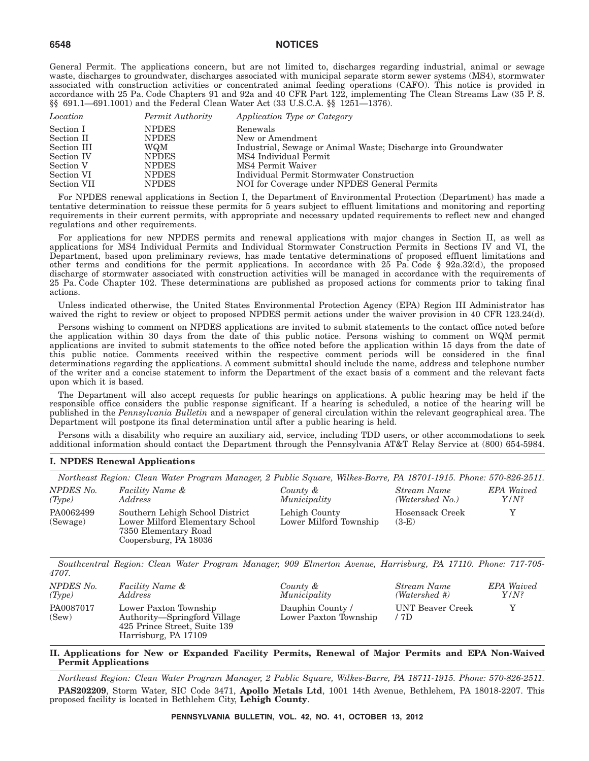General Permit. The applications concern, but are not limited to, discharges regarding industrial, animal or sewage waste, discharges to groundwater, discharges associated with municipal separate storm sewer systems (MS4), stormwater associated with construction activities or concentrated animal feeding operations (CAFO). This notice is provided in accordance with 25 Pa. Code Chapters 91 and 92a and 40 CFR Part 122, implementing The Clean Streams Law (35 P. S. §§ 691.1—691.1001) and the Federal Clean Water Act (33 U.S.C.A. §§ 1251—1376).

| Location    | Permit Authority | Application Type or Category                                   |
|-------------|------------------|----------------------------------------------------------------|
| Section I   | <b>NPDES</b>     | Renewals                                                       |
| Section II  | <b>NPDES</b>     | New or Amendment                                               |
| Section III | WQM              | Industrial, Sewage or Animal Waste; Discharge into Groundwater |
| Section IV  | <b>NPDES</b>     | MS4 Individual Permit                                          |
| Section V   | <b>NPDES</b>     | MS4 Permit Waiver                                              |
| Section VI  | <b>NPDES</b>     | Individual Permit Stormwater Construction                      |
| Section VII | <b>NPDES</b>     | NOI for Coverage under NPDES General Permits                   |

For NPDES renewal applications in Section I, the Department of Environmental Protection (Department) has made a tentative determination to reissue these permits for 5 years subject to effluent limitations and monitoring and reporting requirements in their current permits, with appropriate and necessary updated requirements to reflect new and changed regulations and other requirements.

For applications for new NPDES permits and renewal applications with major changes in Section II, as well as applications for MS4 Individual Permits and Individual Stormwater Construction Permits in Sections IV and VI, the Department, based upon preliminary reviews, has made tentative determinations of proposed effluent limitations and other terms and conditions for the permit applications. In accordance with 25 Pa. Code § 92a.32(d), the proposed discharge of stormwater associated with construction activities will be managed in accordance with the requirements of 25 Pa. Code Chapter 102. These determinations are published as proposed actions for comments prior to taking final actions.

Unless indicated otherwise, the United States Environmental Protection Agency (EPA) Region III Administrator has waived the right to review or object to proposed NPDES permit actions under the waiver provision in 40 CFR 123.24(d).

Persons wishing to comment on NPDES applications are invited to submit statements to the contact office noted before the application within 30 days from the date of this public notice. Persons wishing to comment on WQM permit applications are invited to submit statements to the office noted before the application within 15 days from the date of this public notice. Comments received within the respective comment periods will be considered in the final determinations regarding the applications. A comment submittal should include the name, address and telephone number of the writer and a concise statement to inform the Department of the exact basis of a comment and the relevant facts upon which it is based.

The Department will also accept requests for public hearings on applications. A public hearing may be held if the responsible office considers the public response significant. If a hearing is scheduled, a notice of the hearing will be published in the *Pennsylvania Bulletin* and a newspaper of general circulation within the relevant geographical area. The Department will postpone its final determination until after a public hearing is held.

Persons with a disability who require an auxiliary aid, service, including TDD users, or other accommodations to seek additional information should contact the Department through the Pennsylvania AT&T Relay Service at (800) 654-5984.

#### **I. NPDES Renewal Applications**

*Northeast Region: Clean Water Program Manager, 2 Public Square, Wilkes-Barre, PA 18701-1915. Phone: 570-826-2511.*

| NPDES No.<br>(Type)   | <i>Facility Name &amp;</i><br>Address                                                                               | County &<br>Municipality                | Stream Name<br>(Watershed No.) | <b>EPA</b> Waived<br>$Y/N$ ? |
|-----------------------|---------------------------------------------------------------------------------------------------------------------|-----------------------------------------|--------------------------------|------------------------------|
| PA0062499<br>(Sewage) | Southern Lehigh School District<br>Lower Milford Elementary School<br>7350 Elementary Road<br>Coopersburg, PA 18036 | Lehigh County<br>Lower Milford Township | Hosensack Creek<br>$(3-E)$     | Y                            |
| 4707.                 | Southcentral Region: Clean Water Program Manager, 909 Elmerton Avenue, Harrisburg, PA 17110. Phone: 717-705-        |                                         |                                |                              |
| NPDES No.             | Facility Name &                                                                                                     | County &                                | Stream Name                    | <b>EPA</b> Waived            |

| NPDES No.          | Facility Name &                                                                                               | County &                                 | Stream Name              | <b>EPA</b> Waived |
|--------------------|---------------------------------------------------------------------------------------------------------------|------------------------------------------|--------------------------|-------------------|
| (Tvpe)             | Address                                                                                                       | Municipality                             | (Watershed #)            | $Y/N$ ?           |
| PA0087017<br>(Sew) | Lower Paxton Township<br>Authority—Springford Village<br>425 Prince Street, Suite 139<br>Harrisburg, PA 17109 | Dauphin County/<br>Lower Paxton Township | UNT Beaver Creek<br>/ 7D |                   |

**II. Applications for New or Expanded Facility Permits, Renewal of Major Permits and EPA Non-Waived Permit Applications**

*Northeast Region: Clean Water Program Manager, 2 Public Square, Wilkes-Barre, PA 18711-1915. Phone: 570-826-2511.* **PAS202209**, Storm Water, SIC Code 3471, **Apollo Metals Ltd**, 1001 14th Avenue, Bethlehem, PA 18018-2207. This proposed facility is located in Bethlehem City, **Lehigh County**.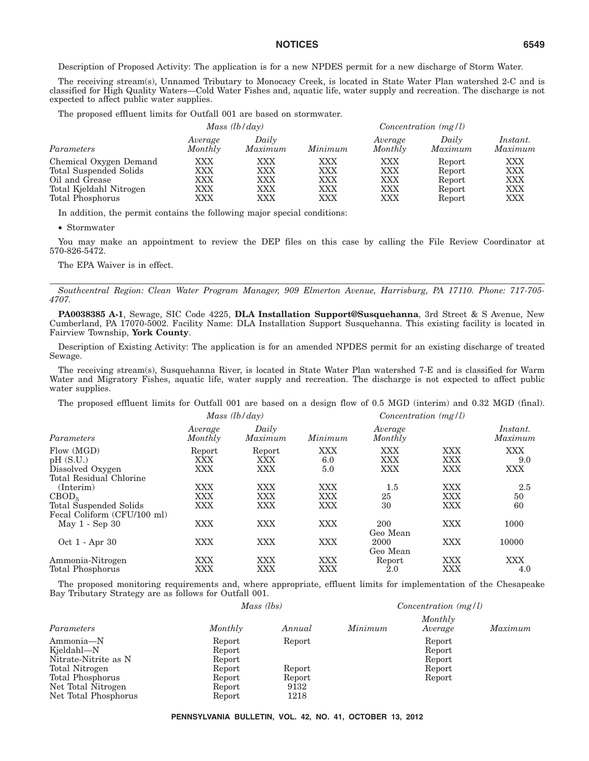Description of Proposed Activity: The application is for a new NPDES permit for a new discharge of Storm Water.

The receiving stream(s), Unnamed Tributary to Monocacy Creek, is located in State Water Plan watershed 2-C and is classified for High Quality Waters—Cold Water Fishes and, aquatic life, water supply and recreation. The discharge is not expected to affect public water supplies.

The proposed effluent limits for Outfall 001 are based on stormwater.

|                                                                                                                   |                                 | Mass $(lb/day)$                 |                                 |                                        | $Concentration$ (mg/l)                         |                                                      |
|-------------------------------------------------------------------------------------------------------------------|---------------------------------|---------------------------------|---------------------------------|----------------------------------------|------------------------------------------------|------------------------------------------------------|
| Parameters                                                                                                        | Average<br>Monthly              | Daily<br>Maximum                | Minimum                         | Average<br>Monthly                     | Daily<br>Maximum                               | <i>Instant.</i><br>Maximum                           |
| Chemical Oxygen Demand<br>Total Suspended Solids<br>Oil and Grease<br>Total Kjeldahl Nitrogen<br>Total Phosphorus | XXX<br>XXX<br>XXX<br>XXX<br>XXX | XXX<br>XXX<br>XXX<br>XXX<br>XXX | XXX<br>XXX<br>XXX<br>XXX<br>XXX | <b>XXX</b><br>XXX<br>XXX<br>XXX<br>XXX | Report<br>Report<br>Report<br>Report<br>Report | XXX<br><b>XXX</b><br><b>XXX</b><br><b>XXX</b><br>XXX |

In addition, the permit contains the following major special conditions:

• Stormwater

You may make an appointment to review the DEP files on this case by calling the File Review Coordinator at 570-826-5472.

The EPA Waiver is in effect.

*Southcentral Region: Clean Water Program Manager, 909 Elmerton Avenue, Harrisburg, PA 17110. Phone: 717-705- 4707.*

**PA0038385 A-1**, Sewage, SIC Code 4225, **DLA Installation Support@Susquehanna**, 3rd Street & S Avenue, New Cumberland, PA 17070-5002. Facility Name: DLA Installation Support Susquehanna. This existing facility is located in Fairview Township, **York County**.

Description of Existing Activity: The application is for an amended NPDES permit for an existing discharge of treated Sewage.

The receiving stream(s), Susquehanna River, is located in State Water Plan watershed 7-E and is classified for Warm Water and Migratory Fishes, aquatic life, water supply and recreation. The discharge is not expected to affect public water supplies.

The proposed effluent limits for Outfall 001 are based on a design flow of 0.5 MGD (interim) and 0.32 MGD (final).

|                                                                                               |                          | Mass $(lb/day)$                        |                   | $Concentration$ (mg/l)          |                   |                          |
|-----------------------------------------------------------------------------------------------|--------------------------|----------------------------------------|-------------------|---------------------------------|-------------------|--------------------------|
| Parameters                                                                                    | Average<br>Monthly       | Daily<br>Maximum                       | Minimum           | Average<br>Monthly              |                   | Instant.<br>Maximum      |
| Flow (MGD)<br>pH(S.U.)<br>Dissolved Oxygen<br>Total Residual Chlorine                         | Report<br>XXX<br>XXX     | Report<br>XXX<br>XXX                   | XXX<br>6.0<br>5.0 | <b>XXX</b><br><b>XXX</b><br>XXX | XXX<br>XXX<br>XXX | <b>XXX</b><br>9.0<br>XXX |
| $($ Interim $)$<br>CBOD <sub>5</sub><br>Total Suspended Solids<br>Fecal Coliform (CFU/100 ml) | XXX<br>XXX<br><b>XXX</b> | <b>XXX</b><br><b>XXX</b><br><b>XXX</b> | XXX<br>XXX<br>XXX | $1.5\,$<br>25<br>30             | XXX<br>XXX<br>XXX | 2.5<br>50<br>60          |
| May 1 - Sep 30                                                                                | <b>XXX</b>               | <b>XXX</b>                             | XXX               | 200<br>Geo Mean                 | XXX               | 1000                     |
| Oct 1 - Apr 30                                                                                | <b>XXX</b>               | <b>XXX</b>                             | XXX               | 2000<br>Geo Mean                | XXX               | 10000                    |
| Ammonia-Nitrogen<br><b>Total Phosphorus</b>                                                   | <b>XXX</b><br>XXX        | <b>XXX</b><br>XXX                      | <b>XXX</b><br>XXX | Report<br>$2.0\,$               | XXX<br>XXX        | XXX<br>4.0               |

The proposed monitoring requirements and, where appropriate, effluent limits for implementation of the Chesapeake Bay Tributary Strategy are as follows for Outfall 001.

|                                                 | Mass (lbs)                 |        |         | Concentration $(mg/l)$     |         |
|-------------------------------------------------|----------------------------|--------|---------|----------------------------|---------|
| Parameters                                      | Monthly                    | Annual | Minimum | Monthly<br>Average         | Maximum |
| Ammonia-N<br>Kjeldahl-N<br>Nitrate-Nitrite as N | Report<br>Report<br>Report | Report |         | Report<br>Report<br>Report |         |
| Total Nitrogen                                  | Report                     | Report |         | Report                     |         |
| Total Phosphorus                                | Report                     | Report |         | Report                     |         |
| Net Total Nitrogen                              | Report                     | 9132   |         |                            |         |
| Net Total Phosphorus                            | Report                     | 1218   |         |                            |         |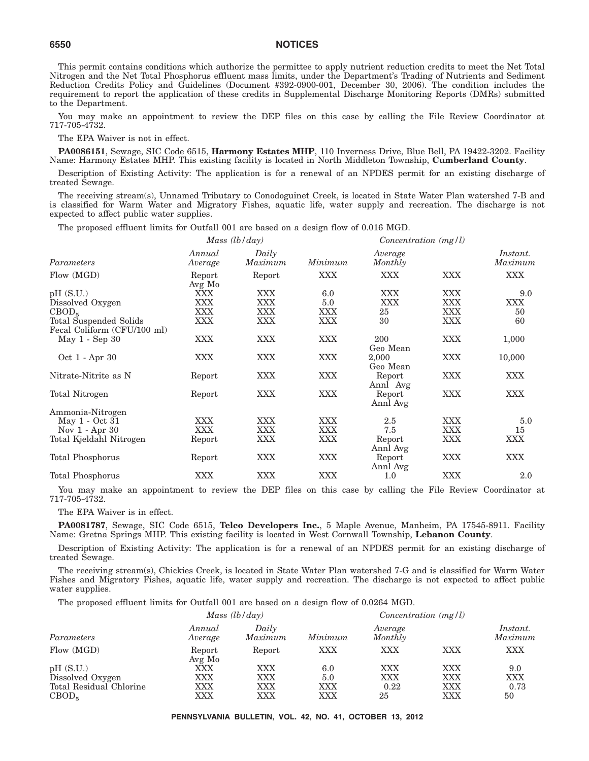This permit contains conditions which authorize the permittee to apply nutrient reduction credits to meet the Net Total Nitrogen and the Net Total Phosphorus effluent mass limits, under the Department's Trading of Nutrients and Sediment Reduction Credits Policy and Guidelines (Document #392-0900-001, December 30, 2006). The condition includes the requirement to report the application of these credits in Supplemental Discharge Monitoring Reports (DMRs) submitted to the Department.

You may make an appointment to review the DEP files on this case by calling the File Review Coordinator at 717-705-4732.

The EPA Waiver is not in effect.

**PA0086151**, Sewage, SIC Code 6515, **Harmony Estates MHP**, 110 Inverness Drive, Blue Bell, PA 19422-3202. Facility Name: Harmony Estates MHP. This existing facility is located in North Middleton Township, **Cumberland County**.

Description of Existing Activity: The application is for a renewal of an NPDES permit for an existing discharge of treated Sewage.

The receiving stream(s), Unnamed Tributary to Conodoguinet Creek, is located in State Water Plan watershed 7-B and is classified for Warm Water and Migratory Fishes, aquatic life, water supply and recreation. The discharge is not expected to affect public water supplies.

The proposed effluent limits for Outfall 001 are based on a design flow of 0.016 MGD.

|                                                       |                   | Mass $(lb/day)$  |            | $Concentration$ (mg/l) |            |                     |
|-------------------------------------------------------|-------------------|------------------|------------|------------------------|------------|---------------------|
| Parameters                                            | Annual<br>Average | Daily<br>Maximum | Minimum    | Average<br>Monthly     |            | Instant.<br>Maximum |
| Flow (MGD)                                            | Report<br>Avg Mo  | Report           | <b>XXX</b> | XXX.                   | <b>XXX</b> | <b>XXX</b>          |
| pH(S.U.)                                              | XXX               | XXX              | 6.0        | <b>XXX</b>             | <b>XXX</b> | 9.0                 |
| Dissolved Oxygen                                      | XXX               | XXX              | 5.0        | XXX                    | <b>XXX</b> | XXX                 |
| CBOD <sub>5</sub>                                     | XXX               | XXX              | XXX        | 25                     | <b>XXX</b> | 50                  |
| Total Suspended Solids<br>Fecal Coliform (CFU/100 ml) | XXX               | <b>XXX</b>       | XXX        | 30                     | <b>XXX</b> | 60                  |
| May 1 - Sep 30                                        | XXX               | XXX              | <b>XXX</b> | 200<br>Geo Mean        | <b>XXX</b> | 1,000               |
| Oct 1 - Apr 30                                        | XXX               | <b>XXX</b>       | <b>XXX</b> | 2,000<br>Geo Mean      | <b>XXX</b> | 10,000              |
| Nitrate-Nitrite as N                                  | Report            | <b>XXX</b>       | <b>XXX</b> | Report<br>Annl Avg     | <b>XXX</b> | <b>XXX</b>          |
| Total Nitrogen                                        | Report            | <b>XXX</b>       | <b>XXX</b> | Report<br>Annl Avg     | <b>XXX</b> | <b>XXX</b>          |
| Ammonia-Nitrogen                                      |                   |                  |            |                        |            |                     |
| May 1 - Oct 31                                        | XXX               | XXX              | <b>XXX</b> | 2.5                    | <b>XXX</b> | 5.0                 |
| Nov $1 -$ Apr $30$                                    | <b>XXX</b>        | <b>XXX</b>       | <b>XXX</b> | 7.5                    | <b>XXX</b> | 15                  |
| Total Kjeldahl Nitrogen                               | Report            | XXX              | XXX        | Report<br>Annl Avg     | <b>XXX</b> | XXX                 |
| Total Phosphorus                                      | Report            | XXX              | XXX        | Report<br>Annl Avg     | <b>XXX</b> | <b>XXX</b>          |
| Total Phosphorus                                      | XXX               | XXX              | XXX        | 1.0                    | XXX        | 2.0                 |

You may make an appointment to review the DEP files on this case by calling the File Review Coordinator at 717-705-4732.

The EPA Waiver is in effect.

**PA0081787**, Sewage, SIC Code 6515, **Telco Developers Inc.**, 5 Maple Avenue, Manheim, PA 17545-8911. Facility Name: Gretna Springs MHP. This existing facility is located in West Cornwall Township, **Lebanon County**.

Description of Existing Activity: The application is for a renewal of an NPDES permit for an existing discharge of treated Sewage.

The receiving stream(s), Chickies Creek, is located in State Water Plan watershed 7-G and is classified for Warm Water Fishes and Migratory Fishes, aquatic life, water supply and recreation. The discharge is not expected to affect public water supplies.

The proposed effluent limits for Outfall 001 are based on a design flow of 0.0264 MGD.

| Annual<br>Average | Daily<br>Maximum | Minimum         | Average<br>Monthly |            | Instant.<br>Maximum    |
|-------------------|------------------|-----------------|--------------------|------------|------------------------|
| Report            | Report           | XXX             | XXX                | XXX        | XXX                    |
| $\rm XXX$         | XXX              | 6.0             | XXX                | XXX        | 9.0                    |
| XXX               | XXX              | 5.0             | XXX                | XXX        | XXX                    |
| XXX<br>$\rm XXX$  | XXX<br>XXX       | XXX<br>XXX      | 0.22<br>25         | XXX<br>XXX | 0.73<br>50             |
|                   | Avg Mo           | Mass $(lb/day)$ |                    |            | Concentration $(mg/l)$ |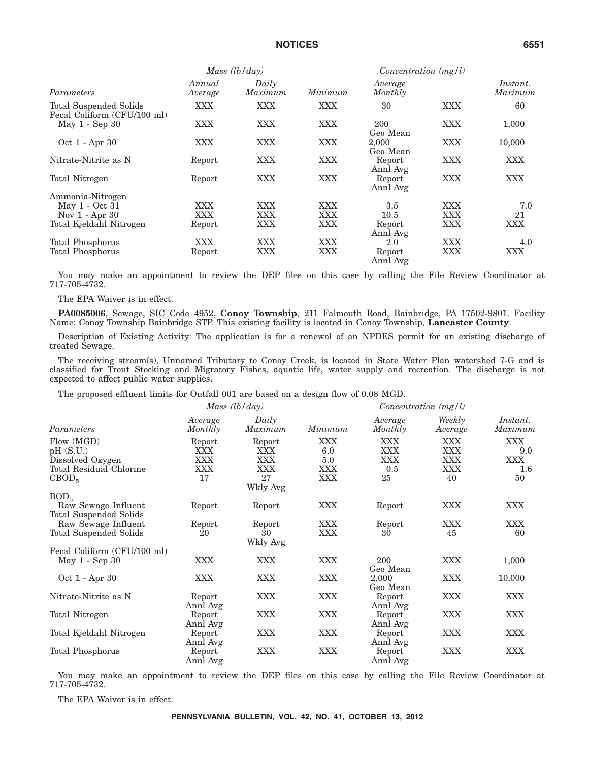|                                                       | Mass $(lb/day)$   |                  |         | $Concentration$ (mg/l) |            |                     |
|-------------------------------------------------------|-------------------|------------------|---------|------------------------|------------|---------------------|
| Parameters                                            | Annual<br>Average | Daily<br>Maximum | Minimum | Average<br>Monthly     |            | Instant.<br>Maximum |
| Total Suspended Solids<br>Fecal Coliform (CFU/100 ml) | XXX               | <b>XXX</b>       | XXX     | 30                     | <b>XXX</b> | 60                  |
| May $1 -$ Sep $30$                                    | XXX               | <b>XXX</b>       | XXX     | 200<br>Geo Mean        | <b>XXX</b> | 1,000               |
| Oct 1 - Apr 30                                        | XXX               | <b>XXX</b>       | XXX     | 2.000<br>Geo Mean      | XXX        | 10,000              |
| Nitrate-Nitrite as N                                  | Report            | <b>XXX</b>       | XXX     | Report<br>Annl Avg     | XXX        | <b>XXX</b>          |
| Total Nitrogen                                        | Report            | <b>XXX</b>       | XXX     | Report<br>Annl Avg     | <b>XXX</b> | <b>XXX</b>          |
| Ammonia-Nitrogen                                      |                   |                  |         |                        |            |                     |
| May 1 - Oct 31                                        | XXX               | <b>XXX</b>       | XXX     | 3.5                    | XXX        | 7.0                 |
| Nov $1 -$ Apr $30$                                    | XXX               | <b>XXX</b>       | XXX     | 10.5                   | XXX        | 21                  |
| Total Kjeldahl Nitrogen                               | Report            | <b>XXX</b>       | XXX     | Report<br>Annl Avg     | <b>XXX</b> | <b>XXX</b>          |
| Total Phosphorus                                      | XXX               | <b>XXX</b>       | XXX     | 2.0                    | XXX        | 4.0                 |
| Total Phosphorus                                      | Report            | <b>XXX</b>       | XXX     | Report<br>Annl Avg     | XXX        | <b>XXX</b>          |

You may make an appointment to review the DEP files on this case by calling the File Review Coordinator at 717-705-4732.

The EPA Waiver is in effect.

**PA0085006**, Sewage, SIC Code 4952, **Conoy Township**, 211 Falmouth Road, Bainbridge, PA 17502-9801. Facility Name: Conoy Township Bainbridge STP. This existing facility is located in Conoy Township, **Lancaster County**.

Description of Existing Activity: The application is for a renewal of an NPDES permit for an existing discharge of treated Sewage.

The receiving stream(s), Unnamed Tributary to Conoy Creek, is located in State Water Plan watershed 7-G and is classified for Trout Stocking and Migratory Fishes, aquatic life, water supply and recreation. The discharge is not expected to affect public water supplies.

The proposed effluent limits for Outfall 001 are based on a design flow of 0.08 MGD.

|                             | Mass (lb/day)      |                  |            | $Concentration$ (mg/l) |                   |                     |
|-----------------------------|--------------------|------------------|------------|------------------------|-------------------|---------------------|
| Parameters                  | Average<br>Monthly | Daily<br>Maximum | Minimum    | Average<br>Monthly     | Weekly<br>Average | Instant.<br>Maximum |
| Flow (MGD)                  | Report             | Report           | <b>XXX</b> | XXX                    | XXX               | XXX                 |
| pH(S.U.)                    | XXX                | XXX              | 6.0        | XXX                    | XXX               | 9.0                 |
| Dissolved Oxygen            | XXX                | <b>XXX</b>       | 5.0        | <b>XXX</b>             | XXX               | XXX                 |
| Total Residual Chlorine     | XXX                | <b>XXX</b>       | XXX        | 0.5                    | XXX               | 1.6                 |
| CBOD <sub>5</sub>           | 17                 | 27               | XXX        | 25                     | 40                | 50                  |
|                             |                    | Wkly Avg         |            |                        |                   |                     |
| BOD <sub>5</sub>            |                    |                  |            |                        |                   |                     |
| Raw Sewage Influent         | Report             | Report           | XXX        | Report                 | XXX               | XXX                 |
| Total Suspended Solids      |                    |                  |            |                        |                   |                     |
| Raw Sewage Influent         | Report             | Report           | XXX        | Report                 | <b>XXX</b>        | XXX                 |
| Total Suspended Solids      | 20                 | 30               | XXX        | 30                     | 45                | 60                  |
|                             |                    | Wkly Avg         |            |                        |                   |                     |
| Fecal Coliform (CFU/100 ml) |                    |                  |            |                        |                   |                     |
| $May 1 - Sep 30$            | <b>XXX</b>         | <b>XXX</b>       | XXX        | 200                    | XXX               | 1,000               |
|                             |                    |                  |            | Geo Mean               |                   |                     |
| Oct 1 - Apr 30              | <b>XXX</b>         | <b>XXX</b>       | <b>XXX</b> | 2,000                  | <b>XXX</b>        | 10,000              |
|                             |                    |                  |            | Geo Mean               |                   |                     |
| Nitrate-Nitrite as N        |                    | <b>XXX</b>       | XXX        |                        | <b>XXX</b>        | XXX                 |
|                             | Report             |                  |            | Report                 |                   |                     |
|                             | Annl Avg           |                  |            | Annl Avg               |                   |                     |
| Total Nitrogen              | Report             | <b>XXX</b>       | XXX        | Report                 | <b>XXX</b>        | XXX                 |
|                             | Annl Avg           |                  |            | Annl Avg               |                   |                     |
| Total Kjeldahl Nitrogen     | Report             | <b>XXX</b>       | XXX        | Report                 | <b>XXX</b>        | XXX                 |
|                             | Annl Avg           |                  |            | Annl Avg               |                   |                     |
| Total Phosphorus            | Report             | <b>XXX</b>       | <b>XXX</b> | Report                 | XXX               | XXX                 |
|                             | Annl Avg           |                  |            | Annl Avg               |                   |                     |

You may make an appointment to review the DEP files on this case by calling the File Review Coordinator at 717-705-4732.

The EPA Waiver is in effect.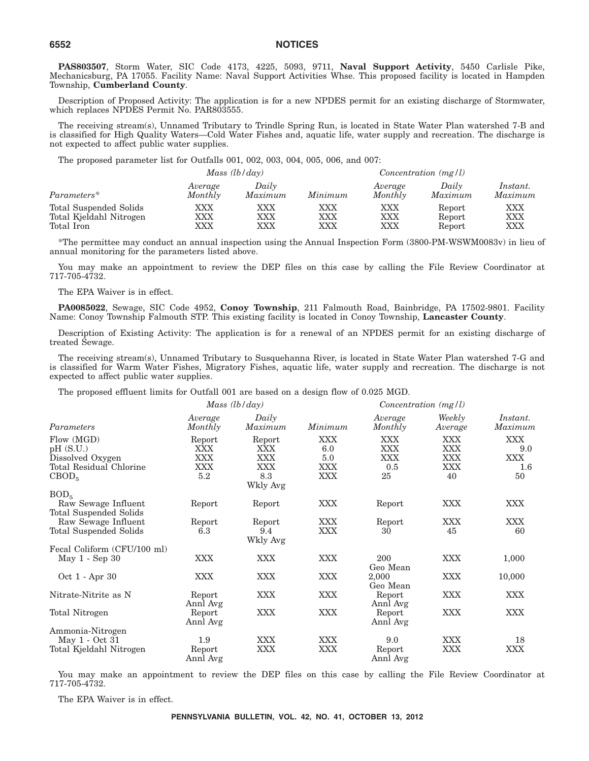**PAS803507**, Storm Water, SIC Code 4173, 4225, 5093, 9711, **Naval Support Activity**, 5450 Carlisle Pike, Mechanicsburg, PA 17055. Facility Name: Naval Support Activities Whse. This proposed facility is located in Hampden Township, **Cumberland County**.

Description of Proposed Activity: The application is for a new NPDES permit for an existing discharge of Stormwater, which replaces NPDES Permit No. PAR803555.

The receiving stream(s), Unnamed Tributary to Trindle Spring Run, is located in State Water Plan watershed 7-B and is classified for High Quality Waters—Cold Water Fishes and, aquatic life, water supply and recreation. The discharge is not expected to affect public water supplies.

The proposed parameter list for Outfalls 001, 002, 003, 004, 005, 006, and 007:

| Mass $(lb/day)$         |                    |                  | Concentration $(mg/l)$ |                    |                  |                     |
|-------------------------|--------------------|------------------|------------------------|--------------------|------------------|---------------------|
| Parameters*             | Average<br>Monthly | Daily<br>Maximum | Minimum                | Average<br>Monthly | Daily<br>Maximum | Instant.<br>Maximum |
| Total Suspended Solids  | XXX                | XXX              | XXX                    | XXX                | Report           | XXX                 |
| Total Kjeldahl Nitrogen | XXX                | XXX              | XXX                    | XXX                | Report           | XXX                 |
| Total Iron              | XXX                | XXX              | XXX                    | XXX                | Report           | XXX                 |

\*The permittee may conduct an annual inspection using the Annual Inspection Form (3800-PM-WSWM0083v) in lieu of annual monitoring for the parameters listed above.

You may make an appointment to review the DEP files on this case by calling the File Review Coordinator at 717-705-4732.

#### The EPA Waiver is in effect.

**PA0085022**, Sewage, SIC Code 4952, **Conoy Township**, 211 Falmouth Road, Bainbridge, PA 17502-9801. Facility Name: Conoy Township Falmouth STP. This existing facility is located in Conoy Township, **Lancaster County**.

Description of Existing Activity: The application is for a renewal of an NPDES permit for an existing discharge of treated Sewage.

The receiving stream(s), Unnamed Tributary to Susquehanna River, is located in State Water Plan watershed 7-G and is classified for Warm Water Fishes, Migratory Fishes, aquatic life, water supply and recreation. The discharge is not expected to affect public water supplies.

The proposed effluent limits for Outfall 001 are based on a design flow of 0.025 MGD.

|                               | Mass $(lb/day)$    |                  |            | Concentration $(mg/l)$ |                   |                     |
|-------------------------------|--------------------|------------------|------------|------------------------|-------------------|---------------------|
| Parameters                    | Average<br>Monthly | Daily<br>Maximum | Minimum    | Average<br>Monthly     | Weekly<br>Average | Instant.<br>Maximum |
| Flow (MGD)                    | Report             | Report           | <b>XXX</b> | <b>XXX</b>             | <b>XXX</b>        | XXX                 |
| pH(S.U.)                      | XXX                | XXX              | 6.0        | XXX                    | XXX               | 9.0                 |
| Dissolved Oxygen              | XXX                | XXX              | 5.0        | XXX.                   | <b>XXX</b>        | XXX                 |
| Total Residual Chlorine       | XXX                | XXX              | XXX        | 0.5                    | XXX               | $1.6\,$             |
| CBOD <sub>5</sub>             | 5.2                | 8.3              | <b>XXX</b> | 25                     | 40                | 50                  |
|                               |                    | Wkly Avg         |            |                        |                   |                     |
| BOD <sub>5</sub>              |                    |                  |            |                        |                   |                     |
| Raw Sewage Influent           | Report             | Report           | <b>XXX</b> | Report                 | <b>XXX</b>        | XXX                 |
| <b>Total Suspended Solids</b> |                    |                  |            |                        |                   |                     |
| Raw Sewage Influent           | Report             | Report           | <b>XXX</b> | Report                 | <b>XXX</b>        | <b>XXX</b>          |
| Total Suspended Solids        | 6.3                | 9.4              | <b>XXX</b> | 30                     | 45                | 60                  |
|                               |                    | Wkly Avg         |            |                        |                   |                     |
| Fecal Coliform (CFU/100 ml)   |                    |                  |            |                        |                   |                     |
| May $1 - \text{Sep } 30$      | <b>XXX</b>         | <b>XXX</b>       | <b>XXX</b> | 200                    | <b>XXX</b>        | 1,000               |
|                               |                    |                  |            | Geo Mean               |                   |                     |
| Oct 1 - Apr 30                | <b>XXX</b>         | <b>XXX</b>       | <b>XXX</b> | 2,000                  | <b>XXX</b>        | 10,000              |
|                               |                    |                  |            | Geo Mean               |                   |                     |
| Nitrate-Nitrite as N          | Report             | <b>XXX</b>       | <b>XXX</b> | Report                 | <b>XXX</b>        | XXX                 |
|                               | Annl Avg           |                  |            | Annl Avg               |                   |                     |
| Total Nitrogen                | Report             | <b>XXX</b>       | <b>XXX</b> | Report                 | <b>XXX</b>        | XXX                 |
|                               | Annl Avg           |                  |            | Annl Avg               |                   |                     |
| Ammonia-Nitrogen              |                    |                  |            |                        |                   |                     |
| May 1 - Oct 31                | 1.9                | <b>XXX</b>       | <b>XXX</b> | 9.0                    | <b>XXX</b>        | 18                  |
| Total Kjeldahl Nitrogen       | Report             | <b>XXX</b>       | <b>XXX</b> | Report                 | XXX               | XXX                 |
|                               | Annl Avg           |                  |            | Annl Avg               |                   |                     |

You may make an appointment to review the DEP files on this case by calling the File Review Coordinator at 717-705-4732.

The EPA Waiver is in effect.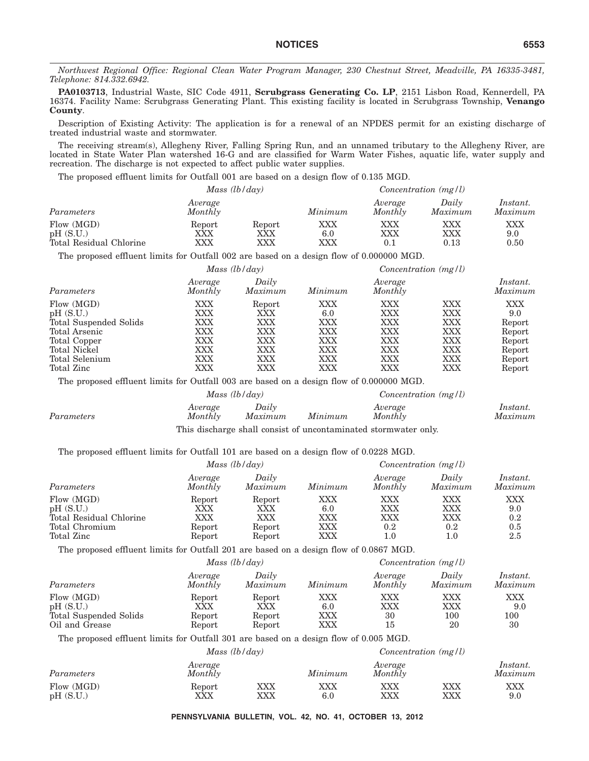*Northwest Regional Office: Regional Clean Water Program Manager, 230 Chestnut Street, Meadville, PA 16335-3481, Telephone: 814.332.6942.*

**PA0103713**, Industrial Waste, SIC Code 4911, **Scrubgrass Generating Co. LP**, 2151 Lisbon Road, Kennerdell, PA 16374. Facility Name: Scrubgrass Generating Plant. This existing facility is located in Scrubgrass Township, **Venango County**.

Description of Existing Activity: The application is for a renewal of an NPDES permit for an existing discharge of treated industrial waste and stormwater.

The receiving stream(s), Allegheny River, Falling Spring Run, and an unnamed tributary to the Allegheny River, are located in State Water Plan watershed 16-G and are classified for Warm Water Fishes, aquatic life, water supply and recreation. The discharge is not expected to affect public water supplies.

The proposed effluent limits for Outfall 001 are based on a design flow of 0.135 MGD.

|                                                   | Mass $(lb/day)$                  |                      |                         |                         | Concentration $(mg/l)$ |                            |
|---------------------------------------------------|----------------------------------|----------------------|-------------------------|-------------------------|------------------------|----------------------------|
| Parameters                                        | Average<br>Monthly               |                      | Minimum                 | Average<br>Monthly      | Daily<br>Maximum       | <i>Instant.</i><br>Maximum |
| Flow (MGD)<br>pH(S.U.)<br>Total Residual Chlorine | Report<br>$\rm XXX$<br>$\rm XXX$ | Report<br>XXX<br>XXX | $\rm XXX$<br>6.0<br>XXX | XXX<br>XXX<br>$\rm 0.1$ | XXX<br>XXX<br>0.13     | XXX<br>9.0<br>0.50         |

The proposed effluent limits for Outfall 002 are based on a design flow of 0.000000 MGD.

|                        |                    | Mass $(lb/day)$  |         | Concentration $(mg/l)$ |     |                     |  |
|------------------------|--------------------|------------------|---------|------------------------|-----|---------------------|--|
| Parameters             | Average<br>Monthly | Daily<br>Maximum | Minimum | Average<br>Monthly     |     | Instant.<br>Maximum |  |
| Flow (MGD)             | XXX                | Report           | XXX     | <b>XXX</b>             | XXX | XXX                 |  |
| pH(S.U.)               | XXX                | XXX              | 6.0     | XXX                    | XXX | 9.0                 |  |
| Total Suspended Solids | XXX                | XXX              | XXX     | XXX                    | XXX | Report              |  |
| Total Arsenic          | XXX                | XXX              | XXX     | XXX                    | XXX | Report              |  |
| Total Copper           | <b>XXX</b>         | <b>XXX</b>       | XXX     | XXX                    | XXX | Report              |  |
| <b>Total Nickel</b>    | XXX                | XXX              | XXX     | XXX                    | XXX | Report              |  |
| Total Selenium         | XXX                | XXX              | XXX     | XXX                    | XXX | Report              |  |
| Total Zinc             | XXX                | XXX              | XXX     | XXX                    | XXX | Report              |  |

The proposed effluent limits for Outfall 003 are based on a design flow of 0.000000 MGD.

|            | Mass $(lb/day)$    |                  |         | $Concentration$ (mg/l) |                     |  |
|------------|--------------------|------------------|---------|------------------------|---------------------|--|
| Parameters | Average<br>Monthly | Daily<br>Maximum | Minimum | Average<br>Monthly     | Instant.<br>Maximum |  |

This discharge shall consist of uncontaminated stormwater only.

The proposed effluent limits for Outfall 101 are based on a design flow of 0.0228 MGD.

|                                                                                   | Mass $(lb/day)$                          |                                          |                                        | $Concentration$ (mg/l)              |                                     |                                 |
|-----------------------------------------------------------------------------------|------------------------------------------|------------------------------------------|----------------------------------------|-------------------------------------|-------------------------------------|---------------------------------|
| Parameters                                                                        | Average<br>Monthly                       | Daily<br>Maximum                         | Minimum                                | Average<br>Monthly                  | Daily<br>Maximum                    | Instant.<br>Maximum             |
| Flow (MGD)<br>pH(S.U.)<br>Total Residual Chlorine<br>Total Chromium<br>Total Zinc | Report<br>XXX<br>XXX<br>Report<br>Report | Report<br>XXX<br>XXX<br>Report<br>Report | XXX<br>6.0<br>XXX<br><b>XXX</b><br>XXX | XXX<br>XXX<br>XXX<br>0.2<br>$1.0\,$ | XXX<br>XXX<br>XXX<br>0.2<br>$1.0\,$ | XXX<br>9.0<br>0.2<br>0.5<br>2.5 |

The proposed effluent limits for Outfall 201 are based on a design flow of 0.0867 MGD.

|                        |                    | Mass $(lb/day)$  |         | Concentration $(mg/l)$ |                  |                     |  |
|------------------------|--------------------|------------------|---------|------------------------|------------------|---------------------|--|
| Parameters             | Average<br>Monthly | Daily<br>Maximum | Minimum | Average<br>Monthly     | Daily<br>Maximum | Instant.<br>Maximum |  |
| Flow (MGD)             | Report             | Report           | XXX     | XXX                    | XXX              | <b>XXX</b>          |  |
| pH(S.U.)               | XXX                | XXX              | 6.0     | XXX                    | XXX              | 9.0                 |  |
| Total Suspended Solids | Report             | Report           | XXX     | 30                     | 100              | 100                 |  |
| Oil and Grease         | Report             | Report           | XXX     | 15                     | 20               | 30                  |  |

The proposed effluent limits for Outfall 301 are based on a design flow of 0.005 MGD.

|                        |                    | Mass $(lb/day)$ |            |                    | $Concentration$ (mg/l) |                            |  |
|------------------------|--------------------|-----------------|------------|--------------------|------------------------|----------------------------|--|
| Parameters             | Average<br>Monthly |                 | Minimum    | Average<br>Monthly |                        | <i>Instant.</i><br>Maximum |  |
| Flow (MGD)<br>pH(S.U.) | Report<br>XXX      | XXX<br>XXX      | XXX<br>6.0 | XXX<br>XXX         | XXX<br>XXX             | XXX<br>9.0                 |  |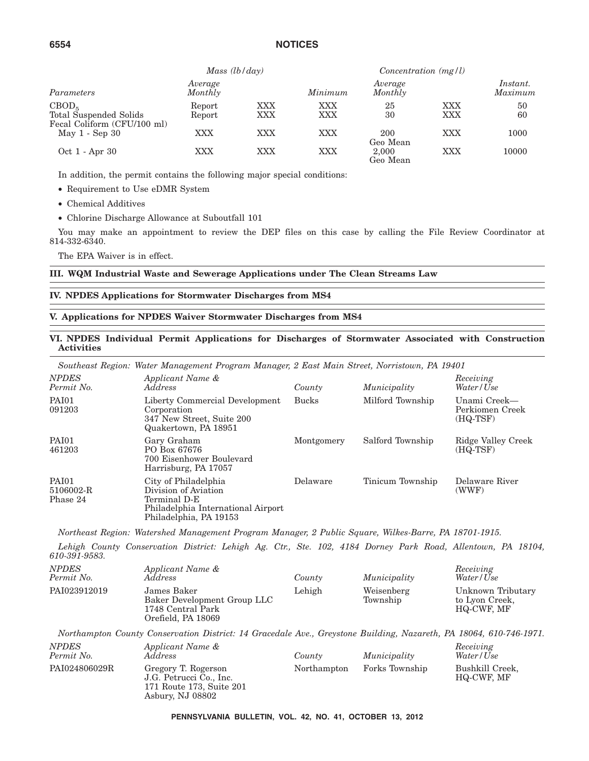|                                                                            | Mass $(lb/day)$    |            |            | Concentration $(mg/l)$ |            |                     |
|----------------------------------------------------------------------------|--------------------|------------|------------|------------------------|------------|---------------------|
| Parameters                                                                 | Average<br>Monthly |            | Minimum    | Average<br>Monthly     |            | Instant.<br>Maximum |
| CBOD <sub>5</sub><br>Total Suspended Solids<br>Fecal Coliform (CFU/100 ml) | Report<br>Report   | XXX<br>XXX | XXX<br>XXX | 25<br>30               | XXX<br>XXX | 50<br>60            |
| May 1 - Sep 30                                                             | XXX                | XXX        | XXX        | 200<br>Geo Mean        | XXX        | 1000                |
| Oct 1 - Apr 30                                                             | XXX                | XXX        | XXX        | 2.000<br>Geo Mean      | XXX        | 10000               |

In addition, the permit contains the following major special conditions:

• Requirement to Use eDMR System

- Chemical Additives
- Chlorine Discharge Allowance at Suboutfall 101

You may make an appointment to review the DEP files on this case by calling the File Review Coordinator at 814-332-6340.

The EPA Waiver is in effect.

**III. WQM Industrial Waste and Sewerage Applications under The Clean Streams Law**

#### **IV. NPDES Applications for Stormwater Discharges from MS4**

#### **V. Applications for NPDES Waiver Stormwater Discharges from MS4**

#### **VI. NPDES Individual Permit Applications for Discharges of Stormwater Associated with Construction Activities**

*Southeast Region: Water Management Program Manager, 2 East Main Street, Norristown, PA 19401*

| <b>NPDES</b><br>Permit No.            | Applicant Name &<br><i>Address</i>                                                                                           | County       | Municipality     | Receiving<br>Water/Use                      |
|---------------------------------------|------------------------------------------------------------------------------------------------------------------------------|--------------|------------------|---------------------------------------------|
| <b>PAI01</b><br>091203                | Liberty Commercial Development<br>Corporation<br>347 New Street, Suite 200<br>Quakertown, PA 18951                           | <b>Bucks</b> | Milford Township | Unami Creek-<br>Perkiomen Creek<br>(HQ-TSF) |
| PAI01<br>461203                       | Gary Graham<br>PO Box 67676<br>700 Eisenhower Boulevard<br>Harrisburg, PA 17057                                              | Montgomery   | Salford Township | Ridge Valley Creek<br>(HQ-TSF)              |
| <b>PAI01</b><br>5106002-R<br>Phase 24 | City of Philadelphia<br>Division of Aviation<br>Terminal D-E<br>Philadelphia International Airport<br>Philadelphia, PA 19153 | Delaware     | Tinicum Township | Delaware River<br>(WWF)                     |

*Northeast Region: Watershed Management Program Manager, 2 Public Square, Wilkes-Barre, PA 18701-1915.*

*Lehigh County Conservation District: Lehigh Ag. Ctr., Ste. 102, 4184 Dorney Park Road, Allentown, PA 18104, 610-391-9583.*

| <b>NPDES</b><br>Permit No. | Applicant Name &<br>Address                                                           | County | Municipality           | Receiving<br>Water/Use                            |
|----------------------------|---------------------------------------------------------------------------------------|--------|------------------------|---------------------------------------------------|
| PAI023912019               | James Baker<br>Baker Development Group LLC<br>1748 Central Park<br>Orefield, PA 18069 | Lehigh | Weisenberg<br>Township | Unknown Tributary<br>to Lyon Creek,<br>HQ-CWF, MF |

*Northampton County Conservation District: 14 Gracedale Ave., Greystone Building, Nazareth, PA 18064, 610-746-1971.*

| <i>NPDES</i><br>Permit No. | Applicant Name &<br>Address                                                                    | County      | Municipality   | Receiving<br>Water/Use        |
|----------------------------|------------------------------------------------------------------------------------------------|-------------|----------------|-------------------------------|
| PAI024806029R              | Gregory T. Rogerson<br>J.G. Petrucci Co., Inc.<br>171 Route 173, Suite 201<br>Asbury, NJ 08802 | Northampton | Forks Township | Bushkill Creek,<br>HQ-CWF, MF |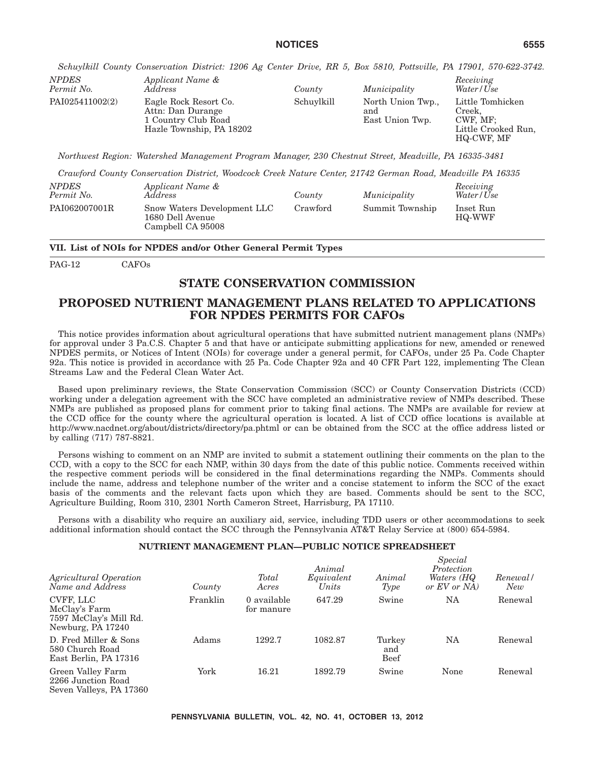*Schuylkill County Conservation District: 1206 Ag Center Drive, RR 5, Box 5810, Pottsville, PA 17901, 570-622-3742. NPDES Applicant Name & Receiving*

| IVPDES<br>Permit No. | Applicant ivame $\alpha$<br>Address                                                           | County     | Municipality                                | neceiving<br>Water/Use                                                      |
|----------------------|-----------------------------------------------------------------------------------------------|------------|---------------------------------------------|-----------------------------------------------------------------------------|
| PAI025411002(2)      | Eagle Rock Resort Co.<br>Attn: Dan Durange<br>1 Country Club Road<br>Hazle Township, PA 18202 | Schuylkill | North Union Twp.,<br>and<br>East Union Twp. | Little Tomhicken<br>Creek.<br>CWF. MF:<br>Little Crooked Run.<br>HQ-CWF, MF |

*Northwest Region: Watershed Management Program Manager, 230 Chestnut Street, Meadville, PA 16335-3481*

*Crawford County Conservation District, Woodcock Creek Nature Center, 21742 German Road, Meadville PA 16335*

| <i>NPDES</i><br>Permit No. | Applicant Name &<br>Address                                          | County   | Municipality    | Receiving<br>Water/Use     |
|----------------------------|----------------------------------------------------------------------|----------|-----------------|----------------------------|
| PAI062007001R              | Snow Waters Development LLC<br>1680 Dell Avenue<br>Campbell CA 95008 | Crawford | Summit Township | Inset Run<br><b>HQ-WWF</b> |

**VII. List of NOIs for NPDES and/or Other General Permit Types**

PAG-12 CAFOs

#### **STATE CONSERVATION COMMISSION**

#### **PROPOSED NUTRIENT MANAGEMENT PLANS RELATED TO APPLICATIONS FOR NPDES PERMITS FOR CAFOs**

This notice provides information about agricultural operations that have submitted nutrient management plans (NMPs) for approval under 3 Pa.C.S. Chapter 5 and that have or anticipate submitting applications for new, amended or renewed NPDES permits, or Notices of Intent (NOIs) for coverage under a general permit, for CAFOs, under 25 Pa. Code Chapter 92a. This notice is provided in accordance with 25 Pa. Code Chapter 92a and 40 CFR Part 122, implementing The Clean Streams Law and the Federal Clean Water Act.

Based upon preliminary reviews, the State Conservation Commission (SCC) or County Conservation Districts (CCD) working under a delegation agreement with the SCC have completed an administrative review of NMPs described. These NMPs are published as proposed plans for comment prior to taking final actions. The NMPs are available for review at the CCD office for the county where the agricultural operation is located. A list of CCD office locations is available at http://www.nacdnet.org/about/districts/directory/pa.phtml or can be obtained from the SCC at the office address listed or by calling (717) 787-8821.

Persons wishing to comment on an NMP are invited to submit a statement outlining their comments on the plan to the CCD, with a copy to the SCC for each NMP, within 30 days from the date of this public notice. Comments received within the respective comment periods will be considered in the final determinations regarding the NMPs. Comments should include the name, address and telephone number of the writer and a concise statement to inform the SCC of the exact basis of the comments and the relevant facts upon which they are based. Comments should be sent to the SCC, Agriculture Building, Room 310, 2301 North Cameron Street, Harrisburg, PA 17110.

Persons with a disability who require an auxiliary aid, service, including TDD users or other accommodations to seek additional information should contact the SCC through the Pennsylvania AT&T Relay Service at (800) 654-5984.

#### **NUTRIENT MANAGEMENT PLAN—PUBLIC NOTICE SPREADSHEET**

| Agricultural Operation<br>Name and Address                                | County   | Total<br>Acres            | Animal<br>Equivalent<br>Units | Animal<br>Type               | Special<br>Protection<br>Waters (HQ<br>or EV or NA | Renewal/<br>New |
|---------------------------------------------------------------------------|----------|---------------------------|-------------------------------|------------------------------|----------------------------------------------------|-----------------|
| CVFF, LLC<br>McClay's Farm<br>7597 McClay's Mill Rd.<br>Newburg, PA 17240 | Franklin | 0 available<br>for manure | 647.29                        | Swine                        | NA                                                 | Renewal         |
| D. Fred Miller & Sons<br>580 Church Road<br>East Berlin, PA 17316         | Adams    | 1292.7                    | 1082.87                       | Turkey<br>and<br><b>Beef</b> | NA                                                 | Renewal         |
| Green Valley Farm<br>2266 Junction Road<br>Seven Valleys, PA 17360        | York     | 16.21                     | 1892.79                       | Swine                        | None                                               | Renewal         |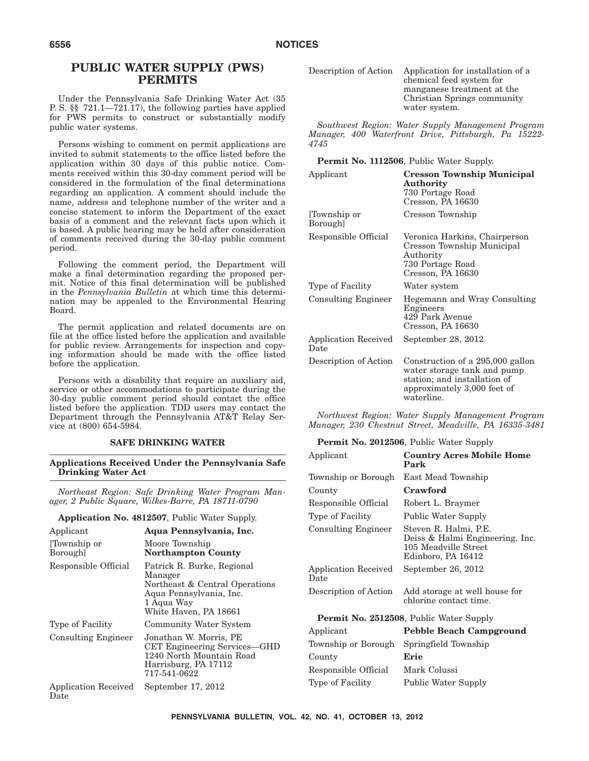#### **PUBLIC WATER SUPPLY (PWS) PERMITS**

Under the Pennsylvania Safe Drinking Water Act (35 P. S. §§ 721.1—721.17), the following parties have applied for PWS permits to construct or substantially modify public water systems.

Persons wishing to comment on permit applications are invited to submit statements to the office listed before the application within 30 days of this public notice. Comments received within this 30-day comment period will be considered in the formulation of the final determinations regarding an application. A comment should include the name, address and telephone number of the writer and a concise statement to inform the Department of the exact basis of a comment and the relevant facts upon which it is based. A public hearing may be held after consideration of comments received during the 30-day public comment period.

Following the comment period, the Department will make a final determination regarding the proposed permit. Notice of this final determination will be published in the *Pennsylvania Bulletin* at which time this determination may be appealed to the Environmental Hearing Board.

The permit application and related documents are on file at the office listed before the application and available for public review. Arrangements for inspection and copying information should be made with the office listed before the application.

Persons with a disability that require an auxiliary aid, service or other accommodations to participate during the 30-day public comment period should contact the office listed before the application. TDD users may contact the Department through the Pennsylvania AT&T Relay Service at (800) 654-5984.

#### **SAFE DRINKING WATER**

**Applications Received Under the Pennsylvania Safe Drinking Water Act**

*Northeast Region: Safe Drinking Water Program Manager, 2 Public Square, Wilkes-Barre, PA 18711-0790*

**Application No. 4812507**, Public Water Supply.

| Applicant                       | Aqua Pennsylvania, Inc.                                                                                                                   |
|---------------------------------|-------------------------------------------------------------------------------------------------------------------------------------------|
| [Township or]<br><b>Borough</b> | Moore Township<br><b>Northampton County</b>                                                                                               |
| Responsible Official            | Patrick R. Burke, Regional<br>Manager<br>Northeast & Central Operations<br>Aqua Pennsylvania, Inc.<br>1 Aqua Way<br>White Haven, PA 18661 |
| Type of Facility                | Community Water System                                                                                                                    |
| <b>Consulting Engineer</b>      | Jonathan W. Morris, PE<br>CET Engineering Services—GHD<br>1240 North Mountain Road<br>Harrisburg, PA 17112<br>717-541-0622                |
| Application Received<br>Date    | September 17, 2012                                                                                                                        |

| Description of Action | Application for installation of a |
|-----------------------|-----------------------------------|
|                       | chemical feed system for          |
|                       | manganese treatment at the        |
|                       | Christian Springs community       |
|                       | water system.                     |

*Southwest Region: Water Supply Management Program Manager, 400 Waterfront Drive, Pittsburgh, Pa 15222- 4745*

#### **Permit No. 1112506**, Public Water Supply.

| Applicant                    | <b>Cresson Township Municipal</b><br><b>Authority</b><br>730 Portage Road<br>Cresson, PA 16630                                               |
|------------------------------|----------------------------------------------------------------------------------------------------------------------------------------------|
| Township or<br>Borough]      | Cresson Township                                                                                                                             |
| Responsible Official         | Veronica Harkins, Chairperson<br>Cresson Township Municipal<br>Authority<br>730 Portage Road<br>Cresson, PA 16630                            |
| Type of Facility             | Water system                                                                                                                                 |
| <b>Consulting Engineer</b>   | Hegemann and Wray Consulting<br>Engineers<br>429 Park Avenue<br>Cresson, PA 16630                                                            |
| Application Received<br>Date | September 28, 2012                                                                                                                           |
| Description of Action        | Construction of a 295,000 gallon<br>water storage tank and pump<br>station; and installation of<br>approximately 3,000 feet of<br>waterline. |

*Northwest Region: Water Supply Management Program Manager, 230 Chestnut Street, Meadville, PA 16335-3481*

#### **Permit No. 2012506**, Public Water Supply

| Applicant                    | <b>Country Acres Mobile Home</b><br>Park                                                               |
|------------------------------|--------------------------------------------------------------------------------------------------------|
| Township or Borough          | East Mead Township                                                                                     |
| County                       | Crawford                                                                                               |
| Responsible Official         | Robert L. Braymer                                                                                      |
| Type of Facility             | Public Water Supply                                                                                    |
| <b>Consulting Engineer</b>   | Steven R. Halmi, P.E.<br>Deiss & Halmi Engineering, Inc.<br>105 Meadville Street<br>Edinboro, PA 16412 |
| Application Received<br>Date | September 26, 2012                                                                                     |
| Description of Action        | Add storage at well house for<br>chlorine contact time.                                                |

#### **Permit No. 2512508**, Public Water Supply

| Applicant            | <b>Pebble Beach Campground</b> |
|----------------------|--------------------------------|
| Township or Borough  | Springfield Township           |
| County               | Erie                           |
| Responsible Official | Mark Colussi                   |
| Type of Facility     | Public Water Supply            |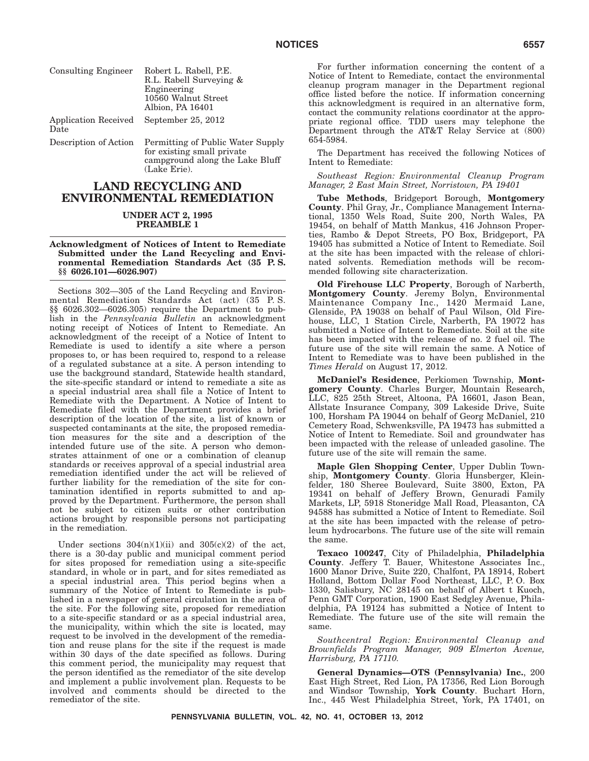| <b>Consulting Engineer</b>   | Robert L. Rabell, P.E.<br>R.L. Rabell Surveying &<br>Engineering<br>10560 Walnut Street<br>Albion, PA 16401 |
|------------------------------|-------------------------------------------------------------------------------------------------------------|
| Application Received<br>Date | September 25, 2012                                                                                          |
| Description of Action        | Permitting of Public Water Supply<br>for existing small private<br>campground along the Lake Bluff          |

# **LAND RECYCLING AND ENVIRONMENTAL REMEDIATION**

(Lake Erie).

## **UNDER ACT 2, 1995 PREAMBLE 1**

## **Acknowledgment of Notices of Intent to Remediate Submitted under the Land Recycling and Environmental Remediation Standards Act (35 P. S. §§ 6026.101—6026.907)**

Sections 302—305 of the Land Recycling and Environmental Remediation Standards Act (act) (35 P. S. §§ 6026.302—6026.305) require the Department to publish in the *Pennsylvania Bulletin* an acknowledgment noting receipt of Notices of Intent to Remediate. An acknowledgment of the receipt of a Notice of Intent to Remediate is used to identify a site where a person proposes to, or has been required to, respond to a release of a regulated substance at a site. A person intending to use the background standard, Statewide health standard, the site-specific standard or intend to remediate a site as a special industrial area shall file a Notice of Intent to Remediate with the Department. A Notice of Intent to Remediate filed with the Department provides a brief description of the location of the site, a list of known or suspected contaminants at the site, the proposed remediation measures for the site and a description of the intended future use of the site. A person who demonstrates attainment of one or a combination of cleanup standards or receives approval of a special industrial area remediation identified under the act will be relieved of further liability for the remediation of the site for contamination identified in reports submitted to and approved by the Department. Furthermore, the person shall not be subject to citizen suits or other contribution actions brought by responsible persons not participating in the remediation.

Under sections  $304(n)(1)(ii)$  and  $305(c)(2)$  of the act, there is a 30-day public and municipal comment period for sites proposed for remediation using a site-specific standard, in whole or in part, and for sites remediated as a special industrial area. This period begins when a summary of the Notice of Intent to Remediate is published in a newspaper of general circulation in the area of the site. For the following site, proposed for remediation to a site-specific standard or as a special industrial area, the municipality, within which the site is located, may request to be involved in the development of the remediation and reuse plans for the site if the request is made within 30 days of the date specified as follows. During this comment period, the municipality may request that the person identified as the remediator of the site develop and implement a public involvement plan. Requests to be involved and comments should be directed to the remediator of the site.

For further information concerning the content of a Notice of Intent to Remediate, contact the environmental cleanup program manager in the Department regional office listed before the notice. If information concerning this acknowledgment is required in an alternative form, contact the community relations coordinator at the appropriate regional office. TDD users may telephone the Department through the AT&T Relay Service at (800) 654-5984.

The Department has received the following Notices of Intent to Remediate:

*Southeast Region: Environmental Cleanup Program Manager, 2 East Main Street, Norristown, PA 19401*

**Tube Methods**, Bridgeport Borough, **Montgomery County**. Phil Gray, Jr., Compliance Management International, 1350 Wels Road, Suite 200, North Wales, PA 19454, on behalf of Matth Mankus, 416 Johnson Properties, Rambo & Depot Streets, PO Box, Bridgeport, PA 19405 has submitted a Notice of Intent to Remediate. Soil at the site has been impacted with the release of chlorinated solvents. Remediation methods will be recommended following site characterization.

**Old Firehouse LLC Property**, Borough of Narberth, **Montgomery County**. Jeremy Bolyn, Environmental Maintenance Company Inc., 1420 Mermaid Lane, Glenside, PA 19038 on behalf of Paul Wilson, Old Firehouse, LLC, 1 Station Circle, Narberth, PA 19072 has submitted a Notice of Intent to Remediate. Soil at the site has been impacted with the release of no. 2 fuel oil. The future use of the site will remain the same. A Notice of Intent to Remediate was to have been published in the *Times Herald* on August 17, 2012.

**McDaniel's Residence**, Perkiomen Township, **Montgomery County**. Charles Burger, Mountain Research, LLC, 825 25th Street, Altoona, PA 16601, Jason Bean, Allstate Insurance Company, 309 Lakeside Drive, Suite 100, Horsham PA 19044 on behalf of Georg McDaniel, 210 Cemetery Road, Schwenksville, PA 19473 has submitted a Notice of Intent to Remediate. Soil and groundwater has been impacted with the release of unleaded gasoline. The future use of the site will remain the same.

**Maple Glen Shopping Center**, Upper Dublin Township, **Montgomery County**. Gloria Hunsberger, Kleinfelder, 180 Sheree Boulevard, Suite 3800, Exton, PA 19341 on behalf of Jeffery Brown, Genuradi Family Markets, LP, 5918 Stoneridge Mall Road, Pleasanton, CA 94588 has submitted a Notice of Intent to Remediate. Soil at the site has been impacted with the release of petroleum hydrocarbons. The future use of the site will remain the same.

**Texaco 100247**, City of Philadelphia, **Philadelphia County**. Jeffery T. Bauer, Whitestone Associates Inc., 1600 Manor Drive, Suite 220, Chalfont, PA 18914, Robert Holland, Bottom Dollar Food Northeast, LLC, P. O. Box 1330, Salisbury, NC 28145 on behalf of Albert t Kuoch, Penn GMT Corporation, 1900 East Sedgley Avenue, Philadelphia, PA 19124 has submitted a Notice of Intent to Remediate. The future use of the site will remain the same.

*Southcentral Region: Environmental Cleanup and Brownfields Program Manager, 909 Elmerton Avenue, Harrisburg, PA 17110.*

**General Dynamics—OTS (Pennsylvania) Inc.**, 200 East High Street, Red Lion, PA 17356, Red Lion Borough and Windsor Township, **York County**. Buchart Horn, Inc., 445 West Philadelphia Street, York, PA 17401, on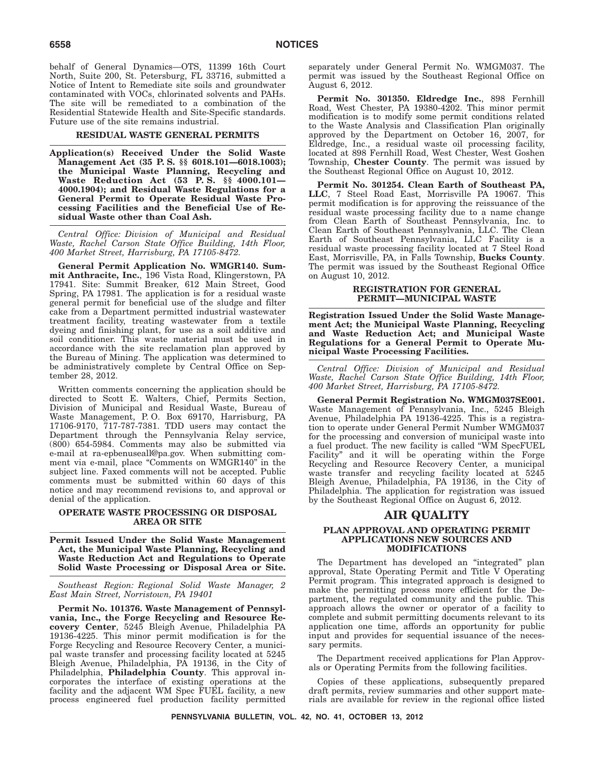behalf of General Dynamics—OTS, 11399 16th Court North, Suite 200, St. Petersburg, FL 33716, submitted a Notice of Intent to Remediate site soils and groundwater contaminated with VOCs, chlorinated solvents and PAHs. The site will be remediated to a combination of the Residential Statewide Health and Site-Specific standards. Future use of the site remains industrial.

## **RESIDUAL WASTE GENERAL PERMITS**

**Application(s) Received Under the Solid Waste Management Act (35 P. S. §§ 6018.101—6018.1003); the Municipal Waste Planning, Recycling and Waste Reduction Act (53 P. S. §§ 4000.101— 4000.1904); and Residual Waste Regulations for a General Permit to Operate Residual Waste Processing Facilities and the Beneficial Use of Residual Waste other than Coal Ash.**

*Central Office: Division of Municipal and Residual Waste, Rachel Carson State Office Building, 14th Floor, 400 Market Street, Harrisburg, PA 17105-8472.*

**General Permit Application No. WMGR140. Summit Anthracite, Inc.**, 196 Vista Road, Klingerstown, PA 17941. Site: Summit Breaker, 612 Main Street, Good Spring, PA 17981. The application is for a residual waste general permit for beneficial use of the sludge and filter cake from a Department permitted industrial wastewater treatment facility, treating wastewater from a textile dyeing and finishing plant, for use as a soil additive and soil conditioner. This waste material must be used in accordance with the site reclamation plan approved by the Bureau of Mining. The application was determined to be administratively complete by Central Office on September 28, 2012.

Written comments concerning the application should be directed to Scott E. Walters, Chief, Permits Section, Division of Municipal and Residual Waste, Bureau of Waste Management, P. O. Box 69170, Harrisburg, PA 17106-9170, 717-787-7381. TDD users may contact the Department through the Pennsylvania Relay service, (800) 654-5984. Comments may also be submitted via e-mail at ra-epbenuseall@pa.gov. When submitting comment via e-mail, place "Comments on WMGR140" in the subject line. Faxed comments will not be accepted. Public comments must be submitted within 60 days of this notice and may recommend revisions to, and approval or denial of the application.

## **OPERATE WASTE PROCESSING OR DISPOSAL AREA OR SITE**

**Permit Issued Under the Solid Waste Management Act, the Municipal Waste Planning, Recycling and Waste Reduction Act and Regulations to Operate Solid Waste Processing or Disposal Area or Site.**

*Southeast Region: Regional Solid Waste Manager, 2 East Main Street, Norristown, PA 19401*

**Permit No. 101376. Waste Management of Pennsylvania, Inc., the Forge Recycling and Resource Recovery Center**, 5245 Bleigh Avenue, Philadelphia PA 19136-4225. This minor permit modification is for the Forge Recycling and Resource Recovery Center, a municipal waste transfer and processing facility located at 5245 Bleigh Avenue, Philadelphia, PA 19136, in the City of Philadelphia, **Philadelphia County**. This approval incorporates the interface of existing operations at the facility and the adjacent WM Spec FUEL facility, a new process engineered fuel production facility permitted separately under General Permit No. WMGM037. The permit was issued by the Southeast Regional Office on August 6, 2012.

**Permit No. 301350. Eldredge Inc.**, 898 Fernhill Road, West Chester, PA 19380-4202. This minor permit modification is to modify some permit conditions related to the Waste Analysis and Classification Plan originally approved by the Department on October 16, 2007, for Eldredge, Inc., a residual waste oil processing facility, located at 898 Fernhill Road, West Chester, West Goshen Township, **Chester County**. The permit was issued by the Southeast Regional Office on August 10, 2012.

**Permit No. 301254. Clean Earth of Southeast PA, LLC**, 7 Steel Road East, Morrisville PA 19067. This permit modification is for approving the reissuance of the residual waste processing facility due to a name change from Clean Earth of Southeast Pennsylvania, Inc. to Clean Earth of Southeast Pennsylvania, LLC. The Clean Earth of Southeast Pennsylvania, LLC Facility is a residual waste processing facility located at 7 Steel Road East, Morrisville, PA, in Falls Township, **Bucks County**. The permit was issued by the Southeast Regional Office on August 10, 2012.

#### **REGISTRATION FOR GENERAL PERMIT—MUNICIPAL WASTE**

**Registration Issued Under the Solid Waste Management Act; the Municipal Waste Planning, Recycling and Waste Reduction Act; and Municipal Waste Regulations for a General Permit to Operate Municipal Waste Processing Facilities.**

*Central Office: Division of Municipal and Residual Waste, Rachel Carson State Office Building, 14th Floor, 400 Market Street, Harrisburg, PA 17105-8472.*

**General Permit Registration No. WMGM037SE001.** Waste Management of Pennsylvania, Inc., 5245 Bleigh Avenue, Philadelphia PA 19136-4225. This is a registration to operate under General Permit Number WMGM037 for the processing and conversion of municipal waste into a fuel product. The new facility is called ''WM SpecFUEL Facility'' and it will be operating within the Forge Recycling and Resource Recovery Center, a municipal waste transfer and recycling facility located at 5245 Bleigh Avenue, Philadelphia, PA 19136, in the City of Philadelphia. The application for registration was issued by the Southeast Regional Office on August 6, 2012.

# **AIR QUALITY**

#### **PLAN APPROVAL AND OPERATING PERMIT APPLICATIONS NEW SOURCES AND MODIFICATIONS**

The Department has developed an ''integrated'' plan approval, State Operating Permit and Title V Operating Permit program. This integrated approach is designed to make the permitting process more efficient for the Department, the regulated community and the public. This approach allows the owner or operator of a facility to complete and submit permitting documents relevant to its application one time, affords an opportunity for public input and provides for sequential issuance of the necessary permits.

The Department received applications for Plan Approvals or Operating Permits from the following facilities.

Copies of these applications, subsequently prepared draft permits, review summaries and other support materials are available for review in the regional office listed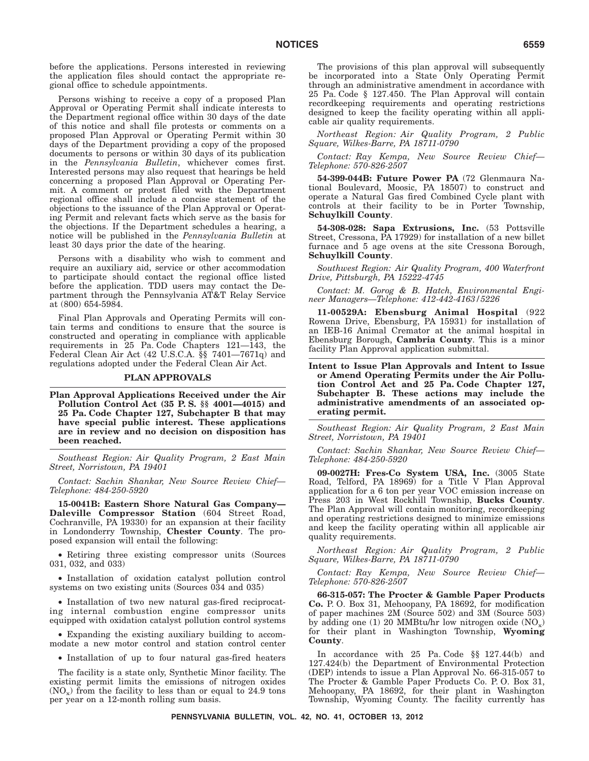before the applications. Persons interested in reviewing the application files should contact the appropriate regional office to schedule appointments.

Persons wishing to receive a copy of a proposed Plan Approval or Operating Permit shall indicate interests to the Department regional office within 30 days of the date of this notice and shall file protests or comments on a proposed Plan Approval or Operating Permit within 30 days of the Department providing a copy of the proposed documents to persons or within 30 days of its publication in the *Pennsylvania Bulletin*, whichever comes first. Interested persons may also request that hearings be held concerning a proposed Plan Approval or Operating Permit. A comment or protest filed with the Department regional office shall include a concise statement of the objections to the issuance of the Plan Approval or Operating Permit and relevant facts which serve as the basis for the objections. If the Department schedules a hearing, a notice will be published in the *Pennsylvania Bulletin* at least 30 days prior the date of the hearing.

Persons with a disability who wish to comment and require an auxiliary aid, service or other accommodation to participate should contact the regional office listed before the application. TDD users may contact the Department through the Pennsylvania AT&T Relay Service at (800) 654-5984.

Final Plan Approvals and Operating Permits will contain terms and conditions to ensure that the source is constructed and operating in compliance with applicable requirements in 25 Pa. Code Chapters 121—143, the Federal Clean Air Act (42 U.S.C.A. §§ 7401—7671q) and regulations adopted under the Federal Clean Air Act.

#### **PLAN APPROVALS**

**Plan Approval Applications Received under the Air Pollution Control Act (35 P. S. §§ 4001—4015) and 25 Pa. Code Chapter 127, Subchapter B that may have special public interest. These applications are in review and no decision on disposition has been reached.**

*Southeast Region: Air Quality Program, 2 East Main Street, Norristown, PA 19401*

*Contact: Sachin Shankar, New Source Review Chief— Telephone: 484-250-5920*

**15-0041B: Eastern Shore Natural Gas Company— Daleville Compressor Station** (604 Street Road, Cochranville, PA 19330) for an expansion at their facility in Londonderry Township, **Chester County**. The proposed expansion will entail the following:

• Retiring three existing compressor units (Sources 031, 032, and 033)

• Installation of oxidation catalyst pollution control systems on two existing units (Sources 034 and 035)

• Installation of two new natural gas-fired reciprocating internal combustion engine compressor units equipped with oxidation catalyst pollution control systems

• Expanding the existing auxiliary building to accommodate a new motor control and station control center

• Installation of up to four natural gas-fired heaters

The facility is a state only, Synthetic Minor facility. The existing permit limits the emissions of nitrogen oxides  $(NO_x)$  from the facility to less than or equal to 24.9 tons per year on a 12-month rolling sum basis.

The provisions of this plan approval will subsequently be incorporated into a State Only Operating Permit through an administrative amendment in accordance with 25 Pa. Code § 127.450. The Plan Approval will contain recordkeeping requirements and operating restrictions designed to keep the facility operating within all applicable air quality requirements.

*Northeast Region: Air Quality Program, 2 Public Square, Wilkes-Barre, PA 18711-0790*

*Contact: Ray Kempa, New Source Review Chief— Telephone: 570-826-2507*

**54-399-044B: Future Power PA** (72 Glenmaura National Boulevard, Moosic, PA 18507) to construct and operate a Natural Gas fired Combined Cycle plant with controls at their facility to be in Porter Township, **Schuylkill County**.

**54-308-028: Sapa Extrusions, Inc.** (53 Pottsville Street, Cressona, PA 17929) for installation of a new billet furnace and 5 age ovens at the site Cressona Borough, **Schuylkill County**.

*Southwest Region: Air Quality Program, 400 Waterfront Drive, Pittsburgh, PA 15222-4745*

*Contact: M. Gorog & B. Hatch, Environmental Engineer Managers—Telephone: 412-442-4163/5226*

**11-00529A: Ebensburg Animal Hospital** (922 Rowena Drive, Ebensburg, PA 15931) for installation of an IEB-16 Animal Cremator at the animal hospital in Ebensburg Borough, **Cambria County**. This is a minor facility Plan Approval application submittal.

**Intent to Issue Plan Approvals and Intent to Issue or Amend Operating Permits under the Air Pollution Control Act and 25 Pa. Code Chapter 127, Subchapter B. These actions may include the administrative amendments of an associated operating permit.**

*Southeast Region: Air Quality Program, 2 East Main Street, Norristown, PA 19401*

*Contact: Sachin Shankar, New Source Review Chief— Telephone: 484-250-5920*

**09-0027H: Fres-Co System USA, Inc.** (3005 State Road, Telford, PA 18969) for a Title V Plan Approval application for a 6 ton per year VOC emission increase on Press 203 in West Rockhill Township, **Bucks County**. The Plan Approval will contain monitoring, recordkeeping and operating restrictions designed to minimize emissions and keep the facility operating within all applicable air quality requirements.

*Northeast Region: Air Quality Program, 2 Public Square, Wilkes-Barre, PA 18711-0790*

*Contact: Ray Kempa, New Source Review Chief— Telephone: 570-826-2507*

**66-315-057: The Procter & Gamble Paper Products Co.** P. O. Box 31, Mehoopany, PA 18692, for modification of paper machines 2M (Source 502) and 3M (Source 503) by adding one (1) 20 MMBtu/hr low nitrogen oxide  $(NO_x)$ for their plant in Washington Township, **Wyoming County**.

In accordance with 25 Pa. Code §§ 127.44(b) and 127.424(b) the Department of Environmental Protection (DEP) intends to issue a Plan Approval No. 66-315-057 to The Procter & Gamble Paper Products Co. P. O. Box 31, Mehoopany, PA 18692, for their plant in Washington Township, Wyoming County. The facility currently has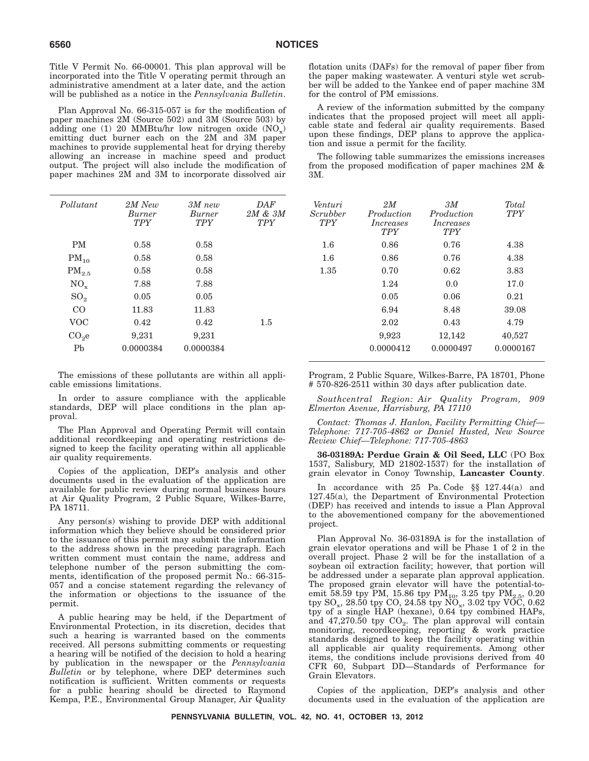Title V Permit No. 66-00001. This plan approval will be incorporated into the Title V operating permit through an administrative amendment at a later date, and the action will be published as a notice in the *Pennsylvania Bulletin*.

Plan Approval No. 66-315-057 is for the modification of paper machines 2M (Source 502) and 3M (Source 503) by adding one (1) 20 MMBtu/hr low nitrogen oxide  $(NO_x)$ emitting duct burner each on the 2M and 3M paper machines to provide supplemental heat for drying thereby allowing an increase in machine speed and product output. The project will also include the modification of paper machines 2M and 3M to incorporate dissolved air

| Pollutant         | 2M New<br><i>Burner</i><br><b>TPY</b> | $3M$ new<br><b>Burner</b><br><b>TPY</b> | <b>DAF</b><br>$2M \& 3M$<br><b>TPY</b> | Venturi<br>Scrubber<br><b>TPY</b> | 2M<br>Production<br><i>Increases</i><br><b>TPY</b> | 3M<br>Production<br><i>Increases</i><br><b>TPY</b> | Total<br><b>TPY</b> |
|-------------------|---------------------------------------|-----------------------------------------|----------------------------------------|-----------------------------------|----------------------------------------------------|----------------------------------------------------|---------------------|
| <b>PM</b>         | 0.58                                  | 0.58                                    |                                        | $1.6\,$                           | 0.86                                               | 0.76                                               | 4.38                |
| $PM_{10}$         | 0.58                                  | 0.58                                    |                                        | $1.6\,$                           | 0.86                                               | 0.76                                               | 4.38                |
| $PM_{2.5}$        | 0.58                                  | 0.58                                    |                                        | 1.35                              | 0.70                                               | 0.62                                               | 3.83                |
| $NO_{x}$          | 7.88                                  | 7.88                                    |                                        |                                   | 1.24                                               | 0.0                                                | 17.0                |
| SO <sub>2</sub>   | 0.05                                  | 0.05                                    |                                        |                                   | 0.05                                               | 0.06                                               | 0.21                |
| CO                | 11.83                                 | 11.83                                   |                                        |                                   | 6.94                                               | 8.48                                               | 39.08               |
| <b>VOC</b>        | 0.42                                  | 0.42                                    | $1.5\,$                                |                                   | 2.02                                               | 0.43                                               | 4.79                |
| CO <sub>2</sub> e | 9,231                                 | 9,231                                   |                                        |                                   | 9,923                                              | 12,142                                             | 40,527              |
| Pb                | 0.0000384                             | 0.0000384                               |                                        |                                   | 0.0000412                                          | 0.0000497                                          | 0.000016            |
|                   |                                       |                                         |                                        |                                   |                                                    |                                                    |                     |

The emissions of these pollutants are within all applicable emissions limitations.

In order to assure compliance with the applicable standards, DEP will place conditions in the plan approval.

The Plan Approval and Operating Permit will contain additional recordkeeping and operating restrictions designed to keep the facility operating within all applicable air quality requirements.

Copies of the application, DEP's analysis and other documents used in the evaluation of the application are available for public review during normal business hours at Air Quality Program, 2 Public Square, Wilkes-Barre, PA 18711.

Any person(s) wishing to provide DEP with additional information which they believe should be considered prior to the issuance of this permit may submit the information to the address shown in the preceding paragraph. Each written comment must contain the name, address and telephone number of the person submitting the comments, identification of the proposed permit No.: 66-315- 057 and a concise statement regarding the relevancy of the information or objections to the issuance of the permit.

A public hearing may be held, if the Department of Environmental Protection, in its discretion, decides that such a hearing is warranted based on the comments received. All persons submitting comments or requesting a hearing will be notified of the decision to hold a hearing by publication in the newspaper or the *Pennsylvania Bulletin* or by telephone, where DEP determines such notification is sufficient. Written comments or requests for a public hearing should be directed to Raymond Kempa, P.E., Environmental Group Manager, Air Quality

flotation units (DAFs) for the removal of paper fiber from the paper making wastewater. A venturi style wet scrubber will be added to the Yankee end of paper machine 3M for the control of PM emissions.

A review of the information submitted by the company indicates that the proposed project will meet all applicable state and federal air quality requirements. Based upon these findings, DEP plans to approve the application and issue a permit for the facility.

The following table summarizes the emissions increases from the proposed modification of paper machines 2M & 3M.

| lutant           | 2M New<br>Burner<br><b>TPY</b> | $3M$ new<br>Burner<br><b>TPY</b> | DAF<br>$2M \& 3M$<br><b>TPY</b> | Venturi<br>Scrubber<br><b>TPY</b> | 2M<br>Production<br><i>Increases</i><br><b>TPY</b> | 3M<br>Production<br><i>Increases</i><br><b>TPY</b> | Total<br><b>TPY</b> |
|------------------|--------------------------------|----------------------------------|---------------------------------|-----------------------------------|----------------------------------------------------|----------------------------------------------------|---------------------|
| PМ               | 0.58                           | 0.58                             |                                 | $1.6\,$                           | 0.86                                               | 0.76                                               | 4.38                |
| $M_{10}$         | 0.58                           | 0.58                             |                                 | $1.6\,$                           | 0.86                                               | 0.76                                               | 4.38                |
| $\rm M_{2.5}$    | 0.58                           | 0.58                             |                                 | 1.35                              | 0.70                                               | 0.62                                               | 3.83                |
| $NO_{\rm x}$     | 7.88                           | 7.88                             |                                 |                                   | 1.24                                               | 0.0                                                | 17.0                |
| 3O <sub>2</sub>  | 0.05                           | 0.05                             |                                 |                                   | 0.05                                               | 0.06                                               | 0.21                |
| CO               | 11.83                          | 11.83                            |                                 |                                   | 6.94                                               | 8.48                                               | 39.08               |
| OC <sup>T</sup>  | 0.42                           | 0.42                             | $1.5\,$                         |                                   | 2.02                                               | 0.43                                               | 4.79                |
| O <sub>2</sub> e | 9,231                          | 9,231                            |                                 |                                   | 9,923                                              | 12,142                                             | 40,527              |
| Pb               | 0.0000384                      | 0.0000384                        |                                 |                                   | 0.0000412                                          | 0.0000497                                          | 0.0000167           |
|                  |                                |                                  |                                 |                                   |                                                    |                                                    |                     |

Program, 2 Public Square, Wilkes-Barre, PA 18701, Phone # 570-826-2511 within 30 days after publication date.

*Southcentral Region: Air Quality Program, 909 Elmerton Avenue, Harrisburg, PA 17110*

*Contact: Thomas J. Hanlon, Facility Permitting Chief— Telephone: 717-705-4862 or Daniel Husted, New Source Review Chief—Telephone: 717-705-4863*

**36-03189A: Perdue Grain & Oil Seed, LLC** (PO Box 1537, Salisbury, MD 21802-1537) for the installation of grain elevator in Conoy Township, **Lancaster County**.

In accordance with 25 Pa. Code §§ 127.44(a) and 127.45(a), the Department of Environmental Protection (DEP) has received and intends to issue a Plan Approval to the abovementioned company for the abovementioned project.

Plan Approval No. 36-03189A is for the installation of grain elevator operations and will be Phase 1 of 2 in the overall project. Phase 2 will be for the installation of a soybean oil extraction facility; however, that portion will be addressed under a separate plan approval application. The proposed grain elevator will have the potential-toemit 58.59 tpy PM, 15.86 tpy  $\text{PM}_{10}$ , 3.25 tpy  $\text{PM}_{2.5}$ , 0.20  $\textrm{try SO}_x$ , 28.50  $\textrm{typ CO}$ , 24.58  $\textrm{typ NO}_x$ , 3.02  $\textrm{typ VOC}$ , 0.62 tpy of a single HAP (hexane), 0.64 tpy combined HAPs, and  $47,270.50$  tpy  $CO<sub>2</sub>$ . The plan approval will contain monitoring, recordkeeping, reporting & work practice standards designed to keep the facility operating within all applicable air quality requirements. Among other items, the conditions include provisions derived from 40 CFR 60, Subpart DD—Standards of Performance for Grain Elevators.

Copies of the application, DEP's analysis and other documents used in the evaluation of the application are

**PENNSYLVANIA BULLETIN, VOL. 42, NO. 41, OCTOBER 13, 2012**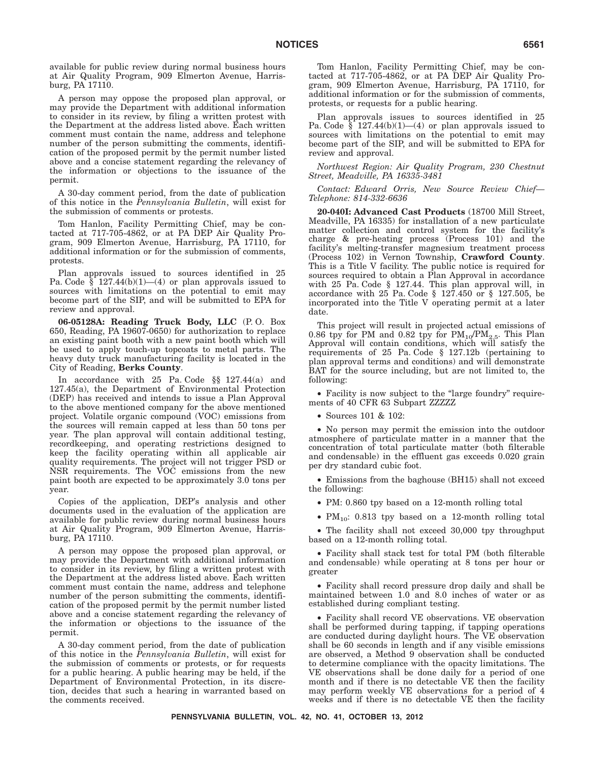available for public review during normal business hours at Air Quality Program, 909 Elmerton Avenue, Harrisburg, PA 17110.

A person may oppose the proposed plan approval, or may provide the Department with additional information to consider in its review, by filing a written protest with the Department at the address listed above. Each written comment must contain the name, address and telephone number of the person submitting the comments, identification of the proposed permit by the permit number listed above and a concise statement regarding the relevancy of the information or objections to the issuance of the permit.

A 30-day comment period, from the date of publication of this notice in the *Pennsylvania Bulletin*, will exist for the submission of comments or protests.

Tom Hanlon, Facility Permitting Chief, may be contacted at 717-705-4862, or at PA DEP Air Quality Program, 909 Elmerton Avenue, Harrisburg, PA 17110, for additional information or for the submission of comments, protests.

Plan approvals issued to sources identified in 25 Pa. Code  $\S$  127.44(b)(1)—(4) or plan approvals issued to sources with limitations on the potential to emit may become part of the SIP, and will be submitted to EPA for review and approval.

**06-05128A: Reading Truck Body, LLC** (P. O. Box 650, Reading, PA 19607-0650) for authorization to replace an existing paint booth with a new paint booth which will be used to apply touch-up topcoats to metal parts. The heavy duty truck manufacturing facility is located in the City of Reading, **Berks County**.

In accordance with 25 Pa. Code §§ 127.44(a) and 127.45(a), the Department of Environmental Protection (DEP) has received and intends to issue a Plan Approval to the above mentioned company for the above mentioned project. Volatile organic compound (VOC) emissions from the sources will remain capped at less than 50 tons per year. The plan approval will contain additional testing, recordkeeping, and operating restrictions designed to keep the facility operating within all applicable air quality requirements. The project will not trigger PSD or NSR requirements. The VOC emissions from the new paint booth are expected to be approximately 3.0 tons per year.

Copies of the application, DEP's analysis and other documents used in the evaluation of the application are available for public review during normal business hours at Air Quality Program, 909 Elmerton Avenue, Harrisburg, PA 17110.

A person may oppose the proposed plan approval, or may provide the Department with additional information to consider in its review, by filing a written protest with the Department at the address listed above. Each written comment must contain the name, address and telephone number of the person submitting the comments, identification of the proposed permit by the permit number listed above and a concise statement regarding the relevancy of the information or objections to the issuance of the permit.

A 30-day comment period, from the date of publication of this notice in the *Pennsylvania Bulletin*, will exist for the submission of comments or protests, or for requests for a public hearing. A public hearing may be held, if the Department of Environmental Protection, in its discretion, decides that such a hearing in warranted based on the comments received.

Tom Hanlon, Facility Permitting Chief, may be contacted at 717-705-4862, or at PA DEP Air Quality Program, 909 Elmerton Avenue, Harrisburg, PA 17110, for additional information or for the submission of comments, protests, or requests for a public hearing.

Plan approvals issues to sources identified in 25 Pa. Code  $\bar{\S}$  127.44(b)(1)—(4) or plan approvals issued to sources with limitations on the potential to emit may become part of the SIP, and will be submitted to EPA for review and approval.

*Northwest Region: Air Quality Program, 230 Chestnut Street, Meadville, PA 16335-3481*

*Contact: Edward Orris, New Source Review Chief— Telephone: 814-332-6636*

**20-040I: Advanced Cast Products** (18700 Mill Street, Meadville, PA 16335) for installation of a new particulate matter collection and control system for the facility's charge & pre-heating process (Process 101) and the facility's melting-transfer magnesium treatment process (Process 102) in Vernon Township, **Crawford County**. This is a Title V facility. The public notice is required for sources required to obtain a Plan Approval in accordance with 25 Pa. Code § 127.44. This plan approval will, in accordance with 25 Pa. Code § 127.450 or § 127.505, be incorporated into the Title V operating permit at a later date.

This project will result in projected actual emissions of 0.86 tpy for PM and 0.82 tpy for  $PM_{10}/PM_{2.5}$ . This Plan Approval will contain conditions, which will satisfy the requirements of 25 Pa. Code § 127.12b (pertaining to plan approval terms and conditions) and will demonstrate BAT for the source including, but are not limited to, the following:

• Facility is now subject to the "large foundry" requirements of 40 CFR 63 Subpart ZZZZZ

• Sources 101 & 102:

• No person may permit the emission into the outdoor atmosphere of particulate matter in a manner that the concentration of total particulate matter (both filterable and condensable) in the effluent gas exceeds 0.020 grain per dry standard cubic foot.

• Emissions from the baghouse (BH15) shall not exceed the following:

• PM: 0.860 tpy based on a 12-month rolling total

•  $PM_{10}$ : 0.813 tpy based on a 12-month rolling total

• The facility shall not exceed 30,000 tpy throughput based on a 12-month rolling total.

• Facility shall stack test for total PM (both filterable and condensable) while operating at 8 tons per hour or greater

• Facility shall record pressure drop daily and shall be maintained between 1.0 and 8.0 inches of water or as established during compliant testing.

• Facility shall record VE observations. VE observation shall be performed during tapping, if tapping operations are conducted during daylight hours. The VE observation shall be 60 seconds in length and if any visible emissions are observed, a Method 9 observation shall be conducted to determine compliance with the opacity limitations. The VE observations shall be done daily for a period of one month and if there is no detectable VE then the facility may perform weekly VE observations for a period of 4 weeks and if there is no detectable VE then the facility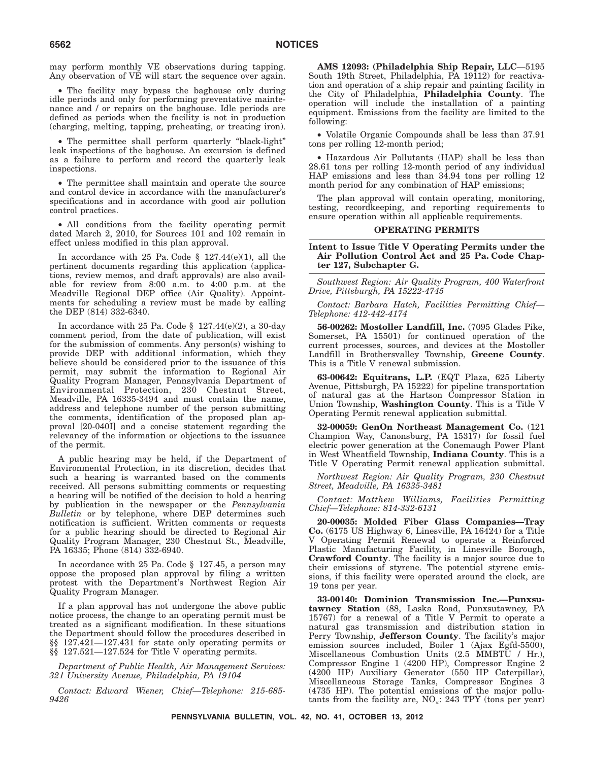may perform monthly VE observations during tapping. Any observation of VE will start the sequence over again.

• The facility may bypass the baghouse only during idle periods and only for performing preventative maintenance and / or repairs on the baghouse. Idle periods are defined as periods when the facility is not in production (charging, melting, tapping, preheating, or treating iron).

• The permittee shall perform quarterly ''black-light'' leak inspections of the baghouse. An excursion is defined as a failure to perform and record the quarterly leak inspections.

• The permittee shall maintain and operate the source and control device in accordance with the manufacturer's specifications and in accordance with good air pollution control practices.

• All conditions from the facility operating permit dated March 2, 2010, for Sources 101 and 102 remain in effect unless modified in this plan approval.

In accordance with 25 Pa. Code § 127.44(e)(1), all the pertinent documents regarding this application (applications, review memos, and draft approvals) are also available for review from 8:00 a.m. to 4:00 p.m. at the Meadville Regional DEP office (Air Quality). Appointments for scheduling a review must be made by calling the DEP (814) 332-6340.

In accordance with 25 Pa. Code  $\S$  127.44(e)(2), a 30-day comment period, from the date of publication, will exist for the submission of comments. Any person(s) wishing to provide DEP with additional information, which they believe should be considered prior to the issuance of this permit, may submit the information to Regional Air Quality Program Manager, Pennsylvania Department of Environmental Protection, 230 Chestnut Street, Meadville, PA 16335-3494 and must contain the name, address and telephone number of the person submitting the comments, identification of the proposed plan approval [20-040I] and a concise statement regarding the relevancy of the information or objections to the issuance of the permit.

A public hearing may be held, if the Department of Environmental Protection, in its discretion, decides that such a hearing is warranted based on the comments received. All persons submitting comments or requesting a hearing will be notified of the decision to hold a hearing by publication in the newspaper or the *Pennsylvania Bulletin* or by telephone, where DEP determines such notification is sufficient. Written comments or requests for a public hearing should be directed to Regional Air Quality Program Manager, 230 Chestnut St., Meadville, PA 16335; Phone (814) 332-6940.

In accordance with 25 Pa. Code § 127.45, a person may oppose the proposed plan approval by filing a written protest with the Department's Northwest Region Air Quality Program Manager.

If a plan approval has not undergone the above public notice process, the change to an operating permit must be treated as a significant modification. In these situations the Department should follow the procedures described in §§ 127.421—127.431 for state only operating permits or §§ 127.521—127.524 for Title V operating permits.

*Department of Public Health, Air Management Services: 321 University Avenue, Philadelphia, PA 19104*

*Contact: Edward Wiener, Chief—Telephone: 215-685- 9426*

**AMS 12093: (Philadelphia Ship Repair, LLC**—5195 South 19th Street, Philadelphia, PA 19112) for reactivation and operation of a ship repair and painting facility in the City of Philadelphia, **Philadelphia County**. The operation will include the installation of a painting equipment. Emissions from the facility are limited to the following:

• Volatile Organic Compounds shall be less than 37.91 tons per rolling 12-month period;

• Hazardous Air Pollutants (HAP) shall be less than 28.61 tons per rolling 12-month period of any individual HAP emissions and less than 34.94 tons per rolling 12 month period for any combination of HAP emissions;

The plan approval will contain operating, monitoring, testing, recordkeeping, and reporting requirements to ensure operation within all applicable requirements.

#### **OPERATING PERMITS**

## **Intent to Issue Title V Operating Permits under the Air Pollution Control Act and 25 Pa. Code Chapter 127, Subchapter G.**

*Southwest Region: Air Quality Program, 400 Waterfront Drive, Pittsburgh, PA 15222-4745*

*Contact: Barbara Hatch, Facilities Permitting Chief— Telephone: 412-442-4174*

**56-00262: Mostoller Landfill, Inc.** (7095 Glades Pike, Somerset, PA 15501) for continued operation of the current processes, sources, and devices at the Mostoller Landfill in Brothersvalley Township, **Greene County**. This is a Title V renewal submission.

**63-00642: Equitrans, L.P.** (EQT Plaza, 625 Liberty Avenue, Pittsburgh, PA 15222) for pipeline transportation of natural gas at the Hartson Compressor Station in Union Township, **Washington County**. This is a Title V Operating Permit renewal application submittal.

**32-00059: GenOn Northeast Management Co.** (121 Champion Way, Canonsburg, PA 15317) for fossil fuel electric power generation at the Conemaugh Power Plant in West Wheatfield Township, **Indiana County**. This is a Title V Operating Permit renewal application submittal.

*Northwest Region: Air Quality Program, 230 Chestnut Street, Meadville, PA 16335-3481*

*Contact: Matthew Williams, Facilities Permitting Chief—Telephone: 814-332-6131*

**20-00035: Molded Fiber Glass Companies—Tray Co.** (6175 US Highway 6, Linesville, PA 16424) for a Title V Operating Permit Renewal to operate a Reinforced Plastic Manufacturing Facility, in Linesville Borough, **Crawford County**. The facility is a major source due to their emissions of styrene. The potential styrene emissions, if this facility were operated around the clock, are 19 tons per year.

**33-00140: Dominion Transmission Inc.—Punxsutawney Station** (88, Laska Road, Punxsutawney, PA 15767) for a renewal of a Title V Permit to operate a natural gas transmission and distribution station in Perry Township, **Jefferson County**. The facility's major emission sources included, Boiler 1 (Ajax Egfd-5500), Miscellaneous Combustion Units (2.5 MMBTU / Hr.), Compressor Engine 1 (4200 HP), Compressor Engine 2 (4200 HP) Auxiliary Generator (550 HP Caterpillar), Miscellaneous Storage Tanks, Compressor Engines 3 (4735 HP). The potential emissions of the major pollutants from the facility are,  $NO_x$ : 243 TPY (tons per year)

**PENNSYLVANIA BULLETIN, VOL. 42, NO. 41, OCTOBER 13, 2012**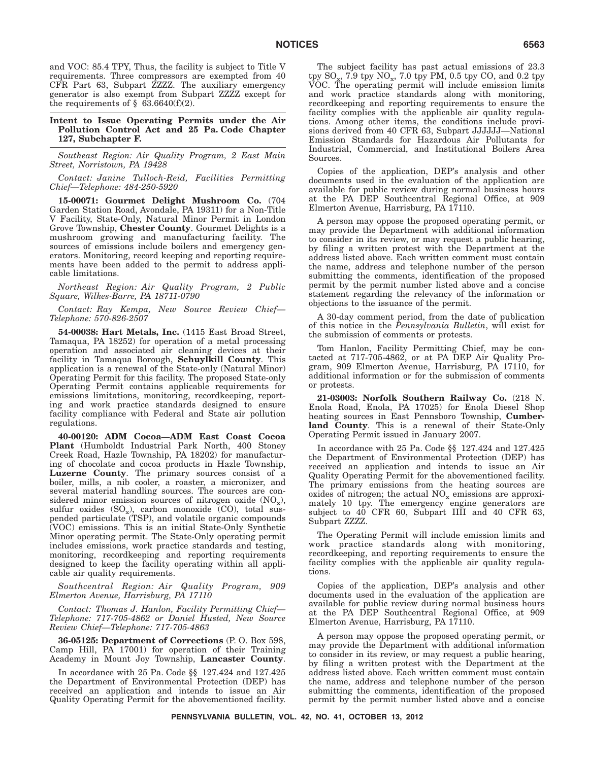and VOC: 85.4 TPY, Thus, the facility is subject to Title V requirements. Three compressors are exempted from 40 CFR Part 63, Subpart ZZZZ. The auxiliary emergency generator is also exempt from Subpart ZZZZ except for the requirements of  $\S$  63.6640(f)(2).

**Intent to Issue Operating Permits under the Air Pollution Control Act and 25 Pa. Code Chapter 127, Subchapter F.**

*Southeast Region: Air Quality Program, 2 East Main Street, Norristown, PA 19428*

*Contact: Janine Tulloch-Reid, Facilities Permitting Chief—Telephone: 484-250-5920*

**15-00071: Gourmet Delight Mushroom Co.** (704 Garden Station Road, Avondale, PA 19311) for a Non-Title V Facility, State-Only, Natural Minor Permit in London Grove Township, **Chester County**. Gourmet Delights is a mushroom growing and manufacturing facility. The sources of emissions include boilers and emergency generators. Monitoring, record keeping and reporting requirements have been added to the permit to address applicable limitations.

*Northeast Region: Air Quality Program, 2 Public Square, Wilkes-Barre, PA 18711-0790*

*Contact: Ray Kempa, New Source Review Chief— Telephone: 570-826-2507*

**54-00038: Hart Metals, Inc.** (1415 East Broad Street, Tamaqua, PA 18252) for operation of a metal processing operation and associated air cleaning devices at their facility in Tamaqua Borough, **Schuylkill County**. This application is a renewal of the State-only (Natural Minor) Operating Permit for this facility. The proposed State-only Operating Permit contains applicable requirements for emissions limitations, monitoring, recordkeeping, reporting and work practice standards designed to ensure facility compliance with Federal and State air pollution regulations.

**40-00120: ADM Cocoa—ADM East Coast Cocoa Plant** (Humboldt Industrial Park North, 400 Stoney Creek Road, Hazle Township, PA 18202) for manufacturing of chocolate and cocoa products in Hazle Township, **Luzerne County**. The primary sources consist of a boiler, mills, a nib cooler, a roaster, a micronizer, and several material handling sources. The sources are considered minor emission sources of nitrogen oxide  $(NO_x)$ , sulfur oxides  $(SO_x)$ , carbon monoxide  $(CO)$ , total suspended particulate (TSP), and volatile organic compounds (VOC) emissions. This is an initial State-Only Synthetic Minor operating permit. The State-Only operating permit includes emissions, work practice standards and testing, monitoring, recordkeeping and reporting requirements designed to keep the facility operating within all applicable air quality requirements.

*Southcentral Region: Air Quality Program, 909 Elmerton Avenue, Harrisburg, PA 17110*

*Contact: Thomas J. Hanlon, Facility Permitting Chief— Telephone: 717-705-4862 or Daniel Husted, New Source Review Chief—Telephone: 717-705-4863*

**36-05125: Department of Corrections** (P. O. Box 598, Camp Hill, PA 17001) for operation of their Training Academy in Mount Joy Township, **Lancaster County**.

In accordance with 25 Pa. Code §§ 127.424 and 127.425 the Department of Environmental Protection (DEP) has received an application and intends to issue an Air Quality Operating Permit for the abovementioned facility.

The subject facility has past actual emissions of 23.3 tpy  $\text{SO}_{\text{xx}}$ , 7.9 tpy  $\text{NO}_{\text{xx}}$ , 7.0 tpy PM, 0.5 tpy CO, and 0.2 tpy VOC. The operating permit will include emission limits and work practice standards along with monitoring, recordkeeping and reporting requirements to ensure the facility complies with the applicable air quality regulations. Among other items, the conditions include provisions derived from 40 CFR 63, Subpart JJJJJJ—National Emission Standards for Hazardous Air Pollutants for Industrial, Commercial, and Institutional Boilers Area Sources.

Copies of the application, DEP's analysis and other documents used in the evaluation of the application are available for public review during normal business hours at the PA DEP Southcentral Regional Office, at 909 Elmerton Avenue, Harrisburg, PA 17110.

A person may oppose the proposed operating permit, or may provide the Department with additional information to consider in its review, or may request a public hearing, by filing a written protest with the Department at the address listed above. Each written comment must contain the name, address and telephone number of the person submitting the comments, identification of the proposed permit by the permit number listed above and a concise statement regarding the relevancy of the information or objections to the issuance of the permit.

A 30-day comment period, from the date of publication of this notice in the *Pennsylvania Bulletin*, will exist for the submission of comments or protests.

Tom Hanlon, Facility Permitting Chief, may be contacted at 717-705-4862, or at PA DEP Air Quality Program, 909 Elmerton Avenue, Harrisburg, PA 17110, for additional information or for the submission of comments or protests.

**21-03003: Norfolk Southern Railway Co.** (218 N. Enola Road, Enola, PA 17025) for Enola Diesel Shop heating sources in East Pennsboro Township, **Cumberland County**. This is a renewal of their State-Only Operating Permit issued in January 2007.

In accordance with 25 Pa. Code §§ 127.424 and 127.425 the Department of Environmental Protection (DEP) has received an application and intends to issue an Air Quality Operating Permit for the abovementioned facility. The primary emissions from the heating sources are oxides of nitrogen; the actual  $NO_x$  emissions are approximately 10 tpy. The emergency engine generators are subject to 40 CFR 60, Subpart IIII and 40 CFR 63, Subpart ZZZZ.

The Operating Permit will include emission limits and work practice standards along with monitoring, recordkeeping, and reporting requirements to ensure the facility complies with the applicable air quality regulations.

Copies of the application, DEP's analysis and other documents used in the evaluation of the application are available for public review during normal business hours at the PA DEP Southcentral Regional Office, at 909 Elmerton Avenue, Harrisburg, PA 17110.

A person may oppose the proposed operating permit, or may provide the Department with additional information to consider in its review, or may request a public hearing, by filing a written protest with the Department at the address listed above. Each written comment must contain the name, address and telephone number of the person submitting the comments, identification of the proposed permit by the permit number listed above and a concise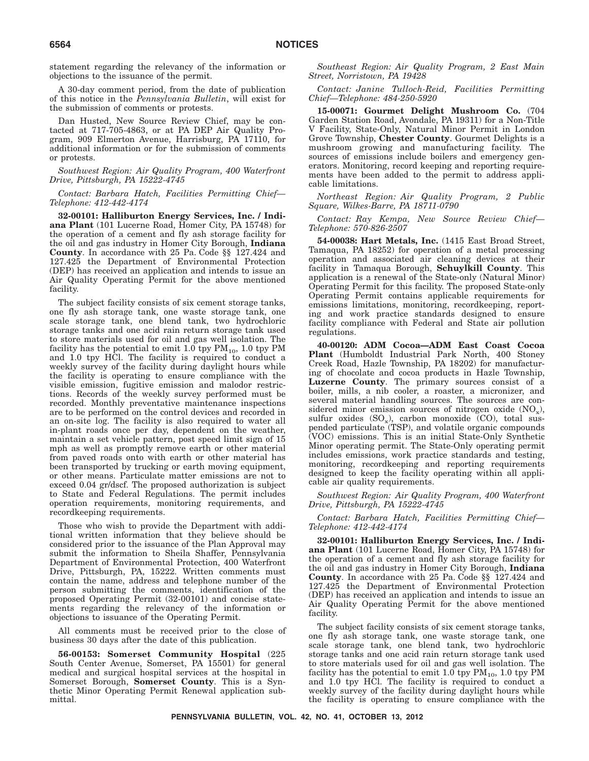statement regarding the relevancy of the information or objections to the issuance of the permit.

A 30-day comment period, from the date of publication of this notice in the *Pennsylvania Bulletin*, will exist for the submission of comments or protests.

Dan Husted, New Source Review Chief, may be contacted at 717-705-4863, or at PA DEP Air Quality Program, 909 Elmerton Avenue, Harrisburg, PA 17110, for additional information or for the submission of comments or protests.

*Southwest Region: Air Quality Program, 400 Waterfront Drive, Pittsburgh, PA 15222-4745*

*Contact: Barbara Hatch, Facilities Permitting Chief— Telephone: 412-442-4174*

**32-00101: Halliburton Energy Services, Inc. / Indiana Plant** (101 Lucerne Road, Homer City, PA 15748) for the operation of a cement and fly ash storage facility for the oil and gas industry in Homer City Borough, **Indiana County**. In accordance with 25 Pa. Code §§ 127.424 and 127.425 the Department of Environmental Protection (DEP) has received an application and intends to issue an Air Quality Operating Permit for the above mentioned facility.

The subject facility consists of six cement storage tanks, one fly ash storage tank, one waste storage tank, one scale storage tank, one blend tank, two hydrochloric storage tanks and one acid rain return storage tank used to store materials used for oil and gas well isolation. The facility has the potential to emit 1.0 tpy  $PM_{10}$ , 1.0 tpy PM and 1.0 tpy HCl. The facility is required to conduct a weekly survey of the facility during daylight hours while the facility is operating to ensure compliance with the visible emission, fugitive emission and malodor restrictions. Records of the weekly survey performed must be recorded. Monthly preventative maintenance inspections are to be performed on the control devices and recorded in an on-site log. The facility is also required to water all in-plant roads once per day, dependent on the weather, maintain a set vehicle pattern, post speed limit sign of 15 mph as well as promptly remove earth or other material from paved roads onto with earth or other material has been transported by trucking or earth moving equipment, or other means. Particulate matter emissions are not to exceed 0.04 gr/dscf. The proposed authorization is subject to State and Federal Regulations. The permit includes operation requirements, monitoring requirements, and recordkeeping requirements.

Those who wish to provide the Department with additional written information that they believe should be considered prior to the issuance of the Plan Approval may submit the information to Sheila Shaffer, Pennsylvania Department of Environmental Protection, 400 Waterfront Drive, Pittsburgh, PA, 15222. Written comments must contain the name, address and telephone number of the person submitting the comments, identification of the proposed Operating Permit (32-00101) and concise statements regarding the relevancy of the information or objections to issuance of the Operating Permit.

All comments must be received prior to the close of business 30 days after the date of this publication.

**56-00153: Somerset Community Hospital** (225 South Center Avenue, Somerset, PA 15501) for general medical and surgical hospital services at the hospital in Somerset Borough, **Somerset County**. This is a Synthetic Minor Operating Permit Renewal application submittal.

*Southeast Region: Air Quality Program, 2 East Main Street, Norristown, PA 19428*

*Contact: Janine Tulloch-Reid, Facilities Permitting Chief—Telephone: 484-250-5920*

**15-00071: Gourmet Delight Mushroom Co.** (704 Garden Station Road, Avondale, PA 19311) for a Non-Title V Facility, State-Only, Natural Minor Permit in London Grove Township, **Chester County**. Gourmet Delights is a mushroom growing and manufacturing facility. The sources of emissions include boilers and emergency generators. Monitoring, record keeping and reporting requirements have been added to the permit to address applicable limitations.

*Northeast Region: Air Quality Program, 2 Public Square, Wilkes-Barre, PA 18711-0790*

*Contact: Ray Kempa, New Source Review Chief— Telephone: 570-826-2507*

**54-00038: Hart Metals, Inc.** (1415 East Broad Street, Tamaqua, PA 18252) for operation of a metal processing operation and associated air cleaning devices at their facility in Tamaqua Borough, **Schuylkill County**. This application is a renewal of the State-only (Natural Minor) Operating Permit for this facility. The proposed State-only Operating Permit contains applicable requirements for emissions limitations, monitoring, recordkeeping, reporting and work practice standards designed to ensure facility compliance with Federal and State air pollution regulations.

**40-00120: ADM Cocoa—ADM East Coast Cocoa Plant** (Humboldt Industrial Park North, 400 Stoney Creek Road, Hazle Township, PA 18202) for manufacturing of chocolate and cocoa products in Hazle Township, **Luzerne County**. The primary sources consist of a boiler, mills, a nib cooler, a roaster, a micronizer, and several material handling sources. The sources are considered minor emission sources of nitrogen oxide  $(NO_x)$ , sulfur oxides  $(SO_x)$ , carbon monoxide  $(CO)$ , total suspended particulate (TSP), and volatile organic compounds (VOC) emissions. This is an initial State-Only Synthetic Minor operating permit. The State-Only operating permit includes emissions, work practice standards and testing, monitoring, recordkeeping and reporting requirements designed to keep the facility operating within all applicable air quality requirements.

*Southwest Region: Air Quality Program, 400 Waterfront Drive, Pittsburgh, PA 15222-4745*

*Contact: Barbara Hatch, Facilities Permitting Chief— Telephone: 412-442-4174*

**32-00101: Halliburton Energy Services, Inc. / Indiana Plant** (101 Lucerne Road, Homer City, PA 15748) for the operation of a cement and fly ash storage facility for the oil and gas industry in Homer City Borough, **Indiana County**. In accordance with 25 Pa. Code §§ 127.424 and 127.425 the Department of Environmental Protection (DEP) has received an application and intends to issue an Air Quality Operating Permit for the above mentioned facility.

The subject facility consists of six cement storage tanks, one fly ash storage tank, one waste storage tank, one scale storage tank, one blend tank, two hydrochloric storage tanks and one acid rain return storage tank used to store materials used for oil and gas well isolation. The facility has the potential to emit 1.0 tpy  $PM_{10}$ , 1.0 tpy PM and 1.0 tpy HCl. The facility is required to conduct a weekly survey of the facility during daylight hours while the facility is operating to ensure compliance with the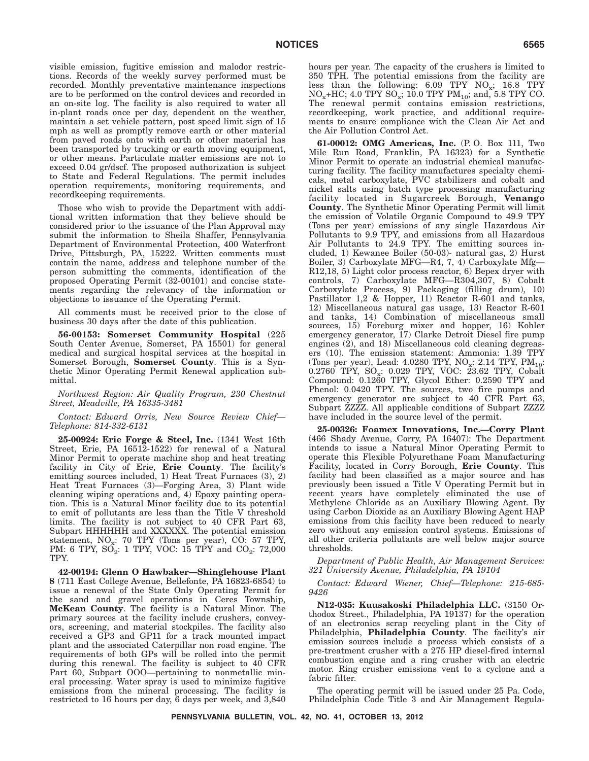visible emission, fugitive emission and malodor restrictions. Records of the weekly survey performed must be recorded. Monthly preventative maintenance inspections are to be performed on the control devices and recorded in an on-site log. The facility is also required to water all in-plant roads once per day, dependent on the weather, maintain a set vehicle pattern, post speed limit sign of 15 mph as well as promptly remove earth or other material from paved roads onto with earth or other material has been transported by trucking or earth moving equipment, or other means. Particulate matter emissions are not to exceed 0.04 gr/dscf. The proposed authorization is subject to State and Federal Regulations. The permit includes operation requirements, monitoring requirements, and recordkeeping requirements.

Those who wish to provide the Department with additional written information that they believe should be considered prior to the issuance of the Plan Approval may submit the information to Sheila Shaffer, Pennsylvania Department of Environmental Protection, 400 Waterfront Drive, Pittsburgh, PA, 15222. Written comments must contain the name, address and telephone number of the person submitting the comments, identification of the proposed Operating Permit (32-00101) and concise statements regarding the relevancy of the information or objections to issuance of the Operating Permit.

All comments must be received prior to the close of business 30 days after the date of this publication.

**56-00153: Somerset Community Hospital** (225 South Center Avenue, Somerset, PA 15501) for general medical and surgical hospital services at the hospital in Somerset Borough, **Somerset County**. This is a Synthetic Minor Operating Permit Renewal application submittal.

*Northwest Region: Air Quality Program, 230 Chestnut Street, Meadville, PA 16335-3481*

*Contact: Edward Orris, New Source Review Chief— Telephone: 814-332-6131*

**25-00924: Erie Forge & Steel, Inc.** (1341 West 16th Street, Erie, PA 16512-1522) for renewal of a Natural Minor Permit to operate machine shop and heat treating facility in City of Erie, **Erie County**. The facility's emitting sources included, 1) Heat Treat Furnaces (3), 2) Heat Treat Furnaces (3)—Forging Area, 3) Plant wide cleaning wiping operations and, 4) Epoxy painting operation. This is a Natural Minor facility due to its potential to emit of pollutants are less than the Title V threshold limits. The facility is not subject to 40 CFR Part 63, Subpart HHHHHH and XXXXXX. The potential emission statement,  $NO_x$ : 70 TPY (Tons per year), CO: 57 TPY, PM: 6 TPY,  $SO_2$ : 1 TPY, VOC: 15 TPY and  $CO_2$ : 72,000 TPY.

**42-00194: Glenn O Hawbaker—Shinglehouse Plant 8** (711 East College Avenue, Bellefonte, PA 16823-6854) to issue a renewal of the State Only Operating Permit for the sand and gravel operations in Ceres Township, **McKean County**. The facility is a Natural Minor. The primary sources at the facility include crushers, conveyors, screening, and material stockpiles. The facility also received a GP3 and GP11 for a track mounted impact plant and the associated Caterpillar non road engine. The requirements of both GPs will be rolled into the permit during this renewal. The facility is subject to 40 CFR Part  $60$ , Subpart OOO—pertaining to nonmetallic mineral processing. Water spray is used to minimize fugitive emissions from the mineral processing. The facility is restricted to 16 hours per day, 6 days per week, and 3,840 hours per year. The capacity of the crushers is limited to 350 TPH. The potential emissions from the facility are less than the following:  $6.09$  TPY  $NO_x$ ;  $16.8$  TPY  $NO_x+HC$ ; 4.0 TPY  $SO_x$ ; 10.0 TPY PM<sub>10</sub>; and, 5.8 TPY CO. The renewal permit contains emission restrictions, recordkeeping, work practice, and additional requirements to ensure compliance with the Clean Air Act and the Air Pollution Control Act.

**61-00012: OMG Americas, Inc.** (P. O. Box 111, Two Mile Run Road, Franklin, PA 16323) for a Synthetic Minor Permit to operate an industrial chemical manufacturing facility. The facility manufactures specialty chemicals, metal carboxylate, PVC stabilizers and cobalt and nickel salts using batch type processing manufacturing facility located in Sugarcreek Borough, **Venango County**. The Synthetic Minor Operating Permit will limit the emission of Volatile Organic Compound to 49.9 TPY (Tons per year) emissions of any single Hazardous Air Pollutants to 9.9 TPY, and emissions from all Hazardous Air Pollutants to 24.9 TPY. The emitting sources included, 1) Kewanee Boiler (50-03)- natural gas, 2) Hurst Boiler, 3) Carboxylate MFG—R4, 7, 4) Carboxylate Mfg— R12,18, 5) Light color process reactor, 6) Bepex dryer with controls, 7) Carboxylate MFG—R304,307, 8) Cobalt Carboxylate Process, 9) Packaging (filling drum), 10) Pastillator 1,2 & Hopper, 11) Reactor R-601 and tanks, 12) Miscellaneous natural gas usage, 13) Reactor R-601 and tanks, 14) Combination of miscellaneous small sources, 15) Foreburg mixer and hopper, 16) Kohler emergency generator, 17) Clarke Detroit Diesel fire pump engines (2), and 18) Miscellaneous cold cleaning degreasers (10). The emission statement: Ammonia: 1.39 TPY (Tons per year), Lead: 4.0280 TPY,  $NO_x$ : 2.14 TPY,  $PM_{10}$ : 0.2760 TPY,  $SO_x$ : 0.029 TPY, VOC: 23.62 TPY, Cobalt Compound: 0.1260 TPY, Glycol Ether: 0.2590 TPY and Phenol: 0.0420 TPY. The sources, two fire pumps and emergency generator are subject to 40 CFR Part 63, Subpart ZZZZ. All applicable conditions of Subpart ZZZZ have included in the source level of the permit.

**25-00326: Foamex Innovations, Inc.—Corry Plant** (466 Shady Avenue, Corry, PA 16407): The Department intends to issue a Natural Minor Operating Permit to operate this Flexible Polyurethane Foam Manufacturing Facility, located in Corry Borough, **Erie County**. This facility had been classified as a major source and has previously been issued a Title V Operating Permit but in recent years have completely eliminated the use of Methylene Chloride as an Auxiliary Blowing Agent. By using Carbon Dioxide as an Auxiliary Blowing Agent HAP emissions from this facility have been reduced to nearly zero without any emission control systems. Emissions of all other criteria pollutants are well below major source thresholds.

*Department of Public Health, Air Management Services: 321 University Avenue, Philadelphia, PA 19104*

*Contact: Edward Wiener, Chief—Telephone: 215-685- 9426*

**N12-035: Kuusakoski Philadelphia LLC.** (3150 Orthodox Street., Philadelphia, PA 19137) for the operation of an electronics scrap recycling plant in the City of Philadelphia, **Philadelphia County**. The facility's air emission sources include a process which consists of a pre-treatment crusher with a 275 HP diesel-fired internal combustion engine and a ring crusher with an electric motor. Ring crusher emissions vent to a cyclone and a fabric filter.

The operating permit will be issued under 25 Pa. Code, Philadelphia Code Title 3 and Air Management Regula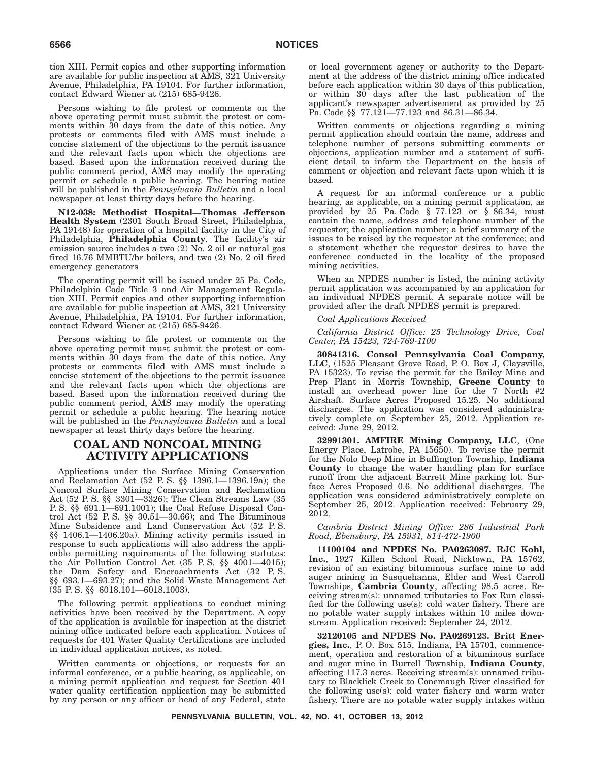tion XIII. Permit copies and other supporting information are available for public inspection at AMS, 321 University Avenue, Philadelphia, PA 19104. For further information, contact Edward Wiener at (215) 685-9426.

Persons wishing to file protest or comments on the above operating permit must submit the protest or comments within 30 days from the date of this notice. Any protests or comments filed with AMS must include a concise statement of the objections to the permit issuance and the relevant facts upon which the objections are based. Based upon the information received during the public comment period, AMS may modify the operating permit or schedule a public hearing. The hearing notice will be published in the *Pennsylvania Bulletin* and a local newspaper at least thirty days before the hearing.

**N12-038: Methodist Hospital—Thomas Jefferson Health System** (2301 South Broad Street, Philadelphia, PA 19148) for operation of a hospital facility in the City of Philadelphia, **Philadelphia County**. The facility's air emission source includes a two (2) No. 2 oil or natural gas fired 16.76 MMBTU/hr boilers, and two (2) No. 2 oil fired emergency generators

The operating permit will be issued under 25 Pa. Code, Philadelphia Code Title 3 and Air Management Regulation XIII. Permit copies and other supporting information are available for public inspection at AMS, 321 University Avenue, Philadelphia, PA 19104. For further information, contact Edward Wiener at (215) 685-9426.

Persons wishing to file protest or comments on the above operating permit must submit the protest or comments within 30 days from the date of this notice. Any protests or comments filed with AMS must include a concise statement of the objections to the permit issuance and the relevant facts upon which the objections are based. Based upon the information received during the public comment period, AMS may modify the operating permit or schedule a public hearing. The hearing notice will be published in the *Pennsylvania Bulletin* and a local newspaper at least thirty days before the hearing.

# **COAL AND NONCOAL MINING ACTIVITY APPLICATIONS**

Applications under the Surface Mining Conservation and Reclamation Act (52 P. S. §§ 1396.1—1396.19a); the Noncoal Surface Mining Conservation and Reclamation Act (52 P. S. §§ 3301—3326); The Clean Streams Law (35 P. S. §§ 691.1—691.1001); the Coal Refuse Disposal Control Act (52 P. S. §§ 30.51—30.66); and The Bituminous Mine Subsidence and Land Conservation Act (52 P. S. §§ 1406.1—1406.20a). Mining activity permits issued in response to such applications will also address the applicable permitting requirements of the following statutes: the Air Pollution Control Act (35 P. S. §§ 4001—4015); the Dam Safety and Encroachments Act (32 P. S. §§ 693.1—693.27); and the Solid Waste Management Act (35 P. S. §§ 6018.101—6018.1003).

The following permit applications to conduct mining activities have been received by the Department. A copy of the application is available for inspection at the district mining office indicated before each application. Notices of requests for 401 Water Quality Certifications are included in individual application notices, as noted.

Written comments or objections, or requests for an informal conference, or a public hearing, as applicable, on a mining permit application and request for Section 401 water quality certification application may be submitted by any person or any officer or head of any Federal, state or local government agency or authority to the Department at the address of the district mining office indicated before each application within 30 days of this publication, or within 30 days after the last publication of the applicant's newspaper advertisement as provided by 25 Pa. Code §§ 77.121—77.123 and 86.31—86.34.

Written comments or objections regarding a mining permit application should contain the name, address and telephone number of persons submitting comments or objections, application number and a statement of sufficient detail to inform the Department on the basis of comment or objection and relevant facts upon which it is based.

A request for an informal conference or a public hearing, as applicable, on a mining permit application, as provided by  $25$  Pa. Code § 77.123 or § 86.34, must contain the name, address and telephone number of the requestor; the application number; a brief summary of the issues to be raised by the requestor at the conference; and a statement whether the requestor desires to have the conference conducted in the locality of the proposed mining activities.

When an NPDES number is listed, the mining activity permit application was accompanied by an application for an individual NPDES permit. A separate notice will be provided after the draft NPDES permit is prepared.

## *Coal Applications Received*

*California District Office: 25 Technology Drive, Coal Center, PA 15423, 724-769-1100*

**30841316. Consol Pennsylvania Coal Company, LLC**, (1525 Pleasant Grove Road, P. O. Box J, Claysville, PA 15323). To revise the permit for the Bailey Mine and Prep Plant in Morris Township, **Greene County** to install an overhead power line for the 7 North #2 Airshaft. Surface Acres Proposed 15.25. No additional discharges. The application was considered administratively complete on September 25, 2012. Application received: June 29, 2012.

**32991301. AMFIRE Mining Company, LLC**, (One Energy Place, Latrobe, PA 15650). To revise the permit for the Nolo Deep Mine in Buffington Township, **Indiana County** to change the water handling plan for surface runoff from the adjacent Barrett Mine parking lot. Surface Acres Proposed 0.6. No additional discharges. The application was considered administratively complete on September 25, 2012. Application received: February 29, 2012.

*Cambria District Mining Office: 286 Industrial Park Road, Ebensburg, PA 15931, 814-472-1900*

**11100104 and NPDES No. PA0263087. RJC Kohl, Inc.**, 1927 Killen School Road, Nicktown, PA 15762, revision of an existing bituminous surface mine to add auger mining in Susquehanna, Elder and West Carroll Townships, **Cambria County**, affecting 98.5 acres. Receiving stream(s): unnamed tributaries to Fox Run classified for the following use(s): cold water fishery. There are no potable water supply intakes within 10 miles downstream. Application received: September 24, 2012.

**32120105 and NPDES No. PA0269123. Britt Energies, Inc.**, P. O. Box 515, Indiana, PA 15701, commencement, operation and restoration of a bituminous surface and auger mine in Burrell Township, **Indiana County**, affecting 117.3 acres. Receiving stream(s): unnamed tributary to Blacklick Creek to Conemaugh River classified for the following use(s): cold water fishery and warm water fishery. There are no potable water supply intakes within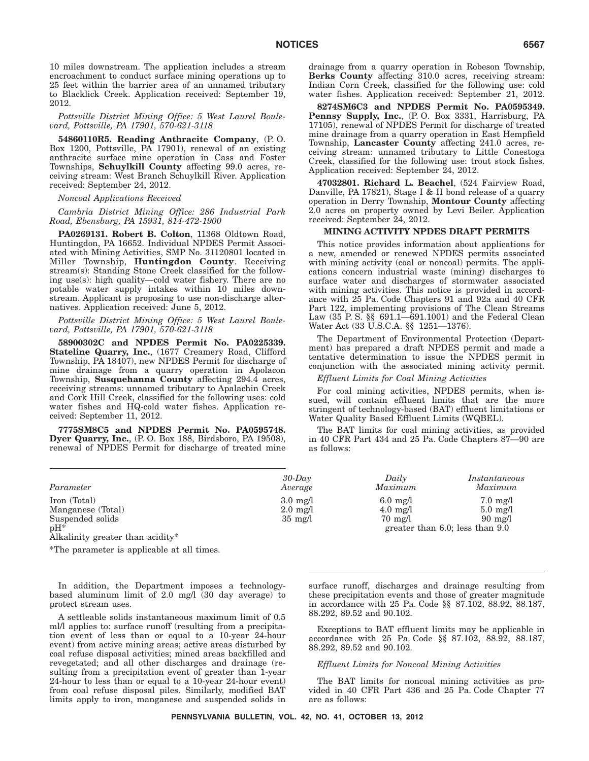10 miles downstream. The application includes a stream encroachment to conduct surface mining operations up to 25 feet within the barrier area of an unnamed tributary to Blacklick Creek. Application received: September 19, 2012.

*Pottsville District Mining Office: 5 West Laurel Boulevard, Pottsville, PA 17901, 570-621-3118*

**54860110R5. Reading Anthracite Company**, (P. O. Box 1200, Pottsville, PA 17901), renewal of an existing anthracite surface mine operation in Cass and Foster Townships, **Schuylkill County** affecting 99.0 acres, receiving stream: West Branch Schuylkill River. Application received: September 24, 2012.

*Noncoal Applications Received*

*Cambria District Mining Office: 286 Industrial Park Road, Ebensburg, PA 15931, 814-472-1900*

**PA0269131. Robert B. Colton**, 11368 Oldtown Road, Huntingdon, PA 16652. Individual NPDES Permit Associated with Mining Activities, SMP No. 31120801 located in Miller Township, **Huntingdon County**. Receiving stream(s): Standing Stone Creek classified for the following use(s): high quality—cold water fishery. There are no potable water supply intakes within 10 miles downstream. Applicant is proposing to use non-discharge alternatives. Application received: June 5, 2012.

*Pottsville District Mining Office: 5 West Laurel Boulevard, Pottsville, PA 17901, 570-621-3118*

**58900302C and NPDES Permit No. PA0225339. Stateline Quarry, Inc.**, (1677 Creamery Road, Clifford Township, PA 18407), new NPDES Permit for discharge of mine drainage from a quarry operation in Apolacon Township, **Susquehanna County** affecting 294.4 acres, receiving streams: unnamed tributary to Apalachin Creek and Cork Hill Creek, classified for the following uses: cold water fishes and HQ-cold water fishes. Application received: September 11, 2012.

**7775SM8C5 and NPDES Permit No. PA0595748. Dyer Quarry, Inc.**, (P. O. Box 188, Birdsboro, PA 19508), renewal of NPDES Permit for discharge of treated mine drainage from a quarry operation in Robeson Township, **Berks County** affecting 310.0 acres, receiving stream: Indian Corn Creek, classified for the following use: cold water fishes. Application received: September 21, 2012.

**8274SM6C3 and NPDES Permit No. PA0595349. Pennsy Supply, Inc.**, (P. O. Box 3331, Harrisburg, PA 17105), renewal of NPDES Permit for discharge of treated mine drainage from a quarry operation in East Hempfield Township, **Lancaster County** affecting 241.0 acres, receiving stream: unnamed tributary to Little Conestoga Creek, classified for the following use: trout stock fishes. Application received: September 24, 2012.

**47032801. Richard L. Beachel**, (524 Fairview Road, Danville, PA 17821), Stage I & II bond release of a quarry operation in Derry Township, **Montour County** affecting 2.0 acres on property owned by Levi Beiler. Application received: September 24, 2012.

## **MINING ACTIVITY NPDES DRAFT PERMITS**

This notice provides information about applications for a new, amended or renewed NPDES permits associated with mining activity (coal or noncoal) permits. The applications concern industrial waste (mining) discharges to surface water and discharges of stormwater associated with mining activities. This notice is provided in accordance with 25 Pa. Code Chapters 91 and 92a and 40 CFR Part 122, implementing provisions of The Clean Streams Law (35 P. S. §§ 691.1—691.1001) and the Federal Clean Water Act (33 U.S.C.A. §§ 1251—1376).

The Department of Environmental Protection (Department) has prepared a draft NPDES permit and made a tentative determination to issue the NPDES permit in conjunction with the associated mining activity permit.

#### *Effluent Limits for Coal Mining Activities*

For coal mining activities, NPDES permits, when issued, will contain effluent limits that are the more stringent of technology-based (BAT) effluent limitations or Water Quality Based Effluent Limits (WQBEL).

The BAT limits for coal mining activities, as provided in 40 CFR Part 434 and 25 Pa. Code Chapters 87—90 are as follows:

| Parameter         | $30$ -Day<br>Average | Daily<br>Maximum   | Instantaneous<br>Maximum             |
|-------------------|----------------------|--------------------|--------------------------------------|
| Iron (Total)      | $3.0 \text{ mg}/1$   | $6.0 \text{ mg}/1$ | $7.0 \text{ mg}/1$                   |
| Manganese (Total) | $2.0 \text{ mg}/1$   | $4.0 \text{ mg}/1$ | $5.0 \text{ mg}/l$                   |
| Suspended solids  | $35 \text{ mg}/1$    | $70 \text{ mg}/1$  | $90 \text{ mg}/1$                    |
| $pH^*$            |                      |                    | greater than $6.0$ ; less than $9.0$ |

Alkalinity greater than acidity\*

\*The parameter is applicable at all times.

In addition, the Department imposes a technologybased aluminum limit of 2.0 mg/l (30 day average) to protect stream uses.

A settleable solids instantaneous maximum limit of 0.5 ml/l applies to: surface runoff (resulting from a precipitation event of less than or equal to a 10-year 24-hour event) from active mining areas; active areas disturbed by coal refuse disposal activities; mined areas backfilled and revegetated; and all other discharges and drainage (resulting from a precipitation event of greater than 1-year 24-hour to less than or equal to a 10-year 24-hour event) from coal refuse disposal piles. Similarly, modified BAT limits apply to iron, manganese and suspended solids in surface runoff, discharges and drainage resulting from these precipitation events and those of greater magnitude in accordance with 25 Pa. Code §§ 87.102, 88.92, 88.187, 88.292, 89.52 and 90.102.

Exceptions to BAT effluent limits may be applicable in accordance with 25 Pa. Code §§ 87.102, 88.92, 88.187, 88.292, 89.52 and 90.102.

# *Effluent Limits for Noncoal Mining Activities*

The BAT limits for noncoal mining activities as provided in 40 CFR Part 436 and 25 Pa. Code Chapter 77 are as follows:

**PENNSYLVANIA BULLETIN, VOL. 42, NO. 41, OCTOBER 13, 2012**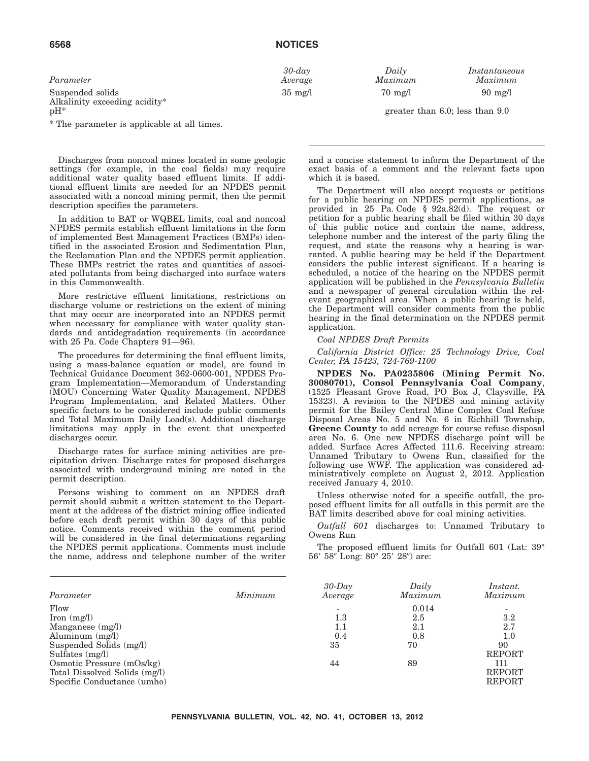| 6568 | <b>NOTICES</b> |
|------|----------------|
|      |                |

| Parameter               | $30$ -day         | Daily             | Instantaneo       |
|-------------------------|-------------------|-------------------|-------------------|
|                         | Average           | Maximum           | Maximum           |
| Suspended solids<br>___ | $35 \text{ mg}/1$ | $70 \text{ mg}/1$ | $90 \text{ mg}/1$ |

Alkalinity exceeding acidity\*  $pH^*$ 

\* The parameter is applicable at all times.

Discharges from noncoal mines located in some geologic settings (for example, in the coal fields) may require additional water quality based effluent limits. If additional effluent limits are needed for an NPDES permit associated with a noncoal mining permit, then the permit description specifies the parameters.

In addition to BAT or WQBEL limits, coal and noncoal NPDES permits establish effluent limitations in the form of implemented Best Management Practices (BMPs) identified in the associated Erosion and Sedimentation Plan, the Reclamation Plan and the NPDES permit application. These BMPs restrict the rates and quantities of associated pollutants from being discharged into surface waters in this Commonwealth.

More restrictive effluent limitations, restrictions on discharge volume or restrictions on the extent of mining that may occur are incorporated into an NPDES permit when necessary for compliance with water quality standards and antidegradation requirements (in accordance with 25 Pa. Code Chapters 91—96).

The procedures for determining the final effluent limits, using a mass-balance equation or model, are found in Technical Guidance Document 362-0600-001, NPDES Program Implementation—Memorandum of Understanding (MOU) Concerning Water Quality Management, NPDES Program Implementation, and Related Matters. Other specific factors to be considered include public comments and Total Maximum Daily Load(s). Additional discharge limitations may apply in the event that unexpected discharges occur.

Discharge rates for surface mining activities are precipitation driven. Discharge rates for proposed discharges associated with underground mining are noted in the permit description.

Persons wishing to comment on an NPDES draft permit should submit a written statement to the Department at the address of the district mining office indicated before each draft permit within 30 days of this public notice. Comments received within the comment period will be considered in the final determinations regarding the NPDES permit applications. Comments must include the name, address and telephone number of the writer greater than 6.0; less than  $9.0$ 

*30-day Daily Instantaneous*

and a concise statement to inform the Department of the exact basis of a comment and the relevant facts upon which it is based.

The Department will also accept requests or petitions for a public hearing on NPDES permit applications, as provided in 25 Pa. Code § 92a.82(d). The request or petition for a public hearing shall be filed within 30 days of this public notice and contain the name, address, telephone number and the interest of the party filing the request, and state the reasons why a hearing is warranted. A public hearing may be held if the Department considers the public interest significant. If a hearing is scheduled, a notice of the hearing on the NPDES permit application will be published in the *Pennsylvania Bulletin* and a newspaper of general circulation within the relevant geographical area. When a public hearing is held, the Department will consider comments from the public hearing in the final determination on the NPDES permit application.

*Coal NPDES Draft Permits*

*California District Office: 25 Technology Drive, Coal Center, PA 15423, 724-769-1100*

**NPDES No. PA0235806 (Mining Permit No. 30080701), Consol Pennsylvania Coal Company**, (1525 Pleasant Grove Road, PO Box J, Claysville, PA 15323). A revision to the NPDES and mining activity permit for the Bailey Central Mine Complex Coal Refuse Disposal Areas No. 5 and No. 6 in Richhill Township, **Greene County** to add acreage for course refuse disposal area No. 6. One new NPDES discharge point will be added. Surface Acres Affected 111.6. Receiving stream: Unnamed Tributary to Owens Run, classified for the following use WWF. The application was considered administratively complete on August 2, 2012. Application received January 4, 2010.

Unless otherwise noted for a specific outfall, the proposed effluent limits for all outfalls in this permit are the BAT limits described above for coal mining activities.

*Outfall 601* discharges to: Unnamed Tributary to Owens Run

The proposed effluent limits for Outfall 601 (Lat: 39° 56′ 58″ Long: 80° 25′ 28″) are:

| Parameter                     | Minimum | $30$ -Day<br>Average | Daily<br>Maximum | <i>Instant.</i><br>Maximum |
|-------------------------------|---------|----------------------|------------------|----------------------------|
| Flow                          |         |                      | 0.014            |                            |
| Iron $(mg/l)$                 |         | $1.3\,$              | 2.5              | $3.2\,$                    |
| Manganese $(mg/l)$            |         | 1.1                  | 2.1              | 2.7                        |
| Aluminum $(mg/l)$             |         | 0.4                  | 0.8              | $1.0\,$                    |
| Suspended Solids (mg/l)       |         | 35                   | 70               | 90                         |
| Sulfates $(mg/l)$             |         |                      |                  | <b>REPORT</b>              |
| Osmotic Pressure $(mOs/kg)$   |         | 44                   | 89               | 111                        |
| Total Dissolved Solids (mg/l) |         |                      |                  | <b>REPORT</b>              |
| Specific Conductance (umho)   |         |                      |                  | <b>REPORT</b>              |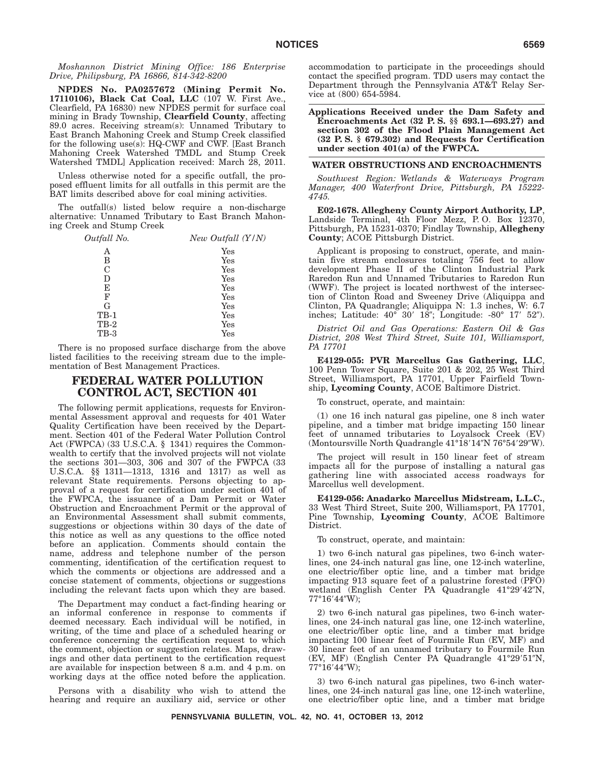*Moshannon District Mining Office: 186 Enterprise Drive, Philipsburg, PA 16866, 814-342-8200*

**NPDES No. PA0257672 (Mining Permit No. 17110106), Black Cat Coal, LLC** (107 W. First Ave., Clearfield, PA 16830) new NPDES permit for surface coal mining in Brady Township, **Clearfield County**, affecting 89.0 acres. Receiving stream(s): Unnamed Tributary to East Branch Mahoning Creek and Stump Creek classified for the following use(s): HQ-CWF and CWF. [East Branch Mahoning Creek Watershed TMDL and Stump Creek Watershed TMDL] Application received: March 28, 2011.

Unless otherwise noted for a specific outfall, the proposed effluent limits for all outfalls in this permit are the BAT limits described above for coal mining activities.

The outfall(s) listed below require a non-discharge alternative: Unnamed Tributary to East Branch Mahoning Creek and Stump Creek

| Outfall No.   | New Outfall (Y/N) |
|---------------|-------------------|
| А             | Yes               |
| B             | Yes               |
| $\mathcal{C}$ | Yes               |
| D             | Yes               |
| E             | Yes               |
| F             | Yes               |
| G             | Yes               |
| $TB-1$        | Yes               |
| $TB-2$        | Yes               |
| <b>TB-3</b>   | Yes               |

There is no proposed surface discharge from the above listed facilities to the receiving stream due to the implementation of Best Management Practices.

# **FEDERAL WATER POLLUTION CONTROL ACT, SECTION 401**

The following permit applications, requests for Environmental Assessment approval and requests for 401 Water Quality Certification have been received by the Department. Section 401 of the Federal Water Pollution Control Act (FWPCA) (33 U.S.C.A. § 1341) requires the Commonwealth to certify that the involved projects will not violate the sections 301—303, 306 and 307 of the FWPCA (33 U.S.C.A. §§ 1311—1313, 1316 and 1317) as well as relevant State requirements. Persons objecting to approval of a request for certification under section 401 of the FWPCA, the issuance of a Dam Permit or Water Obstruction and Encroachment Permit or the approval of an Environmental Assessment shall submit comments, suggestions or objections within 30 days of the date of this notice as well as any questions to the office noted before an application. Comments should contain the name, address and telephone number of the person commenting, identification of the certification request to which the comments or objections are addressed and a concise statement of comments, objections or suggestions including the relevant facts upon which they are based.

The Department may conduct a fact-finding hearing or an informal conference in response to comments if deemed necessary. Each individual will be notified, in writing, of the time and place of a scheduled hearing or conference concerning the certification request to which the comment, objection or suggestion relates. Maps, drawings and other data pertinent to the certification request are available for inspection between 8 a.m. and 4 p.m. on working days at the office noted before the application.

Persons with a disability who wish to attend the hearing and require an auxiliary aid, service or other accommodation to participate in the proceedings should contact the specified program. TDD users may contact the Department through the Pennsylvania AT&T Relay Service at (800) 654-5984.

**Applications Received under the Dam Safety and Encroachments Act (32 P. S. §§ 693.1—693.27) and section 302 of the Flood Plain Management Act (32 P. S. § 679.302) and Requests for Certification under section 401(a) of the FWPCA.**

## **WATER OBSTRUCTIONS AND ENCROACHMENTS**

*Southwest Region: Wetlands & Waterways Program Manager, 400 Waterfront Drive, Pittsburgh, PA 15222- 4745.*

**E02-1678. Allegheny County Airport Authority, LP**, Landside Terminal, 4th Floor Mezz, P. O. Box 12370, Pittsburgh, PA 15231-0370; Findlay Township, **Allegheny County**; ACOE Pittsburgh District.

Applicant is proposing to construct, operate, and maintain five stream enclosures totaling 756 feet to allow development Phase II of the Clinton Industrial Park Raredon Run and Unnamed Tributaries to Raredon Run (WWF). The project is located northwest of the intersection of Clinton Road and Sweeney Drive (Aliquippa and Clinton, PA Quadrangle; Aliquippa N: 1.3 inches, W: 6.7 inches; Latitude: 40° 30′ 18"; Longitude: -80° 17′ 52").

*District Oil and Gas Operations: Eastern Oil & Gas District, 208 West Third Street, Suite 101, Williamsport, PA 17701*

**E4129-055: PVR Marcellus Gas Gathering, LLC**, 100 Penn Tower Square, Suite 201 & 202, 25 West Third Street, Williamsport, PA 17701, Upper Fairfield Township, **Lycoming County**, ACOE Baltimore District.

To construct, operate, and maintain:

(1) one 16 inch natural gas pipeline, one 8 inch water pipeline, and a timber mat bridge impacting 150 linear feet of unnamed tributaries to Loyalsock Creek (EV) (Montoursville North Quadrangle 41°18'14"N 76°54'29"W).

The project will result in 150 linear feet of stream impacts all for the purpose of installing a natural gas gathering line with associated access roadways for Marcellus well development.

**E4129-056: Anadarko Marcellus Midstream, L.L.C.**, 33 West Third Street, Suite 200, Williamsport, PA 17701, Pine Township, **Lycoming County**, ACOE Baltimore District.

To construct, operate, and maintain:

1) two 6-inch natural gas pipelines, two 6-inch waterlines, one 24-inch natural gas line, one 12-inch waterline, one electric/fiber optic line, and a timber mat bridge impacting 913 square feet of a palustrine forested (PFO) wetland (English Center PA Quadrangle 41°29'42"N, 77°16'44"W);

2) two 6-inch natural gas pipelines, two 6-inch waterlines, one 24-inch natural gas line, one 12-inch waterline, one electric/fiber optic line, and a timber mat bridge impacting 100 linear feet of Fourmile Run (EV, MF) and 30 linear feet of an unnamed tributary to Fourmile Run (EV, MF) (English Center PA Quadrangle 41°29'51"N, 77°16′44″W);

3) two 6-inch natural gas pipelines, two 6-inch waterlines, one 24-inch natural gas line, one 12-inch waterline, one electric/fiber optic line, and a timber mat bridge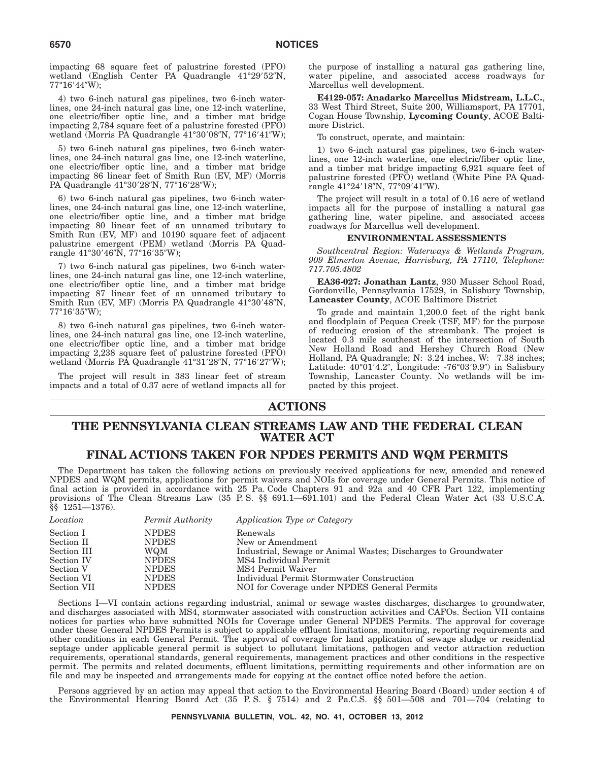impacting 68 square feet of palustrine forested (PFO) wetland (English Center PA Quadrangle 41°29'52"N, 77°16′44″W);

4) two 6-inch natural gas pipelines, two 6-inch waterlines, one 24-inch natural gas line, one 12-inch waterline, one electric/fiber optic line, and a timber mat bridge impacting 2,784 square feet of a palustrine forested (PFO) wetland (Morris PA Quadrangle 41°30′08″N, 77°16′41″W);

5) two 6-inch natural gas pipelines, two 6-inch waterlines, one 24-inch natural gas line, one 12-inch waterline, one electric/fiber optic line, and a timber mat bridge impacting 86 linear feet of Smith Run (EV, MF) (Morris PA Quadrangle 41°30′28″N, 77°16′28″W);

6) two 6-inch natural gas pipelines, two 6-inch waterlines, one 24-inch natural gas line, one 12-inch waterline, one electric/fiber optic line, and a timber mat bridge impacting 80 linear feet of an unnamed tributary to Smith Run (EV, MF) and 10190 square feet of adjacent palustrine emergent (PEM) wetland (Morris PA Quadrangle 41°30′46″N, 77°16′35″W);

7) two 6-inch natural gas pipelines, two 6-inch waterlines, one 24-inch natural gas line, one 12-inch waterline, one electric/fiber optic line, and a timber mat bridge impacting 87 linear feet of an unnamed tributary to Smith Run (EV, MF) (Morris PA Quadrangle 41°30'48″N, 77°16′35″W);

8) two 6-inch natural gas pipelines, two 6-inch waterlines, one 24-inch natural gas line, one 12-inch waterline, one electric/fiber optic line, and a timber mat bridge impacting 2,238 square feet of palustrine forested (PFO) wetland (Morris PA Quadrangle 41°31′28″N, 77°16′27″W);

The project will result in 383 linear feet of stream impacts and a total of 0.37 acre of wetland impacts all for the purpose of installing a natural gas gathering line, water pipeline, and associated access roadways for Marcellus well development.

**E4129-057: Anadarko Marcellus Midstream, L.L.C.**, 33 West Third Street, Suite 200, Williamsport, PA 17701, Cogan House Township, **Lycoming County**, ACOE Baltimore District.

To construct, operate, and maintain:

1) two 6-inch natural gas pipelines, two 6-inch waterlines, one 12-inch waterline, one electric/fiber optic line, and a timber mat bridge impacting 6,921 square feet of palustrine forested (PFO) wetland (White Pine PA Quadrangle 41°24′18″N, 77°09′41″W).

The project will result in a total of 0.16 acre of wetland impacts all for the purpose of installing a natural gas gathering line, water pipeline, and associated access roadways for Marcellus well development.

# **ENVIRONMENTAL ASSESSMENTS**

*Southcentral Region: Waterways & Wetlands Program, 909 Elmerton Avenue, Harrisburg, PA 17110, Telephone: 717.705.4802*

**EA36-027: Jonathan Lantz**, 930 Musser School Road, Gordonville, Pennsylvania 17529, in Salisbury Township, **Lancaster County**, ACOE Baltimore District

To grade and maintain 1,200.0 feet of the right bank and floodplain of Pequea Creek (TSF, MF) for the purpose of reducing erosion of the streambank. The project is located 0.3 mile southeast of the intersection of South New Holland Road and Hershey Church Road (New Holland, PA Quadrangle; N: 3.24 inches, W: 7.38 inches; Latitude: 40°01'4.2", Longitude: -76°03'9.9") in Salisbury Township, Lancaster County. No wetlands will be impacted by this project.

# **ACTIONS**

# **THE PENNSYLVANIA CLEAN STREAMS LAW AND THE FEDERAL CLEAN WATER ACT**

# **FINAL ACTIONS TAKEN FOR NPDES PERMITS AND WQM PERMITS**

The Department has taken the following actions on previously received applications for new, amended and renewed NPDES and WQM permits, applications for permit waivers and NOIs for coverage under General Permits. This notice of final action is provided in accordance with 25 Pa. Code Chapters 91 and 92a and 40 CFR Part 122, implementing provisions of The Clean Streams Law (35 P.S. §§ 691.1—691.101) and the Federal Clean Water Act (33 U.S.C.A. §§ 1251—1376).

| Location    | Permit Authority | Application Type or Category                                   |
|-------------|------------------|----------------------------------------------------------------|
| Section I   | <b>NPDES</b>     | Renewals                                                       |
| Section II  | <b>NPDES</b>     | New or Amendment                                               |
| Section III | WQM              | Industrial, Sewage or Animal Wastes; Discharges to Groundwater |
| Section IV  | <b>NPDES</b>     | MS4 Individual Permit                                          |
| Section V   | <b>NPDES</b>     | MS4 Permit Waiver                                              |
| Section VI  | <b>NPDES</b>     | Individual Permit Stormwater Construction                      |
| Section VII | <b>NPDES</b>     | NOI for Coverage under NPDES General Permits                   |

Sections I—VI contain actions regarding industrial, animal or sewage wastes discharges, discharges to groundwater, and discharges associated with MS4, stormwater associated with construction activities and CAFOs. Section VII contains notices for parties who have submitted NOIs for Coverage under General NPDES Permits. The approval for coverage under these General NPDES Permits is subject to applicable effluent limitations, monitoring, reporting requirements and other conditions in each General Permit. The approval of coverage for land application of sewage sludge or residential septage under applicable general permit is subject to pollutant limitations, pathogen and vector attraction reduction requirements, operational standards, general requirements, management practices and other conditions in the respective permit. The permits and related documents, effluent limitations, permitting requirements and other information are on file and may be inspected and arrangements made for copying at the contact office noted before the action.

Persons aggrieved by an action may appeal that action to the Environmental Hearing Board (Board) under section 4 of the Environmental Hearing Board Act (35 P. S. § 7514) and 2 Pa.C.S. §§ 501—508 and 701—704 (relating to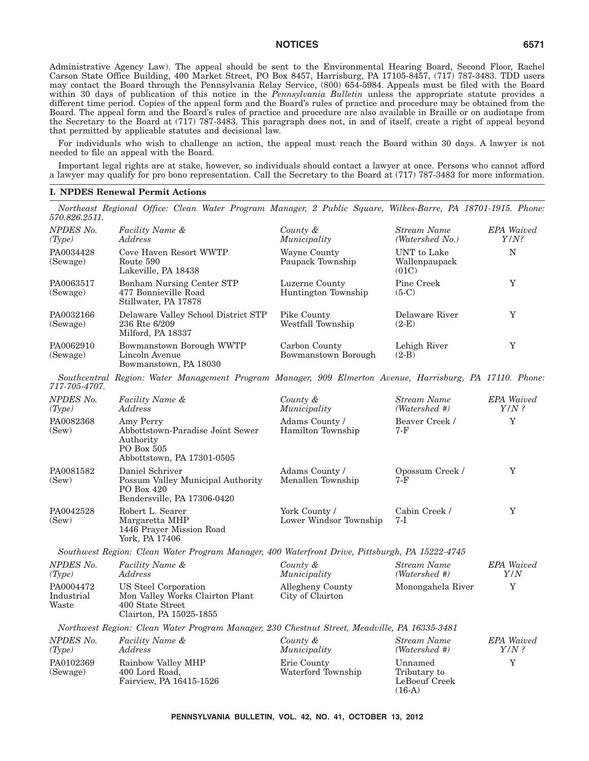Administrative Agency Law). The appeal should be sent to the Environmental Hearing Board, Second Floor, Rachel Carson State Office Building, 400 Market Street, PO Box 8457, Harrisburg, PA 17105-8457, (717) 787-3483. TDD users may contact the Board through the Pennsylvania Relay Service, (800) 654-5984. Appeals must be filed with the Board within 30 days of publication of this notice in the *Pennsylvania Bulletin* unless the appropriate statute provides a different time period. Copies of the appeal form and the Board's rules of practice and procedure may be obtained from the Board. The appeal form and the Board's rules of practice and procedure are also available in Braille or on audiotape from the Secretary to the Board at (717) 787-3483. This paragraph does not, in and of itself, create a right of appeal beyond that permitted by applicable statutes and decisional law.

For individuals who wish to challenge an action, the appeal must reach the Board within 30 days. A lawyer is not needed to file an appeal with the Board.

Important legal rights are at stake, however, so individuals should contact a lawyer at once. Persons who cannot afford a lawyer may qualify for pro bono representation. Call the Secretary to the Board at (717) 787-3483 for more information.

## **I. NPDES Renewal Permit Actions**

*Northeast Regional Office: Clean Water Program Manager, 2 Public Square, Wilkes-Barre, PA 18701-1915. Phone: 570.826.2511.*

| NPDES No.<br>(Type)              | Facility Name &<br>Address                                                                               | County &<br>Municipality                | <b>Stream Name</b><br>(Watershed No.)                | <b>EPA</b> Waived<br>$Y/N$ ? |
|----------------------------------|----------------------------------------------------------------------------------------------------------|-----------------------------------------|------------------------------------------------------|------------------------------|
| PA0034428<br>(Sewage)            | Cove Haven Resort WWTP<br>Route 590<br>Lakeville, PA 18438                                               | Wayne County<br>Paupack Township        | UNT to Lake<br>Wallenpaupack<br>(01C)                | N                            |
| PA0063517<br>(Sewage)            | Bonham Nursing Center STP<br>477 Bonnieville Road<br>Stillwater, PA 17878                                | Luzerne County<br>Huntington Township   | Pine Creek<br>$(5-C)$                                | Y                            |
| PA0032166<br>(Sewage)            | Delaware Valley School District STP<br>236 Rte 6/209<br>Milford, PA 18337                                | Pike County<br>Westfall Township        | Delaware River<br>$(2-E)$                            | Y                            |
| PA0062910<br>(Sewage)            | Bowmanstown Borough WWTP<br>Lincoln Avenue<br>Bowmanstown, PA 18030                                      | Carbon County<br>Bowmanstown Borough    | Lehigh River<br>$(2-B)$                              | Y                            |
| 717-705-4707.                    | Southcentral Region: Water Management Program Manager, 909 Elmerton Avenue, Harrisburg, PA 17110. Phone: |                                         |                                                      |                              |
| NPDES No.<br>(Type)              | Facility Name &<br>Address                                                                               | County &<br>Municipality                | Stream Name<br>(Watershed #)                         | <b>EPA</b> Waived<br>$Y/N$ ? |
| PA0082368<br>(Sew)               | Amy Perry<br>Abbottstown-Paradise Joint Sewer<br>Authority<br>PO Box 505<br>Abbottstown, PA 17301-0505   | Adams County /<br>Hamilton Township     | Beaver Creek /<br>7-F                                | Y                            |
| PA0081582<br>(Sew)               | Daniel Schriver<br>Possum Valley Municipal Authority<br>PO Box 420<br>Bendersville, PA 17306-0420        | Adams County /<br>Menallen Township     | Opossum Creek/<br>7-F                                | Y                            |
| PA0042528<br>(Sew)               | Robert L. Searer<br>Margaretta MHP<br>1446 Prayer Mission Road<br>York, PA 17406                         | York County /<br>Lower Windsor Township | Cabin Creek /<br>7-I                                 | Y                            |
|                                  | Southwest Region: Clean Water Program Manager, 400 Waterfront Drive, Pittsburgh, PA 15222-4745           |                                         |                                                      |                              |
| NPDES No.<br>(Type)              | Facility Name &<br>Address                                                                               | County &<br>Municipality                | <b>Stream Name</b><br>(Watershed #)                  | <b>EPA</b> Waived<br>Y/N     |
| PA0004472<br>Industrial<br>Waste | US Steel Corporation<br>Mon Valley Works Clairton Plant<br>400 State Street<br>Clairton, PA 15025-1855   | Allegheny County<br>City of Clairton    | Monongahela River                                    | $\mathbf Y$                  |
|                                  | Northwest Region: Clean Water Program Manager, 230 Chestnut Street, Meadville, PA 16335-3481             |                                         |                                                      |                              |
| NPDES No.<br>(Type)              | Facility Name &<br>Address                                                                               | County &<br>Municipality                | <b>Stream Name</b><br>(Watershed #)                  | EPA Waived<br>$Y/N$ ?        |
| PA0102369<br>(Sewage)            | Rainbow Valley MHP<br>400 Lord Road,<br>Fairview, PA 16415-1526                                          | Erie County<br>Waterford Township       | Unnamed<br>Tributary to<br>LeBoeuf Creek<br>$(16-A)$ | Y                            |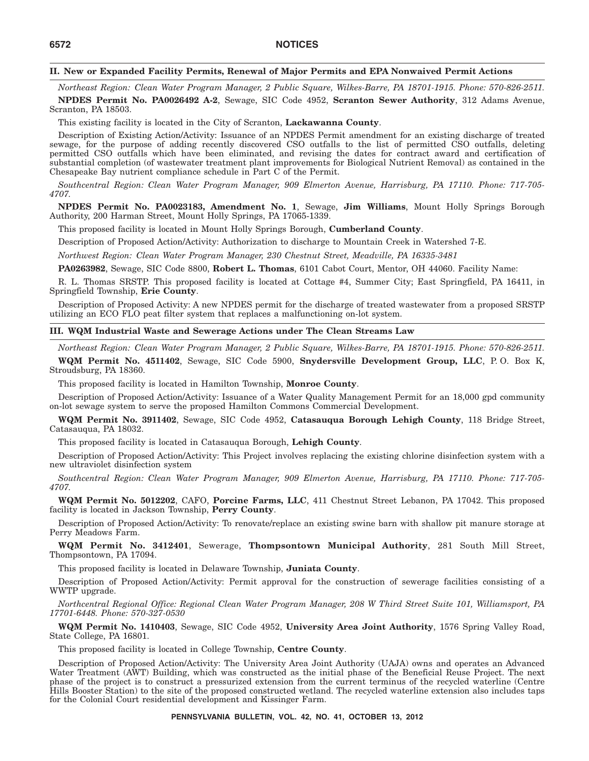# **II. New or Expanded Facility Permits, Renewal of Major Permits and EPA Nonwaived Permit Actions**

*Northeast Region: Clean Water Program Manager, 2 Public Square, Wilkes-Barre, PA 18701-1915. Phone: 570-826-2511.* **NPDES Permit No. PA0026492 A-2**, Sewage, SIC Code 4952, **Scranton Sewer Authority**, 312 Adams Avenue, Scranton, PA 18503.

This existing facility is located in the City of Scranton, **Lackawanna County**.

Description of Existing Action/Activity: Issuance of an NPDES Permit amendment for an existing discharge of treated sewage, for the purpose of adding recently discovered CSO outfalls to the list of permitted CSO outfalls, deleting permitted CSO outfalls which have been eliminated, and revising the dates for contract award and certification of substantial completion (of wastewater treatment plant improvements for Biological Nutrient Removal) as contained in the Chesapeake Bay nutrient compliance schedule in Part C of the Permit.

*Southcentral Region: Clean Water Program Manager, 909 Elmerton Avenue, Harrisburg, PA 17110. Phone: 717-705- 4707.*

**NPDES Permit No. PA0023183, Amendment No. 1**, Sewage, **Jim Williams**, Mount Holly Springs Borough Authority, 200 Harman Street, Mount Holly Springs, PA 17065-1339.

This proposed facility is located in Mount Holly Springs Borough, **Cumberland County**.

Description of Proposed Action/Activity: Authorization to discharge to Mountain Creek in Watershed 7-E.

*Northwest Region: Clean Water Program Manager, 230 Chestnut Street, Meadville, PA 16335-3481*

**PA0263982**, Sewage, SIC Code 8800, **Robert L. Thomas**, 6101 Cabot Court, Mentor, OH 44060. Facility Name:

R. L. Thomas SRSTP. This proposed facility is located at Cottage #4, Summer City; East Springfield, PA 16411, in Springfield Township, **Erie County**.

Description of Proposed Activity: A new NPDES permit for the discharge of treated wastewater from a proposed SRSTP utilizing an ECO FLO peat filter system that replaces a malfunctioning on-lot system.

#### **III. WQM Industrial Waste and Sewerage Actions under The Clean Streams Law**

*Northeast Region: Clean Water Program Manager, 2 Public Square, Wilkes-Barre, PA 18701-1915. Phone: 570-826-2511.*

**WQM Permit No. 4511402**, Sewage, SIC Code 5900, **Snydersville Development Group, LLC**, P. O. Box K, Stroudsburg, PA 18360.

This proposed facility is located in Hamilton Township, **Monroe County**.

Description of Proposed Action/Activity: Issuance of a Water Quality Management Permit for an 18,000 gpd community on-lot sewage system to serve the proposed Hamilton Commons Commercial Development.

**WQM Permit No. 3911402**, Sewage, SIC Code 4952, **Catasauqua Borough Lehigh County**, 118 Bridge Street, Catasauqua, PA 18032.

This proposed facility is located in Catasauqua Borough, **Lehigh County**.

Description of Proposed Action/Activity: This Project involves replacing the existing chlorine disinfection system with a new ultraviolet disinfection system

*Southcentral Region: Clean Water Program Manager, 909 Elmerton Avenue, Harrisburg, PA 17110. Phone: 717-705- 4707.*

**WQM Permit No. 5012202**, CAFO, **Porcine Farms, LLC**, 411 Chestnut Street Lebanon, PA 17042. This proposed facility is located in Jackson Township, **Perry County**.

Description of Proposed Action/Activity: To renovate/replace an existing swine barn with shallow pit manure storage at Perry Meadows Farm.

**WQM Permit No. 3412401**, Sewerage, **Thompsontown Municipal Authority**, 281 South Mill Street, Thompsontown, PA 17094.

This proposed facility is located in Delaware Township, **Juniata County**.

Description of Proposed Action/Activity: Permit approval for the construction of sewerage facilities consisting of a WWTP upgrade.

*Northcentral Regional Office: Regional Clean Water Program Manager, 208 W Third Street Suite 101, Williamsport, PA 17701-6448. Phone: 570-327-0530*

**WQM Permit No. 1410403**, Sewage, SIC Code 4952, **University Area Joint Authority**, 1576 Spring Valley Road, State College, PA 16801.

This proposed facility is located in College Township, **Centre County**.

Description of Proposed Action/Activity: The University Area Joint Authority (UAJA) owns and operates an Advanced Water Treatment (AWT) Building, which was constructed as the initial phase of the Beneficial Reuse Project. The next phase of the project is to construct a pressurized extension from the current terminus of the recycled waterline (Centre Hills Booster Station) to the site of the proposed constructed wetland. The recycled waterline extension also includes taps for the Colonial Court residential development and Kissinger Farm.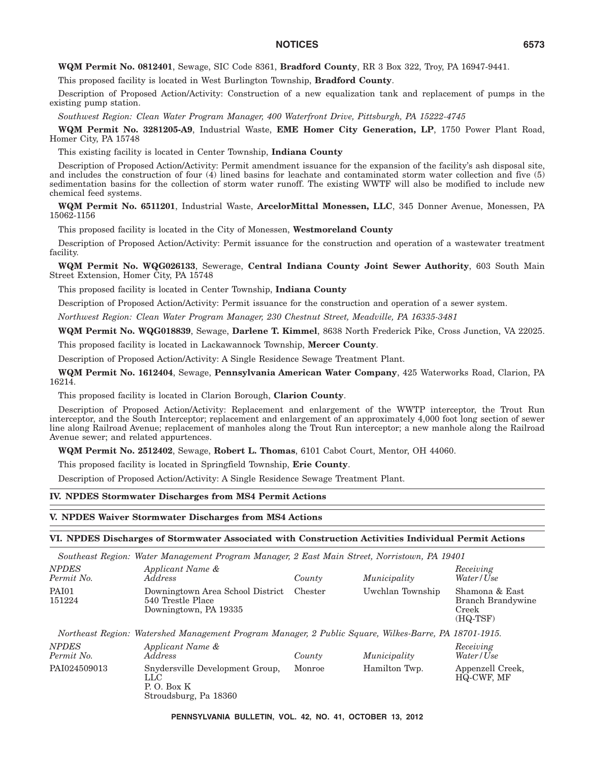**WQM Permit No. 0812401**, Sewage, SIC Code 8361, **Bradford County**, RR 3 Box 322, Troy, PA 16947-9441.

This proposed facility is located in West Burlington Township, **Bradford County**.

Description of Proposed Action/Activity: Construction of a new equalization tank and replacement of pumps in the existing pump station.

*Southwest Region: Clean Water Program Manager, 400 Waterfront Drive, Pittsburgh, PA 15222-4745*

**WQM Permit No. 3281205-A9**, Industrial Waste, **EME Homer City Generation, LP**, 1750 Power Plant Road, Homer City, PA 15748

This existing facility is located in Center Township, **Indiana County**

Description of Proposed Action/Activity: Permit amendment issuance for the expansion of the facility's ash disposal site, and includes the construction of four  $(4)$  lined basins for leachate and contaminated storm water collection and five  $(5)$ sedimentation basins for the collection of storm water runoff. The existing WWTF will also be modified to include new chemical feed systems.

**WQM Permit No. 6511201**, Industrial Waste, **ArcelorMittal Monessen, LLC**, 345 Donner Avenue, Monessen, PA 15062-1156

This proposed facility is located in the City of Monessen, **Westmoreland County**

Description of Proposed Action/Activity: Permit issuance for the construction and operation of a wastewater treatment facility.

**WQM Permit No. WQG026133**, Sewerage, **Central Indiana County Joint Sewer Authority**, 603 South Main Street Extension, Homer City, PA 15748

This proposed facility is located in Center Township, **Indiana County**

Description of Proposed Action/Activity: Permit issuance for the construction and operation of a sewer system.

*Northwest Region: Clean Water Program Manager, 230 Chestnut Street, Meadville, PA 16335-3481*

**WQM Permit No. WQG018839**, Sewage, **Darlene T. Kimmel**, 8638 North Frederick Pike, Cross Junction, VA 22025.

This proposed facility is located in Lackawannock Township, **Mercer County**.

Description of Proposed Action/Activity: A Single Residence Sewage Treatment Plant.

**WQM Permit No. 1612404**, Sewage, **Pennsylvania American Water Company**, 425 Waterworks Road, Clarion, PA 16214.

This proposed facility is located in Clarion Borough, **Clarion County**.

Description of Proposed Action/Activity: Replacement and enlargement of the WWTP interceptor, the Trout Run interceptor, and the South Interceptor; replacement and enlargement of an approximately 4,000 foot long section of sewer line along Railroad Avenue; replacement of manholes along the Trout Run interceptor; a new manhole along the Railroad Avenue sewer; and related appurtences.

**WQM Permit No. 2512402**, Sewage, **Robert L. Thomas**, 6101 Cabot Court, Mentor, OH 44060.

This proposed facility is located in Springfield Township, **Erie County**.

Description of Proposed Action/Activity: A Single Residence Sewage Treatment Plant.

#### **IV. NPDES Stormwater Discharges from MS4 Permit Actions**

#### **V. NPDES Waiver Stormwater Discharges from MS4 Actions**

# **VI. NPDES Discharges of Stormwater Associated with Construction Activities Individual Permit Actions**

|                            | Southeast Region: Water Management Program Manager, 2 East Main Street, Norristown, PA 19401          |         |                  |                                                            |
|----------------------------|-------------------------------------------------------------------------------------------------------|---------|------------------|------------------------------------------------------------|
| <b>NPDES</b><br>Permit No. | Applicant Name &<br><i>Address</i>                                                                    | County  | Municipality     | Receiving<br>Water/Use                                     |
| PAI01<br>151224            | Downingtown Area School District<br>540 Trestle Place<br>Downingtown, PA 19335                        | Chester | Uwchlan Township | Shamona & East<br>Branch Brandywine<br>Creek<br>$(HQ-TSF)$ |
|                            | Northeast Region: Watershed Management Program Manager, 2 Public Square, Wilkes-Barre, PA 18701-1915. |         |                  |                                                            |
| <b>NPDES</b><br>Permit No. | Applicant Name &<br><i>Address</i>                                                                    | County  | Municipality     | Receiving<br>Water/Use                                     |
| PAI024509013               | Snydersville Development Group,<br>LLC<br>P. O. Box K<br>Stroudsburg, Pa 18360                        | Monroe  | Hamilton Twp.    | Appenzell Creek,<br>HQ-CWF, MF                             |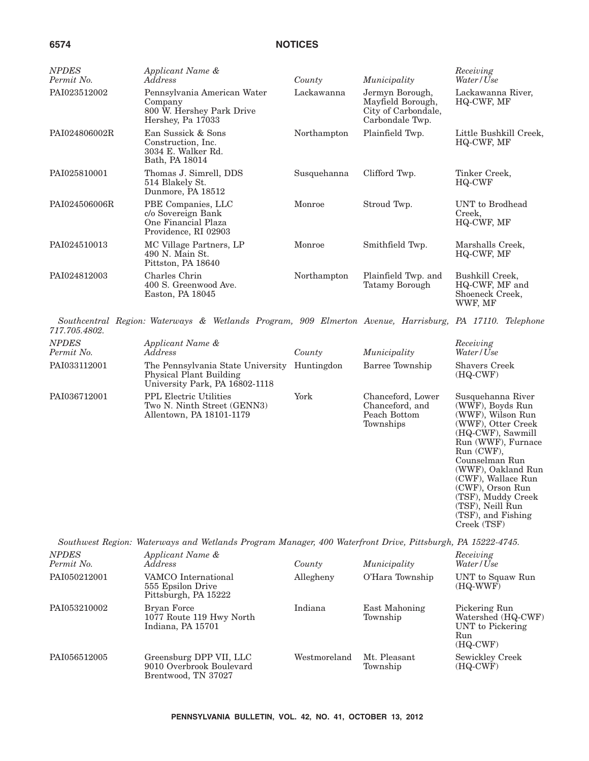| <b>NPDES</b><br>Permit No. | Applicant Name &<br>Address                                                                             | County      | Municipality                                                                   | Receiving<br>Water / Use                                                                                                                                                                                                                                                                       |
|----------------------------|---------------------------------------------------------------------------------------------------------|-------------|--------------------------------------------------------------------------------|------------------------------------------------------------------------------------------------------------------------------------------------------------------------------------------------------------------------------------------------------------------------------------------------|
| PAI023512002               | Pennsylvania American Water<br>Company<br>800 W. Hershey Park Drive<br>Hershey, Pa 17033                | Lackawanna  | Jermyn Borough,<br>Mayfield Borough,<br>City of Carbondale,<br>Carbondale Twp. | Lackawanna River,<br>HQ-CWF, MF                                                                                                                                                                                                                                                                |
| PAI024806002R              | Ean Sussick & Sons<br>Construction. Inc.<br>3034 E. Walker Rd.<br>Bath, PA 18014                        | Northampton | Plainfield Twp.                                                                | Little Bushkill Creek,<br>HQ-CWF, MF                                                                                                                                                                                                                                                           |
| PAI025810001               | Thomas J. Simrell, DDS<br>514 Blakely St.<br>Dunmore, PA 18512                                          | Susquehanna | Clifford Twp.                                                                  | Tinker Creek,<br>HQ-CWF                                                                                                                                                                                                                                                                        |
| PAI024506006R              | PBE Companies, LLC<br>c/o Sovereign Bank<br>One Financial Plaza<br>Providence, RI 02903                 | Monroe      | Stroud Twp.                                                                    | UNT to Brodhead<br>Creek,<br>HQ-CWF, MF                                                                                                                                                                                                                                                        |
| PAI024510013               | MC Village Partners, LP<br>490 N. Main St.<br>Pittston, PA 18640                                        | Monroe      | Smithfield Twp.                                                                | Marshalls Creek,<br>HQ-CWF, MF                                                                                                                                                                                                                                                                 |
| PAI024812003               | Charles Chrin<br>400 S. Greenwood Ave.<br>Easton, PA 18045                                              | Northampton | Plainfield Twp. and<br>Tatamy Borough                                          | Bushkill Creek,<br>HQ-CWF, MF and<br>Shoeneck Creek,<br>WWF, MF                                                                                                                                                                                                                                |
| 717.705.4802.              | Southcentral Region: Waterways & Wetlands Program, 909 Elmerton Avenue, Harrisburg, PA 17110. Telephone |             |                                                                                |                                                                                                                                                                                                                                                                                                |
| <b>NPDES</b><br>Permit No. | Applicant Name &<br>Address                                                                             | County      | Municipality                                                                   | Receiving<br>Water/Use                                                                                                                                                                                                                                                                         |
| PAI033112001               | The Pennsylvania State University<br>Physical Plant Building<br>University Park, PA 16802-1118          | Huntingdon  | Barree Township                                                                | <b>Shavers Creek</b><br>$(HQ-CWF)$                                                                                                                                                                                                                                                             |
| PAI036712001               | PPL Electric Utilities<br>Two N. Ninth Street (GENN3)<br>Allentown, PA 18101-1179                       | York        | Chanceford, Lower<br>Chanceford, and<br>Peach Bottom<br>Townships              | Susquehanna River<br>(WWF), Boyds Run<br>(WWF), Wilson Run<br>(WWF), Otter Creek<br>(HQ-CWF), Sawmill<br>Run (WWF), Furnace<br>$Run (CWF)$ ,<br>Counselman Run<br>(WWF), Oakland Run<br>(CWF), Wallace Run<br>(CWF), Orson Run<br>(TSF), Muddy Creek<br>(TSF), Neill Run<br>(TSF), and Fishing |

*Southwest Region: Waterways and Wetlands Program Manager, 400 Waterfront Drive, Pittsburgh, PA 15222-4745.*

Creek (TSF)

| <b>NPDES</b><br>Permit No. | Applicant Name &<br><i>Address</i>                                         | County       | Municipality              | Receiving<br>Water/Use                                                     |
|----------------------------|----------------------------------------------------------------------------|--------------|---------------------------|----------------------------------------------------------------------------|
| PAI050212001               | VAMCO International<br>555 Epsilon Drive<br>Pittsburgh, PA 15222           | Allegheny    | O'Hara Township           | UNT to Squaw Run<br>(HQ-WWF)                                               |
| PAI053210002               | Bryan Force<br>1077 Route 119 Hwy North<br>Indiana, PA 15701               | Indiana      | East Mahoning<br>Township | Pickering Run<br>Watershed (HQ-CWF)<br>UNT to Pickering<br>Run<br>(HQ-CWF) |
| PAI056512005               | Greensburg DPP VII, LLC<br>9010 Overbrook Boulevard<br>Brentwood, TN 37027 | Westmoreland | Mt. Pleasant<br>Township  | Sewickley Creek<br>(HQ-CWF)                                                |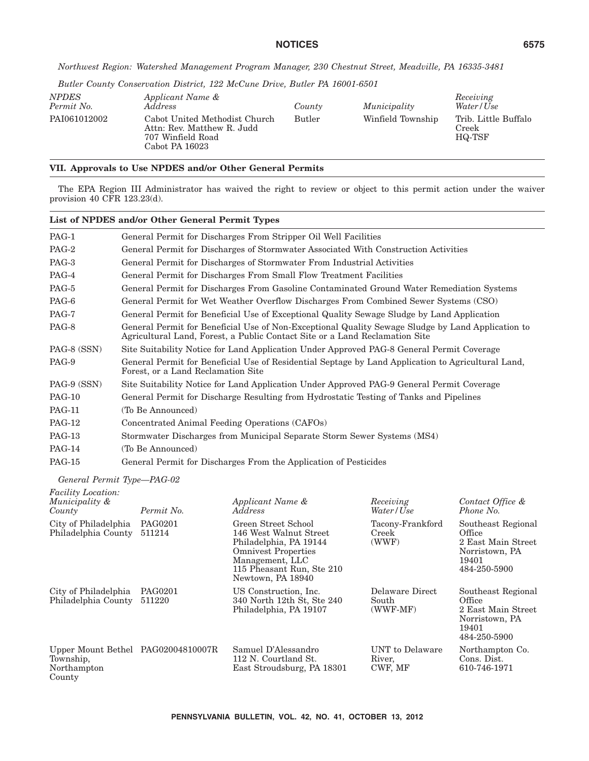*Northwest Region: Watershed Management Program Manager, 230 Chestnut Street, Meadville, PA 16335-3481*

*Butler County Conservation District, 122 McCune Drive, Butler PA 16001-6501*

| NPDES<br>Permit No. | Applicant Name &<br><i>Address</i>                                                                 | County        | Municipality      | Receiving<br>Water/Use                  |
|---------------------|----------------------------------------------------------------------------------------------------|---------------|-------------------|-----------------------------------------|
| PAI061012002        | Cabot United Methodist Church<br>Attn: Rev. Matthew R. Judd<br>707 Winfield Road<br>Cabot PA 16023 | <b>Butler</b> | Winfield Township | Trib. Little Buffalo<br>Creek<br>HQ-TSF |

# **VII. Approvals to Use NPDES and/or Other General Permits**

The EPA Region III Administrator has waived the right to review or object to this permit action under the waiver provision 40 CFR 123.23(d).

|               | List of NPDES and/or Other General Permit Types                                                                                                                                  |
|---------------|----------------------------------------------------------------------------------------------------------------------------------------------------------------------------------|
| PAG-1         | General Permit for Discharges From Stripper Oil Well Facilities                                                                                                                  |
| PAG-2         | General Permit for Discharges of Stormwater Associated With Construction Activities                                                                                              |
| PAG-3         | General Permit for Discharges of Stormwater From Industrial Activities                                                                                                           |
| PAG-4         | General Permit for Discharges From Small Flow Treatment Facilities                                                                                                               |
| PAG-5         | General Permit for Discharges From Gasoline Contaminated Ground Water Remediation Systems                                                                                        |
| PAG-6         | General Permit for Wet Weather Overflow Discharges From Combined Sewer Systems (CSO)                                                                                             |
| PAG-7         | General Permit for Beneficial Use of Exceptional Quality Sewage Sludge by Land Application                                                                                       |
| PAG-8         | General Permit for Beneficial Use of Non-Exceptional Quality Sewage Sludge by Land Application to<br>Agricultural Land, Forest, a Public Contact Site or a Land Reclamation Site |
| PAG-8 (SSN)   | Site Suitability Notice for Land Application Under Approved PAG-8 General Permit Coverage                                                                                        |
| PAG-9         | General Permit for Beneficial Use of Residential Septage by Land Application to Agricultural Land,<br>Forest, or a Land Reclamation Site                                         |
| PAG-9 (SSN)   | Site Suitability Notice for Land Application Under Approved PAG-9 General Permit Coverage                                                                                        |
| <b>PAG-10</b> | General Permit for Discharge Resulting from Hydrostatic Testing of Tanks and Pipelines                                                                                           |
| <b>PAG-11</b> | (To Be Announced)                                                                                                                                                                |
| <b>PAG-12</b> | Concentrated Animal Feeding Operations (CAFOs)                                                                                                                                   |
| PAG-13        | Stormwater Discharges from Municipal Separate Storm Sewer Systems (MS4)                                                                                                          |
| <b>PAG-14</b> | (To Be Announced)                                                                                                                                                                |
| <b>PAG-15</b> | General Permit for Discharges From the Application of Pesticides                                                                                                                 |

*General Permit Type—PAG-02*

| <b>Facility Location:</b><br>Municipality &<br>County                    | Permit No.        | Applicant Name &<br><i>Address</i>                                                                                                                                         | Receiving<br>Water/Use                 | Contact Office &<br>Phone No.                                                                 |
|--------------------------------------------------------------------------|-------------------|----------------------------------------------------------------------------------------------------------------------------------------------------------------------------|----------------------------------------|-----------------------------------------------------------------------------------------------|
| City of Philadelphia<br>Philadelphia County                              | PAG0201<br>511214 | Green Street School<br>146 West Walnut Street<br>Philadelphia, PA 19144<br><b>Omnivest Properties</b><br>Management, LLC<br>115 Pheasant Run, Ste 210<br>Newtown, PA 18940 | Tacony-Frankford<br>Creek<br>(WWF)     | Southeast Regional<br>Office<br>2 East Main Street<br>Norristown, PA<br>19401<br>484-250-5900 |
| City of Philadelphia<br>Philadelphia County                              | PAG0201<br>511220 | US Construction, Inc.<br>340 North 12th St, Ste 240<br>Philadelphia, PA 19107                                                                                              | Delaware Direct<br>South<br>$(WWF-MF)$ | Southeast Regional<br>Office<br>2 East Main Street<br>Norristown, PA<br>19401<br>484-250-5900 |
| Upper Mount Bethel PAG02004810007R<br>Township,<br>Northampton<br>County |                   | Samuel D'Alessandro<br>112 N. Courtland St.<br>East Stroudsburg, PA 18301                                                                                                  | UNT to Delaware<br>River,<br>CWF, MF   | Northampton Co.<br>Cons. Dist.<br>610-746-1971                                                |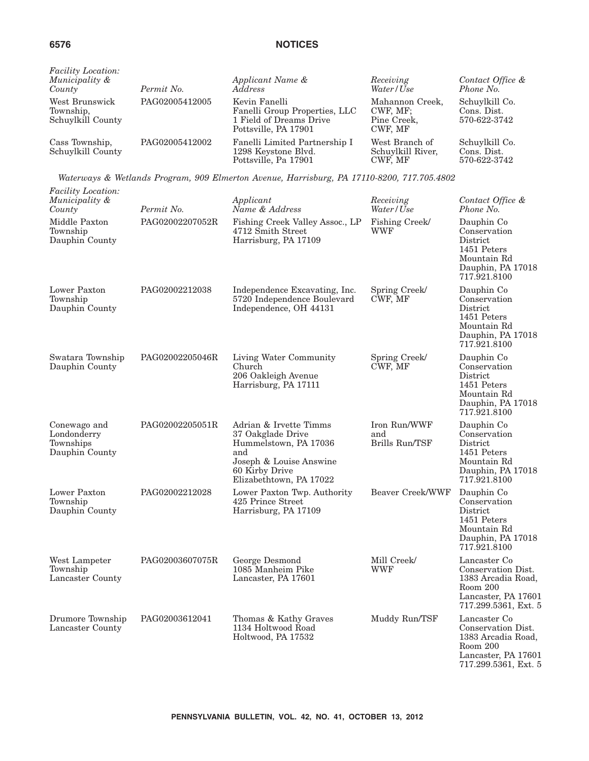| <b>Facility Location:</b><br>Municipality &<br>County | Permit No.     | Applicant Name &<br><i>Address</i>                                                                | Receiving<br>Water/Use                                | Contact Office &<br>Phone No.                 |
|-------------------------------------------------------|----------------|---------------------------------------------------------------------------------------------------|-------------------------------------------------------|-----------------------------------------------|
| West Brunswick<br>Township,<br>Schuylkill County      | PAG02005412005 | Kevin Fanelli<br>Fanelli Group Properties, LLC<br>1 Field of Dreams Drive<br>Pottsville, PA 17901 | Mahannon Creek,<br>CWF, MF;<br>Pine Creek,<br>CWF. MF | Schuylkill Co.<br>Cons. Dist.<br>570-622-3742 |
| Cass Township,<br>Schuylkill County                   | PAG02005412002 | Fanelli Limited Partnership I<br>1298 Keystone Blvd.<br>Pottsville, Pa 17901                      | West Branch of<br>Schuylkill River,<br>CWF. MF        | Schuylkill Co.<br>Cons. Dist.<br>570-622-3742 |

*Waterways & Wetlands Program, 909 Elmerton Avenue, Harrisburg, PA 17110-8200, 717.705.4802*

| Facility Location:<br>Municipality &<br>County             | Permit No.      | Applicant<br>Name & Address                                                                                                                         | Receiving<br>Water/Use                | Contact Office &<br>Phone No.                                                                                       |
|------------------------------------------------------------|-----------------|-----------------------------------------------------------------------------------------------------------------------------------------------------|---------------------------------------|---------------------------------------------------------------------------------------------------------------------|
| Middle Paxton<br>Township<br>Dauphin County                | PAG02002207052R | Fishing Creek Valley Assoc., LP<br>4712 Smith Street<br>Harrisburg, PA 17109                                                                        | Fishing Creek/<br><b>WWF</b>          | Dauphin Co<br>Conservation<br>District<br>1451 Peters<br>Mountain Rd<br>Dauphin, PA 17018<br>717.921.8100           |
| Lower Paxton<br>Township<br>Dauphin County                 | PAG02002212038  | Independence Excavating, Inc.<br>5720 Independence Boulevard<br>Independence, OH 44131                                                              | Spring Creek/<br>CWF, MF              | Dauphin Co<br>Conservation<br>District<br>1451 Peters<br>Mountain Rd<br>Dauphin, PA 17018<br>717.921.8100           |
| Swatara Township<br>Dauphin County                         | PAG02002205046R | Living Water Community<br>Church<br>206 Oakleigh Avenue<br>Harrisburg, PA 17111                                                                     | Spring Creek/<br>CWF, MF              | Dauphin Co<br>Conservation<br>District<br>1451 Peters<br>Mountain Rd<br>Dauphin, PA 17018<br>717.921.8100           |
| Conewago and<br>Londonderry<br>Townships<br>Dauphin County | PAG02002205051R | Adrian & Irvette Timms<br>37 Oakglade Drive<br>Hummelstown, PA 17036<br>and<br>Joseph & Louise Answine<br>60 Kirby Drive<br>Elizabethtown, PA 17022 | Iron Run/WWF<br>and<br>Brills Run/TSF | Dauphin Co<br>Conservation<br>District<br>1451 Peters<br>Mountain Rd<br>Dauphin, PA 17018<br>717.921.8100           |
| Lower Paxton<br>Township<br>Dauphin County                 | PAG02002212028  | Lower Paxton Twp. Authority<br>425 Prince Street<br>Harrisburg, PA 17109                                                                            | <b>Beaver Creek/WWF</b>               | Dauphin Co<br>Conservation<br>District<br>1451 Peters<br>Mountain Rd<br>Dauphin, PA 17018<br>717.921.8100           |
| West Lampeter<br>Township<br>Lancaster County              | PAG02003607075R | George Desmond<br>1085 Manheim Pike<br>Lancaster, PA 17601                                                                                          | Mill Creek/<br>WWF                    | Lancaster Co<br>Conservation Dist.<br>1383 Arcadia Road,<br>Room 200<br>Lancaster, PA 17601<br>717.299.5361, Ext. 5 |
| Drumore Township<br>Lancaster County                       | PAG02003612041  | Thomas & Kathy Graves<br>1134 Holtwood Road<br>Holtwood, PA 17532                                                                                   | Muddy Run/TSF                         | Lancaster Co<br>Conservation Dist.<br>1383 Arcadia Road,<br>Room 200<br>Lancaster, PA 17601<br>717.299.5361, Ext. 5 |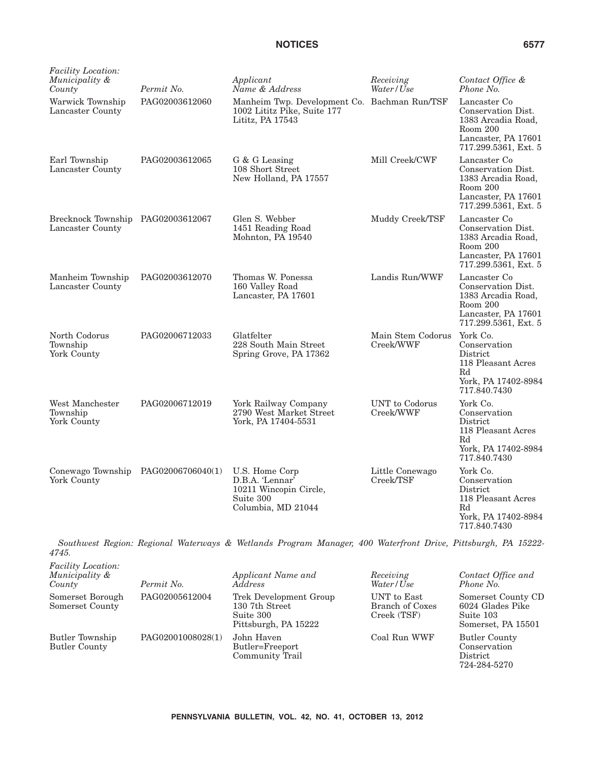| <i>Facility Location:</i><br>Municipality &<br>County | Permit No.     | Applicant<br>Name & Address                                                                                  | Receiving<br>Water/Use         | Contact Office &<br>Phone No.                                                                                       |
|-------------------------------------------------------|----------------|--------------------------------------------------------------------------------------------------------------|--------------------------------|---------------------------------------------------------------------------------------------------------------------|
| Warwick Township<br>Lancaster County                  | PAG02003612060 | Manheim Twp. Development Co. Bachman Run/TSF<br>1002 Lititz Pike, Suite 177<br>Lititz, PA 17543              |                                | Lancaster Co<br>Conservation Dist.<br>1383 Arcadia Road,<br>Room 200<br>Lancaster, PA 17601<br>717.299.5361, Ext. 5 |
| Earl Township<br>Lancaster County                     | PAG02003612065 | G & G Leasing<br>108 Short Street<br>New Holland, PA 17557                                                   | Mill Creek/CWF                 | Lancaster Co<br>Conservation Dist.<br>1383 Arcadia Road,<br>Room 200<br>Lancaster, PA 17601<br>717.299.5361, Ext. 5 |
| Brecknock Township PAG02003612067<br>Lancaster County |                | Glen S. Webber<br>1451 Reading Road<br>Mohnton, PA 19540                                                     | Muddy Creek/TSF                | Lancaster Co<br>Conservation Dist.<br>1383 Arcadia Road,<br>Room 200<br>Lancaster, PA 17601<br>717.299.5361, Ext. 5 |
| Manheim Township<br>Lancaster County                  | PAG02003612070 | Thomas W. Ponessa<br>160 Valley Road<br>Lancaster, PA 17601                                                  | Landis Run/WWF                 | Lancaster Co<br>Conservation Dist.<br>1383 Arcadia Road,<br>Room 200<br>Lancaster, PA 17601<br>717.299.5361, Ext. 5 |
| North Codorus<br>Township<br>York County              | PAG02006712033 | Glatfelter<br>228 South Main Street<br>Spring Grove, PA 17362                                                | Main Stem Codorus<br>Creek/WWF | York Co.<br>Conservation<br>District<br>118 Pleasant Acres<br>Rd<br>York, PA 17402-8984<br>717.840.7430             |
| West Manchester<br>Township<br>York County            | PAG02006712019 | York Railway Company<br>2790 West Market Street<br>York, PA 17404-5531                                       | UNT to Codorus<br>Creek/WWF    | York Co.<br>Conservation<br>District<br>118 Pleasant Acres<br>Rd<br>York, PA 17402-8984<br>717.840.7430             |
| Conewago Township PAG02006706040(1)<br>York County    |                | U.S. Home Corp<br>D.B.A. 'Lennar'<br>10211 Wincopin Circle,<br>Suite 300<br>Columbia, MD 21044               | Little Conewago<br>Creek/TSF   | York Co.<br>Conservation<br>District<br>118 Pleasant Acres<br>$_{\rm Rd}$<br>York, PA 17402-8984<br>717.840.7430    |
| 4745.                                                 |                | Southwest Region: Regional Waterways & Wetlands Program Manager, 400 Waterfront Drive, Pittsburgh, PA 15222- |                                |                                                                                                                     |

| <i>Facility Location:</i><br>Municipality &<br>County | Permit No.        | Applicant Name and<br><i>Address</i>                                          | Receiving<br>Water/Use                        | Contact Office and<br>Phone No.                                           |
|-------------------------------------------------------|-------------------|-------------------------------------------------------------------------------|-----------------------------------------------|---------------------------------------------------------------------------|
| Somerset Borough<br>Somerset County                   | PAG02005612004    | Trek Development Group<br>130 7th Street<br>Suite 300<br>Pittsburgh, PA 15222 | UNT to East<br>Branch of Coxes<br>Creek (TSF) | Somerset County CD<br>6024 Glades Pike<br>Suite 103<br>Somerset, PA 15501 |
| Butler Township<br><b>Butler County</b>               | PAG02001008028(1) | John Haven<br>Butler=Freeport<br>Community Trail                              | Coal Run WWF                                  | <b>Butler County</b><br>Conservation<br>District<br>724-284-5270          |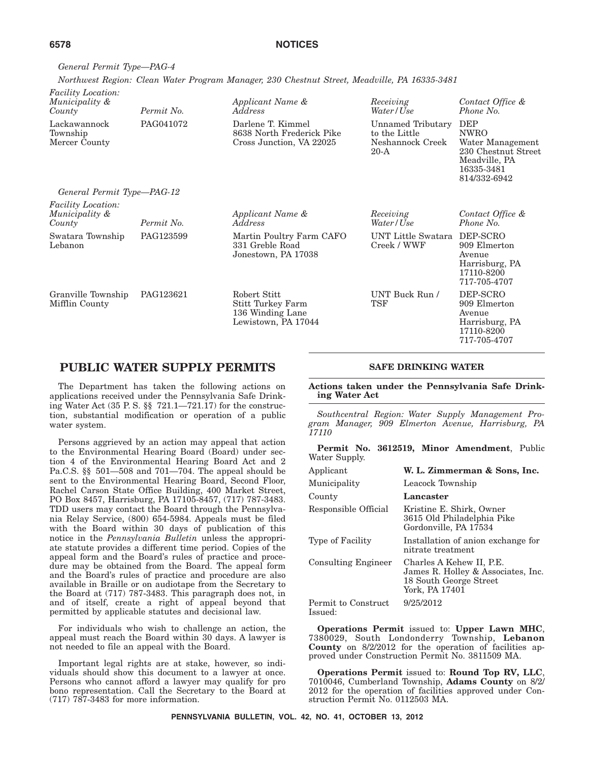*General Permit Type—PAG-4 Northwest Region: Clean Water Program Manager, 230 Chestnut Street, Meadville, PA 16335-3481*

| <i>Facility Location:</i><br>Municipality &<br>County | Permit No. | Applicant Name &<br>Address                                                  | Receiving<br>Water/Use                                           | Contact Office &<br>Phone No.                                                                                       |
|-------------------------------------------------------|------------|------------------------------------------------------------------------------|------------------------------------------------------------------|---------------------------------------------------------------------------------------------------------------------|
| Lackawannock<br>Township<br>Mercer County             | PAG041072  | Darlene T. Kimmel<br>8638 North Frederick Pike<br>Cross Junction, VA 22025   | Unnamed Tributary<br>to the Little<br>Neshannock Creek<br>$20-A$ | <b>DEP</b><br><b>NWRO</b><br>Water Management<br>230 Chestnut Street<br>Meadville, PA<br>16335-3481<br>814/332-6942 |
| General Permit Type-PAG-12                            |            |                                                                              |                                                                  |                                                                                                                     |
| <i>Facility Location:</i><br>Municipality &<br>County | Permit No. | Applicant Name &<br>Address                                                  | Receiving<br>Water/Use                                           | Contact Office &<br>Phone No.                                                                                       |
| Swatara Township<br>Lebanon                           | PAG123599  | Martin Poultry Farm CAFO<br>331 Greble Road<br>Jonestown, PA 17038           | UNT Little Swatara<br>Creek / WWF                                | DEP-SCRO<br>909 Elmerton<br>Avenue<br>Harrisburg, PA<br>17110-8200<br>717-705-4707                                  |
| Granville Township<br>Mifflin County                  | PAG123621  | Robert Stitt<br>Stitt Turkey Farm<br>136 Winding Lane<br>Lewistown, PA 17044 | UNT Buck Run /<br>TSF                                            | DEP-SCRO<br>909 Elmerton<br>Avenue<br>Harrisburg, PA<br>17110-8200<br>717-705-4707                                  |

# **PUBLIC WATER SUPPLY PERMITS**

The Department has taken the following actions on applications received under the Pennsylvania Safe Drinking Water Act (35 P. S. §§ 721.1—721.17) for the construction, substantial modification or operation of a public water system.

Persons aggrieved by an action may appeal that action to the Environmental Hearing Board (Board) under section 4 of the Environmental Hearing Board Act and 2 Pa.C.S. §§ 501—508 and 701—704. The appeal should be sent to the Environmental Hearing Board, Second Floor, Rachel Carson State Office Building, 400 Market Street, PO Box 8457, Harrisburg, PA 17105-8457, (717) 787-3483. TDD users may contact the Board through the Pennsylvania Relay Service, (800) 654-5984. Appeals must be filed with the Board within 30 days of publication of this notice in the *Pennsylvania Bulletin* unless the appropriate statute provides a different time period. Copies of the appeal form and the Board's rules of practice and procedure may be obtained from the Board. The appeal form and the Board's rules of practice and procedure are also available in Braille or on audiotape from the Secretary to the Board at (717) 787-3483. This paragraph does not, in and of itself, create a right of appeal beyond that permitted by applicable statutes and decisional law.

For individuals who wish to challenge an action, the appeal must reach the Board within 30 days. A lawyer is not needed to file an appeal with the Board.

Important legal rights are at stake, however, so individuals should show this document to a lawyer at once. Persons who cannot afford a lawyer may qualify for pro bono representation. Call the Secretary to the Board at (717) 787-3483 for more information.

## **SAFE DRINKING WATER**

**Actions taken under the Pennsylvania Safe Drinking Water Act**

*Southcentral Region: Water Supply Management Program Manager, 909 Elmerton Avenue, Harrisburg, PA 17110*

**Permit No. 3612519, Minor Amendment**, Public Water Supply.

| Applicant                      | W. L. Zimmerman & Sons, Inc.                                                                               |
|--------------------------------|------------------------------------------------------------------------------------------------------------|
| Municipality                   | Leacock Township                                                                                           |
| County                         | Lancaster                                                                                                  |
| Responsible Official           | Kristine E. Shirk, Owner<br>3615 Old Philadelphia Pike<br>Gordonville, PA 17534                            |
| Type of Facility               | Installation of anion exchange for<br>nitrate treatment                                                    |
| <b>Consulting Engineer</b>     | Charles A Kehew II, P.E.<br>James R. Holley & Associates, Inc.<br>18 South George Street<br>York, PA 17401 |
| Permit to Construct<br>Issued: | 9/25/2012                                                                                                  |

**Operations Permit** issued to: **Upper Lawn MHC**, 7380029, South Londonderry Township, **Lebanon County** on 8/2/2012 for the operation of facilities approved under Construction Permit No. 3811509 MA.

**Operations Permit** issued to: **Round Top RV, LLC**, 7010046, Cumberland Township, **Adams County** on 8/2/ 2012 for the operation of facilities approved under Construction Permit No. 0112503 MA.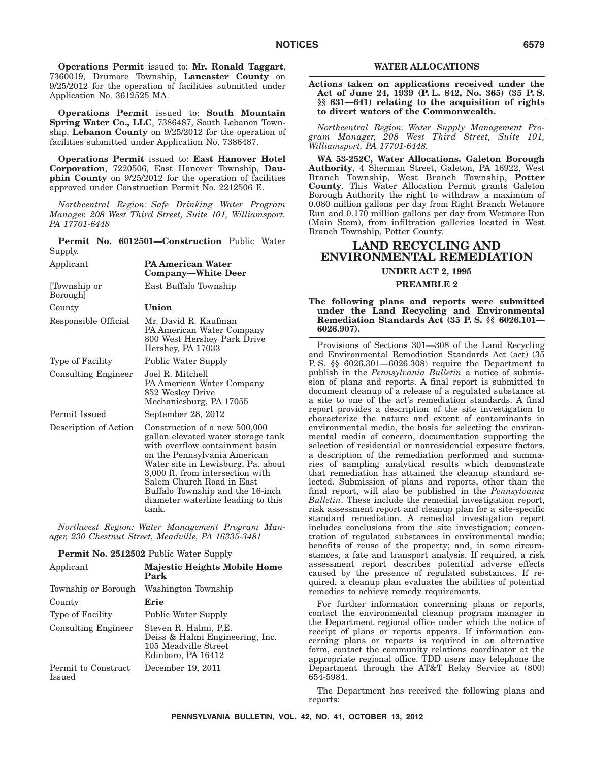**Operations Permit** issued to: **Mr. Ronald Taggart**, 7360019, Drumore Township, **Lancaster County** on 9/25/2012 for the operation of facilities submitted under Application No. 3612525 MA.

**Operations Permit** issued to: **South Mountain Spring Water Co., LLC**, 7386487, South Lebanon Township, **Lebanon County** on 9/25/2012 for the operation of facilities submitted under Application No. 7386487.

**Operations Permit** issued to: **East Hanover Hotel Corporation**, 7220506, East Hanover Township, **Dauphin County** on 9/25/2012 for the operation of facilities approved under Construction Permit No. 2212506 E.

*Northcentral Region: Safe Drinking Water Program Manager, 208 West Third Street, Suite 101, Williamsport, PA 17701-6448*

**Permit No. 6012501—Construction** Public Water Supply.

| Applicant                  | <b>PA American Water</b><br>Company—White Deer                                                                                                                                                                                                                                                                                   |
|----------------------------|----------------------------------------------------------------------------------------------------------------------------------------------------------------------------------------------------------------------------------------------------------------------------------------------------------------------------------|
| [Township or<br>Borough]   | East Buffalo Township                                                                                                                                                                                                                                                                                                            |
| County                     | Union                                                                                                                                                                                                                                                                                                                            |
| Responsible Official       | Mr. David R. Kaufman<br>PA American Water Company<br>800 West Hershey Park Drive<br>Hershey, PA 17033                                                                                                                                                                                                                            |
| Type of Facility           | <b>Public Water Supply</b>                                                                                                                                                                                                                                                                                                       |
| <b>Consulting Engineer</b> | Joel R. Mitchell<br>PA American Water Company<br>852 Wesley Drive<br>Mechanicsburg, PA 17055                                                                                                                                                                                                                                     |
| Permit Issued              | September 28, 2012                                                                                                                                                                                                                                                                                                               |
| Description of Action      | Construction of a new 500,000<br>gallon elevated water storage tank<br>with overflow containment basin<br>on the Pennsylvania American<br>Water site in Lewisburg, Pa. about<br>3,000 ft. from intersection with<br>Salem Church Road in East<br>Buffalo Township and the 16-inch<br>diameter waterline leading to this<br>tank. |

*Northwest Region: Water Management Program Manager, 230 Chestnut Street, Meadville, PA 16335-3481*

**Permit No. 2512502** Public Water Supply

| Applicant                            | <b>Majestic Heights Mobile Home</b><br>Park                                                            |
|--------------------------------------|--------------------------------------------------------------------------------------------------------|
| Township or Borough                  | Washington Township                                                                                    |
| County                               | Erie                                                                                                   |
| <b>Type of Facility</b>              | Public Water Supply                                                                                    |
| Consulting Engineer                  | Steven R. Halmi, P.E.<br>Deiss & Halmi Engineering, Inc.<br>105 Meadville Street<br>Edinboro, PA 16412 |
| Permit to Construct<br><b>Issued</b> | December 19, 2011                                                                                      |

#### **WATER ALLOCATIONS**

**Actions taken on applications received under the Act of June 24, 1939 (P. L. 842, No. 365) (35 P. S. §§ 631—641) relating to the acquisition of rights to divert waters of the Commonwealth.**

*Northcentral Region: Water Supply Management Program Manager, 208 West Third Street, Suite 101, Williamsport, PA 17701-6448.*

**WA 53-252C, Water Allocations. Galeton Borough Authority**, 4 Sherman Street, Galeton, PA 16922, West Branch Township, West Branch Township, **Potter County**. This Water Allocation Permit grants Galeton Borough Authority the right to withdraw a maximum of 0.080 million gallons per day from Right Branch Wetmore Run and 0.170 million gallons per day from Wetmore Run (Main Stem), from infiltration galleries located in West Branch Township, Potter County.

# **LAND RECYCLING AND ENVIRONMENTAL REMEDIATION**

# **UNDER ACT 2, 1995**

## **PREAMBLE 2**

**The following plans and reports were submitted under the Land Recycling and Environmental Remediation Standards Act (35 P. S. §§ 6026.101— 6026.907).**

Provisions of Sections 301—308 of the Land Recycling and Environmental Remediation Standards Act (act) (35 P. S. §§ 6026.301—6026.308) require the Department to publish in the *Pennsylvania Bulletin* a notice of submission of plans and reports. A final report is submitted to document cleanup of a release of a regulated substance at a site to one of the act's remediation standards. A final report provides a description of the site investigation to characterize the nature and extent of contaminants in environmental media, the basis for selecting the environmental media of concern, documentation supporting the selection of residential or nonresidential exposure factors, a description of the remediation performed and summaries of sampling analytical results which demonstrate that remediation has attained the cleanup standard selected. Submission of plans and reports, other than the final report, will also be published in the *Pennsylvania Bulletin*. These include the remedial investigation report, risk assessment report and cleanup plan for a site-specific standard remediation. A remedial investigation report includes conclusions from the site investigation; concentration of regulated substances in environmental media; benefits of reuse of the property; and, in some circumstances, a fate and transport analysis. If required, a risk assessment report describes potential adverse effects caused by the presence of regulated substances. If required, a cleanup plan evaluates the abilities of potential remedies to achieve remedy requirements.

For further information concerning plans or reports, contact the environmental cleanup program manager in the Department regional office under which the notice of receipt of plans or reports appears. If information concerning plans or reports is required in an alternative form, contact the community relations coordinator at the appropriate regional office. TDD users may telephone the Department through the AT&T Relay Service at (800) 654-5984.

The Department has received the following plans and reports: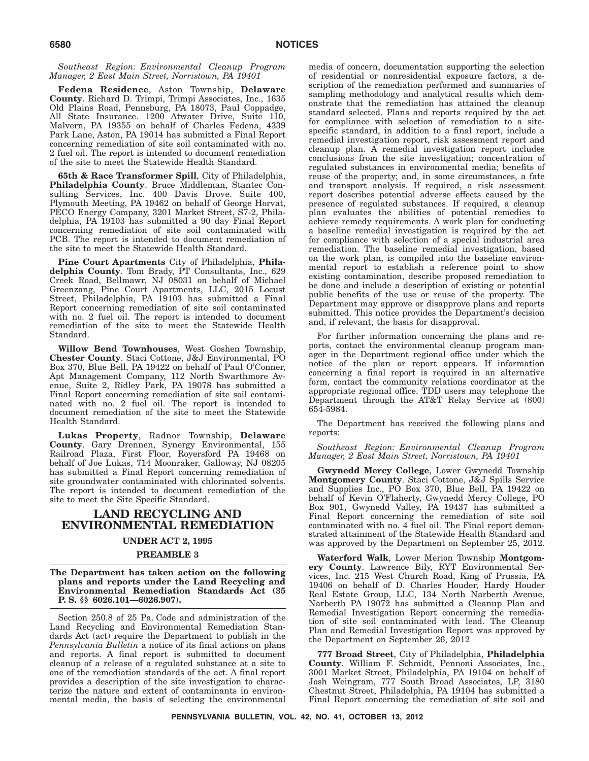*Southeast Region: Environmental Cleanup Program Manager, 2 East Main Street, Norristown, PA 19401*

**Fedena Residence**, Aston Township, **Delaware County**. Richard D. Trimpi, Trimpi Associates, Inc., 1635 Old Plains Road, Pennsburg, PA 18073, Paul Coppadge, All State Insurance. 1200 Atwater Drive, Suite 110, Malvern, PA 19355 on behalf of Charles Fedena, 4339 Park Lane, Aston, PA 19014 has submitted a Final Report concerning remediation of site soil contaminated with no. 2 fuel oil. The report is intended to document remediation of the site to meet the Statewide Health Standard.

**65th & Race Transformer Spill**, City of Philadelphia, **Philadelphia County**. Bruce Middleman, Stantec Consulting Services, Inc. 400 Davis Drove. Suite 400, Plymouth Meeting, PA 19462 on behalf of George Horvat, PECO Energy Company, 3201 Market Street, S7-2, Philadelphia, PA 19103 has submitted a 90 day Final Report concerning remediation of site soil contaminated with PCB. The report is intended to document remediation of the site to meet the Statewide Health Standard.

**Pine Court Apartments** City of Philadelphia, **Philadelphia County**. Tom Brady, PT Consultants, Inc., 629 Creek Road, Bellmawr, NJ 08031 on behalf of Michael Greenzang, Pine Court Apartments, LLC, 2015 Locust Street, Philadelphia, PA 19103 has submitted a Final Report concerning remediation of site soil contaminated with no. 2 fuel oil. The report is intended to document remediation of the site to meet the Statewide Health Standard.

**Willow Bend Townhouses**, West Goshen Township, **Chester County**. Staci Cottone, J&J Environmental, PO Box 370, Blue Bell, PA 19422 on behalf of Paul O'Conner, Apt Management Company, 112 North Swarthmore Avenue, Suite 2, Ridley Park, PA 19078 has submitted a Final Report concerning remediation of site soil contaminated with no. 2 fuel oil. The report is intended to document remediation of the site to meet the Statewide Health Standard.

**Lukas Property**, Radnor Township, **Delaware County**. Gary Drennen, Synergy Environmental, 155 Railroad Plaza, First Floor, Royersford PA 19468 on behalf of Joe Lukas, 714 Moonraker, Galloway, NJ 08205 has submitted a Final Report concerning remediation of site groundwater contaminated with chlorinated solvents. The report is intended to document remediation of the site to meet the Site Specific Standard.

# **LAND RECYCLING AND ENVIRONMENTAL REMEDIATION**

# **UNDER ACT 2, 1995**

## **PREAMBLE 3**

**The Department has taken action on the following plans and reports under the Land Recycling and Environmental Remediation Standards Act (35 P. S. §§ 6026.101—6026.907).**

Section 250.8 of 25 Pa. Code and administration of the Land Recycling and Environmental Remediation Standards Act (act) require the Department to publish in the *Pennsylvania Bulletin* a notice of its final actions on plans and reports. A final report is submitted to document cleanup of a release of a regulated substance at a site to one of the remediation standards of the act. A final report provides a description of the site investigation to characterize the nature and extent of contaminants in environmental media, the basis of selecting the environmental

media of concern, documentation supporting the selection of residential or nonresidential exposure factors, a description of the remediation performed and summaries of sampling methodology and analytical results which demonstrate that the remediation has attained the cleanup standard selected. Plans and reports required by the act for compliance with selection of remediation to a sitespecific standard, in addition to a final report, include a remedial investigation report, risk assessment report and cleanup plan. A remedial investigation report includes conclusions from the site investigation; concentration of regulated substances in environmental media; benefits of reuse of the property; and, in some circumstances, a fate and transport analysis. If required, a risk assessment report describes potential adverse effects caused by the presence of regulated substances. If required, a cleanup plan evaluates the abilities of potential remedies to achieve remedy requirements. A work plan for conducting a baseline remedial investigation is required by the act for compliance with selection of a special industrial area remediation. The baseline remedial investigation, based on the work plan, is compiled into the baseline environmental report to establish a reference point to show existing contamination, describe proposed remediation to be done and include a description of existing or potential public benefits of the use or reuse of the property. The Department may approve or disapprove plans and reports submitted. This notice provides the Department's decision and, if relevant, the basis for disapproval.

For further information concerning the plans and reports, contact the environmental cleanup program manager in the Department regional office under which the notice of the plan or report appears. If information concerning a final report is required in an alternative form, contact the community relations coordinator at the appropriate regional office. TDD users may telephone the Department through the AT&T Relay Service at (800) 654-5984.

The Department has received the following plans and reports:

*Southeast Region: Environmental Cleanup Program Manager, 2 East Main Street, Norristown, PA 19401*

**Gwynedd Mercy College**, Lower Gwynedd Township **Montgomery County**. Staci Cottone, J&J Spills Service and Supplies Inc., PO Box 370, Blue Bell, PA 19422 on behalf of Kevin O'Flaherty, Gwynedd Mercy College, PO Box 901, Gwynedd Valley, PA 19437 has submitted a Final Report concerning the remediation of site soil contaminated with no. 4 fuel oil. The Final report demonstrated attainment of the Statewide Health Standard and was approved by the Department on September 25, 2012.

**Waterford Walk**, Lower Merion Township **Montgomery County**. Lawrence Bily, RYT Environmental Services, Inc. 215 West Church Road, King of Prussia, PA 19406 on behalf of D. Charles Houder, Hardy Houder Real Estate Group, LLC, 134 North Narberth Avenue, Narberth PA 19072 has submitted a Cleanup Plan and Remedial Investigation Report concerning the remediation of site soil contaminated with lead. The Cleanup Plan and Remedial Investigation Report was approved by the Department on September 26, 2012

**777 Broad Street**, City of Philadelphia, **Philadelphia County**. William F. Schmidt, Pennoni Associates, Inc., 3001 Market Street, Philadelphia, PA 19104 on behalf of Josh Weingram, 777 South Broad Associates, LP, 3180 Chestnut Street, Philadelphia, PA 19104 has submitted a Final Report concerning the remediation of site soil and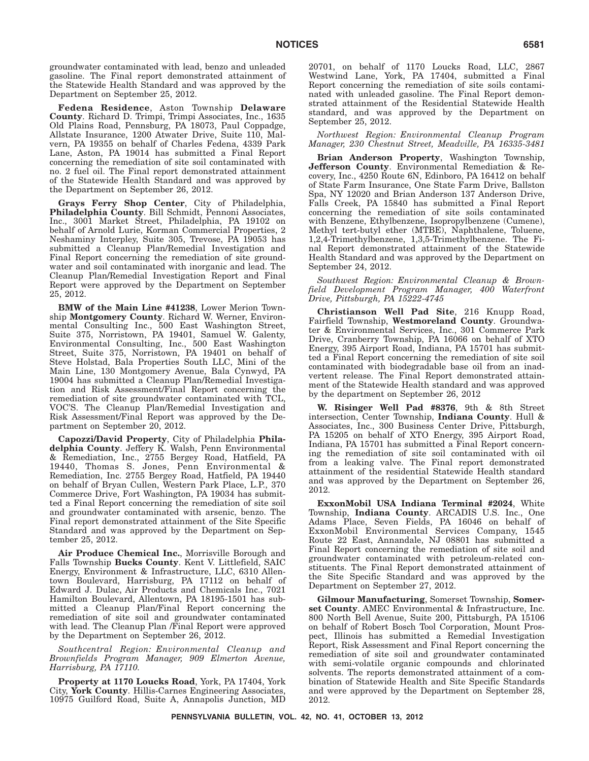groundwater contaminated with lead, benzo and unleaded gasoline. The Final report demonstrated attainment of the Statewide Health Standard and was approved by the Department on September 25, 2012.

**Fedena Residence**, Aston Township **Delaware County**. Richard D. Trimpi, Trimpi Associates, Inc., 1635 Old Plains Road, Pennsburg, PA 18073, Paul Coppadge, Allstate Insurance, 1200 Atwater Drive, Suite 110, Malvern, PA 19355 on behalf of Charles Fedena, 4339 Park Lane, Aston, PA 19014 has submitted a Final Report concerning the remediation of site soil contaminated with no. 2 fuel oil. The Final report demonstrated attainment of the Statewide Health Standard and was approved by the Department on September 26, 2012.

**Grays Ferry Shop Center**, City of Philadelphia, **Philadelphia County**. Bill Schmidt, Pennoni Associates, Inc., 3001 Market Street, Philadelphia, PA 19102 on behalf of Arnold Lurie, Korman Commercial Properties, 2 Neshaminy Interpley, Suite 305, Trevose, PA 19053 has submitted a Cleanup Plan/Remedial Investigation and Final Report concerning the remediation of site groundwater and soil contaminated with inorganic and lead. The Cleanup Plan/Remedial Investigation Report and Final Report were approved by the Department on September 25, 2012.

**BMW of the Main Line #41238**, Lower Merion Township **Montgomery County**. Richard W. Werner, Environmental Consulting Inc., 500 East Washington Street, Suite 375, Norristown, PA 19401, Samuel W. Galenty, Environmental Consulting, Inc., 500 East Washington Street, Suite 375, Norristown, PA 19401 on behalf of Steve Holstad, Bala Properties South LLC, Mini of the Main Line, 130 Montgomery Avenue, Bala Cynwyd, PA 19004 has submitted a Cleanup Plan/Remedial Investigation and Risk Assessment/Final Report concerning the remediation of site groundwater contaminated with TCL, VOC'S. The Cleanup Plan/Remedial Investigation and Risk Assessment/Final Report was approved by the Department on September 20, 2012.

**Capozzi/David Property**, City of Philadelphia **Philadelphia County**. Jeffery K. Walsh, Penn Environmental & Remediation, Inc., 2755 Bergey Road, Hatfield, PA 19440, Thomas S. Jones, Penn Environmental & Remediation, Inc. 2755 Bergey Road, Hatfield, PA 19440 on behalf of Bryan Cullen, Western Park Place, L.P., 370 Commerce Drive, Fort Washington, PA 19034 has submitted a Final Report concerning the remediation of site soil and groundwater contaminated with arsenic, benzo. The Final report demonstrated attainment of the Site Specific Standard and was approved by the Department on September 25, 2012.

**Air Produce Chemical Inc.**, Morrisville Borough and Falls Township **Bucks County**. Kent V. Littlefield, SAIC Energy, Environment & Infrastructure, LLC, 6310 Allentown Boulevard, Harrisburg, PA 17112 on behalf of Edward J. Dulac, Air Products and Chemicals Inc., 7021 Hamilton Boulevard, Allentown, PA 18195-1501 has submitted a Cleanup Plan/Final Report concerning the remediation of site soil and groundwater contaminated with lead. The Cleanup Plan /Final Report were approved by the Department on September 26, 2012.

*Southcentral Region: Environmental Cleanup and Brownfields Program Manager, 909 Elmerton Avenue, Harrisburg, PA 17110.*

**Property at 1170 Loucks Road**, York, PA 17404, York City, **York County**. Hillis-Carnes Engineering Associates, 10975 Guilford Road, Suite A, Annapolis Junction, MD 20701, on behalf of 1170 Loucks Road, LLC, 2867 Westwind Lane, York, PA 17404, submitted a Final Report concerning the remediation of site soils contaminated with unleaded gasoline. The Final Report demonstrated attainment of the Residential Statewide Health standard, and was approved by the Department on September 25, 2012.

*Northwest Region: Environmental Cleanup Program Manager, 230 Chestnut Street, Meadville, PA 16335-3481*

**Brian Anderson Property**, Washington Township, **Jefferson County**. Environmental Remediation & Recovery, Inc., 4250 Route 6N, Edinboro, PA 16412 on behalf of State Farm Insurance, One State Farm Drive, Ballston Spa, NY 12020 and Brian Anderson 137 Anderson Drive, Falls Creek, PA 15840 has submitted a Final Report concerning the remediation of site soils contaminated with Benzene, Ethylbenzene, Isopropylbenzene (Cumene), Methyl tert-butyl ether (MTBE), Naphthalene, Toluene, 1,2,4-Trimethylbenzene, 1,3,5-Trimethylbenzene. The Final Report demonstrated attainment of the Statewide Health Standard and was approved by the Department on September 24, 2012.

*Southwest Region: Environmental Cleanup & Brownfield Development Program Manager, 400 Waterfront Drive, Pittsburgh, PA 15222-4745*

**Christianson Well Pad Site**, 216 Knupp Road, Fairfield Township, **Westmoreland County**. Groundwater & Environmental Services, Inc., 301 Commerce Park Drive, Cranberry Township, PA 16066 on behalf of XTO Energy, 395 Airport Road, Indiana, PA 15701 has submitted a Final Report concerning the remediation of site soil contaminated with biodegradable base oil from an inadvertent release. The Final Report demonstrated attainment of the Statewide Health standard and was approved by the department on September 26, 2012

**W. Risinger Well Pad #8376**, 9th & 8th Street intersection, Center Township, **Indiana County**. Hull & Associates, Inc., 300 Business Center Drive, Pittsburgh, PA 15205 on behalf of XTO Energy, 395 Airport Road, Indiana, PA 15701 has submitted a Final Report concerning the remediation of site soil contaminated with oil from a leaking valve. The Final report demonstrated attainment of the residential Statewide Health standard and was approved by the Department on September 26, 2012.

**ExxonMobil USA Indiana Terminal #2024**, White Township, **Indiana County**. ARCADIS U.S. Inc., One Adams Place, Seven Fields, PA 16046 on behalf of ExxonMobil Environmental Services Company, 1545 Route 22 East, Annandale, NJ 08801 has submitted a Final Report concerning the remediation of site soil and groundwater contaminated with petroleum-related constituents. The Final Report demonstrated attainment of the Site Specific Standard and was approved by the Department on September 27, 2012.

**Gilmour Manufacturing**, Somerset Township, **Somerset County**. AMEC Environmental & Infrastructure, Inc. 800 North Bell Avenue, Suite 200, Pittsburgh, PA 15106 on behalf of Robert Bosch Tool Corporation, Mount Prospect, Illinois has submitted a Remedial Investigation Report, Risk Assessment and Final Report concerning the remediation of site soil and groundwater contaminated with semi-volatile organic compounds and chlorinated solvents. The reports demonstrated attainment of a combination of Statewide Health and Site Specific Standards and were approved by the Department on September 28, 2012.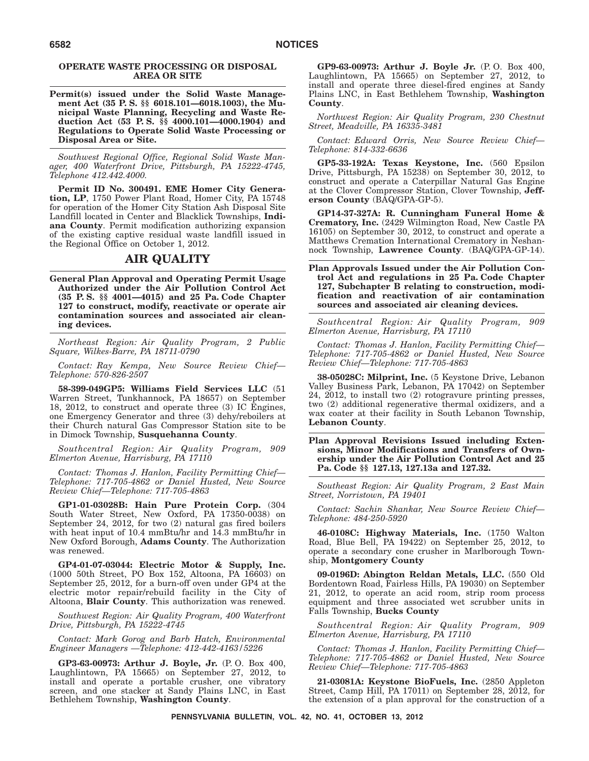## **OPERATE WASTE PROCESSING OR DISPOSAL AREA OR SITE**

**Permit(s) issued under the Solid Waste Management Act (35 P. S. §§ 6018.101—6018.1003), the Municipal Waste Planning, Recycling and Waste Reduction Act (53 P. S. §§ 4000.101—4000.1904) and Regulations to Operate Solid Waste Processing or Disposal Area or Site.**

*Southwest Regional Office, Regional Solid Waste Manager, 400 Waterfront Drive, Pittsburgh, PA 15222-4745, Telephone 412.442.4000.*

**Permit ID No. 300491. EME Homer City Generation, LP**, 1750 Power Plant Road, Homer City, PA 15748 for operation of the Homer City Station Ash Disposal Site Landfill located in Center and Blacklick Townships, **Indiana County**. Permit modification authorizing expansion of the existing captive residual waste landfill issued in the Regional Office on October 1, 2012.

# **AIR QUALITY**

**General Plan Approval and Operating Permit Usage Authorized under the Air Pollution Control Act (35 P. S. §§ 4001—4015) and 25 Pa. Code Chapter 127 to construct, modify, reactivate or operate air contamination sources and associated air cleaning devices.**

*Northeast Region: Air Quality Program, 2 Public Square, Wilkes-Barre, PA 18711-0790*

*Contact: Ray Kempa, New Source Review Chief— Telephone: 570-826-2507*

**58-399-049GP5: Williams Field Services LLC** (51 Warren Street, Tunkhannock, PA 18657) on September 18, 2012, to construct and operate three (3) IC Engines, one Emergency Generator and three (3) dehy/reboilers at their Church natural Gas Compressor Station site to be in Dimock Township, **Susquehanna County**.

*Southcentral Region: Air Quality Program, 909 Elmerton Avenue, Harrisburg, PA 17110*

*Contact: Thomas J. Hanlon, Facility Permitting Chief— Telephone: 717-705-4862 or Daniel Husted, New Source Review Chief—Telephone: 717-705-4863*

**GP1-01-03028B: Hain Pure Protein Corp.** (304 South Water Street, New Oxford, PA 17350-0038) on September 24, 2012, for two (2) natural gas fired boilers with heat input of 10.4 mmBtu/hr and 14.3 mmBtu/hr in New Oxford Borough, **Adams County**. The Authorization was renewed.

**GP4-01-07-03044: Electric Motor & Supply, Inc.** (1000 50th Street, PO Box 152, Altoona, PA 16603) on September 25, 2012, for a burn-off oven under GP4 at the electric motor repair/rebuild facility in the City of Altoona, **Blair County**. This authorization was renewed.

*Southwest Region: Air Quality Program, 400 Waterfront Drive, Pittsburgh, PA 15222-4745*

*Contact: Mark Gorog and Barb Hatch, Environmental Engineer Managers —Telephone: 412-442-4163/5226*

**GP3-63-00973: Arthur J. Boyle, Jr.** (P. O. Box 400, Laughlintown, PA 15665) on September 27, 2012, to install and operate a portable crusher, one vibratory screen, and one stacker at Sandy Plains LNC, in East Bethlehem Township, **Washington County**.

**GP9-63-00973: Arthur J. Boyle Jr.** (P. O. Box 400, Laughlintown, PA 15665) on September 27, 2012, to install and operate three diesel-fired engines at Sandy Plains LNC, in East Bethlehem Township, **Washington County**.

*Northwest Region: Air Quality Program, 230 Chestnut Street, Meadville, PA 16335-3481*

*Contact: Edward Orris, New Source Review Chief— Telephone: 814-332-6636*

**GP5-33-192A: Texas Keystone, Inc.** (560 Epsilon Drive, Pittsburgh, PA 15238) on September 30, 2012, to construct and operate a Caterpillar Natural Gas Engine at the Clover Compressor Station, Clover Township, **Jefferson County** (BAQ/GPA-GP-5).

**GP14-37-327A: R. Cunningham Funeral Home & Crematory, Inc.** (2429 Wilmington Road, New Castle PA 16105) on September 30, 2012, to construct and operate a Matthews Cremation International Crematory in Neshannock Township, **Lawrence County**. (BAQ/GPA-GP-14).

**Plan Approvals Issued under the Air Pollution Control Act and regulations in 25 Pa. Code Chapter 127, Subchapter B relating to construction, modification and reactivation of air contamination sources and associated air cleaning devices.**

*Southcentral Region: Air Quality Program, 909 Elmerton Avenue, Harrisburg, PA 17110*

*Contact: Thomas J. Hanlon, Facility Permitting Chief— Telephone: 717-705-4862 or Daniel Husted, New Source Review Chief—Telephone: 717-705-4863*

**38-05028C: Milprint, Inc.** (5 Keystone Drive, Lebanon Valley Business Park, Lebanon, PA 17042) on September 24, 2012, to install two (2) rotogravure printing presses, two (2) additional regenerative thermal oxidizers, and a wax coater at their facility in South Lebanon Township, **Lebanon County**.

**Plan Approval Revisions Issued including Extensions, Minor Modifications and Transfers of Ownership under the Air Pollution Control Act and 25 Pa. Code §§ 127.13, 127.13a and 127.32.**

*Southeast Region: Air Quality Program, 2 East Main Street, Norristown, PA 19401*

*Contact: Sachin Shankar, New Source Review Chief— Telephone: 484-250-5920*

**46-0108C: Highway Materials, Inc.** (1750 Walton Road, Blue Bell, PA 19422) on September 25, 2012, to operate a secondary cone crusher in Marlborough Township, **Montgomery County**

**09-0196D: Abington Reldan Metals, LLC.** (550 Old Bordentown Road, Fairless Hills, PA 19030) on September 21, 2012, to operate an acid room, strip room process equipment and three associated wet scrubber units in Falls Township, **Bucks County**

*Southcentral Region: Air Quality Program, 909 Elmerton Avenue, Harrisburg, PA 17110*

*Contact: Thomas J. Hanlon, Facility Permitting Chief— Telephone: 717-705-4862 or Daniel Husted, New Source Review Chief—Telephone: 717-705-4863*

**21-03081A: Keystone BioFuels, Inc.** (2850 Appleton Street, Camp Hill, PA 17011) on September 28, 2012, for the extension of a plan approval for the construction of a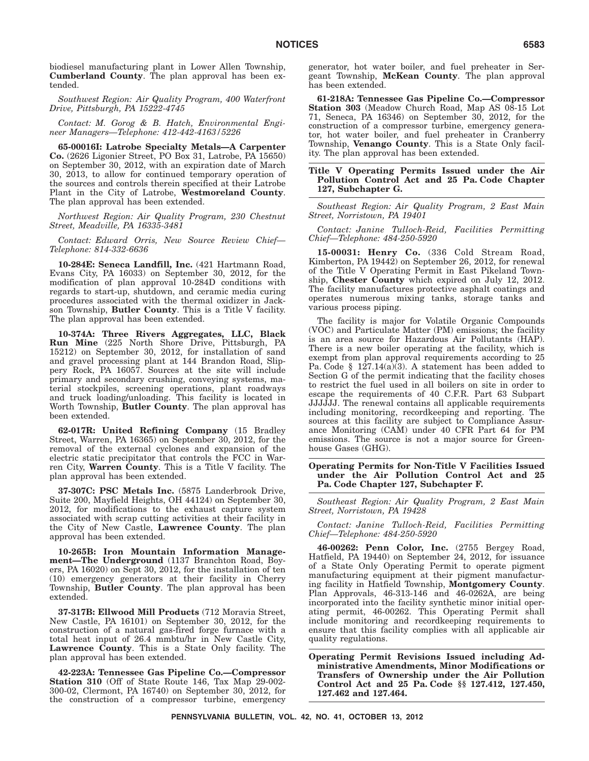biodiesel manufacturing plant in Lower Allen Township, **Cumberland County**. The plan approval has been extended.

*Southwest Region: Air Quality Program, 400 Waterfront Drive, Pittsburgh, PA 15222-4745*

*Contact: M. Gorog & B. Hatch, Environmental Engineer Managers—Telephone: 412-442-4163/5226*

**65-00016I: Latrobe Specialty Metals—A Carpenter Co.** (2626 Ligonier Street, PO Box 31, Latrobe, PA 15650) on September 30, 2012, with an expiration date of March 30, 2013, to allow for continued temporary operation of the sources and controls therein specified at their Latrobe Plant in the City of Latrobe, **Westmoreland County**. The plan approval has been extended.

*Northwest Region: Air Quality Program, 230 Chestnut Street, Meadville, PA 16335-3481*

*Contact: Edward Orris, New Source Review Chief— Telephone: 814-332-6636*

**10-284E: Seneca Landfill, Inc.** (421 Hartmann Road, Evans City, PA 16033) on September 30, 2012, for the modification of plan approval 10-284D conditions with regards to start-up, shutdown, and ceramic media curing procedures associated with the thermal oxidizer in Jackson Township, **Butler County**. This is a Title V facility. The plan approval has been extended.

**10-374A: Three Rivers Aggregates, LLC, Black Run Mine** (225 North Shore Drive, Pittsburgh, PA 15212) on September 30, 2012, for installation of sand and gravel processing plant at 144 Brandon Road, Slippery Rock, PA 16057. Sources at the site will include primary and secondary crushing, conveying systems, material stockpiles, screening operations, plant roadways and truck loading/unloading. This facility is located in Worth Township, **Butler County**. The plan approval has been extended.

**62-017R: United Refining Company** (15 Bradley Street, Warren, PA 16365) on September 30, 2012, for the removal of the external cyclones and expansion of the electric static precipitator that controls the FCC in Warren City, **Warren County**. This is a Title V facility. The plan approval has been extended.

**37-307C: PSC Metals Inc.** (5875 Landerbrook Drive, Suite 200, Mayfield Heights, OH 44124) on September 30, 2012, for modifications to the exhaust capture system associated with scrap cutting activities at their facility in the City of New Castle, **Lawrence County**. The plan approval has been extended.

**10-265B: Iron Mountain Information Management—The Underground** (1137 Branchton Road, Boyers, PA 16020) on Sept 30, 2012, for the installation of ten (10) emergency generators at their facility in Cherry Township, **Butler County**. The plan approval has been extended.

**37-317B: Ellwood Mill Products** (712 Moravia Street, New Castle, PA 16101) on September 30, 2012, for the construction of a natural gas-fired forge furnace with a total heat input of 26.4 mmbtu/hr in New Castle City, **Lawrence County**. This is a State Only facility. The plan approval has been extended.

**42-223A: Tennessee Gas Pipeline Co.—Compressor Station 310** (Off of State Route 146, Tax Map 29-002- 300-02, Clermont, PA 16740) on September 30, 2012, for the construction of a compressor turbine, emergency generator, hot water boiler, and fuel preheater in Sergeant Township, **McKean County**. The plan approval has been extended.

**61-218A: Tennessee Gas Pipeline Co.—Compressor Station 303** (Meadow Church Road, Map AS 08-15 Lot 71, Seneca, PA 16346) on September 30, 2012, for the construction of a compressor turbine, emergency generator, hot water boiler, and fuel preheater in Cranberry Township, **Venango County**. This is a State Only facility. The plan approval has been extended.

**Title V Operating Permits Issued under the Air Pollution Control Act and 25 Pa. Code Chapter 127, Subchapter G.**

*Southeast Region: Air Quality Program, 2 East Main Street, Norristown, PA 19401*

### *Contact: Janine Tulloch-Reid, Facilities Permitting Chief—Telephone: 484-250-5920*

**15-00031: Henry Co.** (336 Cold Stream Road, Kimberton, PA 19442) on September 26, 2012, for renewal of the Title V Operating Permit in East Pikeland Township, **Chester County** which expired on July 12, 2012. The facility manufactures protective asphalt coatings and operates numerous mixing tanks, storage tanks and various process piping.

The facility is major for Volatile Organic Compounds (VOC) and Particulate Matter (PM) emissions; the facility is an area source for Hazardous Air Pollutants (HAP). There is a new boiler operating at the facility, which is exempt from plan approval requirements according to 25 Pa. Code § 127.14(a)(3). A statement has been added to Section G of the permit indicating that the facility choses to restrict the fuel used in all boilers on site in order to escape the requirements of 40 C.F.R. Part 63 Subpart JJJJJJ. The renewal contains all applicable requirements including monitoring, recordkeeping and reporting. The sources at this facility are subject to Compliance Assurance Monitoring (CAM) under 40 CFR Part 64 for PM emissions. The source is not a major source for Greenhouse Gases (GHG).

#### **Operating Permits for Non-Title V Facilities Issued under the Air Pollution Control Act and 25 Pa. Code Chapter 127, Subchapter F.**

*Southeast Region: Air Quality Program, 2 East Main Street, Norristown, PA 19428*

*Contact: Janine Tulloch-Reid, Facilities Permitting Chief—Telephone: 484-250-5920*

**46-00262: Penn Color, Inc.** (2755 Bergey Road, Hatfield, PA 19440) on September 24, 2012, for issuance of a State Only Operating Permit to operate pigment manufacturing equipment at their pigment manufacturing facility in Hatfield Township, **Montgomery County**. Plan Approvals, 46-313-146 and 46-0262A, are being incorporated into the facility synthetic minor initial operating permit, 46-00262. This Operating Permit shall include monitoring and recordkeeping requirements to ensure that this facility complies with all applicable air quality regulations.

**Operating Permit Revisions Issued including Administrative Amendments, Minor Modifications or Transfers of Ownership under the Air Pollution Control Act and 25 Pa. Code §§ 127.412, 127.450, 127.462 and 127.464.**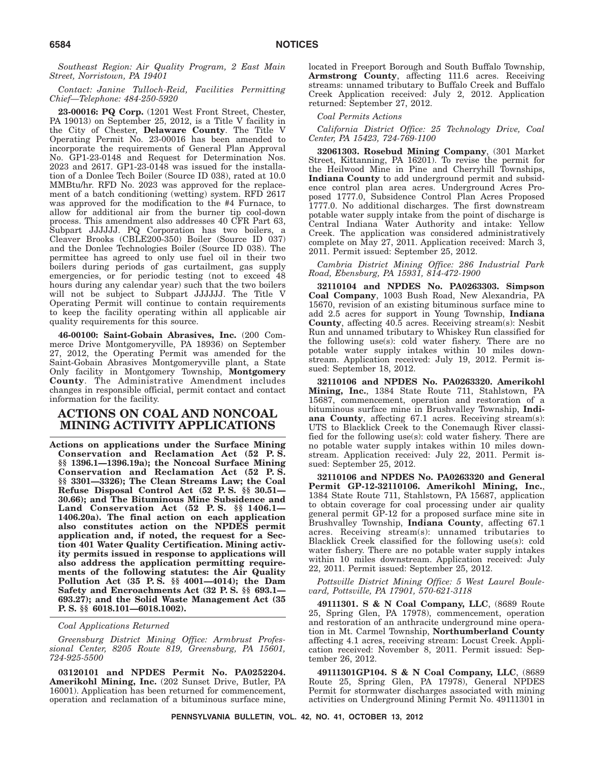*Southeast Region: Air Quality Program, 2 East Main Street, Norristown, PA 19401*

## *Contact: Janine Tulloch-Reid, Facilities Permitting Chief—Telephone: 484-250-5920*

**23-00016: PQ Corp.** (1201 West Front Street, Chester, PA 19013) on September 25, 2012, is a Title V facility in the City of Chester, **Delaware County**. The Title V Operating Permit No. 23-00016 has been amended to incorporate the requirements of General Plan Approval No. GP1-23-0148 and Request for Determination Nos. 2023 and 2617. GP1-23-0148 was issued for the installation of a Donlee Tech Boiler (Source ID 038), rated at 10.0 MMBtu/hr. RFD No. 2023 was approved for the replacement of a batch conditioning (wetting) system. RFD 2617 was approved for the modification to the #4 Furnace, to allow for additional air from the burner tip cool-down process. This amendment also addresses 40 CFR Part 63, Subpart JJJJJJ. PQ Corporation has two boilers, a Cleaver Brooks (CBLE200-350) Boiler (Source ID 037) and the Donlee Technologies Boiler (Source ID 038). The permittee has agreed to only use fuel oil in their two boilers during periods of gas curtailment, gas supply emergencies, or for periodic testing (not to exceed 48 hours during any calendar year) such that the two boilers will not be subject to Subpart JJJJJJ. The Title V Operating Permit will continue to contain requirements to keep the facility operating within all applicable air quality requirements for this source.

**46-00100: Saint-Gobain Abrasives, Inc.** (200 Commerce Drive Montgomeryville, PA 18936) on September 27, 2012, the Operating Permit was amended for the Saint-Gobain Abrasives Montgomeryville plant, a State Only facility in Montgomery Township, **Montgomery County**. The Administrative Amendment includes changes in responsible official, permit contact and contact information for the facility.

# **ACTIONS ON COAL AND NONCOAL MINING ACTIVITY APPLICATIONS**

**Actions on applications under the Surface Mining Conservation and Reclamation Act (52 P. S. §§ 1396.1—1396.19a); the Noncoal Surface Mining Conservation and Reclamation Act (52 P. S. §§ 3301—3326); The Clean Streams Law; the Coal Refuse Disposal Control Act (52 P. S. §§ 30.51— 30.66); and The Bituminous Mine Subsidence and Land Conservation Act (52 P. S. §§ 1406.1— 1406.20a). The final action on each application also constitutes action on the NPDES permit application and, if noted, the request for a Section 401 Water Quality Certification. Mining activity permits issued in response to applications will also address the application permitting requirements of the following statutes: the Air Quality Pollution Act (35 P. S. §§ 4001—4014); the Dam Safety and Encroachments Act (32 P. S. §§ 693.1— 693.27); and the Solid Waste Management Act (35 P. S. §§ 6018.101—6018.1002).**

*Coal Applications Returned*

*Greensburg District Mining Office: Armbrust Professional Center, 8205 Route 819, Greensburg, PA 15601, 724-925-5500*

**03120101 and NPDES Permit No. PA0252204. Amerikohl Mining, Inc.** (202 Sunset Drive, Butler, PA 16001). Application has been returned for commencement, operation and reclamation of a bituminous surface mine, located in Freeport Borough and South Buffalo Township, **Armstrong County**, affecting 111.6 acres. Receiving streams: unnamed tributary to Buffalo Creek and Buffalo Creek Application received: July 2, 2012. Application returned: September 27, 2012.

*Coal Permits Actions*

*California District Office: 25 Technology Drive, Coal Center, PA 15423, 724-769-1100*

**32061303. Rosebud Mining Company**, (301 Market Street, Kittanning, PA 16201). To revise the permit for the Heilwood Mine in Pine and Cherryhill Townships, **Indiana County** to add underground permit and subsidence control plan area acres. Underground Acres Proposed 1777.0, Subsidence Control Plan Acres Proposed 1777.0. No additional discharges. The first downstream potable water supply intake from the point of discharge is Central Indiana Water Authority and intake: Yellow Creek. The application was considered administratively complete on May 27, 2011. Application received: March  $3$ , 2011. Permit issued: September 25, 2012.

*Cambria District Mining Office: 286 Industrial Park Road, Ebensburg, PA 15931, 814-472-1900*

**32110104 and NPDES No. PA0263303. Simpson Coal Company**, 1003 Bush Road, New Alexandria, PA 15670, revision of an existing bituminous surface mine to add 2.5 acres for support in Young Township, **Indiana County**, affecting 40.5 acres. Receiving stream(s): Nesbit Run and unnamed tributary to Whiskey Run classified for the following use(s): cold water fishery. There are no potable water supply intakes within 10 miles downstream. Application received: July 19, 2012. Permit issued: September 18, 2012.

**32110106 and NPDES No. PA0263320. Amerikohl Mining, Inc.**, 1384 State Route 711, Stahlstown, PA 15687, commencement, operation and restoration of a bituminous surface mine in Brushvalley Township, **Indiana County**, affecting 67.1 acres. Receiving stream(s): UTS to Blacklick Creek to the Conemaugh River classified for the following use(s): cold water fishery. There are no potable water supply intakes within 10 miles downstream. Application received: July 22, 2011. Permit issued: September 25, 2012.

**32110106 and NPDES No. PA0263320 and General Permit GP-12-32110106. Amerikohl Mining, Inc.**, 1384 State Route 711, Stahlstown, PA 15687, application to obtain coverage for coal processing under air quality general permit GP-12 for a proposed surface mine site in Brushvalley Township, **Indiana County**, affecting 67.1 acres. Receiving stream(s): unnamed tributaries to Blacklick Creek classified for the following use(s): cold water fishery. There are no potable water supply intakes within 10 miles downstream. Application received: July 22, 2011. Permit issued: September 25, 2012.

*Pottsville District Mining Office: 5 West Laurel Boulevard, Pottsville, PA 17901, 570-621-3118*

**49111301.S&N Coal Company, LLC**, (8689 Route 25, Spring Glen, PA 17978), commencement, operation and restoration of an anthracite underground mine operation in Mt. Carmel Township, **Northumberland County** affecting 4.1 acres, receiving stream: Locust Creek. Application received: November 8, 2011. Permit issued: September 26, 2012.

**49111301GP104. S & N Coal Company, LLC**, (8689 Route 25, Spring Glen, PA 17978), General NPDES Permit for stormwater discharges associated with mining activities on Underground Mining Permit No. 49111301 in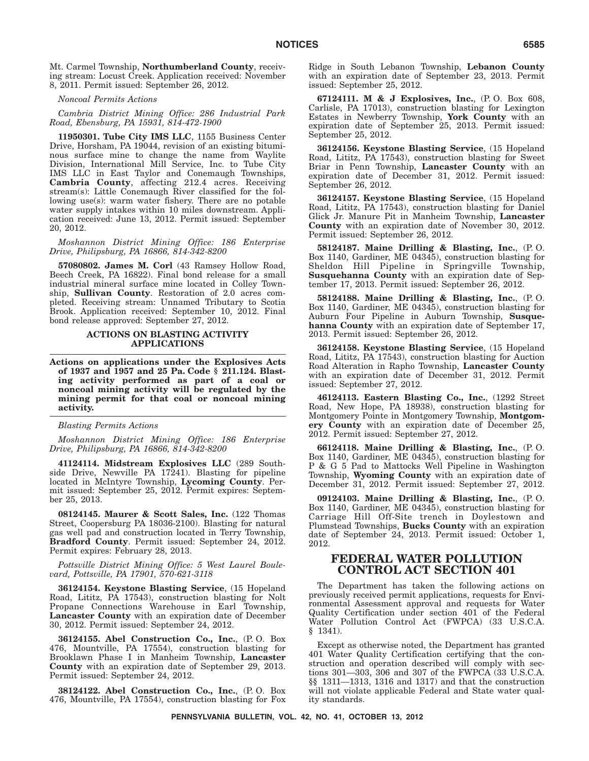Mt. Carmel Township, **Northumberland County**, receiving stream: Locust Creek. Application received: November 8, 2011. Permit issued: September 26, 2012.

*Noncoal Permits Actions*

*Cambria District Mining Office: 286 Industrial Park Road, Ebensburg, PA 15931, 814-472-1900*

**11950301. Tube City IMS LLC**, 1155 Business Center Drive, Horsham, PA 19044, revision of an existing bituminous surface mine to change the name from Waylite Division, International Mill Service, Inc. to Tube City IMS LLC in East Taylor and Conemaugh Townships, **Cambria County**, affecting 212.4 acres. Receiving stream(s): Little Conemaugh River classified for the following use(s): warm water fishery. There are no potable water supply intakes within 10 miles downstream. Application received: June 13, 2012. Permit issued: September 20, 2012.

*Moshannon District Mining Office: 186 Enterprise Drive, Philipsburg, PA 16866, 814-342-8200*

**57080802. James M. Corl** (43 Ramsey Hollow Road, Beech Creek, PA 16822). Final bond release for a small industrial mineral surface mine located in Colley Township, **Sullivan County**. Restoration of 2.0 acres completed. Receiving stream: Unnamed Tributary to Scotia Brook. Application received: September 10, 2012. Final bond release approved: September 27, 2012.

## **ACTIONS ON BLASTING ACTIVITY APPLICATIONS**

**Actions on applications under the Explosives Acts of 1937 and 1957 and 25 Pa. Code § 211.124. Blasting activity performed as part of a coal or noncoal mining activity will be regulated by the mining permit for that coal or noncoal mining activity.**

*Blasting Permits Actions*

*Moshannon District Mining Office: 186 Enterprise Drive, Philipsburg, PA 16866, 814-342-8200*

**41124114. Midstream Explosives LLC** (289 Southside Drive, Newville PA 17241). Blasting for pipeline located in McIntyre Township, **Lycoming County**. Permit issued: September 25, 2012. Permit expires: September 25, 2013.

**08124145. Maurer & Scott Sales, Inc.** (122 Thomas Street, Coopersburg PA 18036-2100). Blasting for natural gas well pad and construction located in Terry Township, **Bradford County**. Permit issued: September 24, 2012. Permit expires: February 28, 2013.

*Pottsville District Mining Office: 5 West Laurel Boulevard, Pottsville, PA 17901, 570-621-3118*

**36124154. Keystone Blasting Service**, (15 Hopeland Road, Lititz, PA 17543), construction blasting for Nolt Propane Connections Warehouse in Earl Township, **Lancaster County** with an expiration date of December 30, 2012. Permit issued: September 24, 2012.

**36124155. Abel Construction Co., Inc.**, (P. O. Box 476, Mountville, PA 17554), construction blasting for Brooklawn Phase I in Manheim Township, **Lancaster County** with an expiration date of September 29, 2013. Permit issued: September 24, 2012.

**38124122. Abel Construction Co., Inc.**, (P. O. Box 476, Mountville, PA 17554), construction blasting for Fox Ridge in South Lebanon Township, **Lebanon County** with an expiration date of September 23, 2013. Permit issued: September 25, 2012.

**67124111.M&J Explosives, Inc.**, (P. O. Box 608, Carlisle, PA 17013), construction blasting for Lexington Estates in Newberry Township, **York County** with an expiration date of September 25, 2013. Permit issued: September 25, 2012.

**36124156. Keystone Blasting Service**, (15 Hopeland Road, Lititz, PA 17543), construction blasting for Sweet Briar in Penn Township, **Lancaster County** with an expiration date of December 31, 2012. Permit issued: September 26, 2012.

**36124157. Keystone Blasting Service**, (15 Hopeland Road, Lititz, PA 17543), construction blasting for Daniel Glick Jr. Manure Pit in Manheim Township, **Lancaster County** with an expiration date of November 30, 2012. Permit issued: September 26, 2012.

**58124187. Maine Drilling & Blasting, Inc.**, (P. O. Box 1140, Gardiner, ME 04345), construction blasting for Sheldon Hill Pipeline in Springville Township, **Susquehanna County** with an expiration date of September 17, 2013. Permit issued: September 26, 2012.

**58124188. Maine Drilling & Blasting, Inc.**, (P. O. Box 1140, Gardiner, ME 04345), construction blasting for Auburn Four Pipeline in Auburn Township, **Susquehanna County** with an expiration date of September 17, 2013. Permit issued: September 26, 2012.

**36124158. Keystone Blasting Service**, (15 Hopeland Road, Lititz, PA 17543), construction blasting for Auction Road Alteration in Rapho Township, **Lancaster County** with an expiration date of December 31, 2012. Permit issued: September 27, 2012.

**46124113. Eastern Blasting Co., Inc.**, (1292 Street Road, New Hope, PA 18938), construction blasting for Montgomery Pointe in Montgomery Township, **Montgomery County** with an expiration date of December 25, 2012. Permit issued: September 27, 2012.

**66124118. Maine Drilling & Blasting, Inc.**, (P. O. Box 1140, Gardiner, ME 04345), construction blasting for P & G 5 Pad to Mattocks Well Pipeline in Washington Township, **Wyoming County** with an expiration date of December 31, 2012. Permit issued: September 27, 2012.

**09124103. Maine Drilling & Blasting, Inc.**, (P. O. Box 1140, Gardiner, ME 04345), construction blasting for Carriage Hill Off-Site trench in Doylestown and Plumstead Townships, **Bucks County** with an expiration date of September 24, 2013. Permit issued: October 1, 2012.

# **FEDERAL WATER POLLUTION CONTROL ACT SECTION 401**

The Department has taken the following actions on previously received permit applications, requests for Environmental Assessment approval and requests for Water Quality Certification under section 401 of the Federal Water Pollution Control Act (FWPCA) (33 U.S.C.A. § 1341).

Except as otherwise noted, the Department has granted 401 Water Quality Certification certifying that the construction and operation described will comply with sections 301—303, 306 and 307 of the FWPCA (33 U.S.C.A. §§ 1311—1313, 1316 and 1317) and that the construction will not violate applicable Federal and State water quality standards.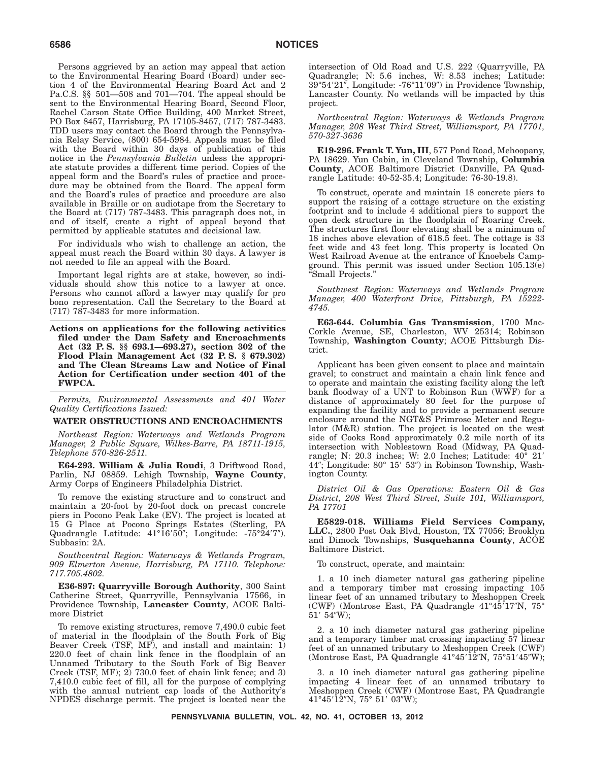Persons aggrieved by an action may appeal that action to the Environmental Hearing Board (Board) under section 4 of the Environmental Hearing Board Act and 2 Pa.C.S. §§ 501—508 and 701—704. The appeal should be sent to the Environmental Hearing Board, Second Floor, Rachel Carson State Office Building, 400 Market Street, PO Box 8457, Harrisburg, PA 17105-8457, (717) 787-3483. TDD users may contact the Board through the Pennsylvania Relay Service, (800) 654-5984. Appeals must be filed with the Board within 30 days of publication of this notice in the *Pennsylvania Bulletin* unless the appropriate statute provides a different time period. Copies of the appeal form and the Board's rules of practice and procedure may be obtained from the Board. The appeal form and the Board's rules of practice and procedure are also available in Braille or on audiotape from the Secretary to the Board at (717) 787-3483. This paragraph does not, in and of itself, create a right of appeal beyond that permitted by applicable statutes and decisional law.

For individuals who wish to challenge an action, the appeal must reach the Board within 30 days. A lawyer is not needed to file an appeal with the Board.

Important legal rights are at stake, however, so individuals should show this notice to a lawyer at once. Persons who cannot afford a lawyer may qualify for pro bono representation. Call the Secretary to the Board at (717) 787-3483 for more information.

**Actions on applications for the following activities filed under the Dam Safety and Encroachments Act (32 P. S. §§ 693.1—693.27), section 302 of the Flood Plain Management Act (32 P. S. § 679.302) and The Clean Streams Law and Notice of Final Action for Certification under section 401 of the FWPCA.**

*Permits, Environmental Assessments and 401 Water Quality Certifications Issued:*

#### **WATER OBSTRUCTIONS AND ENCROACHMENTS**

*Northeast Region: Waterways and Wetlands Program Manager, 2 Public Square, Wilkes-Barre, PA 18711-1915, Telephone 570-826-2511.*

**E64-293. William & Julia Roudi**, 3 Driftwood Road, Parlin, NJ 08859. Lehigh Township, **Wayne County**, Army Corps of Engineers Philadelphia District.

To remove the existing structure and to construct and maintain a 20-foot by 20-foot dock on precast concrete piers in Pocono Peak Lake (EV). The project is located at 15 G Place at Pocono Springs Estates (Sterling, PA Quadrangle Latitude: 41°16'50"; Longitude: -75°24'7"). Subbasin: 2A.

*Southcentral Region: Waterways & Wetlands Program, 909 Elmerton Avenue, Harrisburg, PA 17110. Telephone: 717.705.4802.*

**E36-897: Quarryville Borough Authority**, 300 Saint Catherine Street, Quarryville, Pennsylvania 17566, in Providence Township, **Lancaster County**, ACOE Baltimore District

To remove existing structures, remove 7,490.0 cubic feet of material in the floodplain of the South Fork of Big Beaver Creek (TSF, MF), and install and maintain: 1) 220.0 feet of chain link fence in the floodplain of an Unnamed Tributary to the South Fork of Big Beaver Creek (TSF, MF); 2) 730.0 feet of chain link fence; and 3) 7,410.0 cubic feet of fill, all for the purpose of complying with the annual nutrient cap loads of the Authority's NPDES discharge permit. The project is located near the intersection of Old Road and U.S. 222 (Quarryville, PA Quadrangle; N: 5.6 inches, W: 8.53 inches; Latitude: 39°54′21″, Longitude: -76°11′09″) in Providence Township, Lancaster County. No wetlands will be impacted by this project.

*Northcentral Region: Waterways & Wetlands Program Manager, 208 West Third Street, Williamsport, PA 17701, 570-327-3636*

**E19-296. Frank T. Yun, III**, 577 Pond Road, Mehoopany, PA 18629. Yun Cabin, in Cleveland Township, **Columbia County**, ACOE Baltimore District (Danville, PA Quadrangle Latitude: 40-52-35.4; Longitude: 76-30-19.8).

To construct, operate and maintain 18 concrete piers to support the raising of a cottage structure on the existing footprint and to include 4 additional piers to support the open deck structure in the floodplain of Roaring Creek. The structures first floor elevating shall be a minimum of 18 inches above elevation of 618.5 feet. The cottage is 33 feet wide and 43 feet long. This property is located On West Railroad Avenue at the entrance of Knoebels Campground. This permit was issued under Section 105.13(e) ''Small Projects.''

*Southwest Region: Waterways and Wetlands Program Manager, 400 Waterfront Drive, Pittsburgh, PA 15222- 4745.*

**E63-644. Columbia Gas Transmission**, 1700 Mac-Corkle Avenue, SE, Charleston, WV 25314; Robinson Township, **Washington County**; ACOE Pittsburgh District.

Applicant has been given consent to place and maintain gravel; to construct and maintain a chain link fence and to operate and maintain the existing facility along the left bank floodway of a UNT to Robinson Run (WWF) for a distance of approximately 80 feet for the purpose of expanding the facility and to provide a permanent secure enclosure around the NGT&S Primrose Meter and Regulator (M&R) station. The project is located on the west side of Cooks Road approximately 0.2 mile north of its intersection with Noblestown Road (Midway, PA Quadrangle; N: 20.3 inches; W: 2.0 Inches; Latitude: 40° 21- 44"; Longitude: 80° 15′ 53") in Robinson Township, Washington County.

*District Oil & Gas Operations: Eastern Oil & Gas District, 208 West Third Street, Suite 101, Williamsport, PA 17701*

**E5829-018. Williams Field Services Company, LLC.**, 2800 Post Oak Blvd, Houston, TX 77056; Brooklyn and Dimock Townships, **Susquehanna County**, ACOE Baltimore District.

To construct, operate, and maintain:

1. a 10 inch diameter natural gas gathering pipeline and a temporary timber mat crossing impacting 105 linear feet of an unnamed tributary to Meshoppen Creek (CWF) (Montrose East, PA Quadrangle 41°45'17"N, 75° 51′ 54″W);

2. a 10 inch diameter natural gas gathering pipeline and a temporary timber mat crossing impacting 57 linear feet of an unnamed tributary to Meshoppen Creek (CWF) (Montrose East, PA Quadrangle  $41^{\circ}45'12''N$ ,  $75^{\circ}51'45''W$ );

3. a 10 inch diameter natural gas gathering pipeline impacting 4 linear feet of an unnamed tributary to Meshoppen Creek (CWF) (Montrose East, PA Quadrangle 41°45′12″N, 75° 51′ 03″W);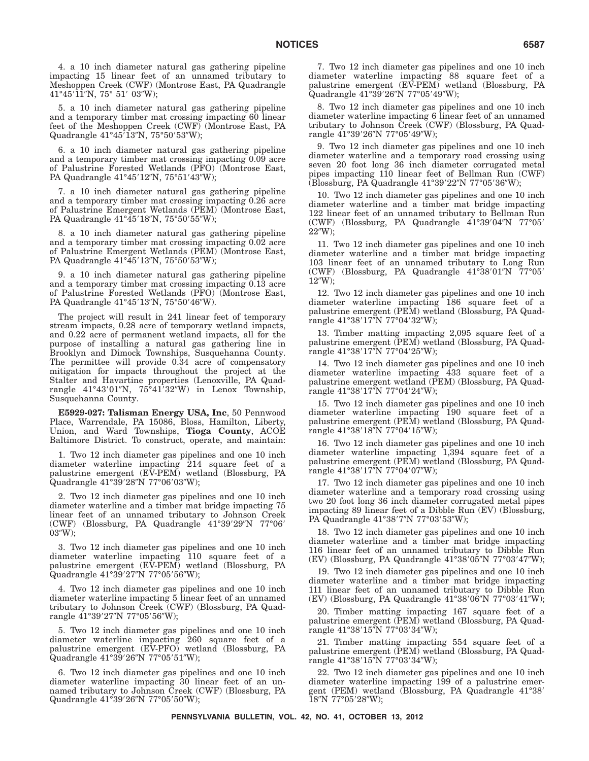4. a 10 inch diameter natural gas gathering pipeline impacting 15 linear feet of an unnamed tributary to Meshoppen Creek (CWF) (Montrose East, PA Quadrangle 41°45′11″N, 75° 51′ 03″W);

5. a 10 inch diameter natural gas gathering pipeline and a temporary timber mat crossing impacting 60 linear feet of the Meshoppen Creek (CWF) (Montrose East, PA Quadrangle 41°45′13″N, 75°50′53″W);

6. a 10 inch diameter natural gas gathering pipeline and a temporary timber mat crossing impacting 0.09 acre of Palustrine Forested Wetlands (PFO) (Montrose East, PA Quadrangle 41°45′12″N, 75°51′43″W);

7. a 10 inch diameter natural gas gathering pipeline and a temporary timber mat crossing impacting 0.26 acre of Palustrine Emergent Wetlands (PEM) (Montrose East, PA Quadrangle 41°45'18"N, 75°50'55"W);

8. a 10 inch diameter natural gas gathering pipeline and a temporary timber mat crossing impacting 0.02 acre of Palustrine Emergent Wetlands (PEM) (Montrose East, PA Quadrangle 41°45′13″N, 75°50′53″W);

9. a 10 inch diameter natural gas gathering pipeline and a temporary timber mat crossing impacting 0.13 acre of Palustrine Forested Wetlands (PFO) (Montrose East, PA Quadrangle 41°45′13″N, 75°50′46″W).

The project will result in 241 linear feet of temporary stream impacts, 0.28 acre of temporary wetland impacts, and 0.22 acre of permanent wetland impacts, all for the purpose of installing a natural gas gathering line in Brooklyn and Dimock Townships, Susquehanna County. The permittee will provide 0.34 acre of compensatory mitigation for impacts throughout the project at the Stalter and Havartine properties (Lenoxville, PA Quadrangle 41°43'01"N, 75°41'32"W) in Lenox Township, Susquehanna County.

**E5929-027: Talisman Energy USA, Inc**, 50 Pennwood Place, Warrendale, PA 15086, Bloss, Hamilton, Liberty, Union, and Ward Townships, **Tioga County**, ACOE Baltimore District. To construct, operate, and maintain:

1. Two 12 inch diameter gas pipelines and one 10 inch diameter waterline impacting 214 square feet of a palustrine emergent (EV-PEM) wetland (Blossburg, PA Quadrangle 41°39′28″N 77°06′03″W);

2. Two 12 inch diameter gas pipelines and one 10 inch diameter waterline and a timber mat bridge impacting 75 linear feet of an unnamed tributary to Johnson Creek (CWF) (Blossburg, PA Quadrangle 41°39'29"N 77°06' 03"W);

3. Two 12 inch diameter gas pipelines and one 10 inch diameter waterline impacting 110 square feet of a palustrine emergent (EV-PEM) wetland (Blossburg, PA Quadrangle 41°39′27″N 77°05′56″W);

4. Two 12 inch diameter gas pipelines and one 10 inch diameter waterline impacting 5 linear feet of an unnamed tributary to Johnson Creek (CWF) (Blossburg, PA Quadrangle 41°39′27″N 77°05′56″W);

5. Two 12 inch diameter gas pipelines and one 10 inch diameter waterline impacting 260 square feet of a palustrine emergent (EV-PFO) wetland (Blossburg, PA Quadrangle 41°39′26″N 77°05′51″W);

6. Two 12 inch diameter gas pipelines and one 10 inch diameter waterline impacting 30 linear feet of an unnamed tributary to Johnson Creek (CWF) (Blossburg, PA Quadrangle 41°39′26″N 77°05′50″W);

7. Two 12 inch diameter gas pipelines and one 10 inch diameter waterline impacting 88 square feet of a palustrine emergent (EV-PEM) wetland (Blossburg, PA Quadrangle 41°39'26"N 77°05'49"W);

8. Two 12 inch diameter gas pipelines and one 10 inch diameter waterline impacting 6 linear feet of an unnamed tributary to Johnson Creek (CWF) (Blossburg, PA Quadrangle 41°39′26″N 77°05′49″W);

9. Two 12 inch diameter gas pipelines and one 10 inch diameter waterline and a temporary road crossing using seven 20 foot long 36 inch diameter corrugated metal pipes impacting 110 linear feet of Bellman Run (CWF) (Blossburg, PA Quadrangle 41°39'22"N 77°05'36"W);

10. Two 12 inch diameter gas pipelines and one 10 inch diameter waterline and a timber mat bridge impacting 122 linear feet of an unnamed tributary to Bellman Run (CWF) (Blossburg, PA Quadrangle 41°39'04"N 77°05' 22W);

11. Two 12 inch diameter gas pipelines and one 10 inch diameter waterline and a timber mat bridge impacting 103 linear feet of an unnamed tributary to Long Run (CWF) (Blossburg, PA Quadrangle 41°38'01"N 77°05'  $12''W$ ;

12. Two 12 inch diameter gas pipelines and one 10 inch diameter waterline impacting 186 square feet of a palustrine emergent (PEM) wetland (Blossburg, PA Quadrangle 41°38′17″N 77°04′32″W);

13. Timber matting impacting 2,095 square feet of a palustrine emergent (PEM) wetland (Blossburg, PA Quadrangle 41°38′17″N 77°04′25″W);

14. Two 12 inch diameter gas pipelines and one 10 inch diameter waterline impacting 433 square feet of a palustrine emergent wetland (PEM) (Blossburg, PA Quadrangle 41°38′17″N 77°04′24″W);

15. Two 12 inch diameter gas pipelines and one 10 inch diameter waterline impacting 190 square feet of a palustrine emergent (PEM) wetland (Blossburg, PA Quadrangle 41°38′18″N 77°04′15″W);

16. Two 12 inch diameter gas pipelines and one 10 inch diameter waterline impacting 1,394 square feet of a palustrine emergent (PEM) wetland (Blossburg, PA Quadrangle 41°38′17″N 77°04′07″W);

17. Two 12 inch diameter gas pipelines and one 10 inch diameter waterline and a temporary road crossing using two 20 foot long 36 inch diameter corrugated metal pipes impacting 89 linear feet of a Dibble Run (EV) (Blossburg, PA Quadrangle 41°38′7″N 77°03′53″W);

18. Two 12 inch diameter gas pipelines and one 10 inch diameter waterline and a timber mat bridge impacting 116 linear feet of an unnamed tributary to Dibble Run (EV) (Blossburg, PA Quadrangle 41°38'05"N 77°03'47"W);

19. Two 12 inch diameter gas pipelines and one 10 inch diameter waterline and a timber mat bridge impacting 111 linear feet of an unnamed tributary to Dibble Run (EV) (Blossburg, PA Quadrangle 41°38'06"N 77°03'41"W);

20. Timber matting impacting 167 square feet of a palustrine emergent (PEM) wetland (Blossburg, PA Quadrangle 41°38′15″N 77°03′34″W);

21. Timber matting impacting 554 square feet of a palustrine emergent (PEM) wetland (Blossburg, PA Quadrangle 41°38′15″N 77°03′34″W);

22. Two 12 inch diameter gas pipelines and one 10 inch diameter waterline impacting 199 of a palustrine emergent (PEM) wetland (Blossburg, PA Quadrangle 41°38- 18"N 77°05'28"W);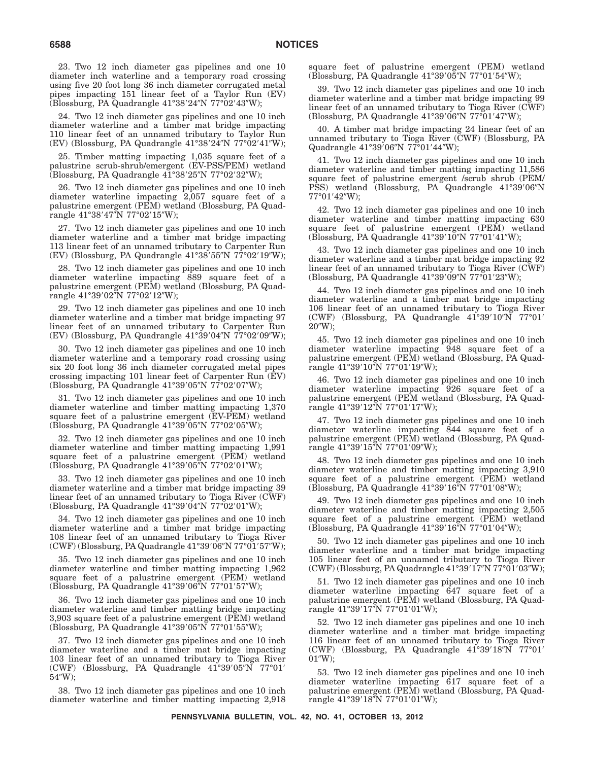23. Two 12 inch diameter gas pipelines and one 10 diameter inch waterline and a temporary road crossing using five 20 foot long 36 inch diameter corrugated metal pipes impacting 151 linear feet of a Taylor Run (EV) (Blossburg, PA Quadrangle 41°38′24″N 77°02′43″W);

24. Two 12 inch diameter gas pipelines and one 10 inch diameter waterline and a timber mat bridge impacting 110 linear feet of an unnamed tributary to Taylor Run (EV) (Blossburg, PA Quadrangle 41°38′24″N 77°02′41″W);

25. Timber matting impacting 1,035 square feet of a palustrine scrub-shrub/emergent (EV-PSS/PEM) wetland (Blossburg, PA Quadrangle 41°38′25″N 77°02′32″W);

26. Two 12 inch diameter gas pipelines and one 10 inch diameter waterline impacting 2,057 square feet of a palustrine emergent (PEM) wetland (Blossburg, PA Quadrangle 41°38′47″N 77°02′15″W);

27. Two 12 inch diameter gas pipelines and one 10 inch diameter waterline and a timber mat bridge impacting 113 linear feet of an unnamed tributary to Carpenter Run (EV) (Blossburg, PA Quadrangle 41°38'55"N 77°02'19"W);

28. Two 12 inch diameter gas pipelines and one 10 inch diameter waterline impacting 889 square feet of a palustrine emergent (PEM) wetland (Blossburg, PA Quadrangle 41°39′02″N 77°02′12″W);

29. Two 12 inch diameter gas pipelines and one 10 inch diameter waterline and a timber mat bridge impacting 97 linear feet of an unnamed tributary to Carpenter Run (EV) (Blossburg, PA Quadrangle 41°39'04"N 77°02'09"W);

30. Two 12 inch diameter gas pipelines and one 10 inch diameter waterline and a temporary road crossing using six 20 foot long 36 inch diameter corrugated metal pipes crossing impacting 101 linear feet of Carpenter Run (EV) (Blossburg, PA Quadrangle 41°39'05"N 77°02'07"W);

31. Two 12 inch diameter gas pipelines and one 10 inch diameter waterline and timber matting impacting 1,370 square feet of a palustrine emergent (EV-PEM) wetland (Blossburg, PA Quadrangle 41°39'05"N 77°02'05"W);

32. Two 12 inch diameter gas pipelines and one 10 inch diameter waterline and timber matting impacting 1,991 square feet of a palustrine emergent (PEM) wetland (Blossburg, PA Quadrangle 41°39'05"N 77°02'01"W);

33. Two 12 inch diameter gas pipelines and one 10 inch diameter waterline and a timber mat bridge impacting 39 linear feet of an unnamed tributary to Tioga River (CWF) (Blossburg, PA Quadrangle 41°39'04"N 77°02'01"W);

34. Two 12 inch diameter gas pipelines and one 10 inch diameter waterline and a timber mat bridge impacting 108 linear feet of an unnamed tributary to Tioga River (CWF) (Blossburg, PA Quadrangle 41°39′06″N 77°01′57″W);

35. Two 12 inch diameter gas pipelines and one 10 inch diameter waterline and timber matting impacting 1,962 square feet of a palustrine emergent (PEM) wetland (Blossburg, PA Quadrangle 41°39'06"N 77°01'57"W);

36. Two 12 inch diameter gas pipelines and one 10 inch diameter waterline and timber matting bridge impacting 3,903 square feet of a palustrine emergent (PEM) wetland (Blossburg, PA Quadrangle 41°39'05"N 77°01'55"W);

37. Two 12 inch diameter gas pipelines and one 10 inch diameter waterline and a timber mat bridge impacting 103 linear feet of an unnamed tributary to Tioga River (CWF) (Blossburg, PA Quadrangle 41°39'05"N 77°01' 54W);

38. Two 12 inch diameter gas pipelines and one 10 inch diameter waterline and timber matting impacting 2,918 square feet of palustrine emergent (PEM) wetland (Blossburg, PA Quadrangle 41°39'05"N 77°01'54"W);

39. Two 12 inch diameter gas pipelines and one 10 inch diameter waterline and a timber mat bridge impacting 99 linear feet of an unnamed tributary to Tioga River (CWF) (Blossburg, PA Quadrangle 41°39'06"N 77°01'47"W);

40. A timber mat bridge impacting 24 linear feet of an unnamed tributary to Tioga River (CWF) (Blossburg, PA Quadrangle 41°39'06"N 77°01'44"W);

41. Two 12 inch diameter gas pipelines and one 10 inch diameter waterline and timber matting impacting 11,586 square feet of palustrine emergent /scrub shrub (PEM/ PSS) wetland (Blossburg, PA Quadrangle 41°39'06"N 77°01′42″W);

42. Two 12 inch diameter gas pipelines and one 10 inch diameter waterline and timber matting impacting 630 square feet of palustrine emergent (PEM) wetland (Blossburg, PA Quadrangle 41°39'10"N 77°01'41"W);

43. Two 12 inch diameter gas pipelines and one 10 inch diameter waterline and a timber mat bridge impacting 92 linear feet of an unnamed tributary to Tioga River (CWF) (Blossburg, PA Quadrangle 41°39'09"N 77°01'23"W);

44. Two 12 inch diameter gas pipelines and one 10 inch diameter waterline and a timber mat bridge impacting 106 linear feet of an unnamed tributary to Tioga River (CWF) (Blossburg, PA Quadrangle 41°39'10"N 77°01' 20"W);

45. Two 12 inch diameter gas pipelines and one 10 inch diameter waterline impacting 948 square feet of a palustrine emergent (PEM) wetland (Blossburg, PA Quadrangle 41°39′10″N 77°01′19″W);

46. Two 12 inch diameter gas pipelines and one 10 inch diameter waterline impacting 926 square feet of a palustrine emergent (PEM wetland (Blossburg, PA Quadrangle 41°39'12″N 77°01'17″W);

47. Two 12 inch diameter gas pipelines and one 10 inch diameter waterline impacting 844 square feet of a palustrine emergent (PEM) wetland (Blossburg, PA Quadrangle 41°39′15″N 77°01′09″W);

48. Two 12 inch diameter gas pipelines and one 10 inch diameter waterline and timber matting impacting 3,910 square feet of a palustrine emergent (PEM) wetland (Blossburg, PA Quadrangle 41°39'16"N 77°01'08"W);

49. Two 12 inch diameter gas pipelines and one 10 inch diameter waterline and timber matting impacting 2,505 square feet of a palustrine emergent (PEM) wetland (Blossburg, PA Quadrangle 41°39'16"N 77°01'04"W);

50. Two 12 inch diameter gas pipelines and one 10 inch diameter waterline and a timber mat bridge impacting 105 linear feet of an unnamed tributary to Tioga River (CWF) (Blossburg, PA Quadrangle 41°39'17"N 77°01'03"W);

51. Two 12 inch diameter gas pipelines and one 10 inch diameter waterline impacting 647 square feet of a palustrine emergent (PEM) wetland (Blossburg, PA Quadrangle 41°39′17″N 77°01′01″W);

52. Two 12 inch diameter gas pipelines and one 10 inch diameter waterline and a timber mat bridge impacting 116 linear feet of an unnamed tributary to Tioga River (CWF) (Blossburg, PA Quadrangle 41°39'18"N 77°01'  $01''W$ );

53. Two 12 inch diameter gas pipelines and one 10 inch diameter waterline impacting 617 square feet of a palustrine emergent (PEM) wetland (Blossburg, PA Quadrangle 41°39′18″N 77°01′01″W);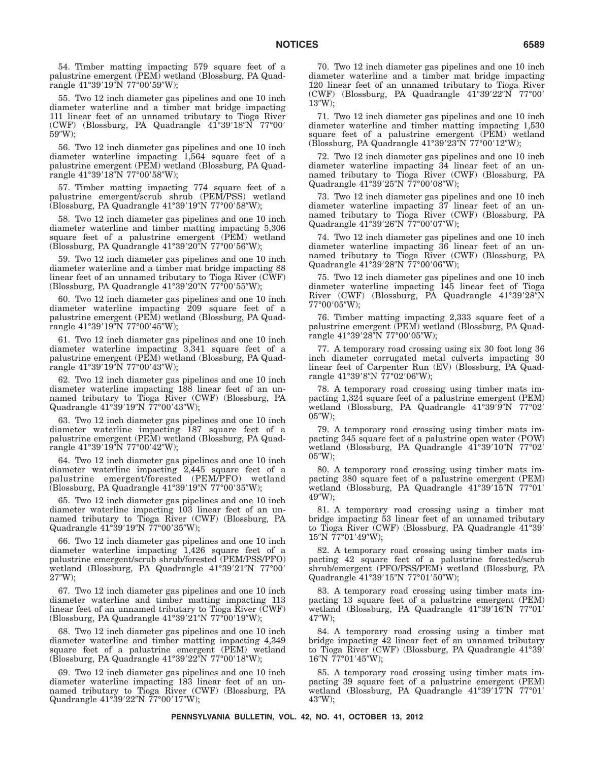54. Timber matting impacting 579 square feet of a palustrine emergent (PEM) wetland (Blossburg, PA Quadrangle 41°39′19″N 77°00′59″W);

55. Two 12 inch diameter gas pipelines and one 10 inch diameter waterline and a timber mat bridge impacting 111 linear feet of an unnamed tributary to Tioga River (CWF) (Blossburg, PA Quadrangle 41°39'18"N 77°00' 59W);

56. Two 12 inch diameter gas pipelines and one 10 inch diameter waterline impacting 1,564 square feet of a palustrine emergent (PEM) wetland (Blossburg, PA Quadrangle 41°39′18″N 77°00′58″W);

57. Timber matting impacting 774 square feet of a palustrine emergent/scrub shrub (PEM/PSS) wetland (Blossburg, PA Quadrangle 41°39'19"N 77°00'58"W);

58. Two 12 inch diameter gas pipelines and one 10 inch diameter waterline and timber matting impacting 5,306 square feet of a palustrine emergent (PEM) wetland (Blossburg, PA Quadrangle 41°39′20″N 77°00′56″W);

59. Two 12 inch diameter gas pipelines and one 10 inch diameter waterline and a timber mat bridge impacting 88 linear feet of an unnamed tributary to Tioga River (CWF) (Blossburg, PA Quadrangle 41°39′20″N 77°00′55″W);

60. Two 12 inch diameter gas pipelines and one 10 inch diameter waterline impacting 209 square feet of a palustrine emergent (PEM) wetland (Blossburg, PA Quadrangle 41°39′19″N 77°00′45″W);

61. Two 12 inch diameter gas pipelines and one 10 inch diameter waterline impacting 3,341 square feet of a palustrine emergent (PEM) wetland (Blossburg, PA Quadrangle 41°39′19″N 77°00′43″W);

62. Two 12 inch diameter gas pipelines and one 10 inch diameter waterline impacting 188 linear feet of an unnamed tributary to Tioga River (CWF) (Blossburg, PA Quadrangle 41°39'19"N 77°00'43"W);

63. Two 12 inch diameter gas pipelines and one 10 inch diameter waterline impacting 187 square feet of a palustrine emergent (PEM) wetland (Blossburg, PA Quadrangle 41°39′19″N 77°00′42″W);

64. Two 12 inch diameter gas pipelines and one 10 inch diameter waterline impacting 2,445 square feet of a palustrine emergent/forested (PEM/PFO) wetland (Blossburg, PA Quadrangle 41°39'19"N 77°00'35"W);

65. Two 12 inch diameter gas pipelines and one 10 inch diameter waterline impacting 103 linear feet of an unnamed tributary to Tioga River (CWF) (Blossburg, PA Quadrangle 41°39′19″N 77°00′35″W);

66. Two 12 inch diameter gas pipelines and one 10 inch diameter waterline impacting 1,426 square feet of a palustrine emergent/scrub shrub/forested (PEM/PSS/PFO) wetland (Blossburg, PA Quadrangle 41°39'21"N 77°00'  $27''W$ );

67. Two 12 inch diameter gas pipelines and one 10 inch diameter waterline and timber matting impacting 113 linear feet of an unnamed tributary to Tioga River (CWF) (Blossburg, PA Quadrangle 41°39′21″N 77°00′19″W);

68. Two 12 inch diameter gas pipelines and one 10 inch diameter waterline and timber matting impacting 4,349 square feet of a palustrine emergent (PEM) wetland (Blossburg, PA Quadrangle 41°39′22″N 77°00′18″W);

69. Two 12 inch diameter gas pipelines and one 10 inch diameter waterline impacting 183 linear feet of an unnamed tributary to Tioga River (CWF) (Blossburg, PA Quadrangle 41°39′22″N 77°00′17″W);

70. Two 12 inch diameter gas pipelines and one 10 inch diameter waterline and a timber mat bridge impacting 120 linear feet of an unnamed tributary to Tioga River (CWF) (Blossburg, PA Quadrangle 41°39'22"N 77°00' 13W);

71. Two 12 inch diameter gas pipelines and one 10 inch diameter waterline and timber matting impacting 1,530 square feet of a palustrine emergent (PEM) wetland (Blossburg, PA Quadrangle 41°39'23"N 77°00'12"W);

72. Two 12 inch diameter gas pipelines and one 10 inch diameter waterline impacting 34 linear feet of an unnamed tributary to Tioga River (CWF) (Blossburg, PA Quadrangle 41°39'25"N 77°00'08"W);

73. Two 12 inch diameter gas pipelines and one 10 inch diameter waterline impacting 37 linear feet of an unnamed tributary to Tioga River (CWF) (Blossburg, PA Quadrangle 41°39'26"N 77°00'07"W);

74. Two 12 inch diameter gas pipelines and one 10 inch diameter waterline impacting 36 linear feet of an unnamed tributary to Tioga River (CWF) (Blossburg, PA Quadrangle 41°39'28"N 77°00'06"W);

75. Two 12 inch diameter gas pipelines and one 10 inch diameter waterline impacting 145 linear feet of Tioga River (CWF) (Blossburg, PA Quadrangle 41°39'28"N 77°00′05″W);

76. Timber matting impacting 2,333 square feet of a palustrine emergent (PEM) wetland (Blossburg, PA Quadrangle 41°39′28″N 77°00′05″W);

77. A temporary road crossing using six 30 foot long 36 inch diameter corrugated metal culverts impacting 30 linear feet of Carpenter Run (EV) (Blossburg, PA Quadrangle 41°39′8″N 77°02′06″W);

78. A temporary road crossing using timber mats impacting 1,324 square feet of a palustrine emergent (PEM) wetland (Blossburg, PA Quadrangle 41°39'9"N 77°02'  $05''W$ ;

79. A temporary road crossing using timber mats impacting 345 square feet of a palustrine open water (POW) wetland (Blossburg, PA Quadrangle 41°39'10"N 77°02'  $05''W$ :

80. A temporary road crossing using timber mats impacting 380 square feet of a palustrine emergent (PEM) wetland (Blossburg, PA Quadrangle 41°39'15"N 77°01' 49W);

81. A temporary road crossing using a timber mat bridge impacting 53 linear feet of an unnamed tributary to Tioga River (CWF) (Blossburg, PA Quadrangle 41°39' 15"N 77°01'49"W);

82. A temporary road crossing using timber mats impacting 42 square feet of a palustrine forested/scrub shrub/emergent (PFO/PSS/PEM) wetland (Blossburg, PA Quadrangle 41°39'15"N 77°01'50"W);

83. A temporary road crossing using timber mats impacting 13 square feet of a palustrine emergent (PEM) wetland (Blossburg, PA Quadrangle 41°39'16"N 77°01' 47W);

84. A temporary road crossing using a timber mat bridge impacting 42 linear feet of an unnamed tributary to Tioga River (CWF) (Blossburg, PA Quadrangle 41°39' 16"N 77°01'45"W);

85. A temporary road crossing using timber mats impacting 39 square feet of a palustrine emergent (PEM) wetland (Blossburg, PA Quadrangle 41°39'17"N 77°01' 43W);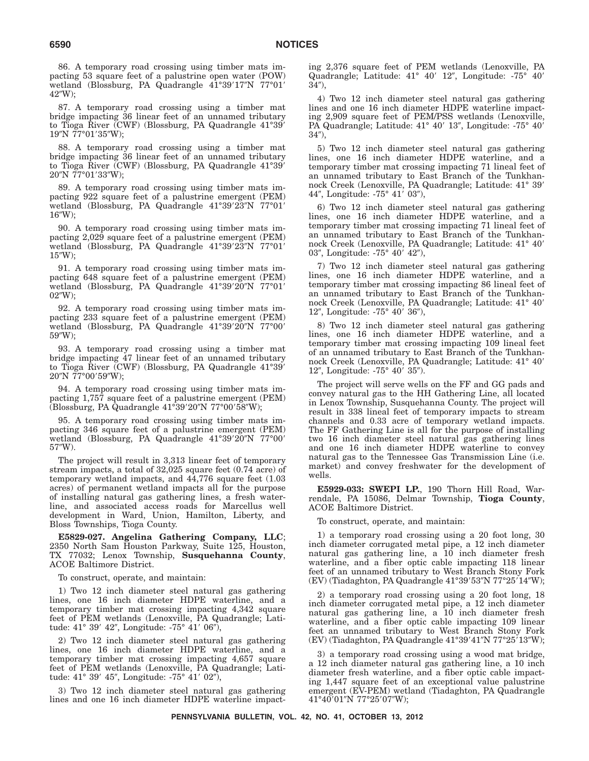86. A temporary road crossing using timber mats impacting 53 square feet of a palustrine open water (POW) wetland (Blossburg, PA Quadrangle 41°39'17"N 77°01' 42"W):

87. A temporary road crossing using a timber mat bridge impacting 36 linear feet of an unnamed tributary to Tioga River (CWF) (Blossburg, PA Quadrangle 41°39' 19"N 77°01'35"W);

88. A temporary road crossing using a timber mat bridge impacting 36 linear feet of an unnamed tributary to Tioga River (CWF) (Blossburg, PA Quadrangle 41°39'  $20''\mathrm{N}$  77°01′33″W);

89. A temporary road crossing using timber mats impacting 922 square feet of a palustrine emergent (PEM) wetland (Blossburg, PA Quadrangle 41°39'23"N 77°01'  $16''W$ :

90. A temporary road crossing using timber mats impacting 2,029 square feet of a palustrine emergent (PEM) wetland (Blossburg, PA Quadrangle 41°39'23"N 77°01'  $15''W$ :

91. A temporary road crossing using timber mats impacting 648 square feet of a palustrine emergent (PEM) wetland (Blossburg, PA Quadrangle 41°39'20"N 77°01'  $02''W$ :

92. A temporary road crossing using timber mats impacting 233 square feet of a palustrine emergent (PEM) wetland (Blossburg, PA Quadrangle 41°39'20"N 77°00'  $59^{\prime\prime}$ W):

93. A temporary road crossing using a timber mat bridge impacting 47 linear feet of an unnamed tributary to Tioga River (CWF) (Blossburg, PA Quadrangle 41°39' 20″N 77°00′59″W);

94. A temporary road crossing using timber mats impacting 1,757 square feet of a palustrine emergent (PEM) (Blossburg, PA Quadrangle 41°39'20"N 77°00'58"W);

95. A temporary road crossing using timber mats impacting 346 square feet of a palustrine emergent (PEM) wetland (Blossburg, PA Quadrangle 41°39'20"N 77°00' 57W).

The project will result in 3,313 linear feet of temporary stream impacts, a total of 32,025 square feet (0.74 acre) of temporary wetland impacts, and 44,776 square feet (1.03 acres) of permanent wetland impacts all for the purpose of installing natural gas gathering lines, a fresh waterline, and associated access roads for Marcellus well development in Ward, Union, Hamilton, Liberty, and Bloss Townships, Tioga County.

**E5829-027. Angelina Gathering Company, LLC**; 2350 North Sam Houston Parkway, Suite 125, Houston, TX 77032; Lenox Township, **Susquehanna County**, ACOE Baltimore District.

To construct, operate, and maintain:

1) Two 12 inch diameter steel natural gas gathering lines, one 16 inch diameter HDPE waterline, and a temporary timber mat crossing impacting 4,342 square feet of PEM wetlands (Lenoxville, PA Quadrangle; Latitude: 41° 39′ 42″, Longitude: -75° 41′ 06″),

2) Two 12 inch diameter steel natural gas gathering lines, one 16 inch diameter HDPE waterline, and a temporary timber mat crossing impacting 4,657 square feet of PEM wetlands (Lenoxville, PA Quadrangle; Latitude: 41° 39′ 45″, Longitude: -75° 41′ 02″),

3) Two 12 inch diameter steel natural gas gathering lines and one 16 inch diameter HDPE waterline impacting 2,376 square feet of PEM wetlands (Lenoxville, PA Quadrangle; Latitude: 41° 40' 12", Longitude: -75° 40'  $34^{\prime\prime}$ ),

4) Two 12 inch diameter steel natural gas gathering lines and one 16 inch diameter HDPE waterline impacting 2,909 square feet of PEM/PSS wetlands (Lenoxville, PA Quadrangle; Latitude: 41° 40' 13", Longitude: -75° 40'  $34$ ).

5) Two 12 inch diameter steel natural gas gathering lines, one 16 inch diameter HDPE waterline, and a temporary timber mat crossing impacting 71 lineal feet of an unnamed tributary to East Branch of the Tunkhannock Creek (Lenoxville, PA Quadrangle; Latitude: 41° 39- 44", Longitude: -75° 41′ 03"),

6) Two 12 inch diameter steel natural gas gathering lines, one 16 inch diameter HDPE waterline, and a temporary timber mat crossing impacting 71 lineal feet of an unnamed tributary to East Branch of the Tunkhannock Creek (Lenoxville, PA Quadrangle; Latitude: 41° 40' 03", Longitude: -75° 40′ 42"),

7) Two 12 inch diameter steel natural gas gathering lines, one 16 inch diameter HDPE waterline, and a temporary timber mat crossing impacting 86 lineal feet of an unnamed tributary to East Branch of the Tunkhannock Creek (Lenoxville, PA Quadrangle; Latitude: 41° 40' 12", Longitude:  $-75^{\circ}$  40' 36"),

8) Two 12 inch diameter steel natural gas gathering lines, one 16 inch diameter HDPE waterline, and a temporary timber mat crossing impacting 109 lineal feet of an unnamed tributary to East Branch of the Tunkhannock Creek (Lenoxville, PA Quadrangle; Latitude: 41° 40' 12", Longitude:  $-75^{\circ}$  40' 35").

The project will serve wells on the FF and GG pads and convey natural gas to the HH Gathering Line, all located in Lenox Township, Susquehanna County. The project will result in 338 lineal feet of temporary impacts to stream channels and 0.33 acre of temporary wetland impacts. The FF Gathering Line is all for the purpose of installing two 16 inch diameter steel natural gas gathering lines and one 16 inch diameter HDPE waterline to convey natural gas to the Tennessee Gas Transmission Line (i.e. market) and convey freshwater for the development of wells.

**E5929-033: SWEPI LP.**, 190 Thorn Hill Road, Warrendale, PA 15086, Delmar Township, **Tioga County**, ACOE Baltimore District.

To construct, operate, and maintain:

1) a temporary road crossing using a 20 foot long, 30 inch diameter corrugated metal pipe, a 12 inch diameter natural gas gathering line, a 10 inch diameter fresh waterline, and a fiber optic cable impacting 118 linear feet of an unnamed tributary to West Branch Stony Fork (EV) (Tiadaghton, PA Quadrangle 41°39′53″N 77°25′14″W);

2) a temporary road crossing using a 20 foot long, 18 inch diameter corrugated metal pipe, a 12 inch diameter natural gas gathering line, a 10 inch diameter fresh waterline, and a fiber optic cable impacting 109 linear feet an unnamed tributary to West Branch Stony Fork (EV) (Tiadaghton, PA Quadrangle 41°39′41″N 77°25′13″W);

3) a temporary road crossing using a wood mat bridge, a 12 inch diameter natural gas gathering line, a 10 inch diameter fresh waterline, and a fiber optic cable impacting 1,447 square feet of an exceptional value palustrine emergent (EV-PEM) wetland (Tiadaghton, PA Quadrangle 41°40′01″N 77°25′07″W);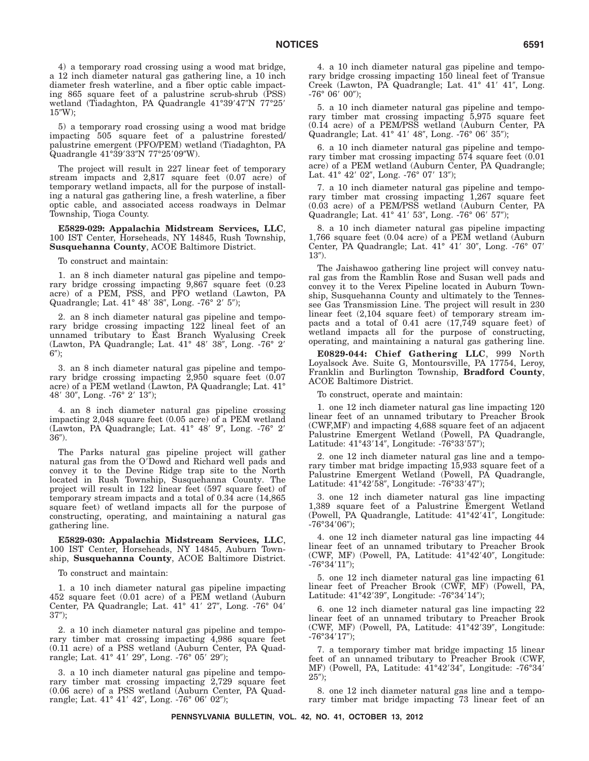4) a temporary road crossing using a wood mat bridge, a 12 inch diameter natural gas gathering line, a 10 inch diameter fresh waterline, and a fiber optic cable impacting 865 square feet of a palustrine scrub-shrub (PSS) wetland (Tiadaghton, PA Quadrangle 41°39'47"N 77°25'  $15''W$ ;

5) a temporary road crossing using a wood mat bridge impacting 505 square feet of a palustrine forested/ palustrine emergent (PFO/PEM) wetland (Tiadaghton, PA Quadrangle 41°39′33″N 77°25′09″W).

The project will result in 227 linear feet of temporary stream impacts and 2,817 square feet (0.07 acre) of temporary wetland impacts, all for the purpose of installing a natural gas gathering line, a fresh waterline, a fiber optic cable, and associated access roadways in Delmar Township, Tioga County.

**E5829-029: Appalachia Midstream Services, LLC**, 100 IST Center, Horseheads, NY 14845, Rush Township, **Susquehanna County**, ACOE Baltimore District.

To construct and maintain:

1. an 8 inch diameter natural gas pipeline and temporary bridge crossing impacting  $9,867$  square feet  $(0.23)$ acre) of a PEM, PSS, and PFO wetland (Lawton, PA Quadrangle; Lat. 41° 48′ 38″, Long. -76° 2′ 5″);

2. an 8 inch diameter natural gas pipeline and temporary bridge crossing impacting 122 lineal feet of an unnamed tributary to East Branch Wyalusing Creek (Lawton, PA Quadrangle; Lat.  $41^{\circ}$   $48'$   $38''$ , Long.  $-76^{\circ}$   $2'$  $6$ ");

3. an 8 inch diameter natural gas pipeline and temporary bridge crossing impacting 2,950 square feet (0.07 acre) of a PEM wetland (Lawton, PA Quadrangle; Lat. 41° 48′ 30″, Long. -76° 2′ 13″);

4. an 8 inch diameter natural gas pipeline crossing impacting 2,048 square feet (0.05 acre) of a PEM wetland (Lawton, PA Quadrangle; Lat.  $41^{\circ}$   $48'$   $9''$ , Long.  $-76^{\circ}$   $2'$  $36$ ).

The Parks natural gas pipeline project will gather natural gas from the O'Dowd and Richard well pads and convey it to the Devine Ridge trap site to the North located in Rush Township, Susquehanna County. The project will result in 122 linear feet (597 square feet) of temporary stream impacts and a total of 0.34 acre (14,865 square feet) of wetland impacts all for the purpose of constructing, operating, and maintaining a natural gas gathering line.

**E5829-030: Appalachia Midstream Services, LLC**, 100 IST Center, Horseheads, NY 14845, Auburn Township, **Susquehanna County**, ACOE Baltimore District.

To construct and maintain:

1. a 10 inch diameter natural gas pipeline impacting 452 square feet (0.01 acre) of a PEM wetland (Auburn Center, PA Quadrangle; Lat. 41° 41' 27", Long. -76° 04'  $37$ ");

2. a 10 inch diameter natural gas pipeline and temporary timber mat crossing impacting 4,986 square feet (0.11 acre) of a PSS wetland (Auburn Center, PA Quadrangle; Lat. 41° 41′ 29″, Long. -76° 05′ 29″);

3. a 10 inch diameter natural gas pipeline and temporary timber mat crossing impacting 2,729 square feet (0.06 acre) of a PSS wetland (Auburn Center, PA Quadrangle; Lat. 41° 41′ 42″, Long. -76° 06′ 02″);

4. a 10 inch diameter natural gas pipeline and temporary bridge crossing impacting 150 lineal feet of Transue Creek (Lawton, PA Quadrangle; Lat. 41° 41' 41", Long. -76° 06' 00");

5. a 10 inch diameter natural gas pipeline and temporary timber mat crossing impacting 5,975 square feet (0.14 acre) of a PEM/PSS wetland (Auburn Center, PA Quadrangle; Lat. 41° 41' 48", Long. -76° 06' 35");

6. a 10 inch diameter natural gas pipeline and temporary timber mat crossing impacting 574 square feet (0.01 acre) of a PEM wetland (Auburn Center, PA Quadrangle; Lat.  $41^{\circ}$   $42'$   $02''$ , Long.  $-76^{\circ}$   $07'$   $13'$ );

7. a 10 inch diameter natural gas pipeline and temporary timber mat crossing impacting 1,267 square feet (0.03 acre) of a PEM/PSS wetland (Auburn Center, PA Quadrangle; Lat. 41° 41' 53", Long. -76° 06' 57");

8. a 10 inch diameter natural gas pipeline impacting 1,766 square feet (0.04 acre) of a PEM wetland (Auburn Center, PA Quadrangle; Lat.  $41^{\circ}$   $41'$   $30''$ , Long.  $-76^{\circ}$   $07'$  $13$ ).

The Jaishawoo gathering line project will convey natural gas from the Ramblin Rose and Susan well pads and convey it to the Verex Pipeline located in Auburn Township, Susquehanna County and ultimately to the Tennessee Gas Transmission Line. The project will result in 230 linear feet (2,104 square feet) of temporary stream impacts and a total of 0.41 acre (17,749 square feet) of wetland impacts all for the purpose of constructing, operating, and maintaining a natural gas gathering line.

**E0829-044: Chief Gathering LLC**, 999 North Loyalsock Ave. Suite G, Montoursville, PA 17754, Leroy, Franklin and Burlington Township, **Bradford County**, ACOE Baltimore District.

To construct, operate and maintain:

1. one 12 inch diameter natural gas line impacting 120 linear feet of an unnamed tributary to Preacher Brook (CWF,MF) and impacting 4,688 square feet of an adjacent Palustrine Emergent Wetland (Powell, PA Quadrangle, Latitude: 41°43'14", Longitude: -76°33'57");

2. one 12 inch diameter natural gas line and a temporary timber mat bridge impacting 15,933 square feet of a Palustrine Emergent Wetland (Powell, PA Quadrangle, Latitude: 41°42′58″, Longitude: -76°33′47″);

3. one 12 inch diameter natural gas line impacting 1,389 square feet of a Palustrine Emergent Wetland (Powell, PA Quadrangle, Latitude: 41°42'41", Longitude:  $-76^{\circ}34'06'$ );

4. one 12 inch diameter natural gas line impacting 44 linear feet of an unnamed tributary to Preacher Brook (CWF, MF) (Powell, PA, Latitude: 41°42'40", Longitude:  $-76^{\circ}34'11'$ );

5. one 12 inch diameter natural gas line impacting 61 linear feet of Preacher Brook (CWF, MF) (Powell, PA, Latitude: 41°42′39″, Longitude: -76°34′14″);

6. one 12 inch diameter natural gas line impacting 22 linear feet of an unnamed tributary to Preacher Brook (CWF, MF) (Powell, PA, Latitude: 41°42'39", Longitude:  $-76^{\circ}34'17'$ );

7. a temporary timber mat bridge impacting 15 linear feet of an unnamed tributary to Preacher Brook (CWF, MF) (Powell, PA, Latitude: 41°42'34", Longitude: -76°34'  $25$ "):

8. one 12 inch diameter natural gas line and a temporary timber mat bridge impacting 73 linear feet of an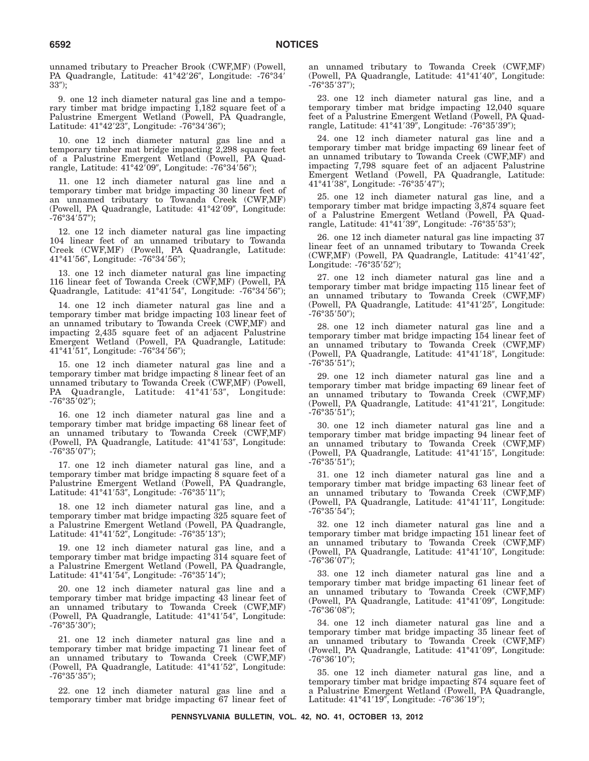unnamed tributary to Preacher Brook (CWF,MF) (Powell, PA Quadrangle, Latitude: 41°42'26", Longitude: -76°34'  $33$ ");

9. one 12 inch diameter natural gas line and a temporary timber mat bridge impacting 1,182 square feet of a Palustrine Emergent Wetland (Powell, PA Quadrangle, Latitude: 41°42′23″, Longitude: -76°34′36″);

10. one 12 inch diameter natural gas line and a temporary timber mat bridge impacting 2,298 square feet of a Palustrine Emergent Wetland (Powell, PA Quadrangle, Latitude: 41°42′09″, Longitude: -76°34′56″);

11. one 12 inch diameter natural gas line and a temporary timber mat bridge impacting 30 linear feet of an unnamed tributary to Towanda Creek (CWF,MF) (Powell, PA Quadrangle, Latitude: 41°42'09", Longitude: -76°34′57″);

12. one 12 inch diameter natural gas line impacting 104 linear feet of an unnamed tributary to Towanda Creek (CWF,MF) (Powell, PA Quadrangle, Latitude: 41°41′56″, Longitude: -76°34′56″);

13. one 12 inch diameter natural gas line impacting 116 linear feet of Towanda Creek (CWF,MF) (Powell, PA Quadrangle, Latitude: 41°41'54", Longitude: -76°34'56");

14. one 12 inch diameter natural gas line and a temporary timber mat bridge impacting 103 linear feet of an unnamed tributary to Towanda Creek (CWF,MF) and impacting 2,435 square feet of an adjacent Palustrine Emergent Wetland (Powell, PA Quadrangle, Latitude: 41°41'51", Longitude: -76°34'56");

15. one 12 inch diameter natural gas line and a temporary timber mat bridge impacting 8 linear feet of an unnamed tributary to Towanda Creek (CWF,MF) (Powell, PA Quadrangle, Latitude: 41°41'53", Longitude:  $-76^{\circ}35'02'$ );

16. one 12 inch diameter natural gas line and a temporary timber mat bridge impacting 68 linear feet of an unnamed tributary to Towanda Creek (CWF,MF) (Powell, PA Quadrangle, Latitude: 41°41'53", Longitude: -76°35′07″);

17. one 12 inch diameter natural gas line, and a temporary timber mat bridge impacting  $\overline{8}$  square feet of a Palustrine Emergent Wetland (Powell, PA Quadrangle, Latitude: 41°41′53″, Longitude: -76°35′11″);

18. one 12 inch diameter natural gas line, and a temporary timber mat bridge impacting 325 square feet of a Palustrine Emergent Wetland (Powell, PA Quadrangle, Latitude: 41°41'52", Longitude: -76°35'13");

19. one 12 inch diameter natural gas line, and a temporary timber mat bridge impacting 314 square feet of a Palustrine Emergent Wetland (Powell, PA Quadrangle, Latitude: 41°41′54″, Longitude: -76°35′14″);

20. one 12 inch diameter natural gas line and a temporary timber mat bridge impacting 43 linear feet of an unnamed tributary to Towanda Creek (CWF,MF) (Powell, PA Quadrangle, Latitude: 41°41'54", Longitude: -76°35′30″);

21. one 12 inch diameter natural gas line and a temporary timber mat bridge impacting 71 linear feet of an unnamed tributary to Towanda Creek (CWF,MF) (Powell, PA Quadrangle, Latitude: 41°41'52", Longitude: -76°35′35″);

22. one 12 inch diameter natural gas line and a temporary timber mat bridge impacting 67 linear feet of an unnamed tributary to Towanda Creek (CWF,MF) (Powell, PA Quadrangle, Latitude: 41°41'40", Longitude: -76°35′37″);

23. one 12 inch diameter natural gas line, and a temporary timber mat bridge impacting 12,040 square feet of a Palustrine Emergent Wetland (Powell, PA Quadrangle, Latitude: 41°41′39″, Longitude: -76°35′39″);

24. one 12 inch diameter natural gas line and a temporary timber mat bridge impacting 69 linear feet of an unnamed tributary to Towanda Creek (CWF,MF) and impacting 7,798 square feet of an adjacent Palustrine Emergent Wetland (Powell, PA Quadrangle, Latitude: 41°41'38", Longitude: -76°35'47");

25. one 12 inch diameter natural gas line, and a temporary timber mat bridge impacting 3,874 square feet of a Palustrine Emergent Wetland (Powell, PA Quadrangle, Latitude: 41°41′39″, Longitude: -76°35′53″);

26. one 12 inch diameter natural gas line impacting 37 linear feet of an unnamed tributary to Towanda Creek (CWF,MF) (Powell, PA Quadrangle, Latitude: 41°41'42", Longitude: -76°35′52″);

27. one 12 inch diameter natural gas line and a temporary timber mat bridge impacting 115 linear feet of an unnamed tributary to Towanda Creek (CWF,MF) (Powell, PA Quadrangle, Latitude: 41°41'25", Longitude:  $-76^{\circ}35'50'$ );

28. one 12 inch diameter natural gas line and a temporary timber mat bridge impacting 154 linear feet of an unnamed tributary to Towanda Creek (CWF,MF) (Powell, PA Quadrangle, Latitude: 41°41'18", Longitude: -76°35′51″);

29. one 12 inch diameter natural gas line and a temporary timber mat bridge impacting 69 linear feet of an unnamed tributary to Towanda Creek (CWF,MF) (Powell, PA Quadrangle, Latitude: 41°41'21", Longitude: -76°35′51″);

30. one 12 inch diameter natural gas line and a temporary timber mat bridge impacting 94 linear feet of an unnamed tributary to Towanda Creek (CWF,MF) (Powell, PA Quadrangle, Latitude: 41°41'15", Longitude: -76°35′51″);

31. one 12 inch diameter natural gas line and a temporary timber mat bridge impacting 63 linear feet of an unnamed tributary to Towanda Creek (CWF,MF) (Powell, PA Quadrangle, Latitude: 41°41'11", Longitude:  $-76^{\circ}35'54'$ );

32. one 12 inch diameter natural gas line and a temporary timber mat bridge impacting 151 linear feet of an unnamed tributary to Towanda Creek (CWF,MF) (Powell, PA Quadrangle, Latitude: 41°41'10", Longitude: -76°36′07″);

33. one 12 inch diameter natural gas line and a temporary timber mat bridge impacting 61 linear feet of an unnamed tributary to Towanda Creek (CWF,MF) (Powell, PA Quadrangle, Latitude: 41°41'09", Longitude: -76°36′08″);

34. one 12 inch diameter natural gas line and a temporary timber mat bridge impacting 35 linear feet of an unnamed tributary to Towanda Creek (CWF,MF) (Powell, PA Quadrangle, Latitude: 41°41'09", Longitude:  $-76^{\circ}36'10'$ );

35. one 12 inch diameter natural gas line, and a temporary timber mat bridge impacting 874 square feet of a Palustrine Emergent Wetland (Powell, PA Quadrangle, Latitude: 41°41'19", Longitude: -76°36'19");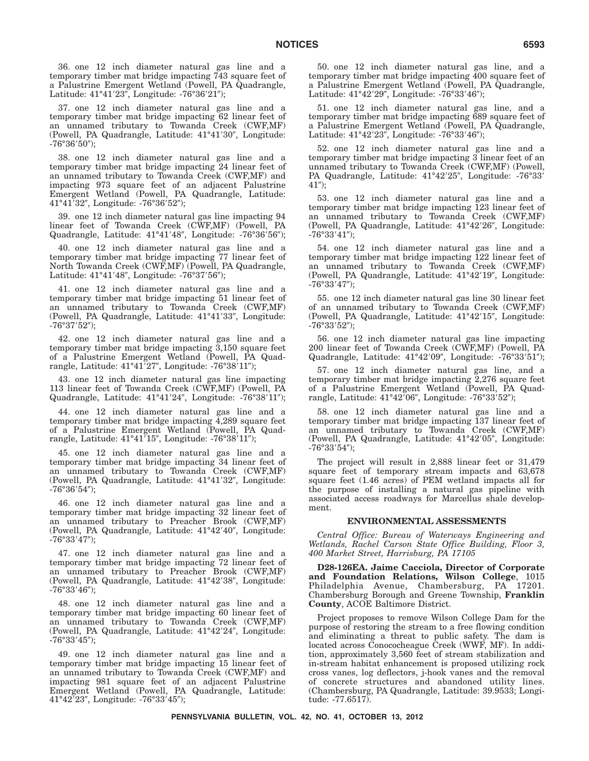36. one 12 inch diameter natural gas line and a temporary timber mat bridge impacting 743 square feet of a Palustrine Emergent Wetland (Powell, PA Quadrangle, Latitude: 41°41′23″, Longitude: -76°36′21″);

37. one 12 inch diameter natural gas line and a temporary timber mat bridge impacting 62 linear feet of an unnamed tributary to Towanda Creek (CWF,MF) (Powell, PA Quadrangle, Latitude: 41°41'30", Longitude: -76°36′50″);

38. one 12 inch diameter natural gas line and a temporary timber mat bridge impacting 24 linear feet of an unnamed tributary to Towanda Creek (CWF,MF) and impacting 973 square feet of an adjacent Palustrine Emergent Wetland (Powell, PA Quadrangle, Latitude: 41°41′32″, Longitude: -76°36′52″);

39. one 12 inch diameter natural gas line impacting 94 linear feet of Towanda Creek (CWF,MF) (Powell, PA Quadrangle, Latitude: 41°41'48", Longitude: -76°36'56");

40. one 12 inch diameter natural gas line and a temporary timber mat bridge impacting 77 linear feet of North Towanda Creek (CWF,MF) (Powell, PA Quadrangle, Latitude: 41°41'48", Longitude: -76°37'56");

41. one 12 inch diameter natural gas line and a temporary timber mat bridge impacting 51 linear feet of an unnamed tributary to Towanda Creek (CWF,MF) (Powell, PA Quadrangle, Latitude: 41°41'33", Longitude: -76°37′52″);

42. one 12 inch diameter natural gas line and a temporary timber mat bridge impacting 3,150 square feet of a Palustrine Emergent Wetland (Powell, PA Quadrangle, Latitude: 41°41′27″, Longitude: -76°38′11″);

43. one 12 inch diameter natural gas line impacting 113 linear feet of Towanda Creek (CWF,MF) (Powell, PA Quadrangle, Latitude: 41°41'24", Longitude: -76°38'11");

44. one 12 inch diameter natural gas line and a temporary timber mat bridge impacting 4,289 square feet of a Palustrine Emergent Wetland (Powell, PA Quadrangle, Latitude: 41°41′15″, Longitude: -76°38′11″);

45. one 12 inch diameter natural gas line and a temporary timber mat bridge impacting 34 linear feet of an unnamed tributary to Towanda Creek (CWF,MF) (Powell, PA Quadrangle, Latitude: 41°41'32", Longitude: -76°36′54″);

46. one 12 inch diameter natural gas line and a temporary timber mat bridge impacting 32 linear feet of an unnamed tributary to Preacher Brook (CWF,MF) (Powell, PA Quadrangle, Latitude: 41°42'40", Longitude: -76°33'47");

47. one 12 inch diameter natural gas line and a temporary timber mat bridge impacting 72 linear feet of an unnamed tributary to Preacher Brook (CWF,MF) (Powell, PA Quadrangle, Latitude: 41°42'38", Longitude: -76°33′46″);

48. one 12 inch diameter natural gas line and a temporary timber mat bridge impacting 60 linear feet of an unnamed tributary to Towanda Creek (CWF,MF) (Powell, PA Quadrangle, Latitude: 41°42'24", Longitude: -76°33′45″);

49. one 12 inch diameter natural gas line and a temporary timber mat bridge impacting 15 linear feet of an unnamed tributary to Towanda Creek (CWF,MF) and impacting 981 square feet of an adjacent Palustrine Emergent Wetland (Powell, PA Quadrangle, Latitude: 41°42′23″, Longitude: -76°33′45″);

50. one 12 inch diameter natural gas line, and a temporary timber mat bridge impacting 400 square feet of a Palustrine Emergent Wetland (Powell, PA Quadrangle, Latitude: 41°42'29", Longitude: -76°33'46");

51. one 12 inch diameter natural gas line, and a temporary timber mat bridge impacting 689 square feet of a Palustrine Emergent Wetland (Powell, PA Quadrangle, Latitude: 41°42'23", Longitude: -76°33'46");

52. one 12 inch diameter natural gas line and a temporary timber mat bridge impacting 3 linear feet of an unnamed tributary to Towanda Creek (CWF,MF) (Powell, PA Quadrangle, Latitude: 41°42'25", Longitude: -76°33'  $41$ ");

53. one 12 inch diameter natural gas line and a temporary timber mat bridge impacting 123 linear feet of an unnamed tributary to Towanda Creek (CWF,MF) (Powell, PA Quadrangle, Latitude: 41°42'26", Longitude: -76°33'41");

54. one 12 inch diameter natural gas line and a temporary timber mat bridge impacting 122 linear feet of an unnamed tributary to Towanda Creek (CWF,MF) (Powell, PA Quadrangle, Latitude: 41°42'19", Longitude: -76°33-47);

55. one 12 inch diameter natural gas line 30 linear feet of an unnamed tributary to Towanda Creek (CWF,MF) (Powell, PA Quadrangle, Latitude: 41°42'15", Longitude:  $-76^{\circ}33'52'$ );

56. one 12 inch diameter natural gas line impacting 200 linear feet of Towanda Creek (CWF,MF) (Powell, PA Quadrangle, Latitude: 41°42'09", Longitude: -76°33'51");

57. one 12 inch diameter natural gas line, and a temporary timber mat bridge impacting 2,276 square feet of a Palustrine Emergent Wetland (Powell, PA Quadrangle, Latitude: 41°42′06″, Longitude: -76°33′52″);

58. one 12 inch diameter natural gas line and a temporary timber mat bridge impacting 137 linear feet of an unnamed tributary to Towanda Creek (CWF,MF) (Powell, PA Quadrangle, Latitude: 41°42'05", Longitude: -76°33'54");

The project will result in 2,888 linear feet or 31,479 square feet of temporary stream impacts and 63,678 square feet (1.46 acres) of PEM wetland impacts all for the purpose of installing a natural gas pipeline with associated access roadways for Marcellus shale development.

### **ENVIRONMENTAL ASSESSMENTS**

*Central Office: Bureau of Waterways Engineering and Wetlands, Rachel Carson State Office Building, Floor 3, 400 Market Street, Harrisburg, PA 17105*

**D28-126EA. Jaime Cacciola, Director of Corporate and Foundation Relations, Wilson College**, 1015 Philadelphia Avenue, Chambersburg, PA 17201. Chambersburg Borough and Greene Township, **Franklin County**, ACOE Baltimore District.

Project proposes to remove Wilson College Dam for the purpose of restoring the stream to a free flowing condition and eliminating a threat to public safety. The dam is located across Conococheague Creek (WWF, MF). In addition, approximately 3,560 feet of stream stabilization and in-stream habitat enhancement is proposed utilizing rock cross vanes, log deflectors, j-hook vanes and the removal of concrete structures and abandoned utility lines. (Chambersburg, PA Quadrangle, Latitude: 39.9533; Longitude: -77.6517).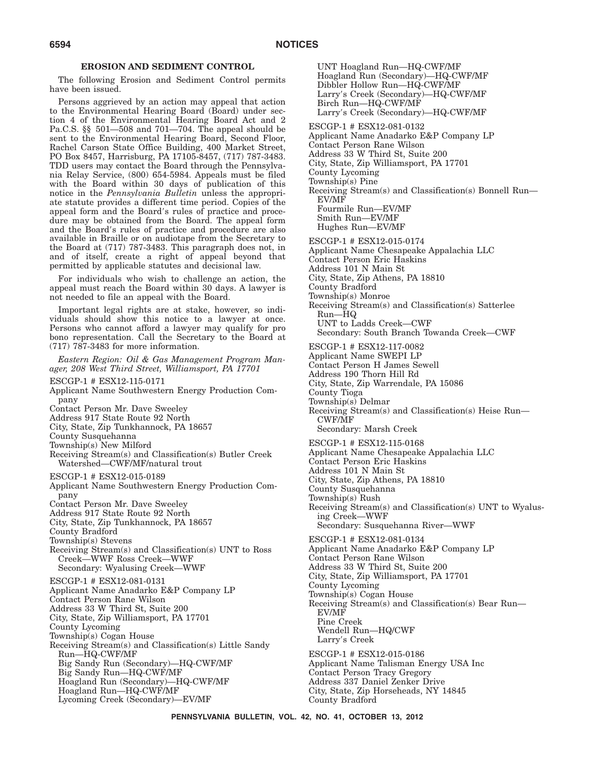### **EROSION AND SEDIMENT CONTROL**

The following Erosion and Sediment Control permits have been issued.

Persons aggrieved by an action may appeal that action to the Environmental Hearing Board (Board) under section 4 of the Environmental Hearing Board Act and 2 Pa.C.S. §§ 501—508 and 701—704. The appeal should be sent to the Environmental Hearing Board, Second Floor, Rachel Carson State Office Building, 400 Market Street, PO Box 8457, Harrisburg, PA 17105-8457, (717) 787-3483. TDD users may contact the Board through the Pennsylvania Relay Service, (800) 654-5984. Appeals must be filed with the Board within 30 days of publication of this notice in the *Pennsylvania Bulletin* unless the appropriate statute provides a different time period. Copies of the appeal form and the Board's rules of practice and procedure may be obtained from the Board. The appeal form and the Board's rules of practice and procedure are also available in Braille or on audiotape from the Secretary to the Board at (717) 787-3483. This paragraph does not, in and of itself, create a right of appeal beyond that permitted by applicable statutes and decisional law.

For individuals who wish to challenge an action, the appeal must reach the Board within 30 days. A lawyer is not needed to file an appeal with the Board.

Important legal rights are at stake, however, so individuals should show this notice to a lawyer at once. Persons who cannot afford a lawyer may qualify for pro bono representation. Call the Secretary to the Board at (717) 787-3483 for more information.

*Eastern Region: Oil & Gas Management Program Manager, 208 West Third Street, Williamsport, PA 17701*

ESCGP-1 # ESX12-115-0171

- Applicant Name Southwestern Energy Production Company
- Contact Person Mr. Dave Sweeley
- Address 917 State Route 92 North
- City, State, Zip Tunkhannock, PA 18657
- County Susquehanna
- Township(s) New Milford
- Receiving Stream(s) and Classification(s) Butler Creek Watershed—CWF/MF/natural trout
- ESCGP-1 # ESX12-015-0189
- Applicant Name Southwestern Energy Production Company
- Contact Person Mr. Dave Sweeley
- Address 917 State Route 92 North
- City, State, Zip Tunkhannock, PA 18657
- County Bradford

Township(s) Stevens

Receiving Stream(s) and Classification(s) UNT to Ross Creek—WWF Ross Creek—WWF

Secondary: Wyalusing Creek—WWF

ESCGP-1 # ESX12-081-0131

Applicant Name Anadarko E&P Company LP Contact Person Rane Wilson

Address 33 W Third St, Suite 200

- City, State, Zip Williamsport, PA 17701
- County Lycoming

Township(s) Cogan House

- Receiving Stream(s) and Classification(s) Little Sandy Run—HQ-CWF/MF Big Sandy Run (Secondary)—HQ-CWF/MF Big Sandy Run—HQ-CWF/MF Hoagland Run (Secondary)—HQ-CWF/MF
	- Hoagland Run—HQ-CWF/MF
	- Lycoming Creek (Secondary)—EV/MF

UNT Hoagland Run—HQ-CWF/MF Hoagland Run (Secondary)—HQ-CWF/MF Dibbler Hollow Run—HQ-CWF/MF Larry's Creek (Secondary)—HQ-CWF/MF Birch Run—HQ-CWF/MF Larry's Creek (Secondary)—HQ-CWF/MF

ESCGP-1 # ESX12-081-0132

- Applicant Name Anadarko E&P Company LP
- Contact Person Rane Wilson
- Address 33 W Third St, Suite 200
- City, State, Zip Williamsport, PA 17701

County Lycoming

- Township(s) Pine
- Receiving Stream(s) and Classification(s) Bonnell Run— EV/MF

Fourmile Run—EV/MF Smith Run—EV/MF

- Hughes Run—EV/MF
- ESCGP-1 # ESX12-015-0174
- Applicant Name Chesapeake Appalachia LLC
- Contact Person Eric Haskins
- Address 101 N Main St
- City, State, Zip Athens, PA 18810
- County Bradford
- Township(s) Monroe
- Receiving Stream(s) and Classification(s) Satterlee Run—HQ
- UNT to Ladds Creek—CWF
- Secondary: South Branch Towanda Creek—CWF
- ESCGP-1 # ESX12-117-0082
- Applicant Name SWEPI LP
- Contact Person H James Sewell
- Address 190 Thorn Hill Rd
- City, State, Zip Warrendale, PA 15086
- County Tioga
- Township(s) Delmar
- Receiving Stream(s) and Classification(s) Heise Run— CWF/MF
	- Secondary: Marsh Creek
- ESCGP-1 # ESX12-115-0168
- Applicant Name Chesapeake Appalachia LLC
- Contact Person Eric Haskins
- Address 101 N Main St
- City, State, Zip Athens, PA 18810
- County Susquehanna
- Township(s) Rush
- Receiving Stream(s) and Classification(s) UNT to Wyalusing Creek—WWF
	- Secondary: Susquehanna River—WWF

ESCGP-1 # ESX12-081-0134

- Applicant Name Anadarko E&P Company LP
- Contact Person Rane Wilson
- Address 33 W Third St, Suite 200
- City, State, Zip Williamsport, PA 17701
- County Lycoming
- Township(s) Cogan House
- Receiving Stream(s) and Classification(s) Bear Run— EV/MF Pine Creek
- Wendell Run—HQ/CWF
- Larry's Creek
- ESCGP-1 # ESX12-015-0186 Applicant Name Talisman Energy USA Inc Contact Person Tracy Gregory Address 337 Daniel Zenker Drive City, State, Zip Horseheads, NY 14845 County Bradford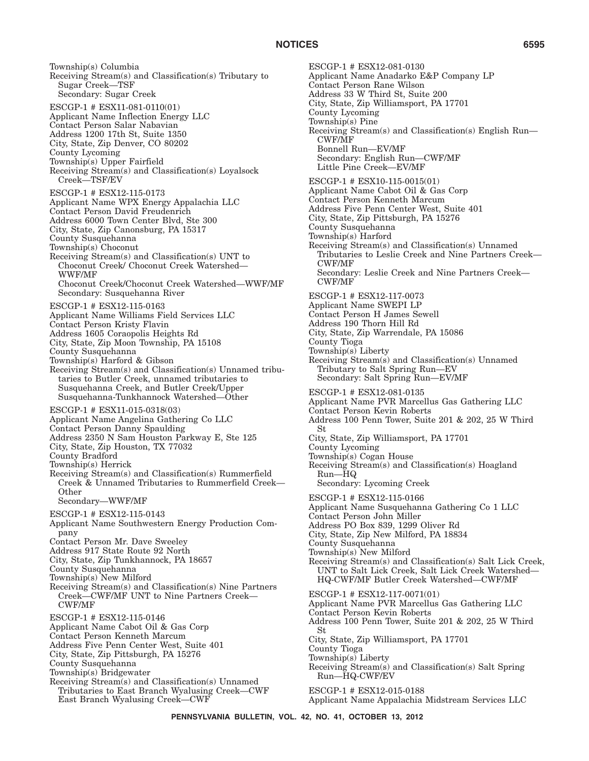Township(s) Columbia Receiving Stream(s) and Classification(s) Tributary to Sugar Creek—TSF Secondary: Sugar Creek ESCGP-1 # ESX11-081-0110(01) Applicant Name Inflection Energy LLC Contact Person Salar Nabavian Address 1200 17th St, Suite 1350 City, State, Zip Denver, CO 80202 County Lycoming Township(s) Upper Fairfield Receiving Stream(s) and Classification(s) Loyalsock Creek—TSF/EV ESCGP-1 # ESX12-115-0173 Applicant Name WPX Energy Appalachia LLC Contact Person David Freudenrich Address 6000 Town Center Blvd, Ste 300 City, State, Zip Canonsburg, PA 15317 County Susquehanna Township(s) Choconut Receiving Stream(s) and Classification(s) UNT to Choconut Creek/ Choconut Creek Watershed— WWF/MF Choconut Creek/Choconut Creek Watershed—WWF/MF Secondary: Susquehanna River ESCGP-1 # ESX12-115-0163 Applicant Name Williams Field Services LLC Contact Person Kristy Flavin Address 1605 Coraopolis Heights Rd City, State, Zip Moon Township, PA 15108 County Susquehanna Township(s) Harford & Gibson Receiving Stream(s) and Classification(s) Unnamed tributaries to Butler Creek, unnamed tributaries to Susquehanna Creek, and Butler Creek/Upper Susquehanna-Tunkhannock Watershed—Other ESCGP-1 # ESX11-015-0318(03) Applicant Name Angelina Gathering Co LLC Contact Person Danny Spaulding Address 2350 N Sam Houston Parkway E, Ste 125 City, State, Zip Houston, TX 77032 County Bradford Township(s) Herrick Receiving Stream(s) and Classification(s) Rummerfield Creek & Unnamed Tributaries to Rummerfield Creek— **Other** Secondary—WWF/MF ESCGP-1 # ESX12-115-0143 Applicant Name Southwestern Energy Production Company Contact Person Mr. Dave Sweeley Address 917 State Route 92 North City, State, Zip Tunkhannock, PA 18657 County Susquehanna Township(s) New Milford Receiving Stream(s) and Classification(s) Nine Partners Creek—CWF/MF UNT to Nine Partners Creek— CWF/MF ESCGP-1 # ESX12-115-0146 Applicant Name Cabot Oil & Gas Corp Contact Person Kenneth Marcum Address Five Penn Center West, Suite 401 City, State, Zip Pittsburgh, PA 15276 County Susquehanna Township(s) Bridgewater Receiving Stream(s) and Classification(s) Unnamed Tributaries to East Branch Wyalusing Creek—CWF East Branch Wyalusing Creek—CWF

ESCGP-1 # ESX12-081-0130 Applicant Name Anadarko E&P Company LP Contact Person Rane Wilson Address 33 W Third St, Suite 200 City, State, Zip Williamsport, PA 17701 County Lycoming Township(s) Pine Receiving Stream(s) and Classification(s) English Run— CWF/MF Bonnell Run—EV/MF Secondary: English Run—CWF/MF Little Pine Creek—EV/MF ESCGP-1 # ESX10-115-0015(01) Applicant Name Cabot Oil & Gas Corp Contact Person Kenneth Marcum Address Five Penn Center West, Suite 401 City, State, Zip Pittsburgh, PA 15276 County Susquehanna Township(s) Harford Receiving Stream(s) and Classification(s) Unnamed Tributaries to Leslie Creek and Nine Partners Creek— CWF/MF Secondary: Leslie Creek and Nine Partners Creek— CWF/MF ESCGP-1 # ESX12-117-0073 Applicant Name SWEPI LP Contact Person H James Sewell Address 190 Thorn Hill Rd City, State, Zip Warrendale, PA 15086 County Tioga Township(s) Liberty Receiving Stream(s) and Classification(s) Unnamed Tributary to Salt Spring Run—EV Secondary: Salt Spring Run—EV/MF ESCGP-1 # ESX12-081-0135 Applicant Name PVR Marcellus Gas Gathering LLC Contact Person Kevin Roberts Address 100 Penn Tower, Suite 201 & 202, 25 W Third St City, State, Zip Williamsport, PA 17701 County Lycoming Township(s) Cogan House Receiving Stream(s) and Classification(s) Hoagland Run—HQ Secondary: Lycoming Creek ESCGP-1 # ESX12-115-0166 Applicant Name Susquehanna Gathering Co 1 LLC Contact Person John Miller Address PO Box 839, 1299 Oliver Rd City, State, Zip New Milford, PA 18834 County Susquehanna Township(s) New Milford Receiving Stream(s) and Classification(s) Salt Lick Creek, UNT to Salt Lick Creek, Salt Lick Creek Watershed— HQ-CWF/MF Butler Creek Watershed—CWF/MF ESCGP-1 # ESX12-117-0071(01) Applicant Name PVR Marcellus Gas Gathering LLC Contact Person Kevin Roberts Address 100 Penn Tower, Suite 201 & 202, 25 W Third St City, State, Zip Williamsport, PA 17701 County Tioga Township(s) Liberty Receiving Stream(s) and Classification(s) Salt Spring Run—HQ-CWF/EV ESCGP-1 # ESX12-015-0188 Applicant Name Appalachia Midstream Services LLC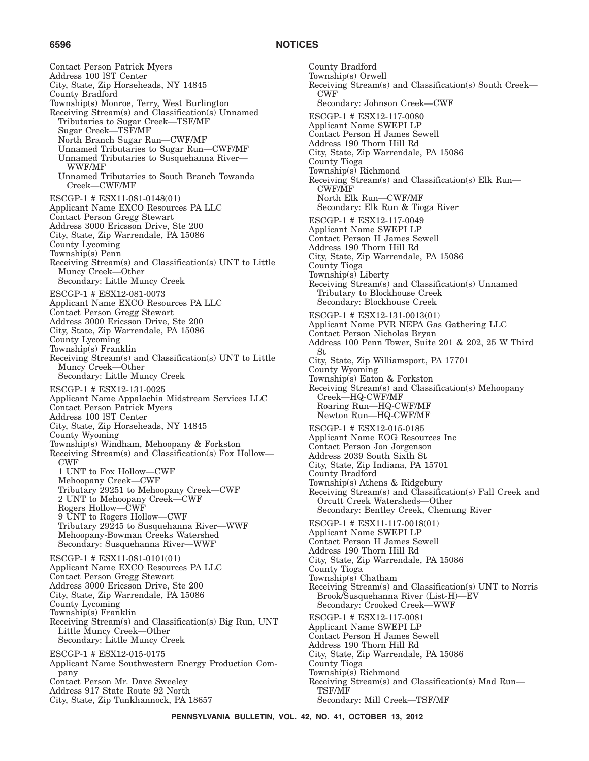### **6596 NOTICES**

Contact Person Patrick Myers Address 100 lST Center City, State, Zip Horseheads, NY 14845 County Bradford Township(s) Monroe, Terry, West Burlington Receiving Stream(s) and Classification(s) Unnamed Tributaries to Sugar Creek—TSF/MF Sugar Creek—TSF/MF North Branch Sugar Run—CWF/MF Unnamed Tributaries to Sugar Run—CWF/MF Unnamed Tributaries to Susquehanna River— WWF/MF Unnamed Tributaries to South Branch Towanda Creek—CWF/MF ESCGP-1 # ESX11-081-0148(01) Applicant Name EXCO Resources PA LLC Contact Person Gregg Stewart Address 3000 Ericsson Drive, Ste 200 City, State, Zip Warrendale, PA 15086 County Lycoming Township(s) Penn Receiving Stream(s) and Classification(s) UNT to Little Muncy Creek—Other Secondary: Little Muncy Creek ESCGP-1 # ESX12-081-0073 Applicant Name EXCO Resources PA LLC Contact Person Gregg Stewart Address 3000 Ericsson Drive, Ste 200 City, State, Zip Warrendale, PA 15086 County Lycoming Township(s) Franklin Receiving Stream(s) and Classification(s) UNT to Little Muncy Creek—Other Secondary: Little Muncy Creek ESCGP-1 # ESX12-131-0025 Applicant Name Appalachia Midstream Services LLC Contact Person Patrick Myers Address 100 lST Center City, State, Zip Horseheads, NY 14845 County Wyoming Township(s) Windham, Mehoopany & Forkston Receiving Stream(s) and Classification(s) Fox Hollow— CWF 1 UNT to Fox Hollow—CWF Mehoopany Creek—CWF Tributary 29251 to Mehoopany Creek—CWF 2 UNT to Mehoopany Creek—CWF Rogers Hollow—CWF 9 UNT to Rogers Hollow—CWF Tributary 29245 to Susquehanna River—WWF Mehoopany-Bowman Creeks Watershed Secondary: Susquehanna River—WWF ESCGP-1 # ESX11-081-0101(01) Applicant Name EXCO Resources PA LLC Contact Person Gregg Stewart Address 3000 Ericsson Drive, Ste 200 City, State, Zip Warrendale, PA 15086 County Lycoming Township(s) Franklin Receiving Stream(s) and Classification(s) Big Run, UNT Little Muncy Creek—Other Secondary: Little Muncy Creek ESCGP-1 # ESX12-015-0175 Applicant Name Southwestern Energy Production Company Contact Person Mr. Dave Sweeley Address 917 State Route 92 North City, State, Zip Tunkhannock, PA 18657

County Bradford Township(s) Orwell Receiving Stream(s) and Classification(s) South Creek— CWF Secondary: Johnson Creek—CWF ESCGP-1 # ESX12-117-0080 Applicant Name SWEPI LP Contact Person H James Sewell Address 190 Thorn Hill Rd City, State, Zip Warrendale, PA 15086 County Tioga Township(s) Richmond Receiving Stream(s) and Classification(s) Elk Run— CWF/MF North Elk Run—CWF/MF Secondary: Elk Run & Tioga River ESCGP-1 # ESX12-117-0049 Applicant Name SWEPI LP Contact Person H James Sewell Address 190 Thorn Hill Rd City, State, Zip Warrendale, PA 15086 County Tioga Township(s) Liberty Receiving Stream(s) and Classification(s) Unnamed Tributary to Blockhouse Creek Secondary: Blockhouse Creek ESCGP-1 # ESX12-131-0013(01) Applicant Name PVR NEPA Gas Gathering LLC Contact Person Nicholas Bryan Address 100 Penn Tower, Suite 201 & 202, 25 W Third St City, State, Zip Williamsport, PA 17701 County Wyoming Township(s) Eaton & Forkston Receiving Stream(s) and Classification(s) Mehoopany Creek—HQ-CWF/MF Roaring Run—HQ-CWF/MF Newton Run—HQ-CWF/MF ESCGP-1 # ESX12-015-0185 Applicant Name EOG Resources Inc Contact Person Jon Jorgenson Address 2039 South Sixth St City, State, Zip Indiana, PA 15701 County Bradford Township(s) Athens & Ridgebury Receiving Stream(s) and Classification(s) Fall Creek and Orcutt Creek Watersheds—Other Secondary: Bentley Creek, Chemung River ESCGP-1 # ESX11-117-0018(01) Applicant Name SWEPI LP Contact Person H James Sewell Address 190 Thorn Hill Rd City, State, Zip Warrendale, PA 15086 County Tioga Township(s) Chatham Receiving Stream(s) and Classification(s) UNT to Norris Brook/Susquehanna River (List-H)—EV Secondary: Crooked Creek—WWF ESCGP-1 # ESX12-117-0081 Applicant Name SWEPI LP Contact Person H James Sewell Address 190 Thorn Hill Rd City, State, Zip Warrendale, PA 15086 County Tioga Township(s) Richmond Receiving Stream(s) and Classification(s) Mad Run— TSF/MF Secondary: Mill Creek—TSF/MF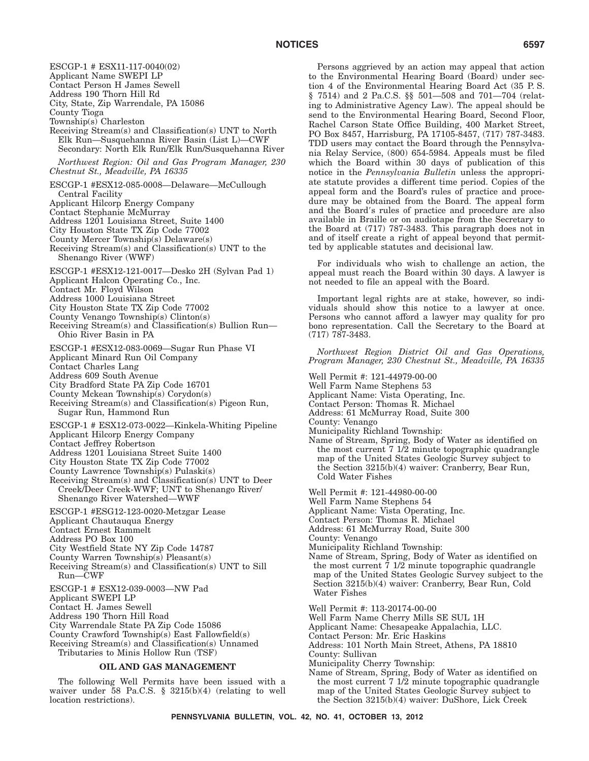ESCGP-1 # ESX11-117-0040(02) Applicant Name SWEPI LP Contact Person H James Sewell Address 190 Thorn Hill Rd City, State, Zip Warrendale, PA 15086 County Tioga Township(s) Charleston Receiving Stream(s) and Classification(s) UNT to North Elk Run—Susquehanna River Basin (List L)—CWF Secondary: North Elk Run/Elk Run/Susquehanna River *Northwest Region: Oil and Gas Program Manager, 230 Chestnut St., Meadville, PA 16335* ESCGP-1 #ESX12-085-0008—Delaware—McCullough Central Facility Applicant Hilcorp Energy Company Contact Stephanie McMurray Address 1201 Louisiana Street, Suite 1400 City Houston State TX Zip Code 77002 County Mercer Township(s) Delaware(s) Receiving Stream(s) and Classification(s) UNT to the Shenango River (WWF) ESCGP-1 #ESX12-121-0017—Desko 2H (Sylvan Pad 1) Applicant Halcon Operating Co., Inc. Contact Mr. Floyd Wilson Address 1000 Louisiana Street City Houston State TX Zip Code 77002 County Venango Township(s) Clinton(s) Receiving Stream(s) and Classification(s) Bullion Run— Ohio River Basin in PA ESCGP-1 #ESX12-083-0069—Sugar Run Phase VI Applicant Minard Run Oil Company Contact Charles Lang Address 609 South Avenue City Bradford State PA Zip Code 16701 County Mckean Township(s) Corydon(s) Receiving Stream(s) and Classification(s) Pigeon Run, Sugar Run, Hammond Run ESCGP-1 # ESX12-073-0022—Kinkela-Whiting Pipeline Applicant Hilcorp Energy Company Contact Jeffrey Robertson Address 1201 Louisiana Street Suite 1400 City Houston State TX Zip Code 77002 County Lawrence Township(s) Pulaski(s) Receiving Stream(s) and Classification(s) UNT to Deer Creek/Deer Creek-WWF; UNT to Shenango River/ Shenango River Watershed—WWF ESCGP-1 #ESG12-123-0020-Metzgar Lease Applicant Chautauqua Energy Contact Ernest Rammelt Address PO Box 100 City Westfield State NY Zip Code 14787 County Warren Township(s) Pleasant(s) Receiving Stream(s) and Classification(s) UNT to Sill Run—CWF ESCGP-1 # ESX12-039-0003—NW Pad Applicant SWEPI LP Contact H. James Sewell Address 190 Thorn Hill Road City Warrendale State PA Zip Code 15086 County Crawford Township(s) East Fallowfield(s) Receiving Stream(s) and Classification(s) Unnamed Tributaries to Minis Hollow Run (TSF)

### **OIL AND GAS MANAGEMENT**

The following Well Permits have been issued with a waiver under 58 Pa.C.S. § 3215(b)(4) (relating to well location restrictions).

Persons aggrieved by an action may appeal that action to the Environmental Hearing Board (Board) under section 4 of the Environmental Hearing Board Act (35 P. S. § 7514) and 2 Pa.C.S. §§ 501—508 and 701—704 (relating to Administrative Agency Law). The appeal should be send to the Environmental Hearing Board, Second Floor, Rachel Carson State Office Building, 400 Market Street, PO Box 8457, Harrisburg, PA 17105-8457, (717) 787-3483. TDD users may contact the Board through the Pennsylvania Relay Service, (800) 654-5984. Appeals must be filed which the Board within 30 days of publication of this notice in the *Pennsylvania Bulletin* unless the appropriate statute provides a different time period. Copies of the appeal form and the Board's rules of practice and procedure may be obtained from the Board. The appeal form and the Board's rules of practice and procedure are also available in Braille or on audiotape from the Secretary to the Board at (717) 787-3483. This paragraph does not in and of itself create a right of appeal beyond that permitted by applicable statutes and decisional law.

For individuals who wish to challenge an action, the appeal must reach the Board within 30 days. A lawyer is not needed to file an appeal with the Board.

Important legal rights are at stake, however, so individuals should show this notice to a lawyer at once. Persons who cannot afford a lawyer may quality for pro bono representation. Call the Secretary to the Board at (717) 787-3483.

*Northwest Region District Oil and Gas Operations, Program Manager, 230 Chestnut St., Meadville, PA 16335*

Well Permit #: 121-44979-00-00 Well Farm Name Stephens 53 Applicant Name: Vista Operating, Inc. Contact Person: Thomas R. Michael Address: 61 McMurray Road, Suite 300 County: Venango Municipality Richland Township: Name of Stream, Spring, Body of Water as identified on the most current 7 1/2 minute topographic quadrangle map of the United States Geologic Survey subject to the Section 3215(b)(4) waiver: Cranberry, Bear Run, Cold Water Fishes Well Permit #: 121-44980-00-00 Well Farm Name Stephens 54 Applicant Name: Vista Operating, Inc. Contact Person: Thomas R. Michael Address: 61 McMurray Road, Suite 300 County: Venango Municipality Richland Township: Name of Stream, Spring, Body of Water as identified on the most current  $\bar{7}$  1/2 minute topographic quadrangle map of the United States Geologic Survey subject to the Section 3215(b)(4) waiver: Cranberry, Bear Run, Cold Water Fishes Well Permit #: 113-20174-00-00 Well Farm Name Cherry Mills SE SUL 1H Applicant Name: Chesapeake Appalachia, LLC. Contact Person: Mr. Eric Haskins Address: 101 North Main Street, Athens, PA 18810 County: Sullivan

Municipality Cherry Township:

Name of Stream, Spring, Body of Water as identified on the most current 7 1/2 minute topographic quadrangle map of the United States Geologic Survey subject to the Section 3215(b)(4) waiver: DuShore, Lick Creek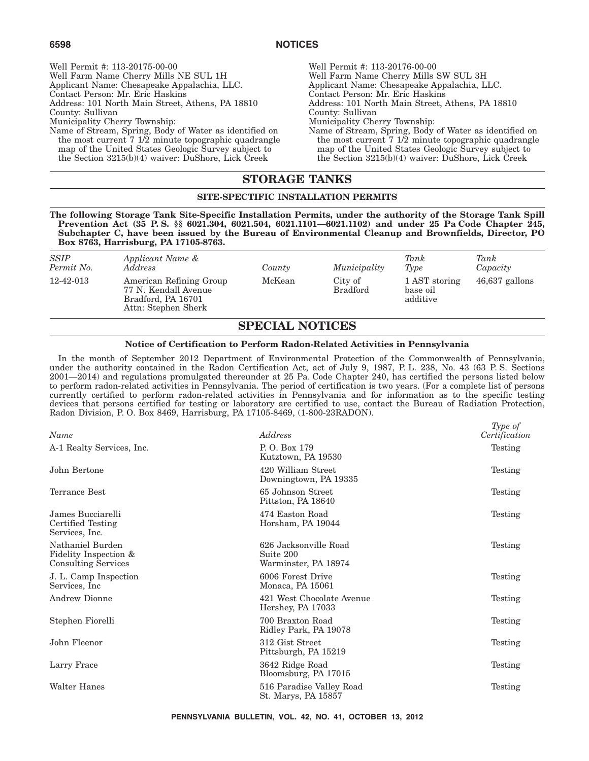Well Permit #: 113-20175-00-00 Well Farm Name Cherry Mills NE SUL 1H Applicant Name: Chesapeake Appalachia, LLC. Contact Person: Mr. Eric Haskins Address: 101 North Main Street, Athens, PA 18810 County: Sullivan Municipality Cherry Township: Name of Stream, Spring, Body of Water as identified on the most current  $7 \frac{1}{2}$  minute topographic quadrangle map of the United States Geologic Survey subject to the Section 3215(b)(4) waiver: DuShore, Lick Creek

Well Permit #: 113-20176-00-00 Well Farm Name Cherry Mills SW SUL 3H Applicant Name: Chesapeake Appalachia, LLC. Contact Person: Mr. Eric Haskins Address: 101 North Main Street, Athens, PA 18810 County: Sullivan Municipality Cherry Township: Name of Stream, Spring, Body of Water as identified on the most current  $7 \frac{1}{2}$  minute topographic quadrangle map of the United States Geologic Survey subject to the Section 3215(b)(4) waiver: DuShore, Lick Creek

# **STORAGE TANKS**

# **SITE-SPECTIFIC INSTALLATION PERMITS**

**The following Storage Tank Site-Specific Installation Permits, under the authority of the Storage Tank Spill Prevention Act (35 P. S. §§ 6021.304, 6021.504, 6021.1101—6021.1102) and under 25 Pa Code Chapter 245, Subchapter C, have been issued by the Bureau of Environmental Cleanup and Brownfields, Director, PO Box 8763, Harrisburg, PA 17105-8763.**

| <b>SSIP</b><br>Permit No. | Applicant Name &<br>Address                                                                  | County | Municipality               | Tank<br>Type                          | Tank<br>Capacity |
|---------------------------|----------------------------------------------------------------------------------------------|--------|----------------------------|---------------------------------------|------------------|
| 12-42-013                 | American Refining Group<br>77 N. Kendall Avenue<br>Bradford, PA 16701<br>Attn: Stephen Sherk | McKean | City of<br><b>Bradford</b> | 1 AST storing<br>base oil<br>additive | $46,637$ gallons |
|                           |                                                                                              |        |                            |                                       |                  |

# **SPECIAL NOTICES**

### **Notice of Certification to Perform Radon-Related Activities in Pennsylvania**

In the month of September 2012 Department of Environmental Protection of the Commonwealth of Pennsylvania, under the authority contained in the Radon Certification Act, act of July 9, 1987, P. L. 238, No. 43 (63 P. S. Sections 2001—2014) and regulations promulgated thereunder at 25 Pa. Code Chapter 240, has certified the persons listed below to perform radon-related activities in Pennsylvania. The period of certification is two years. (For a complete list of persons currently certified to perform radon-related activities in Pennsylvania and for information as to the specific testing devices that persons certified for testing or laboratory are certified to use, contact the Bureau of Radiation Protection, Radon Division, P. O. Box 8469, Harrisburg, PA 17105-8469, (1-800-23RADON).

| Name                                                                    | Address                                                    | Type of<br>Certification |
|-------------------------------------------------------------------------|------------------------------------------------------------|--------------------------|
| A-1 Realty Services, Inc.                                               | P.O. Box 179<br>Kutztown, PA 19530                         | Testing                  |
| John Bertone                                                            | 420 William Street<br>Downingtown, PA 19335                | Testing                  |
| Terrance Best                                                           | 65 Johnson Street<br>Pittston, PA 18640                    | Testing                  |
| James Bucciarelli<br>Certified Testing<br>Services, Inc.                | 474 Easton Road<br>Horsham, PA 19044                       | Testing                  |
| Nathaniel Burden<br>Fidelity Inspection &<br><b>Consulting Services</b> | 626 Jacksonville Road<br>Suite 200<br>Warminster, PA 18974 | Testing                  |
| J. L. Camp Inspection<br>Services, Inc.                                 | 6006 Forest Drive<br>Monaca, PA 15061                      | Testing                  |
| Andrew Dionne                                                           | 421 West Chocolate Avenue<br>Hershey, PA 17033             | Testing                  |
| Stephen Fiorelli                                                        | 700 Braxton Road<br>Ridley Park, PA 19078                  | Testing                  |
| John Fleenor                                                            | 312 Gist Street<br>Pittsburgh, PA 15219                    | Testing                  |
| Larry Frace                                                             | 3642 Ridge Road<br>Bloomsburg, PA 17015                    | Testing                  |
| Walter Hanes                                                            | 516 Paradise Valley Road<br>St. Marys, PA 15857            | Testing                  |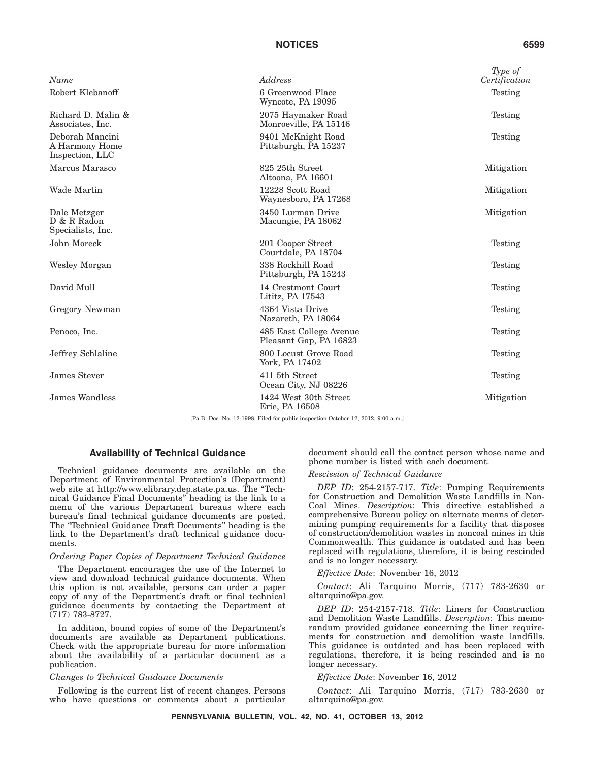### **NOTICES 6599**

| Name                                                 | Address                                           | Type of<br>Certification |
|------------------------------------------------------|---------------------------------------------------|--------------------------|
| Robert Klebanoff                                     | 6 Greenwood Place<br>Wyncote, PA 19095            | Testing                  |
| Richard D. Malin &<br>Associates, Inc.               | 2075 Haymaker Road<br>Monroeville, PA 15146       | Testing                  |
| Deborah Mancini<br>A Harmony Home<br>Inspection, LLC | 9401 McKnight Road<br>Pittsburgh, PA 15237        | Testing                  |
| Marcus Marasco                                       | 825 25th Street<br>Altoona, PA 16601              | Mitigation               |
| Wade Martin                                          | 12228 Scott Road<br>Waynesboro, PA 17268          | Mitigation               |
| Dale Metzger<br>D & R Radon<br>Specialists, Inc.     | 3450 Lurman Drive<br>Macungie, PA 18062           | Mitigation               |
| John Moreck                                          | 201 Cooper Street<br>Courtdale, PA 18704          | Testing                  |
| Wesley Morgan                                        | 338 Rockhill Road<br>Pittsburgh, PA 15243         | Testing                  |
| David Mull                                           | 14 Crestmont Court<br>Lititz, PA 17543            | Testing                  |
| Gregory Newman                                       | 4364 Vista Drive<br>Nazareth, PA 18064            | Testing                  |
| Penoco, Inc.                                         | 485 East College Avenue<br>Pleasant Gap, PA 16823 | Testing                  |
| Jeffrey Schlaline                                    | 800 Locust Grove Road<br>York, PA 17402           | Testing                  |
| James Stever                                         | 411 5th Street<br>Ocean City, NJ 08226            | Testing                  |
| James Wandless                                       | 1424 West 30th Street<br>Erie, PA 16508           | Mitigation               |

[Pa.B. Doc. No. 12-1998. Filed for public inspection October 12, 2012, 9:00 a.m.]

### **Availability of Technical Guidance**

Technical guidance documents are available on the Department of Environmental Protection's (Department) web site at http://www.elibrary.dep.state.pa.us. The "Technical Guidance Final Documents'' heading is the link to a menu of the various Department bureaus where each bureau's final technical guidance documents are posted. The ''Technical Guidance Draft Documents'' heading is the link to the Department's draft technical guidance documents.

### *Ordering Paper Copies of Department Technical Guidance*

The Department encourages the use of the Internet to view and download technical guidance documents. When this option is not available, persons can order a paper copy of any of the Department's draft or final technical guidance documents by contacting the Department at (717) 783-8727.

In addition, bound copies of some of the Department's documents are available as Department publications. Check with the appropriate bureau for more information about the availability of a particular document as a publication.

### *Changes to Technical Guidance Documents*

Following is the current list of recent changes. Persons who have questions or comments about a particular document should call the contact person whose name and phone number is listed with each document.

### *Rescission of Technical Guidance*

*DEP ID*: 254-2157-717. *Title*: Pumping Requirements for Construction and Demolition Waste Landfills in Non-Coal Mines. *Description*: This directive established a comprehensive Bureau policy on alternate means of determining pumping requirements for a facility that disposes of construction/demolition wastes in noncoal mines in this Commonwealth. This guidance is outdated and has been replaced with regulations, therefore, it is being rescinded and is no longer necessary.

*Effective Date*: November 16, 2012

*Contact*: Ali Tarquino Morris, (717) 783-2630 or altarquino@pa.gov.

*DEP ID*: 254-2157-718. *Title*: Liners for Construction and Demolition Waste Landfills. *Description*: This memorandum provided guidance concerning the liner requirements for construction and demolition waste landfills. This guidance is outdated and has been replaced with regulations, therefore, it is being rescinded and is no longer necessary.

*Effective Date*: November 16, 2012

*Contact*: Ali Tarquino Morris, (717) 783-2630 or altarquino@pa.gov.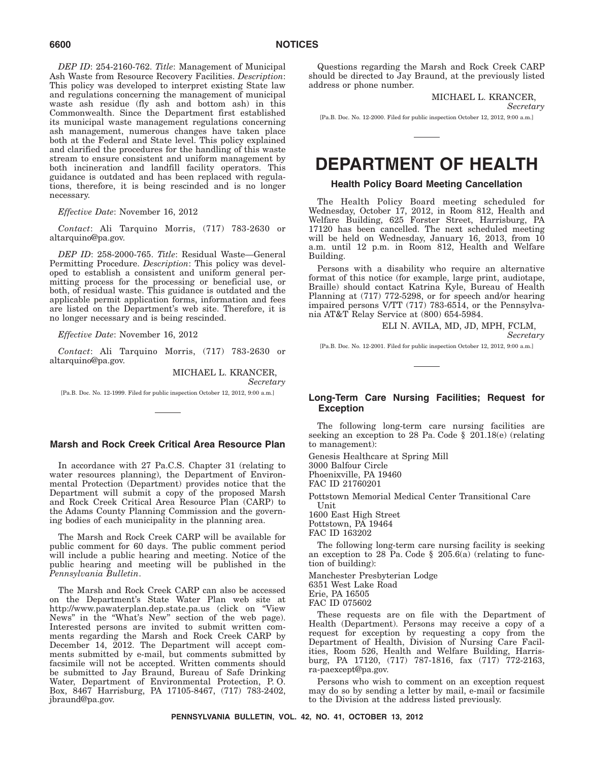*DEP ID*: 254-2160-762. *Title*: Management of Municipal Ash Waste from Resource Recovery Facilities. *Description*: This policy was developed to interpret existing State law and regulations concerning the management of municipal waste ash residue (fly ash and bottom ash) in this Commonwealth. Since the Department first established its municipal waste management regulations concerning ash management, numerous changes have taken place both at the Federal and State level. This policy explained and clarified the procedures for the handling of this waste stream to ensure consistent and uniform management by both incineration and landfill facility operators. This guidance is outdated and has been replaced with regulations, therefore, it is being rescinded and is no longer necessary.

### *Effective Date*: November 16, 2012

*Contact*: Ali Tarquino Morris, (717) 783-2630 or altarquino@pa.gov.

*DEP ID*: 258-2000-765. *Title*: Residual Waste—General Permitting Procedure. *Description*: This policy was developed to establish a consistent and uniform general permitting process for the processing or beneficial use, or both, of residual waste. This guidance is outdated and the applicable permit application forms, information and fees are listed on the Department's web site. Therefore, it is no longer necessary and is being rescinded.

*Effective Date*: November 16, 2012

*Contact*: Ali Tarquino Morris, (717) 783-2630 or altarquino@pa.gov.

MICHAEL L. KRANCER,

*Secretary*

[Pa.B. Doc. No. 12-1999. Filed for public inspection October 12, 2012, 9:00 a.m.]

# **Marsh and Rock Creek Critical Area Resource Plan**

In accordance with 27 Pa.C.S. Chapter 31 (relating to water resources planning), the Department of Environmental Protection (Department) provides notice that the Department will submit a copy of the proposed Marsh and Rock Creek Critical Area Resource Plan (CARP) to the Adams County Planning Commission and the governing bodies of each municipality in the planning area.

The Marsh and Rock Creek CARP will be available for public comment for 60 days. The public comment period will include a public hearing and meeting. Notice of the public hearing and meeting will be published in the *Pennsylvania Bulletin*.

The Marsh and Rock Creek CARP can also be accessed on the Department's State Water Plan web site at http://www.pawaterplan.dep.state.pa.us (click on ''View News" in the "What's New" section of the web page). Interested persons are invited to submit written comments regarding the Marsh and Rock Creek CARP by December 14, 2012. The Department will accept comments submitted by e-mail, but comments submitted by facsimile will not be accepted. Written comments should be submitted to Jay Braund, Bureau of Safe Drinking Water, Department of Environmental Protection, P. O. Box, 8467 Harrisburg, PA 17105-8467, (717) 783-2402, jbraund@pa.gov.

Questions regarding the Marsh and Rock Creek CARP should be directed to Jay Braund, at the previously listed address or phone number.

MICHAEL L. KRANCER,

*Secretary*

[Pa.B. Doc. No. 12-2000. Filed for public inspection October 12, 2012, 9:00 a.m.]

# **DEPARTMENT OF HEALTH**

# **Health Policy Board Meeting Cancellation**

The Health Policy Board meeting scheduled for Wednesday, October 17, 2012, in Room 812, Health and Welfare Building, 625 Forster Street, Harrisburg, PA 17120 has been cancelled. The next scheduled meeting will be held on Wednesday, January 16, 2013, from  $10$ a.m. until 12 p.m. in Room 812, Health and Welfare Building.

Persons with a disability who require an alternative format of this notice (for example, large print, audiotape, Braille) should contact Katrina Kyle, Bureau of Health Planning at (717) 772-5298, or for speech and/or hearing impaired persons V/TT (717) 783-6514, or the Pennsylvania AT&T Relay Service at (800) 654-5984.

> ELI N. AVILA, MD, JD, MPH, FCLM, *Secretary*

[Pa.B. Doc. No. 12-2001. Filed for public inspection October 12, 2012, 9:00 a.m.]

### **Long-Term Care Nursing Facilities; Request for Exception**

The following long-term care nursing facilities are seeking an exception to 28 Pa. Code § 201.18(e) (relating to management):

Genesis Healthcare at Spring Mill 3000 Balfour Circle Phoenixville, PA 19460 FAC ID 21760201

Pottstown Memorial Medical Center Transitional Care Unit

1600 East High Street Pottstown, PA 19464 FAC ID 163202

The following long-term care nursing facility is seeking an exception to 28 Pa. Code  $\S$  205.6(a) (relating to function of building):

Manchester Presbyterian Lodge 6351 West Lake Road Erie, PA 16505 FAC ID 075602

These requests are on file with the Department of Health (Department). Persons may receive a copy of a request for exception by requesting a copy from the Department of Health, Division of Nursing Care Facilities, Room 526, Health and Welfare Building, Harrisburg, PA 17120, (717) 787-1816, fax (717) 772-2163, ra-paexcept@pa.gov.

Persons who wish to comment on an exception request may do so by sending a letter by mail, e-mail or facsimile to the Division at the address listed previously.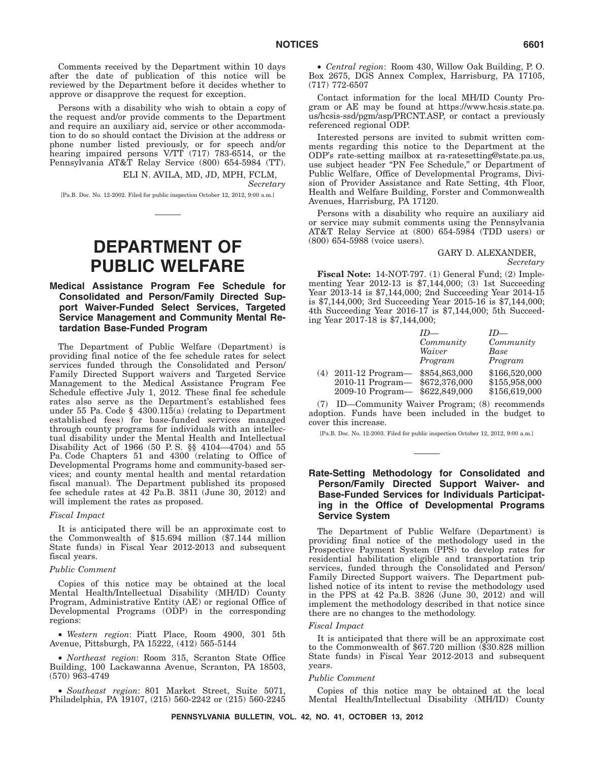Comments received by the Department within 10 days after the date of publication of this notice will be reviewed by the Department before it decides whether to approve or disapprove the request for exception.

Persons with a disability who wish to obtain a copy of the request and/or provide comments to the Department and require an auxiliary aid, service or other accommodation to do so should contact the Division at the address or phone number listed previously, or for speech and/or hearing impaired persons V/TT (717) 783-6514, or the Pennsylvania AT&T Relay Service (800) 654-5984 (TT).

ELI N. AVILA, MD, JD, MPH, FCLM, *Secretary*

[Pa.B. Doc. No. 12-2002. Filed for public inspection October 12, 2012, 9:00 a.m.]

# **DEPARTMENT OF PUBLIC WELFARE**

## **Medical Assistance Program Fee Schedule for Consolidated and Person/Family Directed Support Waiver-Funded Select Services, Targeted Service Management and Community Mental Retardation Base-Funded Program**

The Department of Public Welfare (Department) is providing final notice of the fee schedule rates for select services funded through the Consolidated and Person/ Family Directed Support waivers and Targeted Service Management to the Medical Assistance Program Fee Schedule effective July 1, 2012. These final fee schedule rates also serve as the Department's established fees under 55 Pa. Code § 4300.115(a) (relating to Department established fees) for base-funded services managed through county programs for individuals with an intellectual disability under the Mental Health and Intellectual Disability Act of 1966 (50 P. S. §§ 4104—4704) and 55 Pa. Code Chapters 51 and 4300 (relating to Office of Developmental Programs home and community-based services; and county mental health and mental retardation fiscal manual). The Department published its proposed fee schedule rates at  $42$  Pa.B. 3811 (June 30,  $2012$ ) and will implement the rates as proposed.

#### *Fiscal Impact*

It is anticipated there will be an approximate cost to the Commonwealth of \$15.694 million (\$7.144 million State funds) in Fiscal Year 2012-2013 and subsequent fiscal years.

#### *Public Comment*

Copies of this notice may be obtained at the local Mental Health/Intellectual Disability (MH/ID) County Program, Administrative Entity (AE) or regional Office of Developmental Programs (ODP) in the corresponding regions:

• *Western region*: Piatt Place, Room 4900, 301 5th Avenue, Pittsburgh, PA 15222, (412) 565-5144

• *Northeast region*: Room 315, Scranton State Office Building, 100 Lackawanna Avenue, Scranton, PA 18503, (570) 963-4749

• *Southeast region*: 801 Market Street, Suite 5071, Philadelphia, PA 19107, (215) 560-2242 or (215) 560-2245

• *Central region*: Room 430, Willow Oak Building, P. O. Box 2675, DGS Annex Complex, Harrisburg, PA 17105, (717) 772-6507

Contact information for the local MH/ID County Program or AE may be found at https://www.hcsis.state.pa. us/hcsis-ssd/pgm/asp/PRCNT.ASP, or contact a previously referenced regional ODP.

Interested persons are invited to submit written comments regarding this notice to the Department at the ODP's rate-setting mailbox at ra-ratesetting@state.pa.us, use subject header "PN Fee Schedule," or Department of Public Welfare, Office of Developmental Programs, Division of Provider Assistance and Rate Setting, 4th Floor, Health and Welfare Building, Forster and Commonwealth Avenues, Harrisburg, PA 17120.

Persons with a disability who require an auxiliary aid or service may submit comments using the Pennsylvania AT&T Relay Service at (800) 654-5984 (TDD users) or (800) 654-5988 (voice users).

#### GARY D. ALEXANDER,

*Secretary*

**Fiscal Note:** 14-NOT-797. (1) General Fund; (2) Implementing Year 2012-13 is \$7,144,000; (3) 1st Succeeding Year 2013-14 is \$7,144,000; 2nd Succeeding Year 2014-15 is \$7,144,000; 3rd Succeeding Year 2015-16 is \$7,144,000; 4th Succeeding Year 2016-17 is \$7,144,000; 5th Succeeding Year 2017-18 is \$7,144,000;

|     |                                 | Community | Community     |
|-----|---------------------------------|-----------|---------------|
|     |                                 | Waiver    | Base          |
|     |                                 | Program   | Program       |
| (4) | 2011-12 Program— \$854,863,000  |           | \$166,520,000 |
|     | 2010-11 Program - \$672,376,000 |           | \$155,958,000 |
|     | 2009-10 Program-\$622,849,000   |           | \$156,619,000 |

(7) ID—Community Waiver Program; (8) recommends adoption. Funds have been included in the budget to cover this increase.

[Pa.B. Doc. No. 12-2003. Filed for public inspection October 12, 2012, 9:00 a.m.]

# **Rate-Setting Methodology for Consolidated and Person/Family Directed Support Waiver- and Base-Funded Services for Individuals Participating in the Office of Developmental Programs Service System**

The Department of Public Welfare (Department) is providing final notice of the methodology used in the Prospective Payment System (PPS) to develop rates for residential habilitation eligible and transportation trip services, funded through the Consolidated and Person/ Family Directed Support waivers. The Department published notice of its intent to revise the methodology used in the PPS at 42 Pa.B. 3826 (June 30, 2012) and will implement the methodology described in that notice since there are no changes to the methodology.

#### *Fiscal Impact*

It is anticipated that there will be an approximate cost to the Commonwealth of \$67.720 million (\$30.828 million State funds) in Fiscal Year 2012-2013 and subsequent years.

#### *Public Comment*

Copies of this notice may be obtained at the local Mental Health/Intellectual Disability (MH/ID) County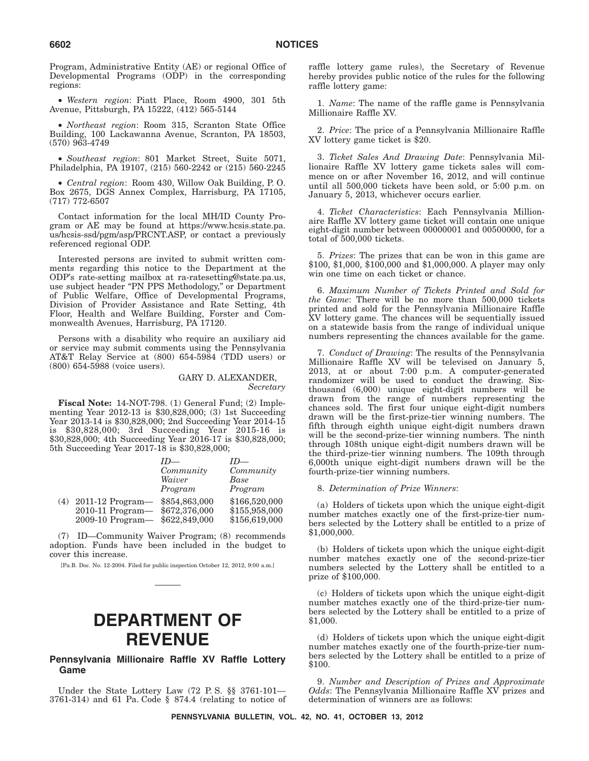Program, Administrative Entity (AE) or regional Office of Developmental Programs (ODP) in the corresponding regions:

• *Western region*: Piatt Place, Room 4900, 301 5th Avenue, Pittsburgh, PA 15222, (412) 565-5144

• *Northeast region*: Room 315, Scranton State Office Building, 100 Lackawanna Avenue, Scranton, PA 18503, (570) 963-4749

• *Southeast region*: 801 Market Street, Suite 5071, Philadelphia, PA 19107, (215) 560-2242 or (215) 560-2245

• *Central region*: Room 430, Willow Oak Building, P. O. Box 2675, DGS Annex Complex, Harrisburg, PA 17105, (717) 772-6507

Contact information for the local MH/ID County Program or AE may be found at https://www.hcsis.state.pa. us/hcsis-ssd/pgm/asp/PRCNT.ASP, or contact a previously referenced regional ODP.

Interested persons are invited to submit written comments regarding this notice to the Department at the ODP's rate-setting mailbox at ra-ratesetting@state.pa.us, use subject header "PN PPS Methodology," or Department of Public Welfare, Office of Developmental Programs, Division of Provider Assistance and Rate Setting, 4th Floor, Health and Welfare Building, Forster and Commonwealth Avenues, Harrisburg, PA 17120.

Persons with a disability who require an auxiliary aid or service may submit comments using the Pennsylvania AT&T Relay Service at (800) 654-5984 (TDD users) or (800) 654-5988 (voice users).

### GARY D. ALEXANDER, *Secretary*

**Fiscal Note:** 14-NOT-798. (1) General Fund; (2) Implementing Year 2012-13 is \$30,828,000; (3) 1st Succeeding Year 2013-14 is \$30,828,000; 2nd Succeeding Year 2014-15 is \$30,828,000; 3rd Succeeding Year 2015-16 is \$30,828,000; 4th Succeeding Year 2016-17 is \$30,828,000; 5th Succeeding Year 2017-18 is \$30,828,000;

|     |                    | $ID$ —        | $ID$ —        |
|-----|--------------------|---------------|---------------|
|     |                    | Community     | Community     |
|     |                    | Waiver        | Base          |
|     |                    | Program       | Program       |
| (4) | $2011-12$ Program— | \$854,863,000 | \$166,520,000 |
|     | $2010-11$ Program— | \$672,376,000 | \$155,958,000 |
|     | $2009-10$ Program— | \$622,849,000 | \$156,619,000 |

(7) ID—Community Waiver Program; (8) recommends adoption. Funds have been included in the budget to cover this increase.

[Pa.B. Doc. No. 12-2004. Filed for public inspection October 12, 2012, 9:00 a.m.]

# **DEPARTMENT OF REVENUE**

# **Pennsylvania Millionaire Raffle XV Raffle Lottery Game**

Under the State Lottery Law (72 P. S. §§ 3761-101— 3761-314) and 61 Pa. Code § 874.4 (relating to notice of raffle lottery game rules), the Secretary of Revenue hereby provides public notice of the rules for the following raffle lottery game:

1. *Name*: The name of the raffle game is Pennsylvania Millionaire Raffle XV.

2. *Price*: The price of a Pennsylvania Millionaire Raffle XV lottery game ticket is \$20.

3. *Ticket Sales And Drawing Date*: Pennsylvania Millionaire Raffle XV lottery game tickets sales will commence on or after November 16, 2012, and will continue until all 500,000 tickets have been sold, or 5:00 p.m. on January 5, 2013, whichever occurs earlier.

4. *Ticket Characteristics*: Each Pennsylvania Millionaire Raffle XV lottery game ticket will contain one unique eight-digit number between 00000001 and 00500000, for a total of 500,000 tickets.

5. *Prizes*: The prizes that can be won in this game are \$100, \$1,000, \$100,000 and \$1,000,000. A player may only win one time on each ticket or chance.

6. *Maximum Number of Tickets Printed and Sold for the Game*: There will be no more than 500,000 tickets printed and sold for the Pennsylvania Millionaire Raffle XV lottery game. The chances will be sequentially issued on a statewide basis from the range of individual unique numbers representing the chances available for the game.

7. *Conduct of Drawing*: The results of the Pennsylvania Millionaire Raffle XV will be televised on January 5, 2013, at or about 7:00 p.m. A computer-generated randomizer will be used to conduct the drawing. Sixthousand (6,000) unique eight-digit numbers will be drawn from the range of numbers representing the chances sold. The first four unique eight-digit numbers drawn will be the first-prize-tier winning numbers. The fifth through eighth unique eight-digit numbers drawn will be the second-prize-tier winning numbers. The ninth through 108th unique eight-digit numbers drawn will be the third-prize-tier winning numbers. The 109th through 6,000th unique eight-digit numbers drawn will be the fourth-prize-tier winning numbers.

### 8. *Determination of Prize Winners*:

(a) Holders of tickets upon which the unique eight-digit number matches exactly one of the first-prize-tier numbers selected by the Lottery shall be entitled to a prize of \$1,000,000.

(b) Holders of tickets upon which the unique eight-digit number matches exactly one of the second-prize-tier numbers selected by the Lottery shall be entitled to a prize of \$100,000.

(c) Holders of tickets upon which the unique eight-digit number matches exactly one of the third-prize-tier numbers selected by the Lottery shall be entitled to a prize of \$1,000.

(d) Holders of tickets upon which the unique eight-digit number matches exactly one of the fourth-prize-tier numbers selected by the Lottery shall be entitled to a prize of \$100.

9. *Number and Description of Prizes and Approximate Odds*: The Pennsylvania Millionaire Raffle XV prizes and determination of winners are as follows: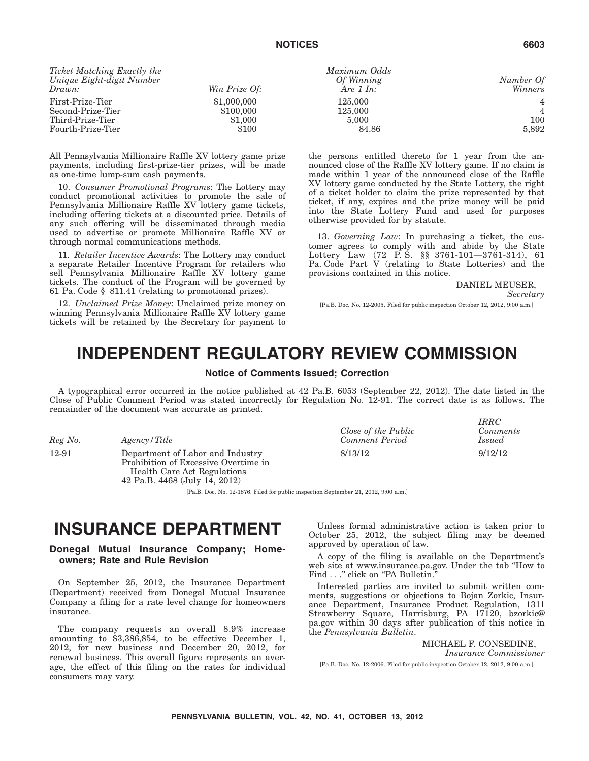# **NOTICES 6603**

| Ticket Matching Exactly the |               |
|-----------------------------|---------------|
| Unique Eight-digit Number   |               |
| Drawn:                      | Win Prize Of: |
| First-Prize-Tier            | \$1,000,000   |
| Second-Prize-Tier           | \$100,000     |
| Third-Prize-Tier            | \$1,000       |
| Fourth-Prize-Tier           | \$100         |

All Pennsylvania Millionaire Raffle XV lottery game prize payments, including first-prize-tier prizes, will be made as one-time lump-sum cash payments.

10. *Consumer Promotional Programs*: The Lottery may conduct promotional activities to promote the sale of Pennsylvania Millionaire Raffle XV lottery game tickets, including offering tickets at a discounted price. Details of any such offering will be disseminated through media used to advertise or promote Millionaire Raffle XV or through normal communications methods.

11. *Retailer Incentive Awards*: The Lottery may conduct a separate Retailer Incentive Program for retailers who sell Pennsylvania Millionaire Raffle XV lottery game tickets. The conduct of the Program will be governed by 61 Pa. Code § 811.41 (relating to promotional prizes).

12. *Unclaimed Prize Money*: Unclaimed prize money on winning Pennsylvania Millionaire Raffle XV lottery game tickets will be retained by the Secretary for payment to

| Ticket Matching Exactly the |               | Maximum Odds        |           |
|-----------------------------|---------------|---------------------|-----------|
| Unique Eight-digit Number   |               | Of Winning          | Number Of |
| Drawn:                      | Win Prize Of: | Are $1 \text{ In:}$ | Winners   |
| First-Prize-Tier            | \$1,000,000   | 125,000             |           |
| Second-Prize-Tier           | \$100,000     | 125,000             |           |
| Third-Prize-Tier            | \$1.000       | 5,000               | 100       |
| Fourth-Prize-Tier           | \$100         | 84.86               | 5,892     |
|                             |               |                     |           |

the persons entitled thereto for 1 year from the announced close of the Raffle XV lottery game. If no claim is made within 1 year of the announced close of the Raffle XV lottery game conducted by the State Lottery, the right of a ticket holder to claim the prize represented by that ticket, if any, expires and the prize money will be paid into the State Lottery Fund and used for purposes otherwise provided for by statute.

13. *Governing Law*: In purchasing a ticket, the customer agrees to comply with and abide by the State Lottery Law (72 P. S. §§ 3761-101—3761-314), 61 Pa. Code Part V (relating to State Lotteries) and the provisions contained in this notice.

DANIEL MEUSER,

*Secretary*

[Pa.B. Doc. No. 12-2005. Filed for public inspection October 12, 2012, 9:00 a.m.]

# **INDEPENDENT REGULATORY REVIEW COMMISSION**

### **Notice of Comments Issued; Correction**

A typographical error occurred in the notice published at 42 Pa.B. 6053 (September 22, 2012). The date listed in the Close of Public Comment Period was stated incorrectly for Regulation No. 12-91. The correct date is as follows. The remainder of the document was accurate as printed.

*Reg No. Agency / Title* 

12-91 Department of Labor and Industry Prohibition of Excessive Overtime in Health Care Act Regulations 42 Pa.B. 4468 (July 14, 2012)

|                                              | <b>IRRC</b>               |
|----------------------------------------------|---------------------------|
| Close of the Public<br><b>Comment Period</b> | Comments<br><i>Issued</i> |
| 8/13/12                                      | 9/12/12                   |

[Pa.B. Doc. No. 12-1876. Filed for public inspection September 21, 2012, 9:00 a.m.]

# **INSURANCE DEPARTMENT**

**Donegal Mutual Insurance Company; Homeowners; Rate and Rule Revision**

On September 25, 2012, the Insurance Department (Department) received from Donegal Mutual Insurance Company a filing for a rate level change for homeowners insurance.

The company requests an overall 8.9% increase amounting to \$3,386,854, to be effective December 1, 2012, for new business and December 20, 2012, for renewal business. This overall figure represents an average, the effect of this filing on the rates for individual consumers may vary.

Unless formal administrative action is taken prior to October 25, 2012, the subject filing may be deemed approved by operation of law.

A copy of the filing is available on the Department's web site at www.insurance.pa.gov. Under the tab ''How to Find . . ." click on "PA Bulletin.

Interested parties are invited to submit written comments, suggestions or objections to Bojan Zorkic, Insurance Department, Insurance Product Regulation, 1311 Strawberry Square, Harrisburg, PA 17120, bzorkic@ pa.gov within 30 days after publication of this notice in the *Pennsylvania Bulletin*.

MICHAEL F. CONSEDINE,

*Insurance Commissioner*

[Pa.B. Doc. No. 12-2006. Filed for public inspection October 12, 2012, 9:00 a.m.]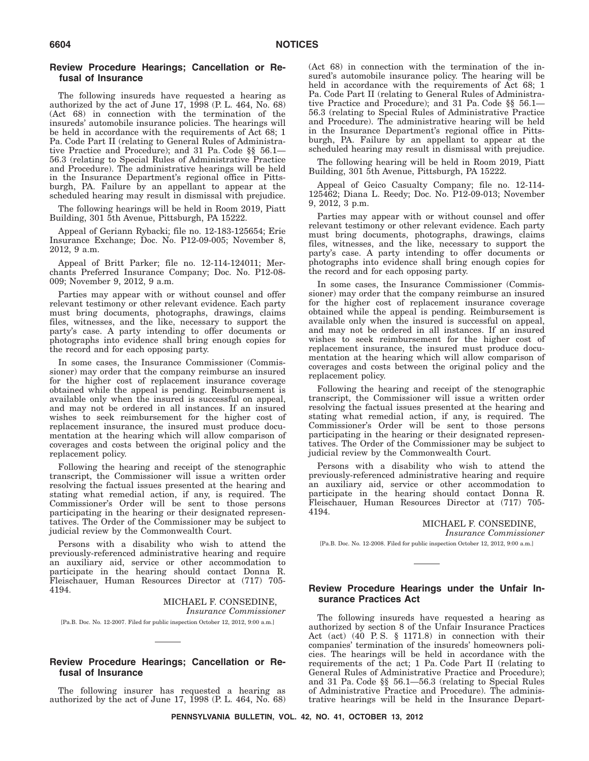### **Review Procedure Hearings; Cancellation or Refusal of Insurance**

The following insureds have requested a hearing as authorized by the act of June 17, 1998 (P. L. 464, No. 68) (Act 68) in connection with the termination of the insureds' automobile insurance policies. The hearings will be held in accordance with the requirements of Act 68; 1 Pa. Code Part II (relating to General Rules of Administrative Practice and Procedure); and 31 Pa. Code §§ 56.1— 56.3 (relating to Special Rules of Administrative Practice and Procedure). The administrative hearings will be held in the Insurance Department's regional office in Pittsburgh, PA. Failure by an appellant to appear at the scheduled hearing may result in dismissal with prejudice.

The following hearings will be held in Room 2019, Piatt Building, 301 5th Avenue, Pittsburgh, PA 15222.

Appeal of Geriann Rybacki; file no. 12-183-125654; Erie Insurance Exchange; Doc. No. P12-09-005; November 8, 2012, 9 a.m.

Appeal of Britt Parker; file no. 12-114-124011; Merchants Preferred Insurance Company; Doc. No. P12-08- 009; November 9, 2012, 9 a.m.

Parties may appear with or without counsel and offer relevant testimony or other relevant evidence. Each party must bring documents, photographs, drawings, claims files, witnesses, and the like, necessary to support the party's case. A party intending to offer documents or photographs into evidence shall bring enough copies for the record and for each opposing party.

In some cases, the Insurance Commissioner (Commissioner) may order that the company reimburse an insured for the higher cost of replacement insurance coverage obtained while the appeal is pending. Reimbursement is available only when the insured is successful on appeal, and may not be ordered in all instances. If an insured wishes to seek reimbursement for the higher cost of replacement insurance, the insured must produce documentation at the hearing which will allow comparison of coverages and costs between the original policy and the replacement policy.

Following the hearing and receipt of the stenographic transcript, the Commissioner will issue a written order resolving the factual issues presented at the hearing and stating what remedial action, if any, is required. The Commissioner's Order will be sent to those persons participating in the hearing or their designated representatives. The Order of the Commissioner may be subject to judicial review by the Commonwealth Court.

Persons with a disability who wish to attend the previously-referenced administrative hearing and require an auxiliary aid, service or other accommodation to participate in the hearing should contact Donna R. Fleischauer, Human Resources Director at (717) 705- 4194.

> MICHAEL F. CONSEDINE, *Insurance Commissioner*

[Pa.B. Doc. No. 12-2007. Filed for public inspection October 12, 2012, 9:00 a.m.]

# **Review Procedure Hearings; Cancellation or Refusal of Insurance**

The following insurer has requested a hearing as authorized by the act of June 17, 1998 (P. L. 464, No. 68) (Act 68) in connection with the termination of the insured's automobile insurance policy. The hearing will be held in accordance with the requirements of Act 68; 1 Pa. Code Part II (relating to General Rules of Administrative Practice and Procedure); and 31 Pa. Code §§ 56.1— 56.3 (relating to Special Rules of Administrative Practice and Procedure). The administrative hearing will be held in the Insurance Department's regional office in Pittsburgh, PA. Failure by an appellant to appear at the scheduled hearing may result in dismissal with prejudice.

The following hearing will be held in Room 2019, Piatt Building, 301 5th Avenue, Pittsburgh, PA 15222.

Appeal of Geico Casualty Company; file no. 12-114- 125462; Diana L. Reedy; Doc. No. P12-09-013; November 9, 2012, 3 p.m.

Parties may appear with or without counsel and offer relevant testimony or other relevant evidence. Each party must bring documents, photographs, drawings, claims files, witnesses, and the like, necessary to support the party's case. A party intending to offer documents or photographs into evidence shall bring enough copies for the record and for each opposing party.

In some cases, the Insurance Commissioner (Commissioner) may order that the company reimburse an insured for the higher cost of replacement insurance coverage obtained while the appeal is pending. Reimbursement is available only when the insured is successful on appeal, and may not be ordered in all instances. If an insured wishes to seek reimbursement for the higher cost of replacement insurance, the insured must produce documentation at the hearing which will allow comparison of coverages and costs between the original policy and the replacement policy.

Following the hearing and receipt of the stenographic transcript, the Commissioner will issue a written order resolving the factual issues presented at the hearing and stating what remedial action, if any, is required. The Commissioner's Order will be sent to those persons participating in the hearing or their designated representatives. The Order of the Commissioner may be subject to judicial review by the Commonwealth Court.

Persons with a disability who wish to attend the previously-referenced administrative hearing and require an auxiliary aid, service or other accommodation to participate in the hearing should contact Donna R. Fleischauer, Human Resources Director at (717) 705- 4194.

MICHAEL F. CONSEDINE,

*Insurance Commissioner*

[Pa.B. Doc. No. 12-2008. Filed for public inspection October 12, 2012, 9:00 a.m.]

### **Review Procedure Hearings under the Unfair Insurance Practices Act**

The following insureds have requested a hearing as authorized by section 8 of the Unfair Insurance Practices Act (act) (40 P.S.  $\S$  1171.8) in connection with their companies' termination of the insureds' homeowners policies. The hearings will be held in accordance with the requirements of the act; 1 Pa. Code Part II (relating to General Rules of Administrative Practice and Procedure); and 31 Pa. Code §§ 56.1—56.3 (relating to Special Rules of Administrative Practice and Procedure). The administrative hearings will be held in the Insurance Depart-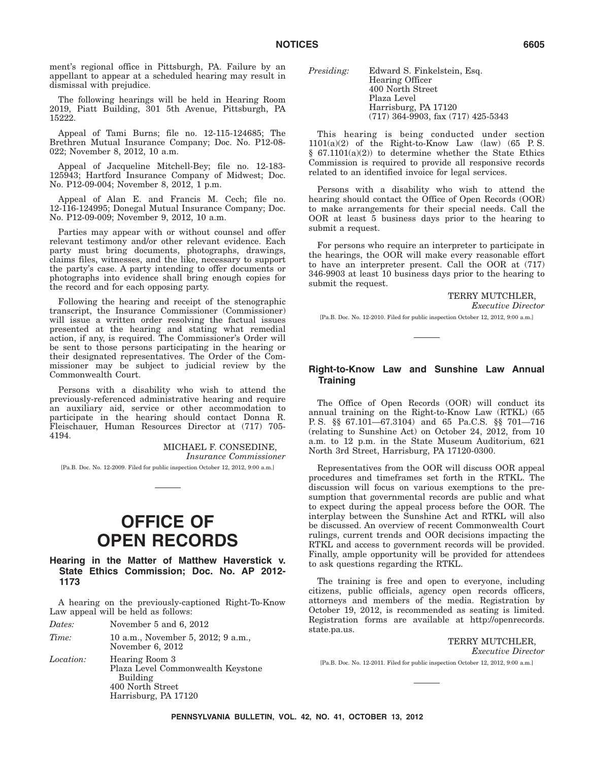ment's regional office in Pittsburgh, PA. Failure by an appellant to appear at a scheduled hearing may result in dismissal with prejudice.

The following hearings will be held in Hearing Room 2019, Piatt Building, 301 5th Avenue, Pittsburgh, PA 15222.

Appeal of Tami Burns; file no. 12-115-124685; The Brethren Mutual Insurance Company; Doc. No. P12-08- 022; November 8, 2012, 10 a.m.

Appeal of Jacqueline Mitchell-Bey; file no. 12-183- 125943; Hartford Insurance Company of Midwest; Doc. No. P12-09-004; November 8, 2012, 1 p.m.

Appeal of Alan E. and Francis M. Cech; file no. 12-116-124995; Donegal Mutual Insurance Company; Doc. No. P12-09-009; November 9, 2012, 10 a.m.

Parties may appear with or without counsel and offer relevant testimony and/or other relevant evidence. Each party must bring documents, photographs, drawings, claims files, witnesses, and the like, necessary to support the party's case. A party intending to offer documents or photographs into evidence shall bring enough copies for the record and for each opposing party.

Following the hearing and receipt of the stenographic transcript, the Insurance Commissioner (Commissioner) will issue a written order resolving the factual issues presented at the hearing and stating what remedial action, if any, is required. The Commissioner's Order will be sent to those persons participating in the hearing or their designated representatives. The Order of the Commissioner may be subject to judicial review by the Commonwealth Court.

Persons with a disability who wish to attend the previously-referenced administrative hearing and require an auxiliary aid, service or other accommodation to participate in the hearing should contact Donna R. Fleischauer, Human Resources Director at (717) 705- 4194.

> MICHAEL F. CONSEDINE, *Insurance Commissioner*

[Pa.B. Doc. No. 12-2009. Filed for public inspection October 12, 2012, 9:00 a.m.]

# **OFFICE OF OPEN RECORDS**

### **Hearing in the Matter of Matthew Haverstick v. State Ethics Commission; Doc. No. AP 2012- 1173**

A hearing on the previously-captioned Right-To-Know Law appeal will be held as follows:

*Dates:* November 5 and 6, 2012

*Time:* 10 a.m., November 5, 2012; 9 a.m., November 6, 2012

*Location:* Hearing Room 3 Plaza Level Commonwealth Keystone Building 400 North Street Harrisburg, PA 17120

| <i>Presiding:</i> | Edward S. Finkelstein, Esq.            |
|-------------------|----------------------------------------|
|                   | Hearing Officer                        |
|                   | 400 North Street                       |
|                   | Plaza Level                            |
|                   | Harrisburg, PA 17120                   |
|                   | $(717)$ 364-9903, fax $(717)$ 425-5343 |

This hearing is being conducted under section  $1101(a)(2)$  of the Right-to-Know Law (law) (65 P.S. § 67.1101(a)(2)) to determine whether the State Ethics Commission is required to provide all responsive records related to an identified invoice for legal services.

Persons with a disability who wish to attend the hearing should contact the Office of Open Records (OOR) to make arrangements for their special needs. Call the OOR at least 5 business days prior to the hearing to submit a request.

For persons who require an interpreter to participate in the hearings, the OOR will make every reasonable effort to have an interpreter present. Call the OOR at (717) 346-9903 at least 10 business days prior to the hearing to submit the request.

### TERRY MUTCHLER,

*Executive Director*

[Pa.B. Doc. No. 12-2010. Filed for public inspection October 12, 2012, 9:00 a.m.]

# **Right-to-Know Law and Sunshine Law Annual Training**

The Office of Open Records (OOR) will conduct its annual training on the Right-to-Know Law (RTKL) (65 P. S. §§ 67.101—67.3104) and 65 Pa.C.S. §§ 701—716 (relating to Sunshine Act) on October 24, 2012, from 10 a.m. to 12 p.m. in the State Museum Auditorium, 621 North 3rd Street, Harrisburg, PA 17120-0300.

Representatives from the OOR will discuss OOR appeal procedures and timeframes set forth in the RTKL. The discussion will focus on various exemptions to the presumption that governmental records are public and what to expect during the appeal process before the OOR. The interplay between the Sunshine Act and RTKL will also be discussed. An overview of recent Commonwealth Court rulings, current trends and OOR decisions impacting the RTKL and access to government records will be provided. Finally, ample opportunity will be provided for attendees to ask questions regarding the RTKL.

The training is free and open to everyone, including citizens, public officials, agency open records officers, attorneys and members of the media. Registration by October 19, 2012, is recommended as seating is limited. Registration forms are available at http://openrecords. state.pa.us.

TERRY MUTCHLER, *Executive Director* [Pa.B. Doc. No. 12-2011. Filed for public inspection October 12, 2012, 9:00 a.m.]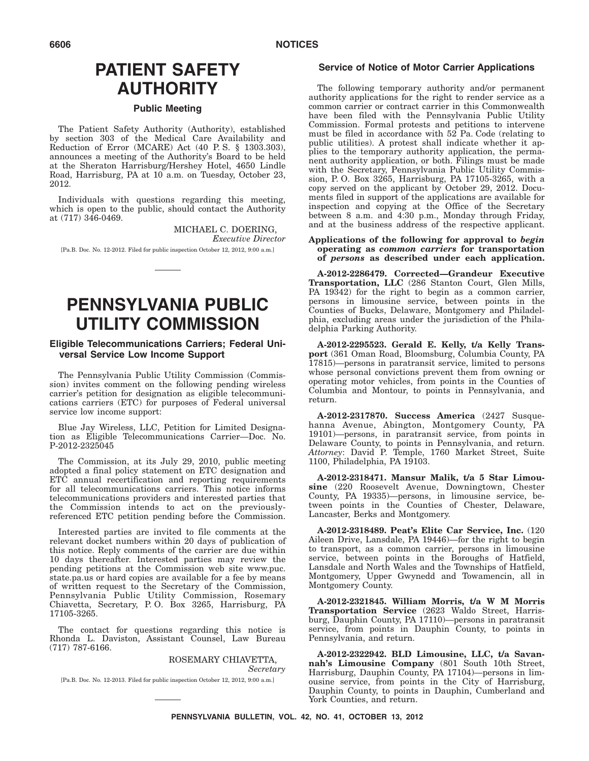# **PATIENT SAFETY AUTHORITY**

### **Public Meeting**

The Patient Safety Authority (Authority), established by section 303 of the Medical Care Availability and Reduction of Error (MCARE) Act (40 P. S. § 1303.303), announces a meeting of the Authority's Board to be held at the Sheraton Harrisburg/Hershey Hotel, 4650 Lindle Road, Harrisburg, PA at 10 a.m. on Tuesday, October 23, 2012.

Individuals with questions regarding this meeting, which is open to the public, should contact the Authority at (717) 346-0469.

> MICHAEL C. DOERING, *Executive Director*

[Pa.B. Doc. No. 12-2012. Filed for public inspection October 12, 2012, 9:00 a.m.]

# **PENNSYLVANIA PUBLIC UTILITY COMMISSION**

### **Eligible Telecommunications Carriers; Federal Universal Service Low Income Support**

The Pennsylvania Public Utility Commission (Commission) invites comment on the following pending wireless carrier's petition for designation as eligible telecommunications carriers (ETC) for purposes of Federal universal service low income support:

Blue Jay Wireless, LLC, Petition for Limited Designation as Eligible Telecommunications Carrier—Doc. No. P-2012-2325045

The Commission, at its July 29, 2010, public meeting adopted a final policy statement on ETC designation and ETC annual recertification and reporting requirements for all telecommunications carriers. This notice informs telecommunications providers and interested parties that the Commission intends to act on the previouslyreferenced ETC petition pending before the Commission.

Interested parties are invited to file comments at the relevant docket numbers within 20 days of publication of this notice. Reply comments of the carrier are due within 10 days thereafter. Interested parties may review the pending petitions at the Commission web site www.puc. state.pa.us or hard copies are available for a fee by means of written request to the Secretary of the Commission, Pennsylvania Public Utility Commission, Rosemary Chiavetta, Secretary, P. O. Box 3265, Harrisburg, PA 17105-3265.

The contact for questions regarding this notice is Rhonda L. Daviston, Assistant Counsel, Law Bureau (717) 787-6166.

### ROSEMARY CHIAVETTA, *Secretary*

[Pa.B. Doc. No. 12-2013. Filed for public inspection October 12, 2012, 9:00 a.m.]

### **Service of Notice of Motor Carrier Applications**

The following temporary authority and/or permanent authority applications for the right to render service as a common carrier or contract carrier in this Commonwealth have been filed with the Pennsylvania Public Utility Commission. Formal protests and petitions to intervene must be filed in accordance with 52 Pa. Code (relating to public utilities). A protest shall indicate whether it applies to the temporary authority application, the permanent authority application, or both. Filings must be made with the Secretary, Pennsylvania Public Utility Commission, P. O. Box 3265, Harrisburg, PA 17105-3265, with a copy served on the applicant by October 29, 2012. Documents filed in support of the applications are available for inspection and copying at the Office of the Secretary between 8 a.m. and 4:30 p.m., Monday through Friday, and at the business address of the respective applicant.

### **Applications of the following for approval to** *begin* **operating as** *common carriers* **for transportation of** *persons* **as described under each application.**

**A-2012-2286479. Corrected—Grandeur Executive Transportation, LLC** (286 Stanton Court, Glen Mills, PA 19342) for the right to begin as a common carrier, persons in limousine service, between points in the Counties of Bucks, Delaware, Montgomery and Philadelphia, excluding areas under the jurisdiction of the Philadelphia Parking Authority.

**A-2012-2295523. Gerald E. Kelly, t/a Kelly Transport** (361 Oman Road, Bloomsburg, Columbia County, PA 17815)—persons in paratransit service, limited to persons whose personal convictions prevent them from owning or operating motor vehicles, from points in the Counties of Columbia and Montour, to points in Pennsylvania, and return.

**A-2012-2317870. Success America** (2427 Susquehanna Avenue, Abington, Montgomery County, PA 19101)—persons, in paratransit service, from points in Delaware County, to points in Pennsylvania, and return. Attorney: David P. Temple, 1760 Market Street, Suite 1100, Philadelphia, PA 19103.

**A-2012-2318471. Mansur Malik, t/a 5 Star Limousine** (220 Roosevelt Avenue, Downingtown, Chester County, PA 19335)—persons, in limousine service, between points in the Counties of Chester, Delaware, Lancaster, Berks and Montgomery.

**A-2012-2318489. Peat's Elite Car Service, Inc.** (120 Aileen Drive, Lansdale, PA 19446)—for the right to begin to transport, as a common carrier, persons in limousine service, between points in the Boroughs of Hatfield, Lansdale and North Wales and the Townships of Hatfield, Montgomery, Upper Gwynedd and Towamencin, all in Montgomery County.

**A-2012-2321845. William Morris, t/a W M Morris Transportation Service** (2623 Waldo Street, Harrisburg, Dauphin County, PA 17110)—persons in paratransit service, from points in Dauphin County, to points in Pennsylvania, and return.

**A-2012-2322942. BLD Limousine, LLC, t/a Savannah's Limousine Company** (801 South 10th Street, Harrisburg, Dauphin County, PA 17104)—persons in limousine service, from points in the City of Harrisburg, Dauphin County, to points in Dauphin, Cumberland and York Counties, and return.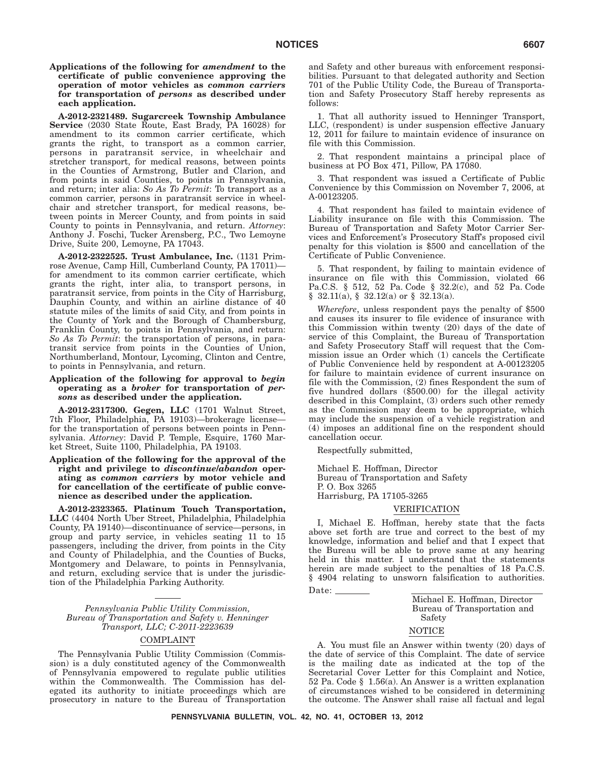**Applications of the following for** *amendment* **to the certificate of public convenience approving the operation of motor vehicles as** *common carriers* **for transportation of** *persons* **as described under each application.**

**A-2012-2321489. Sugarcreek Township Ambulance Service** (2030 State Route, East Brady, PA 16028) for amendment to its common carrier certificate, which grants the right, to transport as a common carrier, persons in paratransit service, in wheelchair and stretcher transport, for medical reasons, between points in the Counties of Armstrong, Butler and Clarion, and from points in said Counties, to points in Pennsylvania, and return; inter alia: *So As To Permit*: To transport as a common carrier, persons in paratransit service in wheelchair and stretcher transport, for medical reasons, between points in Mercer County, and from points in said County to points in Pennsylvania, and return. *Attorney*: Anthony J. Foschi, Tucker Arensberg, P.C., Two Lemoyne Drive, Suite 200, Lemoyne, PA 17043.

**A-2012-2322525. Trust Ambulance, Inc.** (1131 Primrose Avenue, Camp Hill, Cumberland County, PA 17011) for amendment to its common carrier certificate, which grants the right, inter alia, to transport persons, in paratransit service, from points in the City of Harrisburg, Dauphin County, and within an airline distance of 40 statute miles of the limits of said City, and from points in the County of York and the Borough of Chambersburg, Franklin County, to points in Pennsylvania, and return: *So As To Permit*: the transportation of persons, in paratransit service from points in the Counties of Union, Northumberland, Montour, Lycoming, Clinton and Centre, to points in Pennsylvania, and return.

### **Application of the following for approval to** *begin* **operating as a** *broker* **for transportation of** *persons* **as described under the application.**

**A-2012-2317300. Gegen, LLC** (1701 Walnut Street, 7th Floor, Philadelphia, PA 19103)—brokerage license for the transportation of persons between points in Pennsylvania. *Attorney*: David P. Temple, Esquire, 1760 Market Street, Suite 1100, Philadelphia, PA 19103.

### **Application of the following for the approval of the right and privilege to** *discontinue/abandon* **operating as** *common carriers* **by motor vehicle and for cancellation of the certificate of public convenience as described under the application.**

**A-2012-2323365. Platinum Touch Transportation, LLC** (4404 North Uber Street, Philadelphia, Philadelphia County, PA 19140)—discontinuance of service—persons, in group and party service, in vehicles seating 11 to 15 passengers, including the driver, from points in the City and County of Philadelphia, and the Counties of Bucks, Montgomery and Delaware, to points in Pennsylvania, and return, excluding service that is under the jurisdiction of the Philadelphia Parking Authority.

*Pennsylvania Public Utility Commission, Bureau of Transportation and Safety v. Henninger Transport, LLC; C-2011-2223639*

### COMPLAINT

The Pennsylvania Public Utility Commission (Commission) is a duly constituted agency of the Commonwealth of Pennsylvania empowered to regulate public utilities within the Commonwealth. The Commission has delegated its authority to initiate proceedings which are prosecutory in nature to the Bureau of Transportation and Safety and other bureaus with enforcement responsibilities. Pursuant to that delegated authority and Section 701 of the Public Utility Code, the Bureau of Transportation and Safety Prosecutory Staff hereby represents as follows:

1. That all authority issued to Henninger Transport, LLC, (respondent) is under suspension effective January 12, 2011 for failure to maintain evidence of insurance on file with this Commission.

2. That respondent maintains a principal place of business at  $P\overrightarrow{O}$  Box 471, Pillow, PA 17080.

3. That respondent was issued a Certificate of Public Convenience by this Commission on November 7, 2006, at A-00123205.

4. That respondent has failed to maintain evidence of Liability insurance on file with this Commission. The Bureau of Transportation and Safety Motor Carrier Services and Enforcement's Prosecutory Staff's proposed civil penalty for this violation is \$500 and cancellation of the Certificate of Public Convenience.

5. That respondent, by failing to maintain evidence of insurance on file with this Commission, violated 66 Pa.C.S. § 512, 52 Pa. Code § 32.2(c), and 52 Pa. Code  $§$  32.11(a),  $§$  32.12(a) or  $§$  32.13(a).

*Wherefore*, unless respondent pays the penalty of \$500 and causes its insurer to file evidence of insurance with this Commission within twenty (20) days of the date of service of this Complaint, the Bureau of Transportation and Safety Prosecutory Staff will request that the Commission issue an Order which (1) cancels the Certificate of Public Convenience held by respondent at A-00123205 for failure to maintain evidence of current insurance on file with the Commission, (2) fines Respondent the sum of five hundred dollars (\$500.00) for the illegal activity described in this Complaint, (3) orders such other remedy as the Commission may deem to be appropriate, which may include the suspension of a vehicle registration and (4) imposes an additional fine on the respondent should cancellation occur.

Respectfully submitted,

Michael E. Hoffman, Director Bureau of Transportation and Safety P. O. Box 3265 Harrisburg, PA 17105-3265

### VERIFICATION

I, Michael E. Hoffman, hereby state that the facts above set forth are true and correct to the best of my knowledge, information and belief and that I expect that the Bureau will be able to prove same at any hearing held in this matter. I understand that the statements herein are made subject to the penalties of 18 Pa.C.S. § 4904 relating to unsworn falsification to authorities.

Date:

Michael E. Hoffman, Director Bureau of Transportation and Safety

### NOTICE

A. You must file an Answer within twenty (20) days of the date of service of this Complaint. The date of service is the mailing date as indicated at the top of the Secretarial Cover Letter for this Complaint and Notice, 52 Pa. Code § 1.56(a). An Answer is a written explanation of circumstances wished to be considered in determining the outcome. The Answer shall raise all factual and legal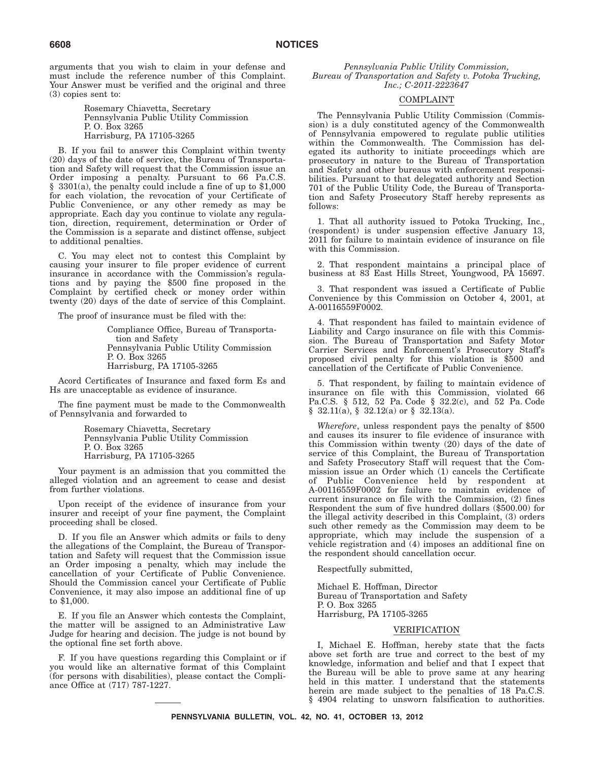arguments that you wish to claim in your defense and must include the reference number of this Complaint. Your Answer must be verified and the original and three (3) copies sent to:

> Rosemary Chiavetta, Secretary Pennsylvania Public Utility Commission P. O. Box 3265 Harrisburg, PA 17105-3265

B. If you fail to answer this Complaint within twenty (20) days of the date of service, the Bureau of Transportation and Safety will request that the Commission issue an Order imposing a penalty. Pursuant to 66 Pa.C.S. § 3301(a), the penalty could include a fine of up to \$1,000 for each violation, the revocation of your Certificate of Public Convenience, or any other remedy as may be appropriate. Each day you continue to violate any regulation, direction, requirement, determination or Order of the Commission is a separate and distinct offense, subject to additional penalties.

C. You may elect not to contest this Complaint by causing your insurer to file proper evidence of current insurance in accordance with the Commission's regulations and by paying the \$500 fine proposed in the Complaint by certified check or money order within twenty (20) days of the date of service of this Complaint.

The proof of insurance must be filed with the:

Compliance Office, Bureau of Transportation and Safety Pennsylvania Public Utility Commission P. O. Box 3265 Harrisburg, PA 17105-3265

Acord Certificates of Insurance and faxed form Es and Hs are unacceptable as evidence of insurance.

The fine payment must be made to the Commonwealth of Pennsylvania and forwarded to

> Rosemary Chiavetta, Secretary Pennsylvania Public Utility Commission P. O. Box 3265 Harrisburg, PA 17105-3265

Your payment is an admission that you committed the alleged violation and an agreement to cease and desist from further violations.

Upon receipt of the evidence of insurance from your insurer and receipt of your fine payment, the Complaint proceeding shall be closed.

D. If you file an Answer which admits or fails to deny the allegations of the Complaint, the Bureau of Transportation and Safety will request that the Commission issue an Order imposing a penalty, which may include the cancellation of your Certificate of Public Convenience. Should the Commission cancel your Certificate of Public Convenience, it may also impose an additional fine of up to \$1,000.

E. If you file an Answer which contests the Complaint, the matter will be assigned to an Administrative Law Judge for hearing and decision. The judge is not bound by the optional fine set forth above.

F. If you have questions regarding this Complaint or if you would like an alternative format of this Complaint (for persons with disabilities), please contact the Compliance Office at (717) 787-1227.

*Pennsylvania Public Utility Commission, Bureau of Transportation and Safety v. Potoka Trucking, Inc.; C-2011-2223647*

### COMPLAINT

The Pennsylvania Public Utility Commission (Commission) is a duly constituted agency of the Commonwealth of Pennsylvania empowered to regulate public utilities within the Commonwealth. The Commission has delegated its authority to initiate proceedings which are prosecutory in nature to the Bureau of Transportation and Safety and other bureaus with enforcement responsibilities. Pursuant to that delegated authority and Section 701 of the Public Utility Code, the Bureau of Transportation and Safety Prosecutory Staff hereby represents as follows:

1. That all authority issued to Potoka Trucking, Inc., (respondent) is under suspension effective January 13, 2011 for failure to maintain evidence of insurance on file with this Commission.

2. That respondent maintains a principal place of business at 83 East Hills Street, Youngwood, PA 15697.

3. That respondent was issued a Certificate of Public Convenience by this Commission on October 4, 2001, at A-00116559F0002.

4. That respondent has failed to maintain evidence of Liability and Cargo insurance on file with this Commission. The Bureau of Transportation and Safety Motor Carrier Services and Enforcement's Prosecutory Staff's proposed civil penalty for this violation is \$500 and cancellation of the Certificate of Public Convenience.

5. That respondent, by failing to maintain evidence of insurance on file with this Commission, violated 66 Pa.C.S. § 512, 52 Pa. Code § 32.2(c), and 52 Pa. Code § 32.11(a), § 32.12(a) or § 32.13(a).

*Wherefore*, unless respondent pays the penalty of \$500 and causes its insurer to file evidence of insurance with this Commission within twenty (20) days of the date of service of this Complaint, the Bureau of Transportation and Safety Prosecutory Staff will request that the Commission issue an Order which (1) cancels the Certificate of Public Convenience held by respondent at A-00116559F0002 for failure to maintain evidence of current insurance on file with the Commission, (2) fines Respondent the sum of five hundred dollars (\$500.00) for the illegal activity described in this Complaint, (3) orders such other remedy as the Commission may deem to be appropriate, which may include the suspension of a vehicle registration and (4) imposes an additional fine on the respondent should cancellation occur.

Respectfully submitted,

Michael E. Hoffman, Director Bureau of Transportation and Safety P. O. Box 3265 Harrisburg, PA 17105-3265

# VERIFICATION

I, Michael E. Hoffman, hereby state that the facts above set forth are true and correct to the best of my knowledge, information and belief and that I expect that the Bureau will be able to prove same at any hearing held in this matter. I understand that the statements herein are made subject to the penalties of 18 Pa.C.S. § 4904 relating to unsworn falsification to authorities.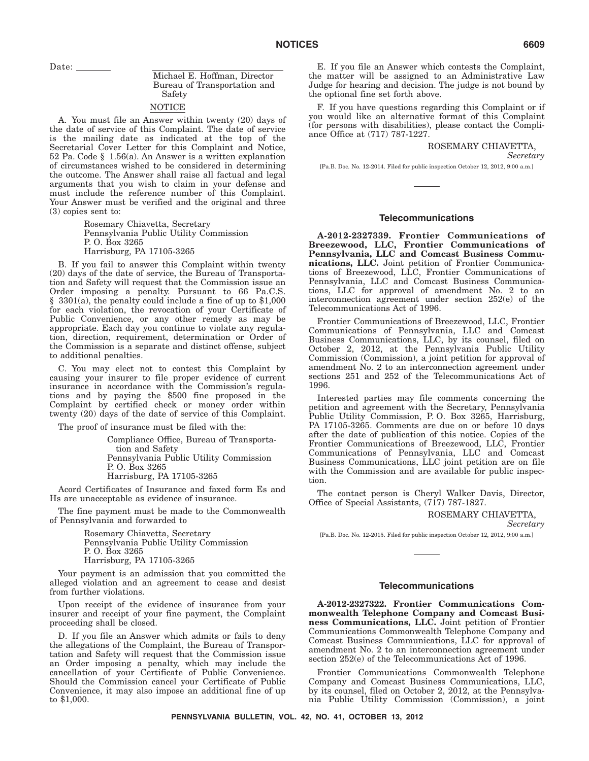Date:  $\_\_$ 

# Michael E. Hoffman, Director Bureau of Transportation and Safety

### NOTICE

A. You must file an Answer within twenty (20) days of the date of service of this Complaint. The date of service is the mailing date as indicated at the top of the Secretarial Cover Letter for this Complaint and Notice, 52 Pa. Code § 1.56(a). An Answer is a written explanation of circumstances wished to be considered in determining the outcome. The Answer shall raise all factual and legal arguments that you wish to claim in your defense and must include the reference number of this Complaint. Your Answer must be verified and the original and three (3) copies sent to:

> Rosemary Chiavetta, Secretary Pennsylvania Public Utility Commission P. O. Box 3265 Harrisburg, PA 17105-3265

B. If you fail to answer this Complaint within twenty (20) days of the date of service, the Bureau of Transportation and Safety will request that the Commission issue an Order imposing a penalty. Pursuant to 66 Pa.C.S. § 3301(a), the penalty could include a fine of up to \$1,000 for each violation, the revocation of your Certificate of Public Convenience, or any other remedy as may be appropriate. Each day you continue to violate any regulation, direction, requirement, determination or Order of the Commission is a separate and distinct offense, subject to additional penalties.

C. You may elect not to contest this Complaint by causing your insurer to file proper evidence of current insurance in accordance with the Commission's regulations and by paying the \$500 fine proposed in the Complaint by certified check or money order within twenty (20) days of the date of service of this Complaint.

The proof of insurance must be filed with the:

Compliance Office, Bureau of Transportation and Safety Pennsylvania Public Utility Commission P. O. Box 3265 Harrisburg, PA 17105-3265

Acord Certificates of Insurance and faxed form Es and Hs are unacceptable as evidence of insurance.

The fine payment must be made to the Commonwealth of Pennsylvania and forwarded to

> Rosemary Chiavetta, Secretary Pennsylvania Public Utility Commission P. O. Box 3265 Harrisburg, PA 17105-3265

Your payment is an admission that you committed the alleged violation and an agreement to cease and desist from further violations.

Upon receipt of the evidence of insurance from your insurer and receipt of your fine payment, the Complaint proceeding shall be closed.

D. If you file an Answer which admits or fails to deny the allegations of the Complaint, the Bureau of Transportation and Safety will request that the Commission issue an Order imposing a penalty, which may include the cancellation of your Certificate of Public Convenience. Should the Commission cancel your Certificate of Public Convenience, it may also impose an additional fine of up to \$1,000.

E. If you file an Answer which contests the Complaint, the matter will be assigned to an Administrative Law Judge for hearing and decision. The judge is not bound by the optional fine set forth above.

F. If you have questions regarding this Complaint or if you would like an alternative format of this Complaint (for persons with disabilities), please contact the Compliance Office at (717) 787-1227.

# ROSEMARY CHIAVETTA,

*Secretary*

[Pa.B. Doc. No. 12-2014. Filed for public inspection October 12, 2012, 9:00 a.m.]

### **Telecommunications**

**A-2012-2327339. Frontier Communications of Breezewood, LLC, Frontier Communications of Pennsylvania, LLC and Comcast Business Communications, LLC.** Joint petition of Frontier Communications of Breezewood, LLC, Frontier Communications of Pennsylvania, LLC and Comcast Business Communications, LLC for approval of amendment No. 2 to an interconnection agreement under section 252(e) of the Telecommunications Act of 1996.

Frontier Communications of Breezewood, LLC, Frontier Communications of Pennsylvania, LLC and Comcast Business Communications, LLC, by its counsel, filed on October 2, 2012, at the Pennsylvania Public Utility Commission (Commission), a joint petition for approval of amendment No. 2 to an interconnection agreement under sections 251 and 252 of the Telecommunications Act of 1996.

Interested parties may file comments concerning the petition and agreement with the Secretary, Pennsylvania Public Utility Commission, P. O. Box 3265, Harrisburg, PA 17105-3265. Comments are due on or before 10 days after the date of publication of this notice. Copies of the Frontier Communications of Breezewood, LLC, Frontier Communications of Pennsylvania, LLC and Comcast Business Communications, LLC joint petition are on file with the Commission and are available for public inspection.

The contact person is Cheryl Walker Davis, Director, Office of Special Assistants, (717) 787-1827.

#### ROSEMARY CHIAVETTA,

*Secretary*

[Pa.B. Doc. No. 12-2015. Filed for public inspection October 12, 2012, 9:00 a.m.]

### **Telecommunications**

**A-2012-2327322. Frontier Communications Commonwealth Telephone Company and Comcast Business Communications, LLC.** Joint petition of Frontier Communications Commonwealth Telephone Company and Comcast Business Communications, LLC for approval of amendment No. 2 to an interconnection agreement under section 252(e) of the Telecommunications Act of 1996.

Frontier Communications Commonwealth Telephone Company and Comcast Business Communications, LLC, by its counsel, filed on October 2, 2012, at the Pennsylvania Public Utility Commission (Commission), a joint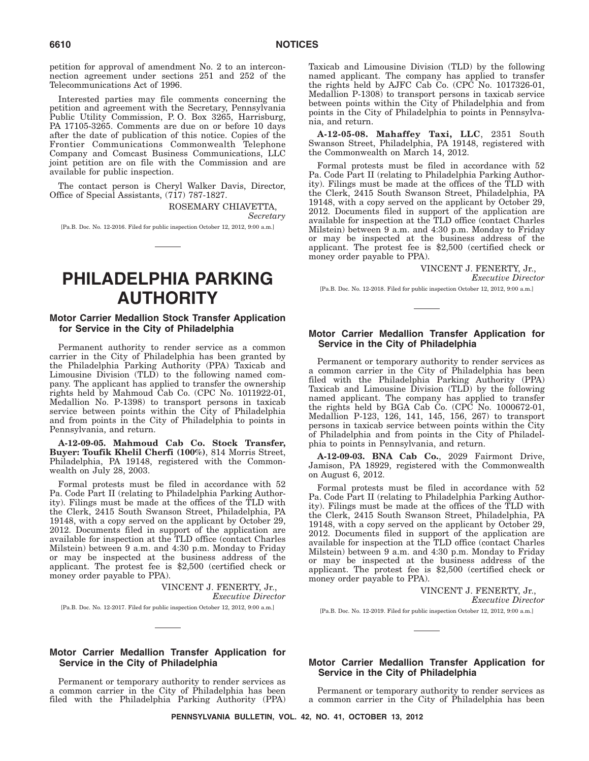petition for approval of amendment No. 2 to an interconnection agreement under sections 251 and 252 of the Telecommunications Act of 1996.

Interested parties may file comments concerning the petition and agreement with the Secretary, Pennsylvania Public Utility Commission, P. O. Box 3265, Harrisburg, PA 17105-3265. Comments are due on or before 10 days after the date of publication of this notice. Copies of the Frontier Communications Commonwealth Telephone Company and Comcast Business Communications, LLC joint petition are on file with the Commission and are available for public inspection.

The contact person is Cheryl Walker Davis, Director, Office of Special Assistants, (717) 787-1827.

> ROSEMARY CHIAVETTA, *Secretary*

[Pa.B. Doc. No. 12-2016. Filed for public inspection October 12, 2012, 9:00 a.m.]

# **PHILADELPHIA PARKING AUTHORITY**

### **Motor Carrier Medallion Stock Transfer Application for Service in the City of Philadelphia**

Permanent authority to render service as a common carrier in the City of Philadelphia has been granted by the Philadelphia Parking Authority (PPA) Taxicab and Limousine Division (TLD) to the following named company. The applicant has applied to transfer the ownership rights held by Mahmoud Cab Co. (CPC No. 1011922-01, Medallion No. P-1398) to transport persons in taxicab service between points within the City of Philadelphia and from points in the City of Philadelphia to points in Pennsylvania, and return.

**A-12-09-05. Mahmoud Cab Co. Stock Transfer, Buyer: Toufik Khelil Cherfi (100%)**, 814 Morris Street, Philadelphia, PA 19148, registered with the Commonwealth on July 28, 2003.

Formal protests must be filed in accordance with 52 Pa. Code Part II (relating to Philadelphia Parking Authority). Filings must be made at the offices of the TLD with the Clerk, 2415 South Swanson Street, Philadelphia, PA 19148, with a copy served on the applicant by October 29, 2012. Documents filed in support of the application are available for inspection at the TLD office (contact Charles Milstein) between 9 a.m. and 4:30 p.m. Monday to Friday or may be inspected at the business address of the applicant. The protest fee is \$2,500 (certified check or money order payable to PPA).

VINCENT J. FENERTY, Jr.,

*Executive Director*

[Pa.B. Doc. No. 12-2017. Filed for public inspection October 12, 2012, 9:00 a.m.]

### **Motor Carrier Medallion Transfer Application for Service in the City of Philadelphia**

Permanent or temporary authority to render services as a common carrier in the City of Philadelphia has been filed with the Philadelphia Parking Authority (PPA)

Taxicab and Limousine Division (TLD) by the following named applicant. The company has applied to transfer the rights held by AJFC Cab Co. (CPC No. 1017326-01, Medallion P-1308) to transport persons in taxicab service between points within the City of Philadelphia and from points in the City of Philadelphia to points in Pennsylvania, and return.

**A-12-05-08. Mahaffey Taxi, LLC**, 2351 South Swanson Street, Philadelphia, PA 19148, registered with the Commonwealth on March 14, 2012.

Formal protests must be filed in accordance with 52 Pa. Code Part II (relating to Philadelphia Parking Authority). Filings must be made at the offices of the TLD with the Clerk, 2415 South Swanson Street, Philadelphia, PA 19148, with a copy served on the applicant by October 29, 2012. Documents filed in support of the application are available for inspection at the TLD office (contact Charles Milstein) between 9 a.m. and 4:30 p.m. Monday to Friday or may be inspected at the business address of the applicant. The protest fee is \$2,500 (certified check or money order payable to PPA).

> VINCENT J. FENERTY, Jr., *Executive Director*

[Pa.B. Doc. No. 12-2018. Filed for public inspection October 12, 2012, 9:00 a.m.]

# **Motor Carrier Medallion Transfer Application for Service in the City of Philadelphia**

Permanent or temporary authority to render services as a common carrier in the City of Philadelphia has been filed with the Philadelphia Parking Authority (PPA) Taxicab and Limousine Division (TLD) by the following named applicant. The company has applied to transfer the rights held by BGA Cab Co. (CPC No. 1000672-01, Medallion P-123, 126, 141, 145, 156, 267) to transport persons in taxicab service between points within the City of Philadelphia and from points in the City of Philadelphia to points in Pennsylvania, and return.

**A-12-09-03. BNA Cab Co.**, 2029 Fairmont Drive, Jamison, PA 18929, registered with the Commonwealth on August 6, 2012.

Formal protests must be filed in accordance with 52 Pa. Code Part II (relating to Philadelphia Parking Authority). Filings must be made at the offices of the TLD with the Clerk, 2415 South Swanson Street, Philadelphia, PA 19148, with a copy served on the applicant by October 29, 2012. Documents filed in support of the application are available for inspection at the TLD office (contact Charles Milstein) between 9 a.m. and 4:30 p.m. Monday to Friday or may be inspected at the business address of the applicant. The protest fee is \$2,500 (certified check or money order payable to PPA).

VINCENT J. FENERTY, Jr.,

*Executive Director*

[Pa.B. Doc. No. 12-2019. Filed for public inspection October 12, 2012, 9:00 a.m.]

### **Motor Carrier Medallion Transfer Application for Service in the City of Philadelphia**

Permanent or temporary authority to render services as a common carrier in the City of Philadelphia has been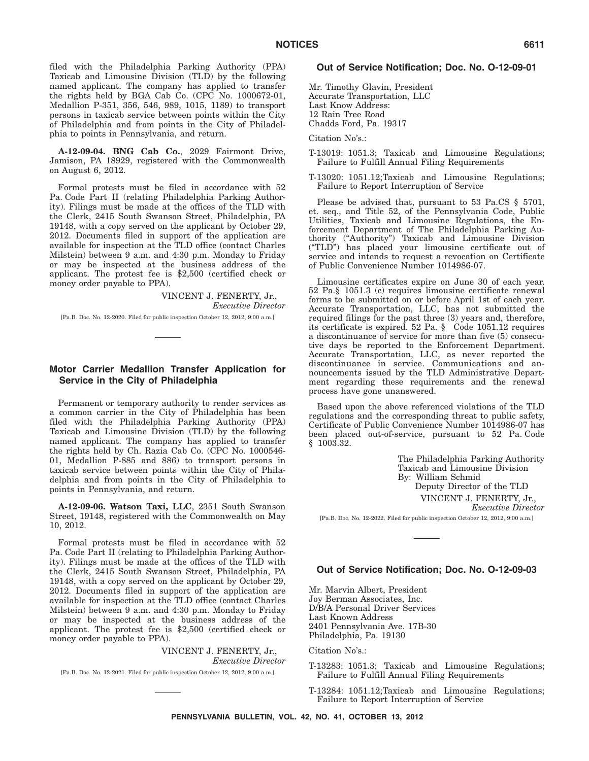filed with the Philadelphia Parking Authority (PPA) Taxicab and Limousine Division (TLD) by the following named applicant. The company has applied to transfer the rights held by BGA Cab Co. (CPC No. 1000672-01, Medallion P-351, 356, 546, 989, 1015, 1189) to transport persons in taxicab service between points within the City of Philadelphia and from points in the City of Philadelphia to points in Pennsylvania, and return.

**A-12-09-04. BNG Cab Co.**, 2029 Fairmont Drive, Jamison, PA 18929, registered with the Commonwealth on August 6, 2012.

Formal protests must be filed in accordance with 52 Pa. Code Part II (relating Philadelphia Parking Authority). Filings must be made at the offices of the TLD with the Clerk, 2415 South Swanson Street, Philadelphia, PA 19148, with a copy served on the applicant by October 29, 2012. Documents filed in support of the application are available for inspection at the TLD office (contact Charles Milstein) between 9 a.m. and 4:30 p.m. Monday to Friday or may be inspected at the business address of the applicant. The protest fee is \$2,500 (certified check or money order payable to PPA).

> VINCENT J. FENERTY, Jr., *Executive Director*

[Pa.B. Doc. No. 12-2020. Filed for public inspection October 12, 2012, 9:00 a.m.]

# **Motor Carrier Medallion Transfer Application for Service in the City of Philadelphia**

Permanent or temporary authority to render services as a common carrier in the City of Philadelphia has been filed with the Philadelphia Parking Authority (PPA) Taxicab and Limousine Division (TLD) by the following named applicant. The company has applied to transfer the rights held by Ch. Razia Cab Co. (CPC No. 1000546- 01, Medallion P-885 and 886) to transport persons in taxicab service between points within the City of Philadelphia and from points in the City of Philadelphia to points in Pennsylvania, and return.

**A-12-09-06. Watson Taxi, LLC**, 2351 South Swanson Street, 19148, registered with the Commonwealth on May 10, 2012.

Formal protests must be filed in accordance with 52 Pa. Code Part II (relating to Philadelphia Parking Authority). Filings must be made at the offices of the TLD with the Clerk, 2415 South Swanson Street, Philadelphia, PA 19148, with a copy served on the applicant by October 29, 2012. Documents filed in support of the application are available for inspection at the TLD office (contact Charles Milstein) between 9 a.m. and 4:30 p.m. Monday to Friday or may be inspected at the business address of the applicant. The protest fee is \$2,500 (certified check or money order payable to PPA).

> VINCENT J. FENERTY, Jr., *Executive Director*

[Pa.B. Doc. No. 12-2021. Filed for public inspection October 12, 2012, 9:00 a.m.]

### **Out of Service Notification; Doc. No. O-12-09-01**

Mr. Timothy Glavin, President Accurate Transportation, LLC Last Know Address: 12 Rain Tree Road Chadds Ford, Pa. 19317

Citation No's.:

- T-13019: 1051.3; Taxicab and Limousine Regulations; Failure to Fulfill Annual Filing Requirements
- T-13020: 1051.12;Taxicab and Limousine Regulations; Failure to Report Interruption of Service

Please be advised that, pursuant to 53 Pa.CS § 5701, et. seq., and Title 52, of the Pennsylvania Code, Public Utilities, Taxicab and Limousine Regulations, the Enforcement Department of The Philadelphia Parking Authority (''Authority'') Taxicab and Limousine Division (''TLD'') has placed your limousine certificate out of service and intends to request a revocation on Certificate of Public Convenience Number 1014986-07.

Limousine certificates expire on June 30 of each year. 52 Pa.§ 1051.3 (c) requires limousine certificate renewal forms to be submitted on or before April 1st of each year. Accurate Transportation, LLC, has not submitted the required filings for the past three (3) years and, therefore, its certificate is expired. 52 Pa. § Code 1051.12 requires a discontinuance of service for more than five (5) consecutive days be reported to the Enforcement Department. Accurate Transportation, LLC, as never reported the discontinuance in service. Communications and announcements issued by the TLD Administrative Department regarding these requirements and the renewal process have gone unanswered.

Based upon the above referenced violations of the TLD regulations and the corresponding threat to public safety, Certificate of Public Convenience Number 1014986-07 has been placed out-of-service, pursuant to 52 Pa. Code § 1003.32.

> The Philadelphia Parking Authority Taxicab and Limousine Division By: William Schmid Deputy Director of the TLD VINCENT J. FENERTY, Jr., *Executive Director*

[Pa.B. Doc. No. 12-2022. Filed for public inspection October 12, 2012, 9:00 a.m.]

### **Out of Service Notification; Doc. No. O-12-09-03**

Mr. Marvin Albert, President Joy Berman Associates, Inc. D/B/A Personal Driver Services Last Known Address 2401 Pennsylvania Ave. 17B-30 Philadelphia, Pa. 19130

Citation No's.:

- T-13283: 1051.3; Taxicab and Limousine Regulations; Failure to Fulfill Annual Filing Requirements
- T-13284: 1051.12;Taxicab and Limousine Regulations; Failure to Report Interruption of Service